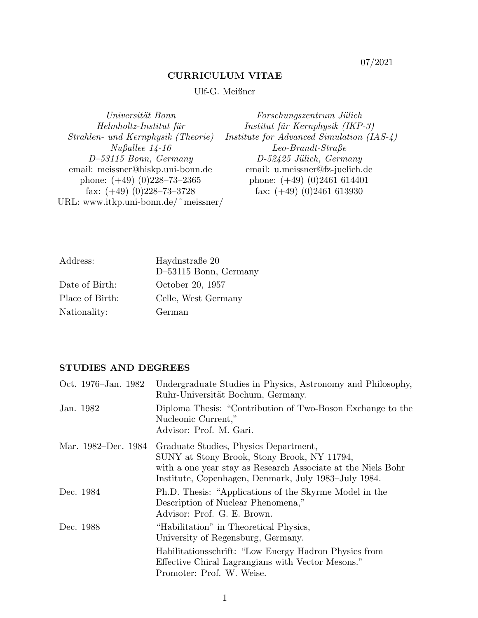07/2021

### CURRICULUM VITAE

# Ulf-G. Meißner

Universität Bonn Forschungszentrum Jülich Helmholtz-Institut für **Institut für Kernphysik** (IKP-3) Strahlen- und Kernphysik (Theorie) Institute for Advanced Simulation (IAS-4) Nußallee 14-16 Leo-Brandt-Straße<br>  $D-53115$  Bonn, Germany  $D-52425$  Jülich, Germ D-52425 Jülich, Germany email: meissner@hiskp.uni-bonn.de email: u.meissner@fz-juelich.de phone:  $(+49)$   $(0)$ 228-73-2365 phone:  $(+49)$   $(0)$ 2461 614401 fax:  $(+49)$   $(0)$ 2461 613930 fax:  $(+49)(0)228-73-3728$ URL: www.itkp.uni-bonn.de/˜meissner/

| Address:        | Haydnstraße 20          |
|-----------------|-------------------------|
|                 | $D-53115$ Bonn, Germany |
| Date of Birth:  | October 20, 1957        |
| Place of Birth: | Celle, West Germany     |
| Nationality:    | German                  |

# STUDIES AND DEGREES

| Oct. 1976–Jan. 1982 | Undergraduate Studies in Physics, Astronomy and Philosophy,<br>Ruhr-Universität Bochum, Germany.                                                                                                             |
|---------------------|--------------------------------------------------------------------------------------------------------------------------------------------------------------------------------------------------------------|
| Jan. 1982           | Diploma Thesis: "Contribution of Two-Boson Exchange to the<br>Nucleonic Current,"<br>Advisor: Prof. M. Gari.                                                                                                 |
| Mar. 1982–Dec. 1984 | Graduate Studies, Physics Department,<br>SUNY at Stony Brook, Stony Brook, NY 11794,<br>with a one year stay as Research Associate at the Niels Bohr<br>Institute, Copenhagen, Denmark, July 1983–July 1984. |
| Dec. 1984           | Ph.D. Thesis: "Applications of the Skyrme Model in the<br>Description of Nuclear Phenomena,"<br>Advisor: Prof. G. E. Brown.                                                                                  |
| Dec. 1988           | "Habilitation" in Theoretical Physics,<br>University of Regensburg, Germany.                                                                                                                                 |
|                     | Habilitations schrift: "Low Energy Hadron Physics from<br>Effective Chiral Lagrangians with Vector Mesons."<br>Promoter: Prof. W. Weise.                                                                     |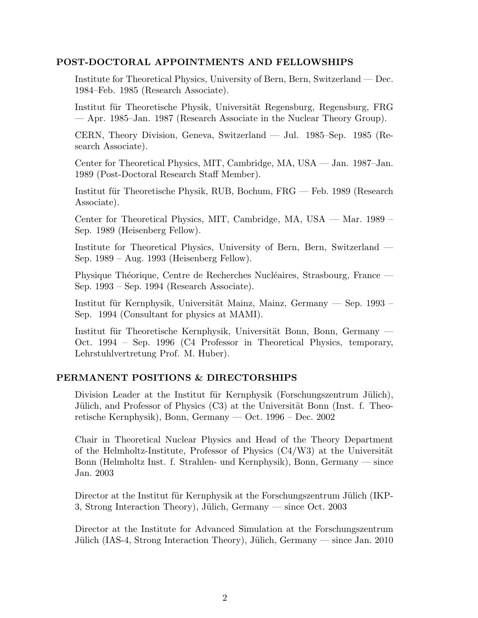# POST-DOCTORAL APPOINTMENTS AND FELLOWSHIPS

Institute for Theoretical Physics, University of Bern, Bern, Switzerland — Dec. 1984–Feb. 1985 (Research Associate).

Institut für Theoretische Physik, Universität Regensburg, Regensburg, FRG — Apr. 1985–Jan. 1987 (Research Associate in the Nuclear Theory Group).

CERN, Theory Division, Geneva, Switzerland — Jul. 1985–Sep. 1985 (Research Associate).

Center for Theoretical Physics, MIT, Cambridge, MA, USA — Jan. 1987–Jan. 1989 (Post-Doctoral Research Staff Member).

Institut für Theoretische Physik, RUB, Bochum, FRG — Feb. 1989 (Research Associate).

Center for Theoretical Physics, MIT, Cambridge, MA, USA — Mar. 1989 – Sep. 1989 (Heisenberg Fellow).

Institute for Theoretical Physics, University of Bern, Bern, Switzerland — Sep. 1989 – Aug. 1993 (Heisenberg Fellow).

Physique Théorique, Centre de Recherches Nucléaires, Strasbourg, France — Sep. 1993 – Sep. 1994 (Research Associate).

Institut für Kernphysik, Universität Mainz, Mainz, Germany — Sep. 1993 – Sep. 1994 (Consultant for physics at MAMI).

Institut für Theoretische Kernphysik, Universität Bonn, Bonn, Germany — Oct. 1994 – Sep. 1996 (C4 Professor in Theoretical Physics, temporary, Lehrstuhlvertretung Prof. M. Huber).

### PERMANENT POSITIONS & DIRECTORSHIPS

Division Leader at the Institut für Kernphysik (Forschungszentrum Jülich), Jülich, and Professor of Physics (C3) at the Universität Bonn (Inst. f. Theoretische Kernphysik), Bonn, Germany — Oct. 1996 – Dec. 2002

Chair in Theoretical Nuclear Physics and Head of the Theory Department of the Helmholtz-Institute, Professor of Physics  $(C4/W3)$  at the Universität Bonn (Helmholtz Inst. f. Strahlen- und Kernphysik), Bonn, Germany — since Jan. 2003

Director at the Institut für Kernphysik at the Forschungszentrum Jülich (IKP-3, Strong Interaction Theory), Jülich, Germany — since Oct. 2003

Director at the Institute for Advanced Simulation at the Forschungszentrum Jülich (IAS-4, Strong Interaction Theory), Jülich, Germany — since Jan. 2010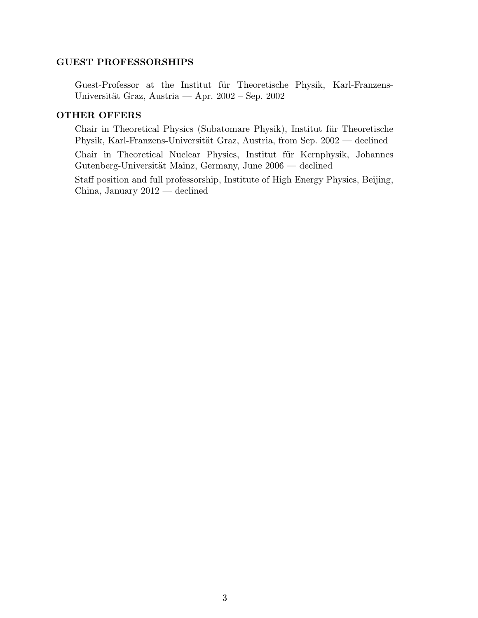### GUEST PROFESSORSHIPS

Guest-Professor at the Institut für Theoretische Physik, Karl-Franzens-Universität Graz, Austria — Apr.  $2002$  – Sep.  $2002$ 

### OTHER OFFERS

Chair in Theoretical Physics (Subatomare Physik), Institut für Theoretische Physik, Karl-Franzens-Universität Graz, Austria, from Sep. 2002 — declined

Chair in Theoretical Nuclear Physics, Institut für Kernphysik, Johannes Gutenberg-Universität Mainz, Germany, June 2006 — declined

Staff position and full professorship, Institute of High Energy Physics, Beijing, China, January 2012 — declined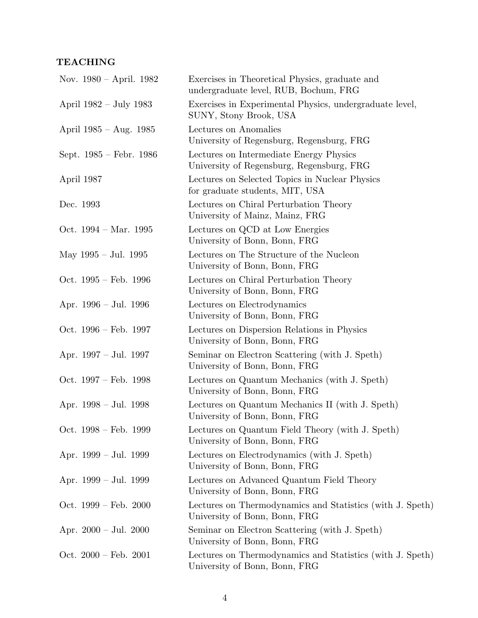# TEACHING

| Nov. $1980 - April. 1982$       | Exercises in Theoretical Physics, graduate and<br>undergraduate level, RUB, Bochum, FRG    |
|---------------------------------|--------------------------------------------------------------------------------------------|
| April 1982 – July 1983          | Exercises in Experimental Physics, undergraduate level,<br>SUNY, Stony Brook, USA          |
| April $1985 - Aug. 1985$        | Lectures on Anomalies<br>University of Regensburg, Regensburg, FRG                         |
| Sept. 1985 – Febr. 1986         | Lectures on Intermediate Energy Physics<br>University of Regensburg, Regensburg, FRG       |
| April 1987                      | Lectures on Selected Topics in Nuclear Physics<br>for graduate students, MIT, USA          |
| Dec. 1993                       | Lectures on Chiral Perturbation Theory<br>University of Mainz, Mainz, FRG                  |
| Oct. $1994 - Mar. 1995$         | Lectures on QCD at Low Energies<br>University of Bonn, Bonn, FRG                           |
| May $1995 -$ Jul. 1995          | Lectures on The Structure of the Nucleon<br>University of Bonn, Bonn, FRG                  |
| Oct. $1995 - Feb. 1996$         | Lectures on Chiral Perturbation Theory<br>University of Bonn, Bonn, FRG                    |
| Apr. 1996 - Jul. 1996           | Lectures on Electrodynamics<br>University of Bonn, Bonn, FRG                               |
| Oct. $1996 - \text{Feb. } 1997$ | Lectures on Dispersion Relations in Physics<br>University of Bonn, Bonn, FRG               |
| Apr. $1997 -$ Jul. 1997         | Seminar on Electron Scattering (with J. Speth)<br>University of Bonn, Bonn, FRG            |
| Oct. $1997 - Feb. 1998$         | Lectures on Quantum Mechanics (with J. Speth)<br>University of Bonn, Bonn, FRG             |
| Apr. $1998 - \text{Jul. } 1998$ | Lectures on Quantum Mechanics II (with J. Speth)<br>University of Bonn, Bonn, FRG          |
| Oct. $1998 - Feb. 1999$         | Lectures on Quantum Field Theory (with J. Speth)<br>University of Bonn, Bonn, FRG          |
| Apr. $1999 - Jul.$ 1999         | Lectures on Electrodynamics (with J. Speth)<br>University of Bonn, Bonn, FRG               |
| Apr. 1999 – Jul. 1999           | Lectures on Advanced Quantum Field Theory<br>University of Bonn, Bonn, FRG                 |
| Oct. $1999 - \text{Feb. } 2000$ | Lectures on Thermodynamics and Statistics (with J. Speth)<br>University of Bonn, Bonn, FRG |
| Apr. $2000 - \text{Jul. } 2000$ | Seminar on Electron Scattering (with J. Speth)<br>University of Bonn, Bonn, FRG            |
| Oct. $2000 - \text{Feb. } 2001$ | Lectures on Thermodynamics and Statistics (with J. Speth)<br>University of Bonn, Bonn, FRG |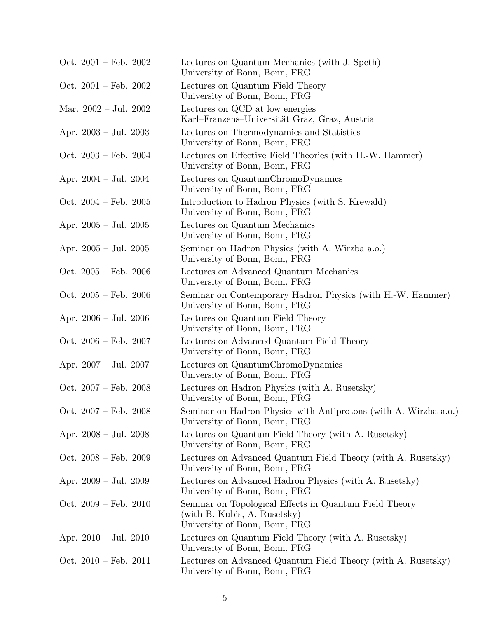| Oct. $2001 - \text{Feb. } 2002$ | Lectures on Quantum Mechanics (with J. Speth)<br>University of Bonn, Bonn, FRG                                          |
|---------------------------------|-------------------------------------------------------------------------------------------------------------------------|
| Oct. $2001 - \text{Feb. } 2002$ | Lectures on Quantum Field Theory<br>University of Bonn, Bonn, FRG                                                       |
| Mar. $2002 - \text{Jul. } 2002$ | Lectures on QCD at low energies<br>Karl-Franzens-Universität Graz, Graz, Austria                                        |
| Apr. $2003 - Jul. 2003$         | Lectures on Thermodynamics and Statistics<br>University of Bonn, Bonn, FRG                                              |
| Oct. $2003 - \text{Feb. } 2004$ | Lectures on Effective Field Theories (with H.-W. Hammer)<br>University of Bonn, Bonn, FRG                               |
| Apr. $2004 - \text{Jul. } 2004$ | Lectures on QuantumChromoDynamics<br>University of Bonn, Bonn, FRG                                                      |
| Oct. $2004 - \text{Feb. } 2005$ | Introduction to Hadron Physics (with S. Krewald)<br>University of Bonn, Bonn, FRG                                       |
| Apr. $2005 - \text{Jul. } 2005$ | Lectures on Quantum Mechanics<br>University of Bonn, Bonn, FRG                                                          |
| Apr. $2005 -$ Jul. $2005$       | Seminar on Hadron Physics (with A. Wirzba a.o.)<br>University of Bonn, Bonn, FRG                                        |
| Oct. $2005 - \text{Feb. } 2006$ | Lectures on Advanced Quantum Mechanics<br>University of Bonn, Bonn, FRG                                                 |
| Oct. $2005 - \text{Feb. } 2006$ | Seminar on Contemporary Hadron Physics (with H.-W. Hammer)<br>University of Bonn, Bonn, FRG                             |
| Apr. $2006 - \text{Jul. } 2006$ | Lectures on Quantum Field Theory<br>University of Bonn, Bonn, FRG                                                       |
| Oct. $2006 - \text{Feb. } 2007$ | Lectures on Advanced Quantum Field Theory<br>University of Bonn, Bonn, FRG                                              |
| Apr. $2007 - \text{Jul. } 2007$ | Lectures on QuantumChromoDynamics<br>University of Bonn, Bonn, FRG                                                      |
| Oct. $2007 - \text{Feb. } 2008$ | Lectures on Hadron Physics (with A. Rusetsky)<br>University of Bonn, Bonn, FRG                                          |
| Oct. $2007 - \text{Feb. } 2008$ | Seminar on Hadron Physics with Antiprotons (with A. Wirzba a.o.)<br>University of Bonn, Bonn, FRG                       |
| Apr. $2008 - \text{Jul. } 2008$ | Lectures on Quantum Field Theory (with A. Rusetsky)<br>University of Bonn, Bonn, FRG                                    |
| Oct. $2008 - \text{Feb. } 2009$ | Lectures on Advanced Quantum Field Theory (with A. Rusetsky)<br>University of Bonn, Bonn, FRG                           |
| Apr. $2009 - \text{Jul. } 2009$ | Lectures on Advanced Hadron Physics (with A. Rusetsky)<br>University of Bonn, Bonn, FRG                                 |
| Oct. $2009 - \text{Feb. } 2010$ | Seminar on Topological Effects in Quantum Field Theory<br>(with B. Kubis, A. Rusetsky)<br>University of Bonn, Bonn, FRG |
| Apr. $2010 - \text{Jul. } 2010$ | Lectures on Quantum Field Theory (with A. Rusetsky)<br>University of Bonn, Bonn, FRG                                    |
| Oct. $2010$ – Feb. $2011$       | Lectures on Advanced Quantum Field Theory (with A. Rusetsky)<br>University of Bonn, Bonn, FRG                           |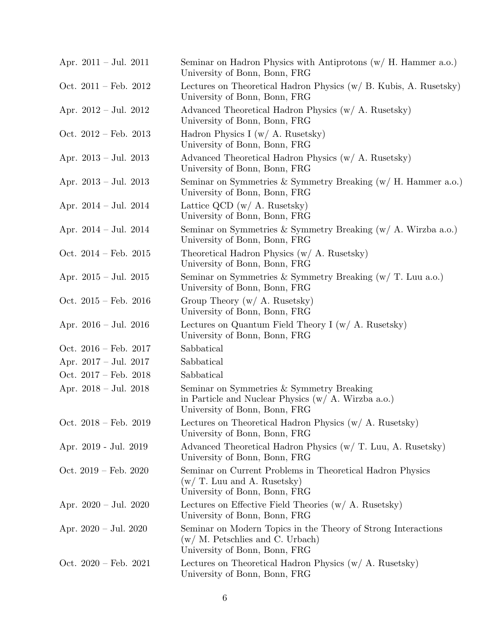| Apr. $2011 - \text{Jul. } 2011$ | Seminar on Hadron Physics with Antiprotons $(w / H.$ Hammer a.o.)<br>University of Bonn, Bonn, FRG                                    |
|---------------------------------|---------------------------------------------------------------------------------------------------------------------------------------|
| Oct. $2011 - \text{Feb. } 2012$ | Lectures on Theoretical Hadron Physics $(w / B$ . Kubis, A. Rusetsky)<br>University of Bonn, Bonn, FRG                                |
| Apr. $2012 - \text{Jul. } 2012$ | Advanced Theoretical Hadron Physics (w/ A. Rusetsky)<br>University of Bonn, Bonn, FRG                                                 |
| Oct. $2012$ – Feb. $2013$       | Hadron Physics I (w/ A. Rusetsky)<br>University of Bonn, Bonn, FRG                                                                    |
| Apr. $2013 - \text{Jul. } 2013$ | Advanced Theoretical Hadron Physics (w/ A. Rusetsky)<br>University of Bonn, Bonn, FRG                                                 |
| Apr. $2013 - \text{Jul. } 2013$ | Seminar on Symmetries & Symmetry Breaking $(w / H.$ Hammer a.o.)<br>University of Bonn, Bonn, FRG                                     |
| Apr. $2014 - \text{Jul. } 2014$ | Lattice QCD $(w / A$ . Rusetsky)<br>University of Bonn, Bonn, FRG                                                                     |
| Apr. $2014 - \text{Jul. } 2014$ | Seminar on Symmetries & Symmetry Breaking $(w / A$ . Wirzba a.o.)<br>University of Bonn, Bonn, FRG                                    |
| Oct. $2014$ – Feb. $2015$       | Theoretical Hadron Physics (w/ A. Rusetsky)<br>University of Bonn, Bonn, FRG                                                          |
| Apr. $2015 - \text{Jul. } 2015$ | Seminar on Symmetries & Symmetry Breaking $(w/T)$ . Luu a.o.)<br>University of Bonn, Bonn, FRG                                        |
| Oct. $2015$ – Feb. $2016$       | Group Theory $(w / A$ . Rusetsky)<br>University of Bonn, Bonn, FRG                                                                    |
| Apr. $2016 - \text{Jul. } 2016$ | Lectures on Quantum Field Theory I $(w / A$ . Rusetsky)<br>University of Bonn, Bonn, FRG                                              |
| Oct. $2016$ – Feb. $2017$       | Sabbatical                                                                                                                            |
| Apr. $2017 - \text{Jul. } 2017$ | Sabbatical                                                                                                                            |
| Oct. $2017 - Feb. 2018$         | Sabbatical                                                                                                                            |
| Apr. $2018 - \text{Jul. } 2018$ | Seminar on Symmetries & Symmetry Breaking<br>in Particle and Nuclear Physics $(w / A$ . Wirzba a.o.)<br>University of Bonn, Bonn, FRG |
| Oct. $2018 - \text{Feb. } 2019$ | Lectures on Theoretical Hadron Physics $(w / A$ . Rusetsky)<br>University of Bonn, Bonn, FRG                                          |
| Apr. 2019 - Jul. 2019           | Advanced Theoretical Hadron Physics (w/ T. Luu, A. Rusetsky)<br>University of Bonn, Bonn, FRG                                         |
| Oct. $2019$ – Feb. $2020$       | Seminar on Current Problems in Theoretical Hadron Physics<br>$(w/T.$ Luu and A. Rusetsky)<br>University of Bonn, Bonn, FRG            |
| Apr. $2020 - \text{Jul. } 2020$ | Lectures on Effective Field Theories $(w / A$ . Rusetsky)<br>University of Bonn, Bonn, FRG                                            |
| Apr. $2020 - \text{Jul. } 2020$ | Seminar on Modern Topics in the Theory of Strong Interactions<br>$(w/M.$ Petschlies and C. Urbach)<br>University of Bonn, Bonn, FRG   |
| Oct. $2020 - \text{Feb. } 2021$ | Lectures on Theoretical Hadron Physics (w/ A. Rusetsky)<br>University of Bonn, Bonn, FRG                                              |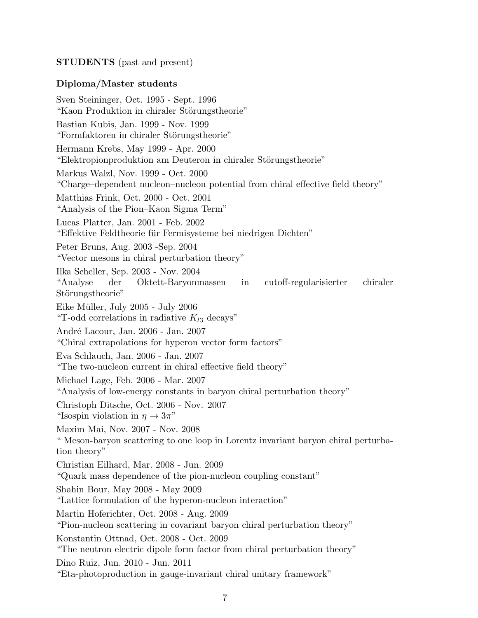# STUDENTS (past and present)

### Diploma/Master students

Sven Steininger, Oct. 1995 - Sept. 1996 "Kaon Produktion in chiraler Störungstheorie" Bastian Kubis, Jan. 1999 - Nov. 1999 "Formfaktoren in chiraler Störungstheorie" Hermann Krebs, May 1999 - Apr. 2000 "Elektropionproduktion am Deuteron in chiraler Störungstheorie" Markus Walzl, Nov. 1999 - Oct. 2000 "Charge–dependent nucleon–nucleon potential from chiral effective field theory" Matthias Frink, Oct. 2000 - Oct. 2001 "Analysis of the Pion–Kaon Sigma Term" Lucas Platter, Jan. 2001 - Feb. 2002 "Effektive Feldtheorie für Fermisysteme bei niedrigen Dichten" Peter Bruns, Aug. 2003 -Sep. 2004 "Vector mesons in chiral perturbation theory" Ilka Scheller, Sep. 2003 - Nov. 2004 "Analyse der Oktett-Baryonmassen in cutoff-regularisierter chiraler Störungstheorie" Eike Müller, July 2005 - July 2006 "T-odd correlations in radiative  $K_{l3}$  decays" André Lacour, Jan. 2006 - Jan. 2007 "Chiral extrapolations for hyperon vector form factors" Eva Schlauch, Jan. 2006 - Jan. 2007 "The two-nucleon current in chiral effective field theory" Michael Lage, Feb. 2006 - Mar. 2007 "Analysis of low-energy constants in baryon chiral perturbation theory" Christoph Ditsche, Oct. 2006 - Nov. 2007 "Isospin violation in  $\eta \to 3\pi$ " Maxim Mai, Nov. 2007 - Nov. 2008 " Meson-baryon scattering to one loop in Lorentz invariant baryon chiral perturbation theory" Christian Eilhard, Mar. 2008 - Jun. 2009 "Quark mass dependence of the pion-nucleon coupling constant" Shahin Bour, May 2008 - May 2009 "Lattice formulation of the hyperon-nucleon interaction" Martin Hoferichter, Oct. 2008 - Aug. 2009 "Pion-nucleon scattering in covariant baryon chiral perturbation theory" Konstantin Ottnad, Oct. 2008 - Oct. 2009 "The neutron electric dipole form factor from chiral perturbation theory" Dino Ruiz, Jun. 2010 - Jun. 2011 "Eta-photoproduction in gauge-invariant chiral unitary framework"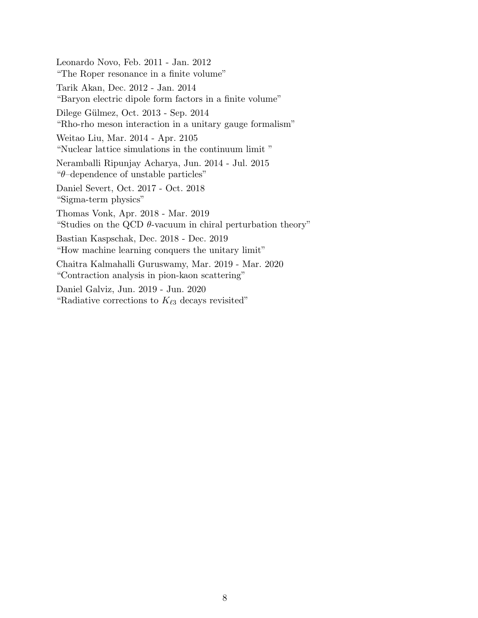Leonardo Novo, Feb. 2011 - Jan. 2012 "The Roper resonance in a finite volume" Tarik Akan, Dec. 2012 - Jan. 2014 "Baryon electric dipole form factors in a finite volume" Dilege Gülmez, Oct. 2013 - Sep. 2014 "Rho-rho meson interaction in a unitary gauge formalism" Weitao Liu, Mar. 2014 - Apr. 2105 "Nuclear lattice simulations in the continuum limit " Neramballi Ripunjay Acharya, Jun. 2014 - Jul. 2015 "θ–dependence of unstable particles" Daniel Severt, Oct. 2017 - Oct. 2018 "Sigma-term physics" Thomas Vonk, Apr. 2018 - Mar. 2019 "Studies on the QCD  $\theta$ -vacuum in chiral perturbation theory" Bastian Kaspschak, Dec. 2018 - Dec. 2019 "How machine learning conquers the unitary limit" Chaitra Kalmahalli Guruswamy, Mar. 2019 - Mar. 2020 "Contraction analysis in pion-kaon scattering" Daniel Galviz, Jun. 2019 - Jun. 2020 "Radiative corrections to  $K_{\ell 3}$  decays revisited"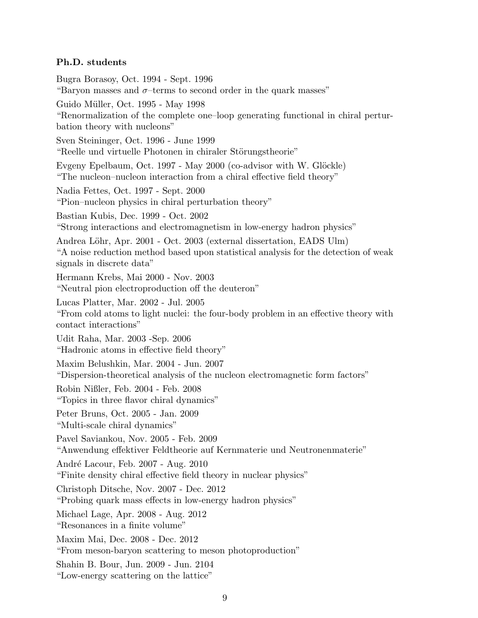# Ph.D. students

Bugra Borasoy, Oct. 1994 - Sept. 1996 "Baryon masses and  $\sigma$ -terms to second order in the quark masses" Guido Müller, Oct. 1995 - May 1998 "Renormalization of the complete one–loop generating functional in chiral perturbation theory with nucleons" Sven Steininger, Oct. 1996 - June 1999 "Reelle und virtuelle Photonen in chiraler Störungstheorie" Evgeny Epelbaum, Oct. 1997 - May 2000 (co-advisor with W. Glöckle) "The nucleon–nucleon interaction from a chiral effective field theory" Nadia Fettes, Oct. 1997 - Sept. 2000 "Pion–nucleon physics in chiral perturbation theory" Bastian Kubis, Dec. 1999 - Oct. 2002 "Strong interactions and electromagnetism in low-energy hadron physics" Andrea Löhr, Apr. 2001 - Oct. 2003 (external dissertation, EADS Ulm) "A noise reduction method based upon statistical analysis for the detection of weak signals in discrete data" Hermann Krebs, Mai 2000 - Nov. 2003 "Neutral pion electroproduction off the deuteron" Lucas Platter, Mar. 2002 - Jul. 2005 "From cold atoms to light nuclei: the four-body problem in an effective theory with contact interactions" Udit Raha, Mar. 2003 -Sep. 2006 "Hadronic atoms in effective field theory" Maxim Belushkin, Mar. 2004 - Jun. 2007 "Dispersion-theoretical analysis of the nucleon electromagnetic form factors" Robin Nißler, Feb. 2004 - Feb. 2008 "Topics in three flavor chiral dynamics" Peter Bruns, Oct. 2005 - Jan. 2009 "Multi-scale chiral dynamics" Pavel Saviankou, Nov. 2005 - Feb. 2009 "Anwendung effektiver Feldtheorie auf Kernmaterie und Neutronenmaterie" André Lacour, Feb. 2007 - Aug. 2010 "Finite density chiral effective field theory in nuclear physics" Christoph Ditsche, Nov. 2007 - Dec. 2012 "Probing quark mass effects in low-energy hadron physics" Michael Lage, Apr. 2008 - Aug. 2012 "Resonances in a finite volume" Maxim Mai, Dec. 2008 - Dec. 2012 "From meson-baryon scattering to meson photoproduction" Shahin B. Bour, Jun. 2009 - Jun. 2104 "Low-energy scattering on the lattice"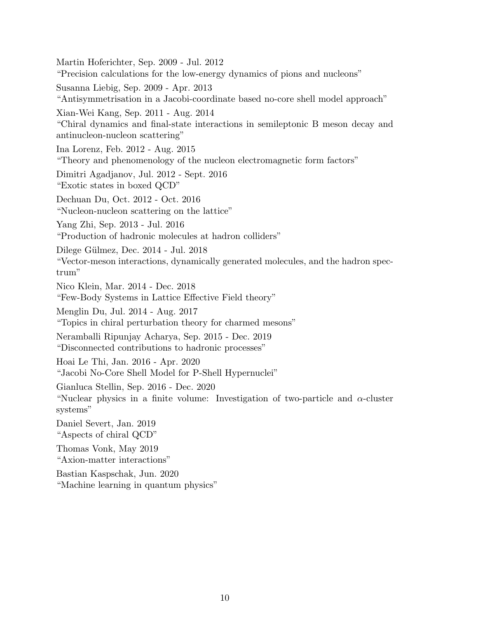Martin Hoferichter, Sep. 2009 - Jul. 2012 "Precision calculations for the low-energy dynamics of pions and nucleons" Susanna Liebig, Sep. 2009 - Apr. 2013 "Antisymmetrisation in a Jacobi-coordinate based no-core shell model approach" Xian-Wei Kang, Sep. 2011 - Aug. 2014 "Chiral dynamics and final-state interactions in semileptonic B meson decay and antinucleon-nucleon scattering" Ina Lorenz, Feb. 2012 - Aug. 2015 "Theory and phenomenology of the nucleon electromagnetic form factors" Dimitri Agadjanov, Jul. 2012 - Sept. 2016 "Exotic states in boxed QCD" Dechuan Du, Oct. 2012 - Oct. 2016 "Nucleon-nucleon scattering on the lattice" Yang Zhi, Sep. 2013 - Jul. 2016 "Production of hadronic molecules at hadron colliders" Dilege Gülmez, Dec. 2014 - Jul. 2018 "Vector-meson interactions, dynamically generated molecules, and the hadron spectrum" Nico Klein, Mar. 2014 - Dec. 2018 "Few-Body Systems in Lattice Effective Field theory" Menglin Du, Jul. 2014 - Aug. 2017 "Topics in chiral perturbation theory for charmed mesons" Neramballi Ripunjay Acharya, Sep. 2015 - Dec. 2019 "Disconnected contributions to hadronic processes" Hoai Le Thi, Jan. 2016 - Apr. 2020 "Jacobi No-Core Shell Model for P-Shell Hypernuclei" Gianluca Stellin, Sep. 2016 - Dec. 2020 "Nuclear physics in a finite volume: Investigation of two-particle and  $\alpha$ -cluster systems" Daniel Severt, Jan. 2019 "Aspects of chiral QCD" Thomas Vonk, May 2019 "Axion-matter interactions" Bastian Kaspschak, Jun. 2020 "Machine learning in quantum physics"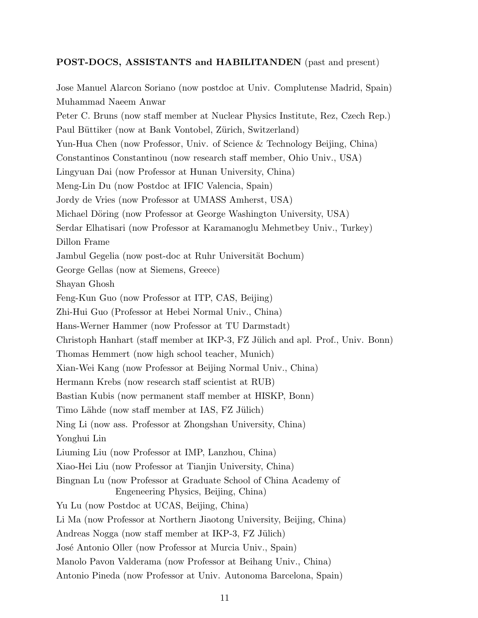# POST-DOCS, ASSISTANTS and HABILITANDEN (past and present)

Jose Manuel Alarcon Soriano (now postdoc at Univ. Complutense Madrid, Spain) Muhammad Naeem Anwar Peter C. Bruns (now staff member at Nuclear Physics Institute, Rez, Czech Rep.) Paul Büttiker (now at Bank Vontobel, Zürich, Switzerland) Yun-Hua Chen (now Professor, Univ. of Science & Technology Beijing, China) Constantinos Constantinou (now research staff member, Ohio Univ., USA) Lingyuan Dai (now Professor at Hunan University, China) Meng-Lin Du (now Postdoc at IFIC Valencia, Spain) Jordy de Vries (now Professor at UMASS Amherst, USA) Michael Döring (now Professor at George Washington University, USA) Serdar Elhatisari (now Professor at Karamanoglu Mehmetbey Univ., Turkey) Dillon Frame Jambul Gegelia (now post-doc at Ruhr Universität Bochum) George Gellas (now at Siemens, Greece) Shayan Ghosh Feng-Kun Guo (now Professor at ITP, CAS, Beijing) Zhi-Hui Guo (Professor at Hebei Normal Univ., China) Hans-Werner Hammer (now Professor at TU Darmstadt) Christoph Hanhart (staff member at IKP-3, FZ Jülich and apl. Prof., Univ. Bonn) Thomas Hemmert (now high school teacher, Munich) Xian-Wei Kang (now Professor at Beijing Normal Univ., China) Hermann Krebs (now research staff scientist at RUB) Bastian Kubis (now permanent staff member at HISKP, Bonn) Timo Lähde (now staff member at IAS, FZ Jülich) Ning Li (now ass. Professor at Zhongshan University, China) Yonghui Lin Liuming Liu (now Professor at IMP, Lanzhou, China) Xiao-Hei Liu (now Professor at Tianjin University, China) Bingnan Lu (now Professor at Graduate School of China Academy of Engeneering Physics, Beijing, China) Yu Lu (now Postdoc at UCAS, Beijing, China) Li Ma (now Professor at Northern Jiaotong University, Beijing, China) Andreas Nogga (now staff member at IKP-3, FZ Jülich) José Antonio Oller (now Professor at Murcia Univ., Spain) Manolo Pavon Valderama (now Professor at Beihang Univ., China) Antonio Pineda (now Professor at Univ. Autonoma Barcelona, Spain)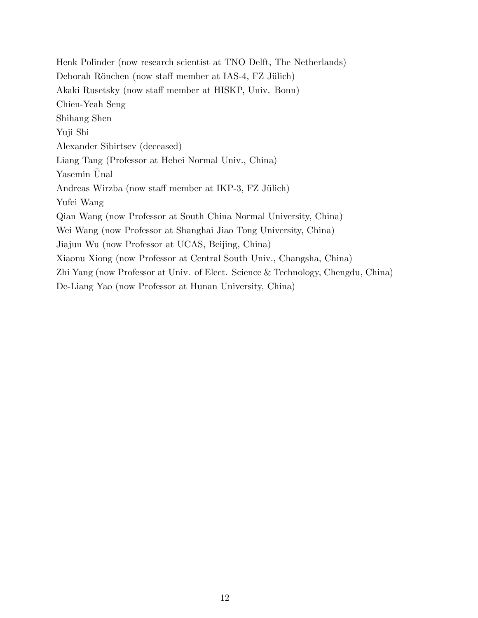Henk Polinder (now research scientist at TNO Delft, The Netherlands) Deborah Rönchen (now staff member at IAS-4, FZ Jülich) Akaki Rusetsky (now staff member at HISKP, Univ. Bonn) Chien-Yeah Seng Shihang Shen Yuji Shi Alexander Sibirtsev (deceased) Liang Tang (Professor at Hebei Normal Univ., China) Yasemin Unal Andreas Wirzba (now staff member at IKP-3, FZ Jülich) Yufei Wang Qian Wang (now Professor at South China Normal University, China) Wei Wang (now Professor at Shanghai Jiao Tong University, China) Jiajun Wu (now Professor at UCAS, Beijing, China) Xiaonu Xiong (now Professor at Central South Univ., Changsha, China) Zhi Yang (now Professor at Univ. of Elect. Science & Technology, Chengdu, China) De-Liang Yao (now Professor at Hunan University, China)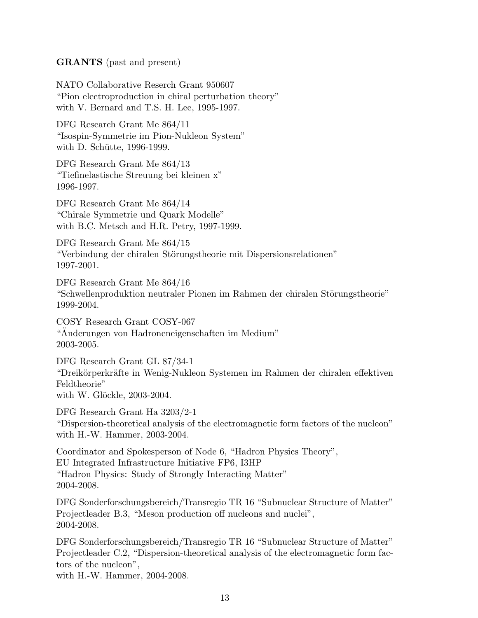# GRANTS (past and present)

NATO Collaborative Reserch Grant 950607 "Pion electroproduction in chiral perturbation theory" with V. Bernard and T.S. H. Lee, 1995-1997.

DFG Research Grant Me 864/11 "Isospin-Symmetrie im Pion-Nukleon System" with D. Schütte, 1996-1999.

DFG Research Grant Me 864/13 "Tiefinelastische Streuung bei kleinen x" 1996-1997.

DFG Research Grant Me 864/14 "Chirale Symmetrie und Quark Modelle" with B.C. Metsch and H.R. Petry, 1997-1999.

DFG Research Grant Me 864/15 "Verbindung der chiralen Störungstheorie mit Dispersionsrelationen" 1997-2001.

DFG Research Grant Me 864/16 "Schwellenproduktion neutraler Pionen im Rahmen der chiralen Störungstheorie" 1999-2004.

COSY Research Grant COSY-067 "Anderungen von Hadroneneigenschaften im Medium" ¨ 2003-2005.

DFG Research Grant GL 87/34-1 "Dreikörperkräfte in Wenig-Nukleon Systemen im Rahmen der chiralen effektiven Feldtheorie" with W. Glöckle, 2003-2004.

DFG Research Grant Ha 3203/2-1 "Dispersion-theoretical analysis of the electromagnetic form factors of the nucleon" with H.-W. Hammer, 2003-2004.

Coordinator and Spokesperson of Node 6, "Hadron Physics Theory", EU Integrated Infrastructure Initiative FP6, I3HP "Hadron Physics: Study of Strongly Interacting Matter" 2004-2008.

DFG Sonderforschungsbereich/Transregio TR 16 "Subnuclear Structure of Matter" Projectleader B.3, "Meson production off nucleons and nuclei", 2004-2008.

DFG Sonderforschungsbereich/Transregio TR 16 "Subnuclear Structure of Matter" Projectleader C.2, "Dispersion-theoretical analysis of the electromagnetic form factors of the nucleon", with H.-W. Hammer, 2004-2008.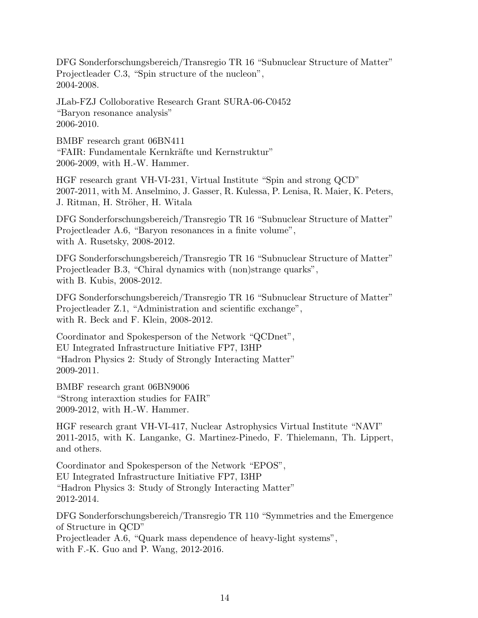DFG Sonderforschungsbereich/Transregio TR 16 "Subnuclear Structure of Matter" Projectleader C.3, "Spin structure of the nucleon", 2004-2008.

JLab-FZJ Colloborative Research Grant SURA-06-C0452 "Baryon resonance analysis" 2006-2010.

BMBF research grant 06BN411 "FAIR: Fundamentale Kernkräfte und Kernstruktur" 2006-2009, with H.-W. Hammer.

HGF research grant VH-VI-231, Virtual Institute "Spin and strong QCD" 2007-2011, with M. Anselmino, J. Gasser, R. Kulessa, P. Lenisa, R. Maier, K. Peters, J. Ritman, H. Ströher, H. Witala

DFG Sonderforschungsbereich/Transregio TR 16 "Subnuclear Structure of Matter" Projectleader A.6, "Baryon resonances in a finite volume", with A. Rusetsky, 2008-2012.

DFG Sonderforschungsbereich/Transregio TR 16 "Subnuclear Structure of Matter" Projectleader B.3, "Chiral dynamics with (non)strange quarks", with B. Kubis, 2008-2012.

DFG Sonderforschungsbereich/Transregio TR 16 "Subnuclear Structure of Matter" Projectleader Z.1, "Administration and scientific exchange", with R. Beck and F. Klein, 2008-2012.

Coordinator and Spokesperson of the Network "QCDnet", EU Integrated Infrastructure Initiative FP7, I3HP "Hadron Physics 2: Study of Strongly Interacting Matter" 2009-2011.

BMBF research grant 06BN9006 "Strong interaxtion studies for FAIR" 2009-2012, with H.-W. Hammer.

HGF research grant VH-VI-417, Nuclear Astrophysics Virtual Institute "NAVI" 2011-2015, with K. Langanke, G. Martinez-Pinedo, F. Thielemann, Th. Lippert, and others.

Coordinator and Spokesperson of the Network "EPOS", EU Integrated Infrastructure Initiative FP7, I3HP "Hadron Physics 3: Study of Strongly Interacting Matter" 2012-2014.

DFG Sonderforschungsbereich/Transregio TR 110 "Symmetries and the Emergence of Structure in QCD" Projectleader A.6, "Quark mass dependence of heavy-light systems", with F.-K. Guo and P. Wang, 2012-2016.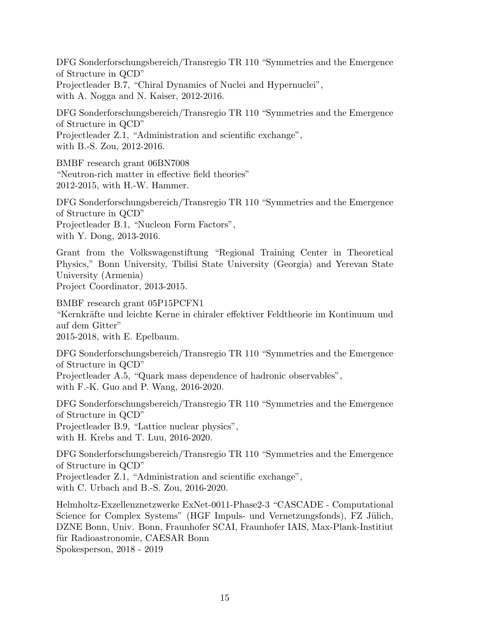DFG Sonderforschungsbereich/Transregio TR 110 "Symmetries and the Emergence of Structure in QCD" Projectleader B.7, "Chiral Dynamics of Nuclei and Hypernuclei", with A. Nogga and N. Kaiser, 2012-2016.

DFG Sonderforschungsbereich/Transregio TR 110 "Symmetries and the Emergence of Structure in QCD" Projectleader Z.1, "Administration and scientific exchange", with B.-S. Zou, 2012-2016.

BMBF research grant 06BN7008 "Neutron-rich matter in effective field theories" 2012-2015, with H.-W. Hammer.

DFG Sonderforschungsbereich/Transregio TR 110 "Symmetries and the Emergence of Structure in QCD" Projectleader B.1, "Nucleon Form Factors", with Y. Dong, 2013-2016.

Grant from the Volkswagenstiftung "Regional Training Center in Theoretical Physics," Bonn University, Tbilisi State University (Georgia) and Yerevan State University (Armenia)

Project Coordinator, 2013-2015.

BMBF research grant 05P15PCFN1 "Kernkr¨afte und leichte Kerne in chiraler effektiver Feldtheorie im Kontinuum und auf dem Gitter" 2015-2018, with E. Epelbaum.

DFG Sonderforschungsbereich/Transregio TR 110 "Symmetries and the Emergence of Structure in QCD"

Projectleader A.5, "Quark mass dependence of hadronic observables", with F.-K. Guo and P. Wang, 2016-2020.

DFG Sonderforschungsbereich/Transregio TR 110 "Symmetries and the Emergence of Structure in QCD"

Projectleader B.9, "Lattice nuclear physics",

with H. Krebs and T. Luu, 2016-2020.

DFG Sonderforschungsbereich/Transregio TR 110 "Symmetries and the Emergence of Structure in QCD"

Projectleader Z.1, "Administration and scientific exchange",

with C. Urbach and B.-S. Zou, 2016-2020.

Helmholtz-Exzellenznetzwerke ExNet-0011-Phase2-3 "CASCADE - Computational Science for Complex Systems" (HGF Impuls- und Vernetzungsfonds), FZ Jülich, DZNE Bonn, Univ. Bonn, Fraunhofer SCAI, Fraunhofer IAIS, Max-Plank-Institiut für Radioastronomie, CAESAR Bonn Spokesperson, 2018 - 2019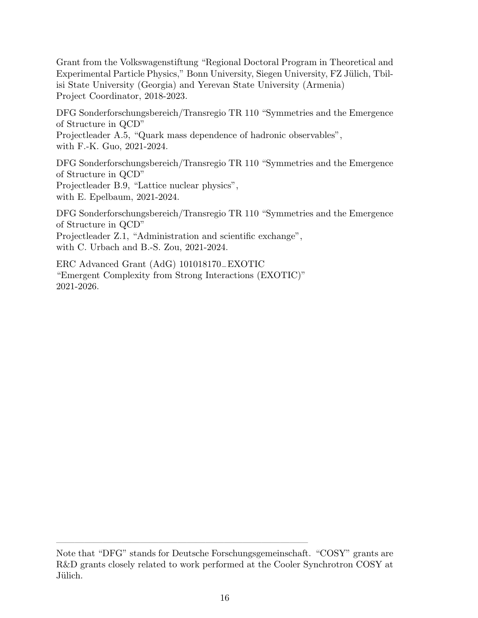Grant from the Volkswagenstiftung "Regional Doctoral Program in Theoretical and Experimental Particle Physics," Bonn University, Siegen University, FZ Jülich, Tbilisi State University (Georgia) and Yerevan State University (Armenia) Project Coordinator, 2018-2023.

DFG Sonderforschungsbereich/Transregio TR 110 "Symmetries and the Emergence of Structure in QCD" Projectleader A.5, "Quark mass dependence of hadronic observables", with F.-K. Guo, 2021-2024.

DFG Sonderforschungsbereich/Transregio TR 110 "Symmetries and the Emergence of Structure in QCD" Projectleader B.9, "Lattice nuclear physics", with E. Epelbaum, 2021-2024.

DFG Sonderforschungsbereich/Transregio TR 110 "Symmetries and the Emergence of Structure in QCD" Projectleader Z.1, "Administration and scientific exchange", with C. Urbach and B.-S. Zou, 2021-2024.

ERC Advanced Grant (AdG) 101018170−EXOTIC "Emergent Complexity from Strong Interactions (EXOTIC)" 2021-2026.

 $\frac{1}{\sqrt{2}}$  , and the set of the set of the set of the set of the set of the set of the set of the set of the set of the set of the set of the set of the set of the set of the set of the set of the set of the set of the

Note that "DFG" stands for Deutsche Forschungsgemeinschaft. "COSY" grants are R&D grants closely related to work performed at the Cooler Synchrotron COSY at Jülich.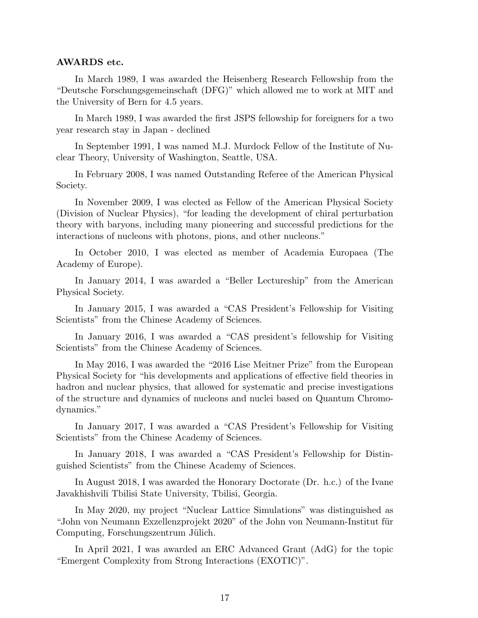#### AWARDS etc.

In March 1989, I was awarded the Heisenberg Research Fellowship from the "Deutsche Forschungsgemeinschaft (DFG)" which allowed me to work at MIT and the University of Bern for 4.5 years.

In March 1989, I was awarded the first JSPS fellowship for foreigners for a two year research stay in Japan - declined

In September 1991, I was named M.J. Murdock Fellow of the Institute of Nuclear Theory, University of Washington, Seattle, USA.

In February 2008, I was named Outstanding Referee of the American Physical Society.

In November 2009, I was elected as Fellow of the American Physical Society (Division of Nuclear Physics), "for leading the development of chiral perturbation theory with baryons, including many pioneering and successful predictions for the interactions of nucleons with photons, pions, and other nucleons."

In October 2010, I was elected as member of Academia Europaea (The Academy of Europe).

In January 2014, I was awarded a "Beller Lectureship" from the American Physical Society.

In January 2015, I was awarded a "CAS President's Fellowship for Visiting Scientists" from the Chinese Academy of Sciences.

In January 2016, I was awarded a "CAS president's fellowship for Visiting Scientists" from the Chinese Academy of Sciences.

In May 2016, I was awarded the "2016 Lise Meitner Prize" from the European Physical Society for "his developments and applications of effective field theories in hadron and nuclear physics, that allowed for systematic and precise investigations of the structure and dynamics of nucleons and nuclei based on Quantum Chromodynamics."

In January 2017, I was awarded a "CAS President's Fellowship for Visiting Scientists" from the Chinese Academy of Sciences.

In January 2018, I was awarded a "CAS President's Fellowship for Distinguished Scientists" from the Chinese Academy of Sciences.

In August 2018, I was awarded the Honorary Doctorate (Dr. h.c.) of the Ivane Javakhishvili Tbilisi State University, Tbilisi, Georgia.

In May 2020, my project "Nuclear Lattice Simulations" was distinguished as "John von Neumann Exzellenzprojekt 2020" of the John von Neumann-Institut für Computing, Forschungszentrum Jülich.

In April 2021, I was awarded an ERC Advanced Grant (AdG) for the topic "Emergent Complexity from Strong Interactions (EXOTIC)".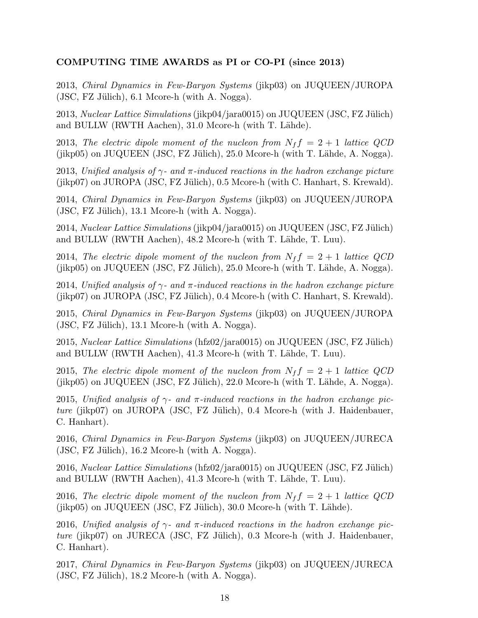# COMPUTING TIME AWARDS as PI or CO-PI (since 2013)

2013, Chiral Dynamics in Few-Baryon Systems (jikp03) on JUQUEEN/JUROPA  $(JSC, FZ$  Jülich), 6.1 Mcore-h (with A. Nogga).

2013, Nuclear Lattice Simulations (jikp04/jara0015) on JUQUEEN (JSC, FZ Jülich) and BULLW (RWTH Aachen), 31.0 Mcore-h (with T. Lähde).

2013, The electric dipole moment of the nucleon from  $N_f f = 2 + 1$  lattice QCD (jikp05) on JUQUEEN (JSC, FZ Jülich),  $25.0$  Mcore-h (with T. Lähde, A. Nogga).

2013, Unified analysis of  $\gamma$ - and  $\pi$ -induced reactions in the hadron exchange picture  $(jikp07)$  on JUROPA (JSC, FZ Jülich), 0.5 Mcore-h (with C. Hanhart, S. Krewald).

2014, Chiral Dynamics in Few-Baryon Systems (jikp03) on JUQUEEN/JUROPA  $(JSC, FZ$  Jülich), 13.1 Mcore-h (with A. Nogga).

2014, Nuclear Lattice Simulations (jikp04/jara0015) on JUQUEEN (JSC, FZ Jülich) and BULLW (RWTH Aachen), 48.2 Mcore-h (with T. Lähde, T. Luu).

2014, The electric dipole moment of the nucleon from  $N_f f = 2 + 1$  lattice QCD  $(jikp05)$  on JUQUEEN (JSC, FZ Jülich), 25.0 Mcore-h (with T. Lähde, A. Nogga).

2014, Unified analysis of  $\gamma$ - and  $\pi$ -induced reactions in the hadron exchange picture  $(jikp07)$  on JUROPA (JSC, FZ Jülich), 0.4 Mcore-h (with C. Hanhart, S. Krewald).

2015, Chiral Dynamics in Few-Baryon Systems (jikp03) on JUQUEEN/JUROPA  $(JSC, FZ$  Jülich), 13.1 Mcore-h (with A. Nogga).

2015, Nuclear Lattice Simulations (hfz02/jara0015) on JUQUEEN (JSC, FZ Jülich) and BULLW (RWTH Aachen), 41.3 Mcore-h (with T. Lähde, T. Luu).

2015, The electric dipole moment of the nucleon from  $N_f f = 2 + 1$  lattice QCD  $(jikp05)$  on JUQUEEN (JSC, FZ Jülich), 22.0 Mcore-h (with T. Lähde, A. Nogga).

2015, Unified analysis of  $\gamma$ - and  $\pi$ -induced reactions in the hadron exchange picture (jikp07) on JUROPA (JSC, FZ Jülich),  $0.4$  Mcore-h (with J. Haidenbauer, C. Hanhart).

2016, Chiral Dynamics in Few-Baryon Systems (jikp03) on JUQUEEN/JURECA  $(JSC, FZ$  Jülich), 16.2 Mcore-h (with A. Nogga).

2016, Nuclear Lattice Simulations (hfz02/jara0015) on JUQUEEN (JSC, FZ Jülich) and BULLW (RWTH Aachen), 41.3 Mcore-h (with T. Lähde, T. Luu).

2016, The electric dipole moment of the nucleon from  $N_f f = 2 + 1$  lattice QCD  $(jikp05)$  on JUQUEEN (JSC, FZ Jülich), 30.0 Mcore-h (with T. Lähde).

2016, Unified analysis of  $\gamma$ - and  $\pi$ -induced reactions in the hadron exchange pic $ture$  (jikp07) on JURECA (JSC, FZ Jülich), 0.3 Mcore-h (with J. Haidenbauer, C. Hanhart).

2017, Chiral Dynamics in Few-Baryon Systems (jikp03) on JUQUEEN/JURECA  $($ JSC, FZ Jülich $)$ , 18.2 Mcore-h (with A. Nogga).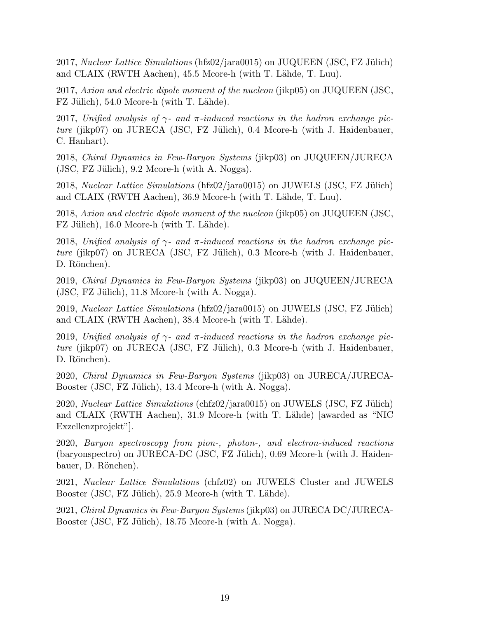2017, Nuclear Lattice Simulations (hfz $02/$ jara $0015$ ) on JUQUEEN (JSC, FZ Jülich) and CLAIX (RWTH Aachen), 45.5 Mcore-h (with T. Lähde, T. Luu).

2017, Axion and electric dipole moment of the nucleon (jikp05) on JUQUEEN (JSC, FZ Jülich), 54.0 Mcore-h (with T. Lähde).

2017, Unified analysis of  $\gamma$ - and  $\pi$ -induced reactions in the hadron exchange pic $ture$  (jikp07) on JURECA (JSC, FZ Jülich), 0.4 Mcore-h (with J. Haidenbauer, C. Hanhart).

2018, Chiral Dynamics in Few-Baryon Systems (jikp03) on JUQUEEN/JURECA  $(JSC, FZ$  Jülich), 9.2 Mcore-h (with A. Nogga).

 $2018$ , *Nuclear Lattice Simulations* (hfz $02/$ jara $0015$ ) on JUWELS (JSC, FZ Jülich) and CLAIX (RWTH Aachen), 36.9 Mcore-h (with T. Lähde, T. Luu).

2018, Axion and electric dipole moment of the nucleon (jikp05) on JUQUEEN (JSC, FZ Jülich), 16.0 Mcore-h (with T. Lähde).

2018, Unified analysis of  $\gamma$ - and  $\pi$ -induced reactions in the hadron exchange pic $ture$  (jikp07) on JURECA (JSC, FZ Jülich), 0.3 Mcore-h (with J. Haidenbauer, D. Rönchen).

2019, Chiral Dynamics in Few-Baryon Systems (jikp03) on JUQUEEN/JURECA  $(JSC, FZ$  Jülich), 11.8 Mcore-h (with A. Nogga).

2019, Nuclear Lattice Simulations (hfz02/jara0015) on JUWELS (JSC, FZ Jülich) and CLAIX (RWTH Aachen), 38.4 Mcore-h (with T. Lähde).

2019, Unified analysis of  $\gamma$ - and  $\pi$ -induced reactions in the hadron exchange picture (jikp07) on JURECA (JSC, FZ Jülich), 0.3 Mcore-h (with J. Haidenbauer, D. Rönchen).

2020, Chiral Dynamics in Few-Baryon Systems (jikp03) on JURECA/JURECA-Booster (JSC, FZ Jülich), 13.4 Mcore-h (with A. Nogga).

2020, Nuclear Lattice Simulations (chfz02/jara0015) on JUWELS (JSC, FZ Jülich) and CLAIX (RWTH Aachen), 31.9 Mcore-h (with T. Lähde) [awarded as "NIC Exzellenzprojekt"].

2020, Baryon spectroscopy from pion-, photon-, and electron-induced reactions  $(baryon spectra)$  on JURECA-DC (JSC, FZ Jülich), 0.69 Mcore-h (with J. Haidenbauer, D. Rönchen).

2021, Nuclear Lattice Simulations (chfz02) on JUWELS Cluster and JUWELS Booster (JSC, FZ Jülich), 25.9 Mcore-h (with T. Lähde).

2021, Chiral Dynamics in Few-Baryon Systems (jikp03) on JURECA DC/JURECA-Booster (JSC, FZ Jülich), 18.75 Mcore-h (with A. Nogga).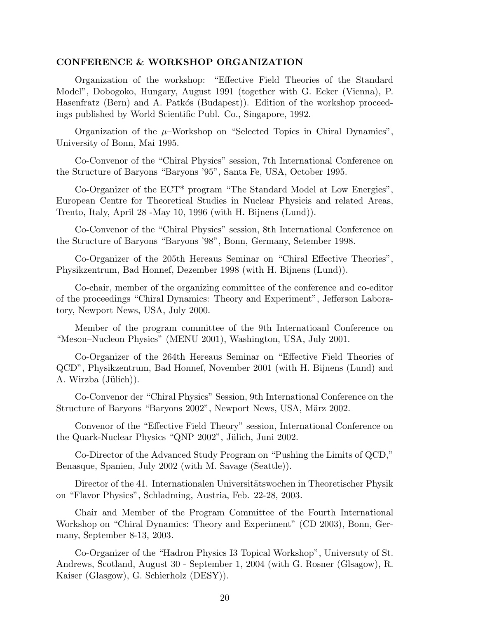#### CONFERENCE & WORKSHOP ORGANIZATION

Organization of the workshop: "Effective Field Theories of the Standard Model", Dobogoko, Hungary, August 1991 (together with G. Ecker (Vienna), P. Hasenfratz (Bern) and A. Patkós (Budapest)). Edition of the workshop proceedings published by World Scientific Publ. Co., Singapore, 1992.

Organization of the  $\mu$ -Workshop on "Selected Topics in Chiral Dynamics", University of Bonn, Mai 1995.

Co-Convenor of the "Chiral Physics" session, 7th International Conference on the Structure of Baryons "Baryons '95", Santa Fe, USA, October 1995.

Co-Organizer of the ECT\* program "The Standard Model at Low Energies", European Centre for Theoretical Studies in Nuclear Physicis and related Areas, Trento, Italy, April 28 -May 10, 1996 (with H. Bijnens (Lund)).

Co-Convenor of the "Chiral Physics" session, 8th International Conference on the Structure of Baryons "Baryons '98", Bonn, Germany, Setember 1998.

Co-Organizer of the 205th Hereaus Seminar on "Chiral Effective Theories", Physikzentrum, Bad Honnef, Dezember 1998 (with H. Bijnens (Lund)).

Co-chair, member of the organizing committee of the conference and co-editor of the proceedings "Chiral Dynamics: Theory and Experiment", Jefferson Laboratory, Newport News, USA, July 2000.

Member of the program committee of the 9th Internatioanl Conference on "Meson–Nucleon Physics" (MENU 2001), Washington, USA, July 2001.

Co-Organizer of the 264th Hereaus Seminar on "Effective Field Theories of QCD", Physikzentrum, Bad Honnef, November 2001 (with H. Bijnens (Lund) and A. Wirzba (Jülich)).

Co-Convenor der "Chiral Physics" Session, 9th International Conference on the Structure of Baryons "Baryons 2002", Newport News, USA, März 2002.

Convenor of the "Effective Field Theory" session, International Conference on the Quark-Nuclear Physics "QNP 2002", Jülich, Juni 2002.

Co-Director of the Advanced Study Program on "Pushing the Limits of QCD," Benasque, Spanien, July 2002 (with M. Savage (Seattle)).

Director of the 41. Internationalen Universitätswochen in Theoretischer Physik on "Flavor Physics", Schladming, Austria, Feb. 22-28, 2003.

Chair and Member of the Program Committee of the Fourth International Workshop on "Chiral Dynamics: Theory and Experiment" (CD 2003), Bonn, Germany, September 8-13, 2003.

Co-Organizer of the "Hadron Physics I3 Topical Workshop", Universuty of St. Andrews, Scotland, August 30 - September 1, 2004 (with G. Rosner (Glsagow), R. Kaiser (Glasgow), G. Schierholz (DESY)).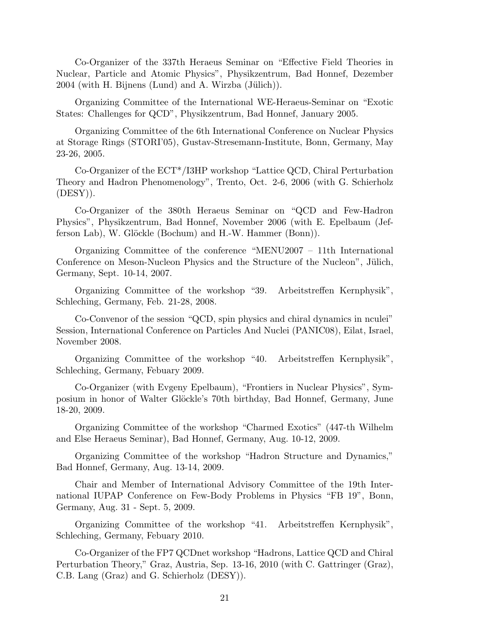Co-Organizer of the 337th Heraeus Seminar on "Effective Field Theories in Nuclear, Particle and Atomic Physics", Physikzentrum, Bad Honnef, Dezember  $2004$  (with H. Bijnens (Lund) and A. Wirzba (Jülich)).

Organizing Committee of the International WE-Heraeus-Seminar on "Exotic States: Challenges for QCD", Physikzentrum, Bad Honnef, January 2005.

Organizing Committee of the 6th International Conference on Nuclear Physics at Storage Rings (STORI'05), Gustav-Stresemann-Institute, Bonn, Germany, May 23-26, 2005.

Co-Organizer of the ECT\*/I3HP workshop "Lattice QCD, Chiral Perturbation Theory and Hadron Phenomenology", Trento, Oct. 2-6, 2006 (with G. Schierholz  $(DESY)$ ).

Co-Organizer of the 380th Heraeus Seminar on "QCD and Few-Hadron Physics", Physikzentrum, Bad Honnef, November 2006 (with E. Epelbaum (Jefferson Lab), W. Glöckle (Bochum) and H.-W. Hammer (Bonn)).

Organizing Committee of the conference "MENU2007 – 11th International Conference on Meson-Nucleon Physics and the Structure of the Nucleon", Jülich, Germany, Sept. 10-14, 2007.

Organizing Committee of the workshop "39. Arbeitstreffen Kernphysik", Schleching, Germany, Feb. 21-28, 2008.

Co-Convenor of the session "QCD, spin physics and chiral dynamics in nculei" Session, International Conference on Particles And Nuclei (PANIC08), Eilat, Israel, November 2008.

Organizing Committee of the workshop "40. Arbeitstreffen Kernphysik", Schleching, Germany, Febuary 2009.

Co-Organizer (with Evgeny Epelbaum), "Frontiers in Nuclear Physics", Symposium in honor of Walter Glöckle's 70th birthday, Bad Honnef, Germany, June 18-20, 2009.

Organizing Committee of the workshop "Charmed Exotics" (447-th Wilhelm and Else Heraeus Seminar), Bad Honnef, Germany, Aug. 10-12, 2009.

Organizing Committee of the workshop "Hadron Structure and Dynamics," Bad Honnef, Germany, Aug. 13-14, 2009.

Chair and Member of International Advisory Committee of the 19th International IUPAP Conference on Few-Body Problems in Physics "FB 19", Bonn, Germany, Aug. 31 - Sept. 5, 2009.

Organizing Committee of the workshop "41. Arbeitstreffen Kernphysik", Schleching, Germany, Febuary 2010.

Co-Organizer of the FP7 QCDnet workshop "Hadrons, Lattice QCD and Chiral Perturbation Theory," Graz, Austria, Sep. 13-16, 2010 (with C. Gattringer (Graz), C.B. Lang (Graz) and G. Schierholz (DESY)).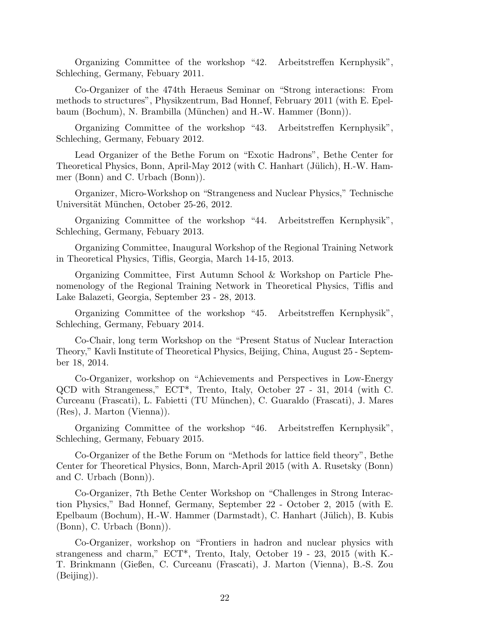Organizing Committee of the workshop "42. Arbeitstreffen Kernphysik", Schleching, Germany, Febuary 2011.

Co-Organizer of the 474th Heraeus Seminar on "Strong interactions: From methods to structures", Physikzentrum, Bad Honnef, February 2011 (with E. Epelbaum (Bochum), N. Brambilla (München) and H.-W. Hammer (Bonn)).

Organizing Committee of the workshop "43. Arbeitstreffen Kernphysik", Schleching, Germany, Febuary 2012.

Lead Organizer of the Bethe Forum on "Exotic Hadrons", Bethe Center for Theoretical Physics, Bonn, April-May 2012 (with C. Hanhart (Jülich), H.-W. Hammer (Bonn) and C. Urbach (Bonn)).

Organizer, Micro-Workshop on "Strangeness and Nuclear Physics," Technische Universität München, October 25-26, 2012.

Organizing Committee of the workshop "44. Arbeitstreffen Kernphysik", Schleching, Germany, Febuary 2013.

Organizing Committee, Inaugural Workshop of the Regional Training Network in Theoretical Physics, Tiflis, Georgia, March 14-15, 2013.

Organizing Committee, First Autumn School & Workshop on Particle Phenomenology of the Regional Training Network in Theoretical Physics, Tiflis and Lake Balazeti, Georgia, September 23 - 28, 2013.

Organizing Committee of the workshop "45. Arbeitstreffen Kernphysik", Schleching, Germany, Febuary 2014.

Co-Chair, long term Workshop on the "Present Status of Nuclear Interaction Theory," Kavli Institute of Theoretical Physics, Beijing, China, August 25 - September 18, 2014.

Co-Organizer, workshop on "Achievements and Perspectives in Low-Energy QCD with Strangeness," ECT\*, Trento, Italy, October 27 - 31, 2014 (with C. Curceanu (Frascati), L. Fabietti (TU M¨unchen), C. Guaraldo (Frascati), J. Mares (Res), J. Marton (Vienna)).

Organizing Committee of the workshop "46. Arbeitstreffen Kernphysik", Schleching, Germany, Febuary 2015.

Co-Organizer of the Bethe Forum on "Methods for lattice field theory", Bethe Center for Theoretical Physics, Bonn, March-April 2015 (with A. Rusetsky (Bonn) and C. Urbach (Bonn)).

Co-Organizer, 7th Bethe Center Workshop on "Challenges in Strong Interaction Physics," Bad Honnef, Germany, September 22 - October 2, 2015 (with E. Epelbaum (Bochum), H.-W. Hammer (Darmstadt), C. Hanhart (Jülich), B. Kubis (Bonn), C. Urbach (Bonn)).

Co-Organizer, workshop on "Frontiers in hadron and nuclear physics with strangeness and charm," ECT\*, Trento, Italy, October 19 - 23, 2015 (with K.- T. Brinkmann (Gießen, C. Curceanu (Frascati), J. Marton (Vienna), B.-S. Zou (Beijing)).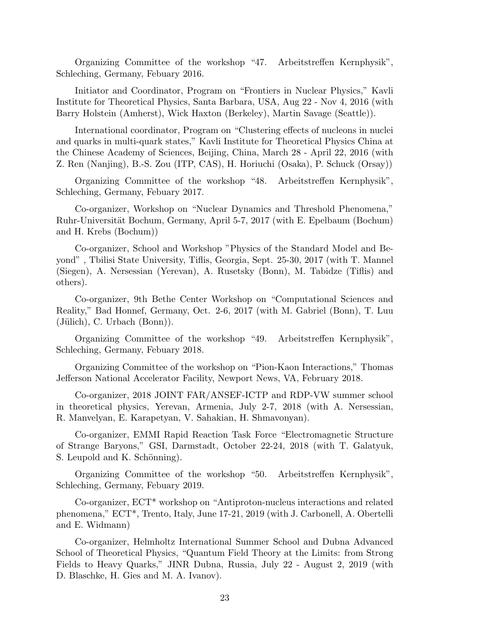Organizing Committee of the workshop "47. Arbeitstreffen Kernphysik", Schleching, Germany, Febuary 2016.

Initiator and Coordinator, Program on "Frontiers in Nuclear Physics," Kavli Institute for Theoretical Physics, Santa Barbara, USA, Aug 22 - Nov 4, 2016 (with Barry Holstein (Amherst), Wick Haxton (Berkeley), Martin Savage (Seattle)).

International coordinator, Program on "Clustering effects of nucleons in nuclei and quarks in multi-quark states," Kavli Institute for Theoretical Physics China at the Chinese Academy of Sciences, Beijing, China, March 28 - April 22, 2016 (with Z. Ren (Nanjing), B.-S. Zou (ITP, CAS), H. Horiuchi (Osaka), P. Schuck (Orsay))

Organizing Committee of the workshop "48. Arbeitstreffen Kernphysik", Schleching, Germany, Febuary 2017.

Co-organizer, Workshop on "Nuclear Dynamics and Threshold Phenomena," Ruhr-Universität Bochum, Germany, April 5-7, 2017 (with E. Epelbaum (Bochum) and H. Krebs (Bochum))

Co-organizer, School and Workshop "Physics of the Standard Model and Beyond" , Tbilisi State University, Tiflis, Georgia, Sept. 25-30, 2017 (with T. Mannel (Siegen), A. Nersessian (Yerevan), A. Rusetsky (Bonn), M. Tabidze (Tiflis) and others).

Co-organizer, 9th Bethe Center Workshop on "Computational Sciences and Reality," Bad Honnef, Germany, Oct. 2-6, 2017 (with M. Gabriel (Bonn), T. Luu  $(\text{Jülich})$ , C. Urbach  $(\text{Bonn})$ ).

Organizing Committee of the workshop "49. Arbeitstreffen Kernphysik", Schleching, Germany, Febuary 2018.

Organizing Committee of the workshop on "Pion-Kaon Interactions," Thomas Jefferson National Accelerator Facility, Newport News, VA, February 2018.

Co-organizer, 2018 JOINT FAR/ANSEF-ICTP and RDP-VW summer school in theoretical physics, Yerevan, Armenia, July 2-7, 2018 (with A. Nersessian, R. Manvelyan, E. Karapetyan, V. Sahakian, H. Shmavonyan).

Co-organizer, EMMI Rapid Reaction Task Force "Electromagnetic Structure of Strange Baryons," GSI, Darmstadt, October 22-24, 2018 (with T. Galatyuk, S. Leupold and K. Schönning).

Organizing Committee of the workshop "50. Arbeitstreffen Kernphysik", Schleching, Germany, Febuary 2019.

Co-organizer, ECT\* workshop on "Antiproton-nucleus interactions and related phenomena," ECT\*, Trento, Italy, June 17-21, 2019 (with J. Carbonell, A. Obertelli and E. Widmann)

Co-organizer, Helmholtz International Summer School and Dubna Advanced School of Theoretical Physics, "Quantum Field Theory at the Limits: from Strong Fields to Heavy Quarks," JINR Dubna, Russia, July 22 - August 2, 2019 (with D. Blaschke, H. Gies and M. A. Ivanov).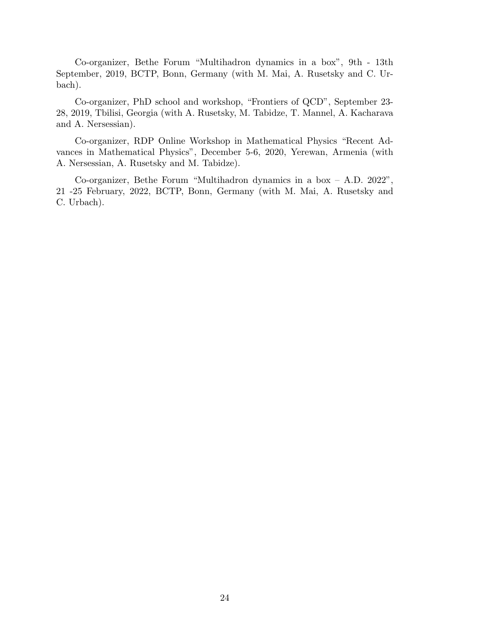Co-organizer, Bethe Forum "Multihadron dynamics in a box", 9th - 13th September, 2019, BCTP, Bonn, Germany (with M. Mai, A. Rusetsky and C. Urbach).

Co-organizer, PhD school and workshop, "Frontiers of QCD", September 23- 28, 2019, Tbilisi, Georgia (with A. Rusetsky, M. Tabidze, T. Mannel, A. Kacharava and A. Nersessian).

Co-organizer, RDP Online Workshop in Mathematical Physics "Recent Advances in Mathematical Physics", December 5-6, 2020, Yerewan, Armenia (with A. Nersessian, A. Rusetsky and M. Tabidze).

Co-organizer, Bethe Forum "Multihadron dynamics in a box – A.D. 2022", 21 -25 February, 2022, BCTP, Bonn, Germany (with M. Mai, A. Rusetsky and C. Urbach).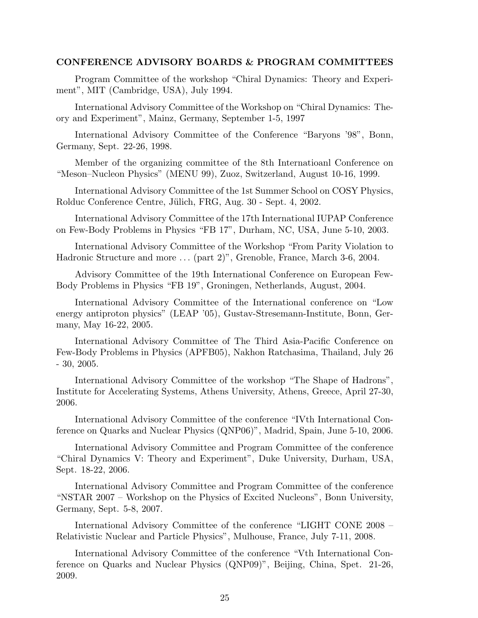#### CONFERENCE ADVISORY BOARDS & PROGRAM COMMITTEES

Program Committee of the workshop "Chiral Dynamics: Theory and Experiment", MIT (Cambridge, USA), July 1994.

International Advisory Committee of the Workshop on "Chiral Dynamics: Theory and Experiment", Mainz, Germany, September 1-5, 1997

International Advisory Committee of the Conference "Baryons '98", Bonn, Germany, Sept. 22-26, 1998.

Member of the organizing committee of the 8th Internatioanl Conference on "Meson–Nucleon Physics" (MENU 99), Zuoz, Switzerland, August 10-16, 1999.

International Advisory Committee of the 1st Summer School on COSY Physics, Rolduc Conference Centre, Jülich, FRG, Aug. 30 - Sept. 4, 2002.

International Advisory Committee of the 17th International IUPAP Conference on Few-Body Problems in Physics "FB 17", Durham, NC, USA, June 5-10, 2003.

International Advisory Committee of the Workshop "From Parity Violation to Hadronic Structure and more . . . (part 2)", Grenoble, France, March 3-6, 2004.

Advisory Committee of the 19th International Conference on European Few-Body Problems in Physics "FB 19", Groningen, Netherlands, August, 2004.

International Advisory Committee of the International conference on "Low energy antiproton physics" (LEAP '05), Gustav-Stresemann-Institute, Bonn, Germany, May 16-22, 2005.

International Advisory Committee of The Third Asia-Pacific Conference on Few-Body Problems in Physics (APFB05), Nakhon Ratchasima, Thailand, July 26 - 30, 2005.

International Advisory Committee of the workshop "The Shape of Hadrons", Institute for Accelerating Systems, Athens University, Athens, Greece, April 27-30, 2006.

International Advisory Committee of the conference "IVth International Conference on Quarks and Nuclear Physics (QNP06)", Madrid, Spain, June 5-10, 2006.

International Advisory Committee and Program Committee of the conference "Chiral Dynamics V: Theory and Experiment", Duke University, Durham, USA, Sept. 18-22, 2006.

International Advisory Committee and Program Committee of the conference "NSTAR 2007 – Workshop on the Physics of Excited Nucleons", Bonn University, Germany, Sept. 5-8, 2007.

International Advisory Committee of the conference "LIGHT CONE 2008 – Relativistic Nuclear and Particle Physics", Mulhouse, France, July 7-11, 2008.

International Advisory Committee of the conference "Vth International Conference on Quarks and Nuclear Physics (QNP09)", Beijing, China, Spet. 21-26, 2009.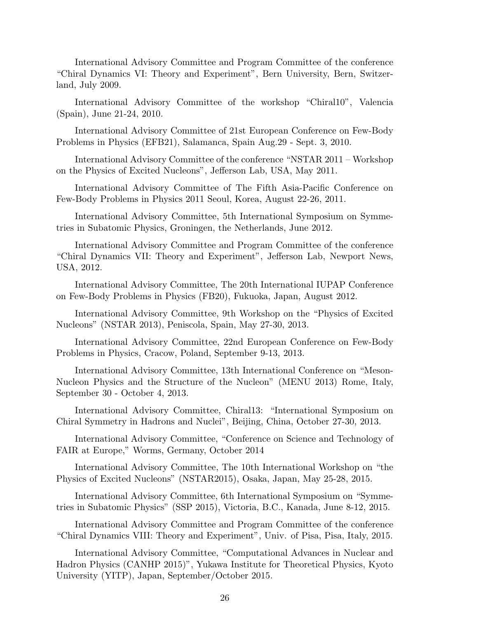International Advisory Committee and Program Committee of the conference "Chiral Dynamics VI: Theory and Experiment", Bern University, Bern, Switzerland, July 2009.

International Advisory Committee of the workshop "Chiral10", Valencia (Spain), June 21-24, 2010.

International Advisory Committee of 21st European Conference on Few-Body Problems in Physics (EFB21), Salamanca, Spain Aug.29 - Sept. 3, 2010.

International Advisory Committee of the conference "NSTAR 2011 – Workshop on the Physics of Excited Nucleons", Jefferson Lab, USA, May 2011.

International Advisory Committee of The Fifth Asia-Pacific Conference on Few-Body Problems in Physics 2011 Seoul, Korea, August 22-26, 2011.

International Advisory Committee, 5th International Symposium on Symmetries in Subatomic Physics, Groningen, the Netherlands, June 2012.

International Advisory Committee and Program Committee of the conference "Chiral Dynamics VII: Theory and Experiment", Jefferson Lab, Newport News, USA, 2012.

International Advisory Committee, The 20th International IUPAP Conference on Few-Body Problems in Physics (FB20), Fukuoka, Japan, August 2012.

International Advisory Committee, 9th Workshop on the "Physics of Excited Nucleons" (NSTAR 2013), Peniscola, Spain, May 27-30, 2013.

International Advisory Committee, 22nd European Conference on Few-Body Problems in Physics, Cracow, Poland, September 9-13, 2013.

International Advisory Committee, 13th International Conference on "Meson-Nucleon Physics and the Structure of the Nucleon" (MENU 2013) Rome, Italy, September 30 - October 4, 2013.

International Advisory Committee, Chiral13: "International Symposium on Chiral Symmetry in Hadrons and Nuclei", Beijing, China, October 27-30, 2013.

International Advisory Committee, "Conference on Science and Technology of FAIR at Europe," Worms, Germany, October 2014

International Advisory Committee, The 10th International Workshop on "the Physics of Excited Nucleons" (NSTAR2015), Osaka, Japan, May 25-28, 2015.

International Advisory Committee, 6th International Symposium on "Symmetries in Subatomic Physics" (SSP 2015), Victoria, B.C., Kanada, June 8-12, 2015.

International Advisory Committee and Program Committee of the conference "Chiral Dynamics VIII: Theory and Experiment", Univ. of Pisa, Pisa, Italy, 2015.

International Advisory Committee, "Computational Advances in Nuclear and Hadron Physics (CANHP 2015)", Yukawa Institute for Theoretical Physics, Kyoto University (YITP), Japan, September/October 2015.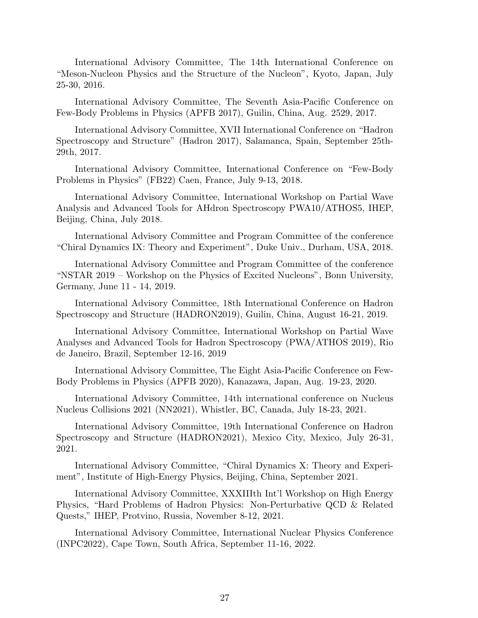International Advisory Committee, The 14th International Conference on "Meson-Nucleon Physics and the Structure of the Nucleon", Kyoto, Japan, July 25-30, 2016.

International Advisory Committee, The Seventh Asia-Pacific Conference on Few-Body Problems in Physics (APFB 2017), Guilin, China, Aug. 2529, 2017.

International Advisory Committee, XVII International Conference on "Hadron Spectroscopy and Structure" (Hadron 2017), Salamanca, Spain, September 25th-29th, 2017.

International Advisory Committee, International Conference on "Few-Body Problems in Physics" (FB22) Caen, France, July 9-13, 2018.

International Advisory Committee, International Workshop on Partial Wave Analysis and Advanced Tools for AHdron Spectroscopy PWA10/ATHOS5, IHEP, Beijing, China, July 2018.

International Advisory Committee and Program Committee of the conference "Chiral Dynamics IX: Theory and Experiment", Duke Univ., Durham, USA, 2018.

International Advisory Committee and Program Committee of the conference "NSTAR 2019 – Workshop on the Physics of Excited Nucleons", Bonn University, Germany, June 11 - 14, 2019.

International Advisory Committee, 18th International Conference on Hadron Spectroscopy and Structure (HADRON2019), Guilin, China, August 16-21, 2019.

International Advisory Committee, International Workshop on Partial Wave Analyses and Advanced Tools for Hadron Spectroscopy (PWA/ATHOS 2019), Rio de Janeiro, Brazil, September 12-16, 2019

International Advisory Committee, The Eight Asia-Pacific Conference on Few-Body Problems in Physics (APFB 2020), Kanazawa, Japan, Aug. 19-23, 2020.

International Advisory Committee, 14th international conference on Nucleus Nucleus Collisions 2021 (NN2021), Whistler, BC, Canada, July 18-23, 2021.

International Advisory Committee, 19th International Conference on Hadron Spectroscopy and Structure (HADRON2021), Mexico City, Mexico, July 26-31, 2021.

International Advisory Committee, "Chiral Dynamics X: Theory and Experiment", Institute of High-Energy Physics, Beijing, China, September 2021.

International Advisory Committee, XXXIIIth Int'l Workshop on High Energy Physics, "Hard Problems of Hadron Physics: Non-Perturbative QCD & Related Quests," IHEP, Protvino, Russia, November 8-12, 2021.

International Advisory Committee, International Nuclear Physics Conference (INPC2022), Cape Town, South Africa, September 11-16, 2022.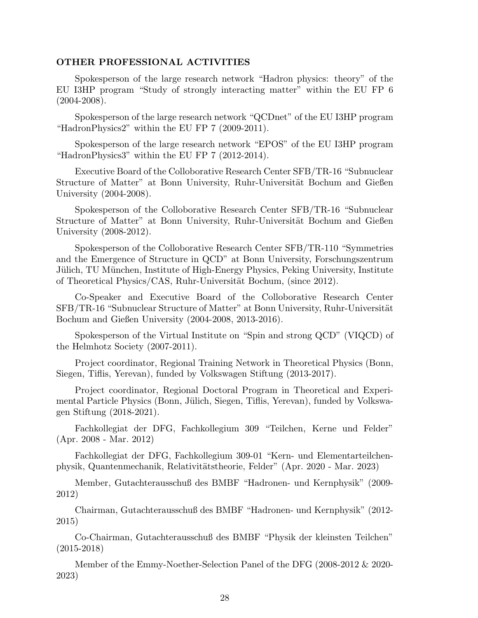### OTHER PROFESSIONAL ACTIVITIES

Spokesperson of the large research network "Hadron physics: theory" of the EU I3HP program "Study of strongly interacting matter" within the EU FP 6 (2004-2008).

Spokesperson of the large research network "QCDnet" of the EU I3HP program "HadronPhysics2" within the EU FP 7 (2009-2011).

Spokesperson of the large research network "EPOS" of the EU I3HP program "HadronPhysics3" within the EU FP 7 (2012-2014).

Executive Board of the Colloborative Research Center SFB/TR-16 "Subnuclear Structure of Matter" at Bonn University, Ruhr-Universität Bochum and Gießen University (2004-2008).

Spokesperson of the Colloborative Research Center SFB/TR-16 "Subnuclear Structure of Matter" at Bonn University, Ruhr-Universität Bochum and Gießen University (2008-2012).

Spokesperson of the Colloborative Research Center SFB/TR-110 "Symmetries and the Emergence of Structure in QCD" at Bonn University, Forschungszentrum Jülich, TU München, Institute of High-Energy Physics, Peking University, Institute of Theoretical Physics/CAS, Ruhr-Universität Bochum, (since 2012).

Co-Speaker and Executive Board of the Colloborative Research Center SFB/TR-16 "Subnuclear Structure of Matter" at Bonn University, Ruhr-Universität Bochum and Gießen University (2004-2008, 2013-2016).

Spokesperson of the Virtual Institute on "Spin and strong QCD" (VIQCD) of the Helmhotz Society (2007-2011).

Project coordinator, Regional Training Network in Theoretical Physics (Bonn, Siegen, Tiflis, Yerevan), funded by Volkswagen Stiftung (2013-2017).

Project coordinator, Regional Doctoral Program in Theoretical and Experimental Particle Physics (Bonn, Jülich, Siegen, Tiflis, Yerevan), funded by Volkswagen Stiftung (2018-2021).

Fachkollegiat der DFG, Fachkollegium 309 "Teilchen, Kerne und Felder" (Apr. 2008 - Mar. 2012)

Fachkollegiat der DFG, Fachkollegium 309-01 "Kern- und Elementarteilchenphysik, Quantenmechanik, Relativit¨atstheorie, Felder" (Apr. 2020 - Mar. 2023)

Member, Gutachterausschuß des BMBF "Hadronen- und Kernphysik" (2009- 2012)

Chairman, Gutachterausschuß des BMBF "Hadronen- und Kernphysik" (2012- 2015)

Co-Chairman, Gutachterausschuß des BMBF "Physik der kleinsten Teilchen" (2015-2018)

Member of the Emmy-Noether-Selection Panel of the DFG (2008-2012 & 2020- 2023)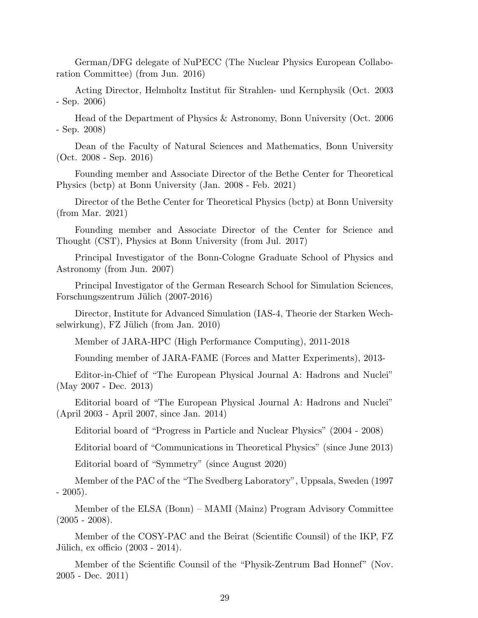German/DFG delegate of NuPECC (The Nuclear Physics European Collaboration Committee) (from Jun. 2016)

Acting Director, Helmholtz Institut für Strahlen- und Kernphysik (Oct. 2003 - Sep. 2006)

Head of the Department of Physics & Astronomy, Bonn University (Oct. 2006 - Sep. 2008)

Dean of the Faculty of Natural Sciences and Mathematics, Bonn University (Oct. 2008 - Sep. 2016)

Founding member and Associate Director of the Bethe Center for Theoretical Physics (bctp) at Bonn University (Jan. 2008 - Feb. 2021)

Director of the Bethe Center for Theoretical Physics (bctp) at Bonn University (from Mar. 2021)

Founding member and Associate Director of the Center for Science and Thought (CST), Physics at Bonn University (from Jul. 2017)

Principal Investigator of the Bonn-Cologne Graduate School of Physics and Astronomy (from Jun. 2007)

Principal Investigator of the German Research School for Simulation Sciences, Forschungszentrum Jülich (2007-2016)

Director, Institute for Advanced Simulation (IAS-4, Theorie der Starken Wechselwirkung), FZ Jülich (from Jan. 2010)

Member of JARA-HPC (High Performance Computing), 2011-2018

Founding member of JARA-FAME (Forces and Matter Experiments), 2013-

Editor-in-Chief of "The European Physical Journal A: Hadrons and Nuclei" (May 2007 - Dec. 2013)

Editorial board of "The European Physical Journal A: Hadrons and Nuclei" (April 2003 - April 2007, since Jan. 2014)

Editorial board of "Progress in Particle and Nuclear Physics" (2004 - 2008)

Editorial board of "Communications in Theoretical Physics" (since June 2013)

Editorial board of "Symmetry" (since August 2020)

Member of the PAC of the "The Svedberg Laboratory", Uppsala, Sweden (1997  $-2005$ ).

Member of the ELSA (Bonn) – MAMI (Mainz) Program Advisory Committee  $(2005 - 2008).$ 

Member of the COSY-PAC and the Beirat (Scientific Counsil) of the IKP, FZ Jülich, ex officio  $(2003 - 2014)$ .

Member of the Scientific Counsil of the "Physik-Zentrum Bad Honnef" (Nov. 2005 - Dec. 2011)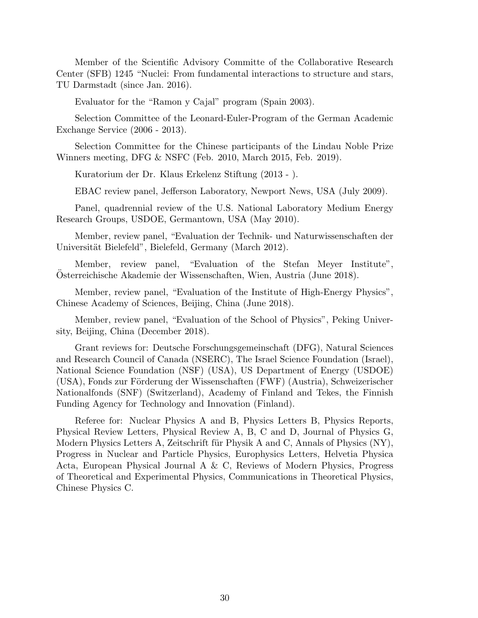Member of the Scientific Advisory Committe of the Collaborative Research Center (SFB) 1245 "Nuclei: From fundamental interactions to structure and stars, TU Darmstadt (since Jan. 2016).

Evaluator for the "Ramon y Cajal" program (Spain 2003).

Selection Committee of the Leonard-Euler-Program of the German Academic Exchange Service (2006 - 2013).

Selection Committee for the Chinese participants of the Lindau Noble Prize Winners meeting, DFG & NSFC (Feb. 2010, March 2015, Feb. 2019).

Kuratorium der Dr. Klaus Erkelenz Stiftung (2013 - ).

EBAC review panel, Jefferson Laboratory, Newport News, USA (July 2009).

Panel, quadrennial review of the U.S. National Laboratory Medium Energy Research Groups, USDOE, Germantown, USA (May 2010).

Member, review panel, "Evaluation der Technik- und Naturwissenschaften der Universität Bielefeld", Bielefeld, Germany (March 2012).

Member, review panel, "Evaluation of the Stefan Meyer Institute", Osterreichische Akademie der Wissenschaften, Wien, Austria (June 2018).

Member, review panel, "Evaluation of the Institute of High-Energy Physics", Chinese Academy of Sciences, Beijing, China (June 2018).

Member, review panel, "Evaluation of the School of Physics", Peking University, Beijing, China (December 2018).

Grant reviews for: Deutsche Forschungsgemeinschaft (DFG), Natural Sciences and Research Council of Canada (NSERC), The Israel Science Foundation (Israel), National Science Foundation (NSF) (USA), US Department of Energy (USDOE) (USA), Fonds zur Förderung der Wissenschaften (FWF) (Austria), Schweizerischer Nationalfonds (SNF) (Switzerland), Academy of Finland and Tekes, the Finnish Funding Agency for Technology and Innovation (Finland).

Referee for: Nuclear Physics A and B, Physics Letters B, Physics Reports, Physical Review Letters, Physical Review A, B, C and D, Journal of Physics G, Modern Physics Letters A, Zeitschrift für Physik A and C, Annals of Physics  $(NY)$ , Progress in Nuclear and Particle Physics, Europhysics Letters, Helvetia Physica Acta, European Physical Journal A & C, Reviews of Modern Physics, Progress of Theoretical and Experimental Physics, Communications in Theoretical Physics, Chinese Physics C.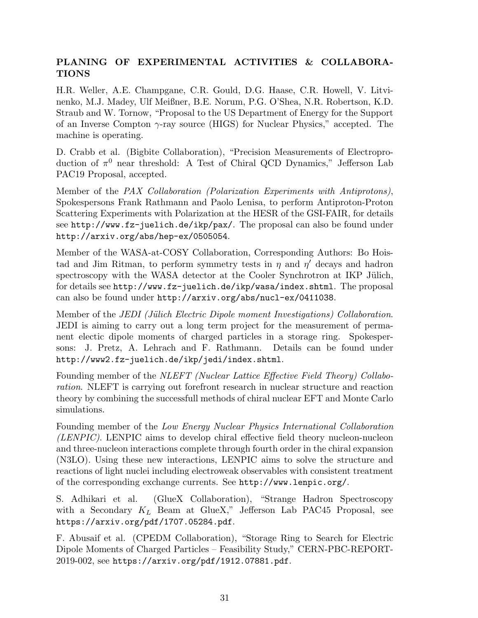# PLANING OF EXPERIMENTAL ACTIVITIES & COLLABORA-**TIONS**

H.R. Weller, A.E. Champgane, C.R. Gould, D.G. Haase, C.R. Howell, V. Litvinenko, M.J. Madey, Ulf Meißner, B.E. Norum, P.G. O'Shea, N.R. Robertson, K.D. Straub and W. Tornow, "Proposal to the US Department of Energy for the Support of an Inverse Compton  $\gamma$ -ray source (HIGS) for Nuclear Physics," accepted. The machine is operating.

D. Crabb et al. (Bigbite Collaboration), "Precision Measurements of Electroproduction of  $\pi^0$  near threshold: A Test of Chiral QCD Dynamics," Jefferson Lab PAC19 Proposal, accepted.

Member of the PAX Collaboration (Polarization Experiments with Antiprotons), Spokespersons Frank Rathmann and Paolo Lenisa, to perform Antiproton-Proton Scattering Experiments with Polarization at the HESR of the GSI-FAIR, for details see http://www.fz-juelich.de/ikp/pax/. The proposal can also be found under http://arxiv.org/abs/hep-ex/0505054.

Member of the WASA-at-COSY Collaboration, Corresponding Authors: Bo Hoistad and Jim Ritman, to perform symmetry tests in  $\eta$  and  $\eta'$  decays and hadron spectroscopy with the WASA detector at the Cooler Synchrotron at IKP Jülich, for details see http://www.fz-juelich.de/ikp/wasa/index.shtml. The proposal can also be found under http://arxiv.org/abs/nucl-ex/0411038.

Member of the JEDI (Jülich Electric Dipole moment Investigations) Collaboration. JEDI is aiming to carry out a long term project for the measurement of permanent electic dipole moments of charged particles in a storage ring. Spokespersons: J. Pretz, A. Lehrach and F. Rathmann. Details can be found under http://www2.fz-juelich.de/ikp/jedi/index.shtml.

Founding member of the NLEFT (Nuclear Lattice Effective Field Theory) Collaboration. NLEFT is carrying out forefront research in nuclear structure and reaction theory by combining the successfull methods of chiral nuclear EFT and Monte Carlo simulations.

Founding member of the Low Energy Nuclear Physics International Collaboration (LENPIC). LENPIC aims to develop chiral effective field theory nucleon-nucleon and three-nucleon interactions complete through fourth order in the chiral expansion (N3LO). Using these new interactions, LENPIC aims to solve the structure and reactions of light nuclei including electroweak observables with consistent treatment of the corresponding exchange currents. See http://www.lenpic.org/.

S. Adhikari et al. (GlueX Collaboration), "Strange Hadron Spectroscopy with a Secondary  $K_L$  Beam at GlueX," Jefferson Lab PAC45 Proposal, see https://arxiv.org/pdf/1707.05284.pdf.

F. Abusaif et al. (CPEDM Collaboration), "Storage Ring to Search for Electric Dipole Moments of Charged Particles – Feasibility Study," CERN-PBC-REPORT-2019-002, see https://arxiv.org/pdf/1912.07881.pdf.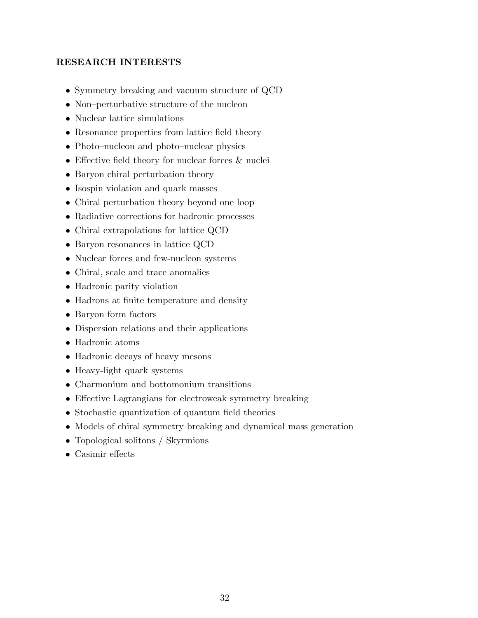# RESEARCH INTERESTS

- Symmetry breaking and vacuum structure of QCD
- Non–perturbative structure of the nucleon
- Nuclear lattice simulations
- Resonance properties from lattice field theory
- Photo–nucleon and photo–nuclear physics
- Effective field theory for nuclear forces & nuclei
- Baryon chiral perturbation theory
- Isospin violation and quark masses
- Chiral perturbation theory beyond one loop
- Radiative corrections for hadronic processes
- Chiral extrapolations for lattice QCD
- Baryon resonances in lattice QCD
- Nuclear forces and few-nucleon systems
- Chiral, scale and trace anomalies
- Hadronic parity violation
- Hadrons at finite temperature and density
- Baryon form factors
- Dispersion relations and their applications
- Hadronic atoms
- Hadronic decays of heavy mesons
- Heavy-light quark systems
- Charmonium and bottomonium transitions
- Effective Lagrangians for electroweak symmetry breaking
- Stochastic quantization of quantum field theories
- Models of chiral symmetry breaking and dynamical mass generation
- Topological solitons / Skyrmions
- Casimir effects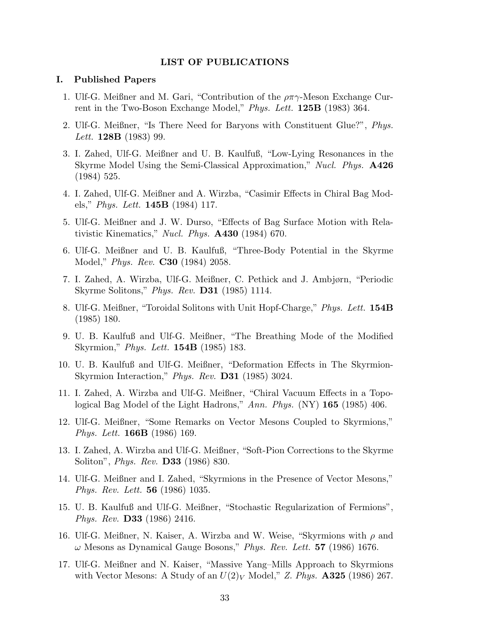#### LIST OF PUBLICATIONS

#### I. Published Papers

- 1. Ulf-G. Meißner and M. Gari, "Contribution of the  $\rho \pi \gamma$ -Meson Exchange Current in the Two-Boson Exchange Model," *Phys. Lett.* **125B** (1983) 364.
- 2. Ulf-G. Meißner, "Is There Need for Baryons with Constituent Glue?", Phys. Lett. **128B** (1983) 99.
- 3. I. Zahed, Ulf-G. Meißner and U. B. Kaulfuß, "Low-Lying Resonances in the Skyrme Model Using the Semi-Classical Approximation," Nucl. Phys. A426 (1984) 525.
- 4. I. Zahed, Ulf-G. Meißner and A. Wirzba, "Casimir Effects in Chiral Bag Models," *Phys. Lett.* **145B** (1984) 117.
- 5. Ulf-G. Meißner and J. W. Durso, "Effects of Bag Surface Motion with Relativistic Kinematics," *Nucl. Phys.*  $\mathbf{A430}$  (1984) 670.
- 6. Ulf-G. Meißner and U. B. Kaulfuß, "Three-Body Potential in the Skyrme Model," *Phys. Rev.* **C30** (1984) 2058.
- 7. I. Zahed, A. Wirzba, Ulf-G. Meißner, C. Pethick and J. Ambjørn, "Periodic Skyrme Solitons," *Phys. Rev.* **D31** (1985) 1114.
- 8. Ulf-G. Meißner, "Toroidal Solitons with Unit Hopf-Charge," Phys. Lett. 154B (1985) 180.
- 9. U. B. Kaulfuß and Ulf-G. Meißner, "The Breathing Mode of the Modified Skyrmion," Phys. Lett. **154B** (1985) 183.
- 10. U. B. Kaulfuß and Ulf-G. Meißner, "Deformation Effects in The Skyrmion-Skyrmion Interaction," Phys. Rev. **D31** (1985) 3024.
- 11. I. Zahed, A. Wirzba and Ulf-G. Meißner, "Chiral Vacuum Effects in a Topological Bag Model of the Light Hadrons," Ann. Phys. (NY) 165 (1985) 406.
- 12. Ulf-G. Meißner, "Some Remarks on Vector Mesons Coupled to Skyrmions," Phys. Lett. 166B (1986) 169.
- 13. I. Zahed, A. Wirzba and Ulf-G. Meißner, "Soft-Pion Corrections to the Skyrme Soliton", Phys. Rev. D33 (1986) 830.
- 14. Ulf-G. Meißner and I. Zahed, "Skyrmions in the Presence of Vector Mesons," Phys. Rev. Lett. 56 (1986) 1035.
- 15. U. B. Kaulfuß and Ulf-G. Meißner, "Stochastic Regularization of Fermions", Phys. Rev. D33 (1986) 2416.
- 16. Ulf-G. Meißner, N. Kaiser, A. Wirzba and W. Weise, "Skyrmions with  $\rho$  and  $\omega$  Mesons as Dynamical Gauge Bosons," Phys. Rev. Lett. 57 (1986) 1676.
- 17. Ulf-G. Meißner and N. Kaiser, "Massive Yang–Mills Approach to Skyrmions with Vector Mesons: A Study of an  $U(2)_V$  Model," Z. Phys. **A325** (1986) 267.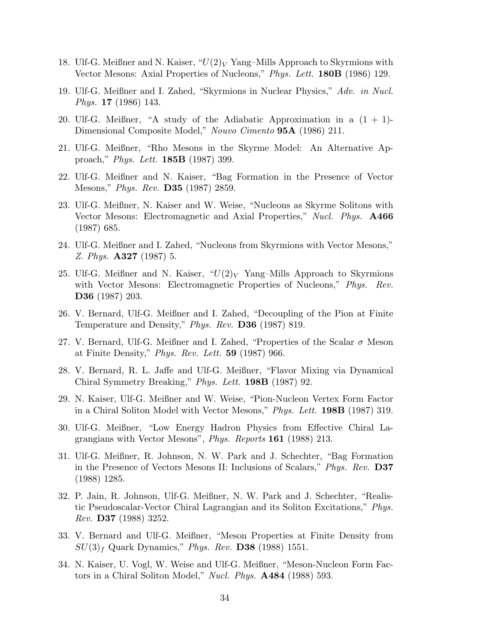- 18. Ulf-G. Meißner and N. Kaiser, " $U(2)_V$  Yang–Mills Approach to Skyrmions with Vector Mesons: Axial Properties of Nucleons," Phys. Lett. 180B (1986) 129.
- 19. Ulf-G. Meißner and I. Zahed, "Skyrmions in Nuclear Physics," Adv. in Nucl. Phys. 17 (1986) 143.
- 20. Ulf-G. Meißner, "A study of the Adiabatic Approximation in a  $(1 + 1)$ -Dimensional Composite Model," Nouvo Cimento **95A** (1986) 211.
- 21. Ulf-G. Meißner, "Rho Mesons in the Skyrme Model: An Alternative Approach," Phys. Lett. 185B (1987) 399.
- 22. Ulf-G. Meißner and N. Kaiser, "Bag Formation in the Presence of Vector Mesons," *Phys. Rev.* **D35** (1987) 2859.
- 23. Ulf-G. Meißner, N. Kaiser and W. Weise, "Nucleons as Skyrme Solitons with Vector Mesons: Electromagnetic and Axial Properties," Nucl. Phys. **A466** (1987) 685.
- 24. Ulf-G. Meißner and I. Zahed, "Nucleons from Skyrmions with Vector Mesons," Z. Phys. A327 (1987) 5.
- 25. Ulf-G. Meißner and N. Kaiser, " $U(2)_V$  Yang–Mills Approach to Skyrmions with Vector Mesons: Electromagnetic Properties of Nucleons," Phys. Rev. D36 (1987) 203.
- 26. V. Bernard, Ulf-G. Meißner and I. Zahed, "Decoupling of the Pion at Finite Temperature and Density," Phys. Rev. D36 (1987) 819.
- 27. V. Bernard, Ulf-G. Meißner and I. Zahed, "Properties of the Scalar  $\sigma$  Meson at Finite Density," *Phys. Rev. Lett.*  $59$  (1987) 966.
- 28. V. Bernard, R. L. Jaffe and Ulf-G. Meißner, "Flavor Mixing via Dynamical Chiral Symmetry Breaking," Phys. Lett. 198B (1987) 92.
- 29. N. Kaiser, Ulf-G. Meißner and W. Weise, "Pion-Nucleon Vertex Form Factor in a Chiral Soliton Model with Vector Mesons," Phys. Lett. 198B (1987) 319.
- 30. Ulf-G. Meißner, "Low Energy Hadron Physics from Effective Chiral Lagrangians with Vector Mesons", *Phys. Reports* 161 (1988) 213.
- 31. Ulf-G. Meißner, R. Johnson, N. W. Park and J. Schechter, "Bag Formation in the Presence of Vectors Mesons II: Inclusions of Scalars," *Phys. Rev.* **D37** (1988) 1285.
- 32. P. Jain, R. Johnson, Ulf-G. Meißner, N. W. Park and J. Schechter, "Realistic Pseudoscalar-Vector Chiral Lagrangian and its Soliton Excitations," Phys. Rev. D37 (1988) 3252.
- 33. V. Bernard and Ulf-G. Meißner, "Meson Properties at Finite Density from  $SU(3)_f$  Quark Dynamics," Phys. Rev. D38 (1988) 1551.
- 34. N. Kaiser, U. Vogl, W. Weise and Ulf-G. Meißner, "Meson-Nucleon Form Factors in a Chiral Soliton Model," Nucl. Phys. A484 (1988) 593.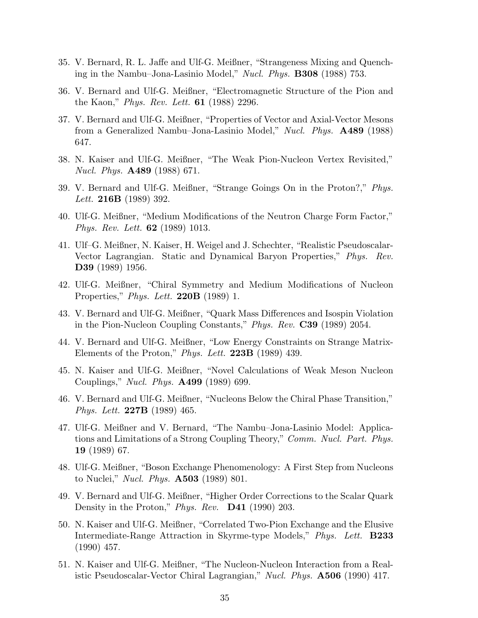- 35. V. Bernard, R. L. Jaffe and Ulf-G. Meißner, "Strangeness Mixing and Quenching in the Nambu–Jona-Lasinio Model," Nucl. Phys. B308 (1988) 753.
- 36. V. Bernard and Ulf-G. Meißner, "Electromagnetic Structure of the Pion and the Kaon," Phys. Rev. Lett. **61** (1988) 2296.
- 37. V. Bernard and Ulf-G. Meißner, "Properties of Vector and Axial-Vector Mesons from a Generalized Nambu–Jona-Lasinio Model," Nucl. Phys. **A489** (1988) 647.
- 38. N. Kaiser and Ulf-G. Meißner, "The Weak Pion-Nucleon Vertex Revisited," Nucl. Phys. A489 (1988) 671.
- 39. V. Bernard and Ulf-G. Meißner, "Strange Goings On in the Proton?," Phys. Lett. **216B** (1989) 392.
- 40. Ulf-G. Meißner, "Medium Modifications of the Neutron Charge Form Factor," Phys. Rev. Lett. 62 (1989) 1013.
- 41. Ulf–G. Meißner, N. Kaiser, H. Weigel and J. Schechter, "Realistic Pseudoscalar-Vector Lagrangian. Static and Dynamical Baryon Properties," Phys. Rev. D39 (1989) 1956.
- 42. Ulf-G. Meißner, "Chiral Symmetry and Medium Modifications of Nucleon Properties," Phys. Lett. **220B** (1989) 1.
- 43. V. Bernard and Ulf-G. Meißner, "Quark Mass Differences and Isospin Violation in the Pion-Nucleon Coupling Constants," Phys. Rev. C39 (1989) 2054.
- 44. V. Bernard and Ulf-G. Meißner, "Low Energy Constraints on Strange Matrix-Elements of the Proton," Phys. Lett.  $223B$  (1989) 439.
- 45. N. Kaiser and Ulf-G. Meißner, "Novel Calculations of Weak Meson Nucleon Couplings," Nucl. Phys. A499 (1989) 699.
- 46. V. Bernard and Ulf-G. Meißner, "Nucleons Below the Chiral Phase Transition," Phys. Lett. 227B (1989) 465.
- 47. Ulf-G. Meißner and V. Bernard, "The Nambu–Jona-Lasinio Model: Applications and Limitations of a Strong Coupling Theory," Comm. Nucl. Part. Phys. 19 (1989) 67.
- 48. Ulf-G. Meißner, "Boson Exchange Phenomenology: A First Step from Nucleons to Nuclei," *Nucl. Phys.* **A503** (1989) 801.
- 49. V. Bernard and Ulf-G. Meißner, "Higher Order Corrections to the Scalar Quark Density in the Proton," Phys. Rev.  $\mathbf{D41}$  (1990) 203.
- 50. N. Kaiser and Ulf-G. Meißner, "Correlated Two-Pion Exchange and the Elusive Intermediate-Range Attraction in Skyrme-type Models," Phys. Lett. B233 (1990) 457.
- 51. N. Kaiser and Ulf-G. Meißner, "The Nucleon-Nucleon Interaction from a Realistic Pseudoscalar-Vector Chiral Lagrangian," Nucl. Phys. **A506** (1990) 417.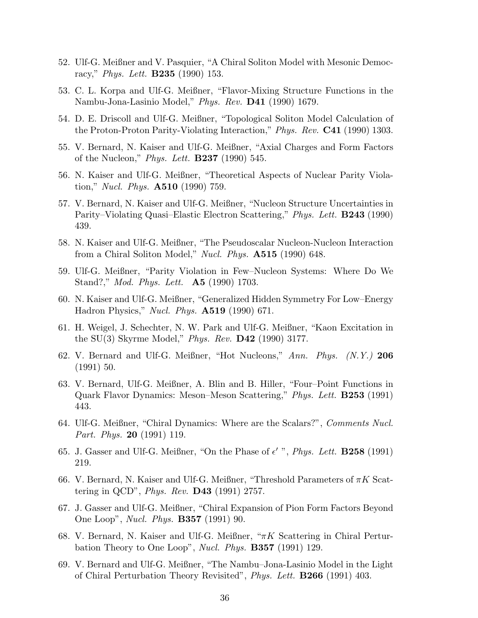- 52. Ulf-G. Meißner and V. Pasquier, "A Chiral Soliton Model with Mesonic Democracy," *Phys. Lett.* **B235** (1990) 153.
- 53. C. L. Korpa and Ulf-G. Meißner, "Flavor-Mixing Structure Functions in the Nambu-Jona-Lasinio Model," Phys. Rev. D41 (1990) 1679.
- 54. D. E. Driscoll and Ulf-G. Meißner, "Topological Soliton Model Calculation of the Proton-Proton Parity-Violating Interaction," Phys. Rev. C41 (1990) 1303.
- 55. V. Bernard, N. Kaiser and Ulf-G. Meißner, "Axial Charges and Form Factors of the Nucleon," *Phys. Lett.* **B237** (1990) 545.
- 56. N. Kaiser and Ulf-G. Meißner, "Theoretical Aspects of Nuclear Parity Violation," *Nucl. Phys.*  $A510$  (1990) 759.
- 57. V. Bernard, N. Kaiser and Ulf-G. Meißner, "Nucleon Structure Uncertainties in Parity–Violating Quasi–Elastic Electron Scattering," Phys. Lett. **B243** (1990) 439.
- 58. N. Kaiser and Ulf-G. Meißner, "The Pseudoscalar Nucleon-Nucleon Interaction from a Chiral Soliton Model," Nucl. Phys. **A515** (1990) 648.
- 59. Ulf-G. Meißner, "Parity Violation in Few–Nucleon Systems: Where Do We Stand?," *Mod. Phys. Lett.* **A5** (1990) 1703.
- 60. N. Kaiser and Ulf-G. Meißner, "Generalized Hidden Symmetry For Low–Energy Hadron Physics," Nucl. Phys. A519 (1990) 671.
- 61. H. Weigel, J. Schechter, N. W. Park and Ulf-G. Meißner, "Kaon Excitation in the SU(3) Skyrme Model," *Phys. Rev.* **D42** (1990) 3177.
- 62. V. Bernard and Ulf-G. Meißner, "Hot Nucleons," Ann. Phys. (N.Y.) 206 (1991) 50.
- 63. V. Bernard, Ulf-G. Meißner, A. Blin and B. Hiller, "Four–Point Functions in Quark Flavor Dynamics: Meson–Meson Scattering," Phys. Lett. B253 (1991) 443.
- 64. Ulf-G. Meißner, "Chiral Dynamics: Where are the Scalars?", Comments Nucl. Part. Phys. 20 (1991) 119.
- 65. J. Gasser and Ulf-G. Meißner, "On the Phase of  $\epsilon'$ ", *Phys. Lett.* **B258** (1991) 219.
- 66. V. Bernard, N. Kaiser and Ulf-G. Meißner, "Threshold Parameters of  $\pi K$  Scattering in QCD", *Phys. Rev.* **D43** (1991) 2757.
- 67. J. Gasser and Ulf-G. Meißner, "Chiral Expansion of Pion Form Factors Beyond One Loop", Nucl. Phys. B357 (1991) 90.
- 68. V. Bernard, N. Kaiser and Ulf-G. Meißner, "πK Scattering in Chiral Perturbation Theory to One Loop", *Nucl. Phys.* **B357** (1991) 129.
- 69. V. Bernard and Ulf-G. Meißner, "The Nambu–Jona-Lasinio Model in the Light of Chiral Perturbation Theory Revisited", Phys. Lett. B266 (1991) 403.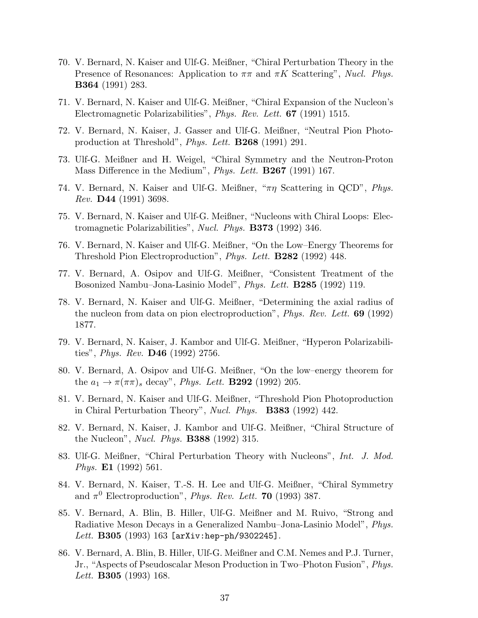- 70. V. Bernard, N. Kaiser and Ulf-G. Meißner, "Chiral Perturbation Theory in the Presence of Resonances: Application to  $\pi\pi$  and  $\pi K$  Scattering", Nucl. Phys. B364 (1991) 283.
- 71. V. Bernard, N. Kaiser and Ulf-G. Meißner, "Chiral Expansion of the Nucleon's Electromagnetic Polarizabilities", Phys. Rev. Lett. 67 (1991) 1515.
- 72. V. Bernard, N. Kaiser, J. Gasser and Ulf-G. Meißner, "Neutral Pion Photoproduction at Threshold", Phys. Lett. B268 (1991) 291.
- 73. Ulf-G. Meißner and H. Weigel, "Chiral Symmetry and the Neutron-Proton Mass Difference in the Medium", *Phys. Lett.* **B267** (1991) 167.
- 74. V. Bernard, N. Kaiser and Ulf-G. Meißner, " $\pi\eta$  Scattering in QCD", *Phys.* Rev. D44 (1991) 3698.
- 75. V. Bernard, N. Kaiser and Ulf-G. Meißner, "Nucleons with Chiral Loops: Electromagnetic Polarizabilities", Nucl. Phys. B373 (1992) 346.
- 76. V. Bernard, N. Kaiser and Ulf-G. Meißner, "On the Low–Energy Theorems for Threshold Pion Electroproduction", Phys. Lett. B282 (1992) 448.
- 77. V. Bernard, A. Osipov and Ulf-G. Meißner, "Consistent Treatment of the Bosonized Nambu–Jona-Lasinio Model", *Phys. Lett.* **B285** (1992) 119.
- 78. V. Bernard, N. Kaiser and Ulf-G. Meißner, "Determining the axial radius of the nucleon from data on pion electroproduction", *Phys. Rev. Lett.* **69** (1992) 1877.
- 79. V. Bernard, N. Kaiser, J. Kambor and Ulf-G. Meißner, "Hyperon Polarizabilities", *Phys. Rev.* **D46** (1992) 2756.
- 80. V. Bernard, A. Osipov and Ulf-G. Meißner, "On the low–energy theorem for the  $a_1 \rightarrow \pi(\pi \pi)_s$  decay", *Phys. Lett.* **B292** (1992) 205.
- 81. V. Bernard, N. Kaiser and Ulf-G. Meißner, "Threshold Pion Photoproduction in Chiral Perturbation Theory", Nucl. Phys. **B383** (1992) 442.
- 82. V. Bernard, N. Kaiser, J. Kambor and Ulf-G. Meißner, "Chiral Structure of the Nucleon", *Nucl. Phys.* **B388** (1992) 315.
- 83. Ulf-G. Meißner, "Chiral Perturbation Theory with Nucleons", Int. J. Mod. Phys. E1 (1992) 561.
- 84. V. Bernard, N. Kaiser, T.-S. H. Lee and Ulf-G. Meißner, "Chiral Symmetry and  $\pi^0$  Electroproduction", *Phys. Rev. Lett.* **70** (1993) 387.
- 85. V. Bernard, A. Blin, B. Hiller, Ulf-G. Meißner and M. Ruivo, "Strong and Radiative Meson Decays in a Generalized Nambu–Jona-Lasinio Model", Phys. Lett.  $B305$  (1993) 163 [arXiv:hep-ph/9302245].
- 86. V. Bernard, A. Blin, B. Hiller, Ulf-G. Meißner and C.M. Nemes and P.J. Turner, Jr., "Aspects of Pseudoscalar Meson Production in Two–Photon Fusion", Phys. Lett. **B305** (1993) 168.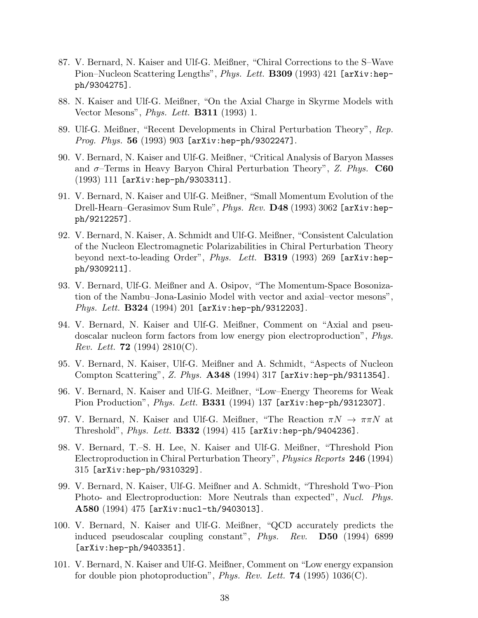- 87. V. Bernard, N. Kaiser and Ulf-G. Meißner, "Chiral Corrections to the S–Wave Pion–Nucleon Scattering Lengths", Phys. Lett. B309 (1993) 421 [arXiv:hepph/9304275].
- 88. N. Kaiser and Ulf-G. Meißner, "On the Axial Charge in Skyrme Models with Vector Mesons", *Phys. Lett.* **B311** (1993) 1.
- 89. Ulf-G. Meißner, "Recent Developments in Chiral Perturbation Theory", Rep. Prog. Phys. 56 (1993) 903 [arXiv:hep-ph/9302247].
- 90. V. Bernard, N. Kaiser and Ulf-G. Meißner, "Critical Analysis of Baryon Masses and  $\sigma$ -Terms in Heavy Baryon Chiral Perturbation Theory", Z. Phys. C60 (1993) 111 [arXiv:hep-ph/9303311].
- 91. V. Bernard, N. Kaiser and Ulf-G. Meißner, "Small Momentum Evolution of the Drell-Hearn–Gerasimov Sum Rule", *Phys. Rev.* **D48** (1993) 3062 [arXiv:hepph/9212257].
- 92. V. Bernard, N. Kaiser, A. Schmidt and Ulf-G. Meißner, "Consistent Calculation of the Nucleon Electromagnetic Polarizabilities in Chiral Perturbation Theory beyond next-to-leading Order", Phys. Lett. **B319** (1993) 269 [arXiv:hepph/9309211].
- 93. V. Bernard, Ulf-G. Meißner and A. Osipov, "The Momentum-Space Bosonization of the Nambu–Jona-Lasinio Model with vector and axial–vector mesons", Phys. Lett. **B324** (1994) 201 [arXiv:hep-ph/9312203].
- 94. V. Bernard, N. Kaiser and Ulf-G. Meißner, Comment on "Axial and pseudoscalar nucleon form factors from low energy pion electroproduction", Phys. *Rev. Lett.* **72** (1994) 2810(C).
- 95. V. Bernard, N. Kaiser, Ulf-G. Meißner and A. Schmidt, "Aspects of Nucleon Compton Scattering", Z. Phys. **A348** (1994) 317 [arXiv:hep-ph/9311354].
- 96. V. Bernard, N. Kaiser and Ulf-G. Meißner, "Low–Energy Theorems for Weak Pion Production", *Phys. Lett.* **B331** (1994) 137 [arXiv:hep-ph/9312307].
- 97. V. Bernard, N. Kaiser and Ulf-G. Meißner, "The Reaction  $\pi N \to \pi \pi N$  at Threshold", *Phys. Lett.*  $B332$  (1994) 415 [arXiv:hep-ph/9404236].
- 98. V. Bernard, T.–S. H. Lee, N. Kaiser and Ulf-G. Meißner, "Threshold Pion Electroproduction in Chiral Perturbation Theory", *Physics Reports* 246 (1994) 315 [arXiv:hep-ph/9310329].
- 99. V. Bernard, N. Kaiser, Ulf-G. Meißner and A. Schmidt, "Threshold Two–Pion Photo- and Electroproduction: More Neutrals than expected", Nucl. Phys. A580 (1994) 475 [arXiv:nucl-th/9403013].
- 100. V. Bernard, N. Kaiser and Ulf-G. Meißner, "QCD accurately predicts the induced pseudoscalar coupling constant", Phys. Rev. D50 (1994) 6899 [arXiv:hep-ph/9403351].
- 101. V. Bernard, N. Kaiser and Ulf-G. Meißner, Comment on "Low energy expansion for double pion photoproduction", *Phys. Rev. Lett.* **74** (1995) 1036(C).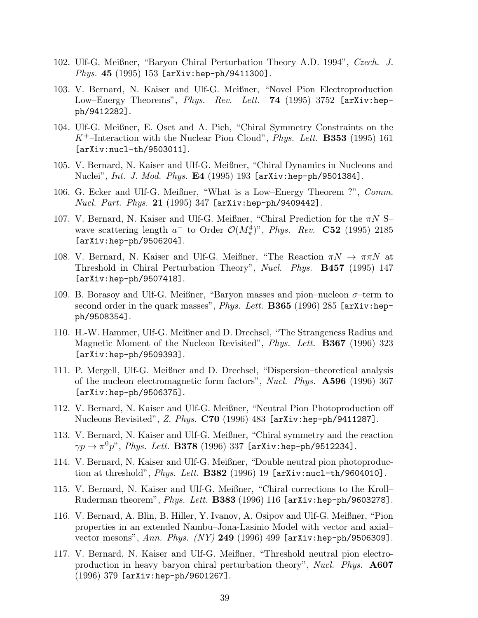- 102. Ulf-G. Meißner, "Baryon Chiral Perturbation Theory A.D. 1994", Czech. J. Phys. 45 (1995) 153 [arXiv:hep-ph/9411300].
- 103. V. Bernard, N. Kaiser and Ulf-G. Meißner, "Novel Pion Electroproduction Low–Energy Theorems", Phys. Rev. Lett. **74** (1995) 3752 [arXiv:hepph/9412282].
- 104. Ulf-G. Meißner, E. Oset and A. Pich, "Chiral Symmetry Constraints on the  $K^+$ –Interaction with the Nuclear Pion Cloud", *Phys. Lett.* **B353** (1995) 161 [arXiv:nucl-th/9503011].
- 105. V. Bernard, N. Kaiser and Ulf-G. Meißner, "Chiral Dynamics in Nucleons and Nuclei", Int. J. Mod. Phys. E4 (1995) 193 [arXiv:hep-ph/9501384].
- 106. G. Ecker and Ulf-G. Meißner, "What is a Low–Energy Theorem ?", Comm. *Nucl. Part. Phys.* 21 (1995) 347  $[ary:hep-ph/9409442]$ .
- 107. V. Bernard, N. Kaiser and Ulf-G. Meißner, "Chiral Prediction for the  $\pi N$  S– wave scattering length  $a^-$  to Order  $\mathcal{O}(M_\pi^4)$ ", *Phys. Rev.* **C52** (1995) 2185 [arXiv:hep-ph/9506204].
- 108. V. Bernard, N. Kaiser and Ulf-G. Meißner, "The Reaction  $\pi N \to \pi \pi N$  at Threshold in Chiral Perturbation Theory", Nucl. Phys. B457 (1995) 147 [arXiv:hep-ph/9507418].
- 109. B. Borasoy and Ulf-G. Meißner, "Baryon masses and pion–nucleon  $\sigma$ –term to second order in the quark masses", *Phys. Lett.* **B365** (1996) 285 [arXiv:hepph/9508354].
- 110. H.-W. Hammer, Ulf-G. Meißner and D. Drechsel, "The Strangeness Radius and Magnetic Moment of the Nucleon Revisited", *Phys. Lett.* **B367** (1996) 323 [arXiv:hep-ph/9509393].
- 111. P. Mergell, Ulf-G. Meißner and D. Drechsel, "Dispersion–theoretical analysis of the nucleon electromagnetic form factors", Nucl. Phys. **A596** (1996) 367 [arXiv:hep-ph/9506375].
- 112. V. Bernard, N. Kaiser and Ulf-G. Meißner, "Neutral Pion Photoproduction off Nucleons Revisited", Z. Phys. C70 (1996) 483 [arXiv:hep-ph/9411287].
- 113. V. Bernard, N. Kaiser and Ulf-G. Meißner, "Chiral symmetry and the reaction  $\gamma p\to\pi^0p$ ",  $Phys.$   $Lett.$   ${\bf B378}$   $(1996)$   $337$  [arXiv:hep-ph/9512234].
- 114. V. Bernard, N. Kaiser and Ulf-G. Meißner, "Double neutral pion photoproduction at threshold", *Phys. Lett.* **B382** (1996) 19  $[\text{arXiv:nucl-th/9604010]$ .
- 115. V. Bernard, N. Kaiser and Ulf-G. Meißner, "Chiral corrections to the Kroll– Ruderman theorem", Phys. Lett. B383 (1996) 116 [arXiv:hep-ph/9603278].
- 116. V. Bernard, A. Blin, B. Hiller, Y. Ivanov, A. Osipov and Ulf-G. Meißner, "Pion properties in an extended Nambu–Jona-Lasinio Model with vector and axial– vector mesons", Ann. Phys.  $(NY)$  249 (1996) 499 [arXiv:hep-ph/9506309].
- 117. V. Bernard, N. Kaiser and Ulf-G. Meißner, "Threshold neutral pion electroproduction in heavy baryon chiral perturbation theory", Nucl. Phys. A607 (1996) 379 [arXiv:hep-ph/9601267].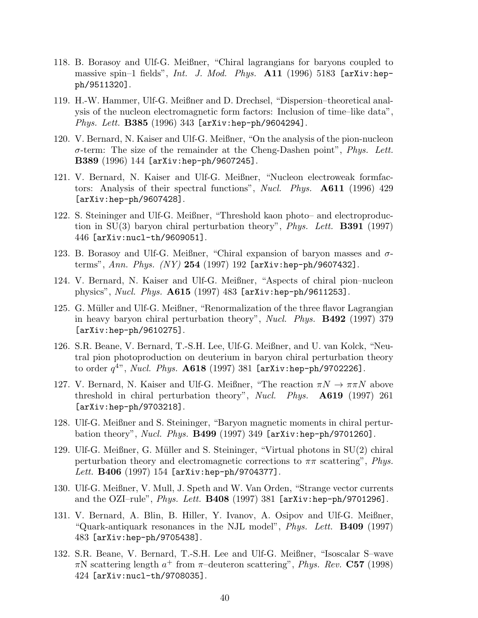- 118. B. Borasoy and Ulf-G. Meißner, "Chiral lagrangians for baryons coupled to massive spin-1 fields", Int. J. Mod. Phys. A11 (1996) 5183 [arXiv:hepph/9511320].
- 119. H.-W. Hammer, Ulf-G. Meißner and D. Drechsel, "Dispersion–theoretical analysis of the nucleon electromagnetic form factors: Inclusion of time–like data", Phys. Lett. **B385** (1996) 343 [arXiv:hep-ph/9604294].
- 120. V. Bernard, N. Kaiser and Ulf-G. Meißner, "On the analysis of the pion-nucleon  $\sigma$ -term: The size of the remainder at the Cheng-Dashen point", *Phys. Lett.* B389 (1996) 144 [arXiv:hep-ph/9607245].
- 121. V. Bernard, N. Kaiser and Ulf-G. Meißner, "Nucleon electroweak formfactors: Analysis of their spectral functions", Nucl. Phys. **A611** (1996) 429 [arXiv:hep-ph/9607428].
- 122. S. Steininger and Ulf-G. Meißner, "Threshold kaon photo– and electroproduction in  $SU(3)$  baryon chiral perturbation theory", *Phys. Lett.* **B391** (1997) 446 [arXiv:nucl-th/9609051].
- 123. B. Borasoy and Ulf-G. Meißner, "Chiral expansion of baryon masses and  $\sigma$ terms", Ann. Phys.  $(NY)$  254 (1997) 192 [arXiv:hep-ph/9607432].
- 124. V. Bernard, N. Kaiser and Ulf-G. Meißner, "Aspects of chiral pion–nucleon physics", Nucl. Phys. A615 (1997) 483 [arXiv:hep-ph/9611253].
- 125. G. Müller and Ulf-G. Meißner, "Renormalization of the three flavor Lagrangian in heavy baryon chiral perturbation theory", Nucl. Phys. B492 (1997) 379 [arXiv:hep-ph/9610275].
- 126. S.R. Beane, V. Bernard, T.-S.H. Lee, Ulf-G. Meißner, and U. van Kolck, "Neutral pion photoproduction on deuterium in baryon chiral perturbation theory to order  $q^{4}$ ", *Nucl. Phys.*  $\mathbf{A618}$  (1997) 381 [arXiv:hep-ph/9702226].
- 127. V. Bernard, N. Kaiser and Ulf-G. Meißner, "The reaction  $\pi N \to \pi \pi N$  above threshold in chiral perturbation theory", Nucl. Phys. **A619** (1997) 261 [arXiv:hep-ph/9703218].
- 128. Ulf-G. Meißner and S. Steininger, "Baryon magnetic moments in chiral perturbation theory", Nucl. Phys.  $B499$  (1997) 349 [arXiv:hep-ph/9701260].
- 129. Ulf-G. Meißner, G. Müller and S. Steininger, "Virtual photons in SU(2) chiral perturbation theory and electromagnetic corrections to  $\pi\pi$  scattering", *Phys. Lett.*  $B406$  (1997) 154 [arXiv:hep-ph/9704377].
- 130. Ulf-G. Meißner, V. Mull, J. Speth and W. Van Orden, "Strange vector currents and the OZI-rule", *Phys. Lett.* **B408** (1997) 381 [arXiv:hep-ph/9701296].
- 131. V. Bernard, A. Blin, B. Hiller, Y. Ivanov, A. Osipov and Ulf-G. Meißner, "Quark-antiquark resonances in the NJL model", *Phys. Lett.* **B409** (1997) 483 [arXiv:hep-ph/9705438].
- 132. S.R. Beane, V. Bernard, T.-S.H. Lee and Ulf-G. Meißner, "Isoscalar S–wave  $\pi$ N scattering length  $a^+$  from  $\pi$ -deuteron scattering", *Phys. Rev.* **C57** (1998) 424 [arXiv:nucl-th/9708035].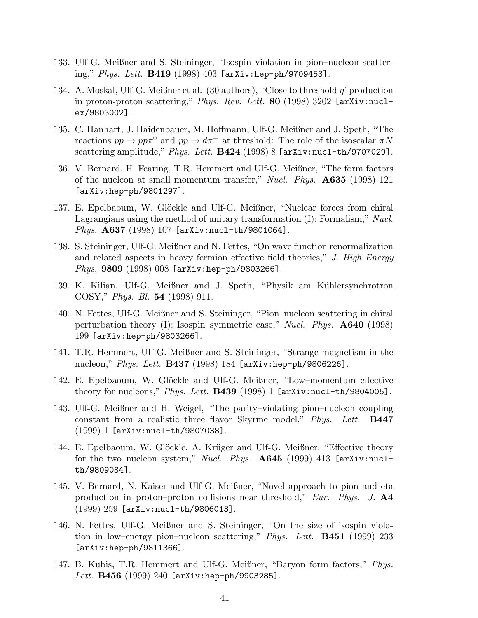- 133. Ulf-G. Meißner and S. Steininger, "Isospin violation in pion–nucleon scattering," Phys. Lett. B419 (1998) 403 [arXiv:hep-ph/9709453].
- 134. A. Moskal, Ulf-G. Meißner et al. (30 authors), "Close to threshold  $\eta$ ' production in proton-proton scattering," *Phys. Rev. Lett.* **80** (1998) 3202 [arXiv:nuclex/9803002].
- 135. C. Hanhart, J. Haidenbauer, M. Hoffmann, Ulf-G. Meißner and J. Speth, "The reactions  $pp \to pp\pi^0$  and  $pp \to d\pi^+$  at threshold: The role of the isoscalar  $\pi N$ scattering amplitude," Phys. Lett. B424 (1998) 8 [arXiv:nucl-th/9707029].
- 136. V. Bernard, H. Fearing, T.R. Hemmert and Ulf-G. Meißner, "The form factors of the nucleon at small momentum transfer," Nucl. Phys.  $A635$  (1998) 121 [arXiv:hep-ph/9801297].
- 137. E. Epelbaoum, W. Glöckle and Ulf-G. Meißner, "Nuclear forces from chiral Lagrangians using the method of unitary transformation  $(I)$ : Formalism," Nucl. *Phys.*  $A637$  (1998) 107 [arXiv:nucl-th/9801064].
- 138. S. Steininger, Ulf-G. Meißner and N. Fettes, "On wave function renormalization and related aspects in heavy fermion effective field theories," J. High Energy Phys. 9809 (1998) 008 [arXiv:hep-ph/9803266].
- 139. K. Kilian, Ulf-G. Meißner and J. Speth, "Physik am Kühlersynchrotron COSY," Phys. Bl. 54 (1998) 911.
- 140. N. Fettes, Ulf-G. Meißner and S. Steininger, "Pion–nucleon scattering in chiral perturbation theory (I): Isospin–symmetric case," *Nucl. Phys.*  $\mathbf{A640}$  (1998) 199 [arXiv:hep-ph/9803266].
- 141. T.R. Hemmert, Ulf-G. Meißner and S. Steininger, "Strange magnetism in the nucleon," *Phys. Lett.*  $B437$  (1998) 184 [arXiv:hep-ph/9806226].
- 142. E. Epelbaoum, W. Glöckle and Ulf-G. Meißner, "Low-momentum effective theory for nucleons,"  $Phys. Lett. B439 (1998) 1 [arXiv:nucl-th/9804005].$
- 143. Ulf-G. Meißner and H. Weigel, "The parity–violating pion–nucleon coupling constant from a realistic three flavor Skyrme model," Phys. Lett. **B447** (1999) 1 [arXiv:nucl-th/9807038].
- 144. E. Epelbaoum, W. Glöckle, A. Krüger and Ulf-G. Meißner, "Effective theory for the two–nucleon system," Nucl. Phys.  $A645$  (1999) 413 [arXiv:nuclth/9809084].
- 145. V. Bernard, N. Kaiser and Ulf-G. Meißner, "Novel approach to pion and eta production in proton–proton collisions near threshold," Eur. Phys. J.  $\mathbf{A4}$ (1999) 259 [arXiv:nucl-th/9806013].
- 146. N. Fettes, Ulf-G. Meißner and S. Steininger, "On the size of isospin violation in low–energy pion–nucleon scattering," Phys. Lett. **B451** (1999) 233 [arXiv:hep-ph/9811366].
- 147. B. Kubis, T.R. Hemmert and Ulf-G. Meißner, "Baryon form factors," Phys. Lett.  $B456$  (1999) 240 [arXiv:hep-ph/9903285].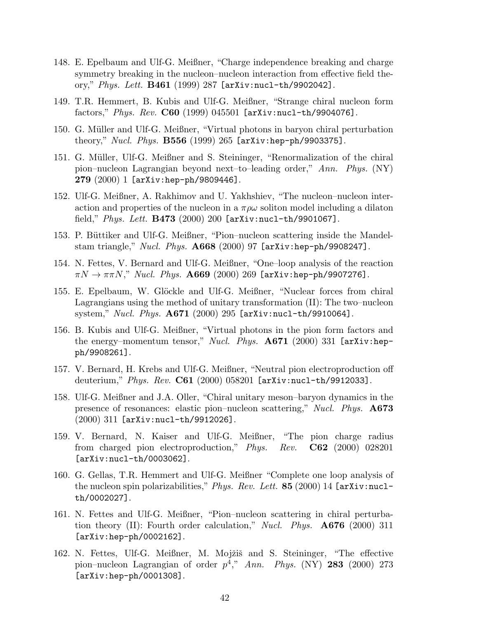- 148. E. Epelbaum and Ulf-G. Meißner, "Charge independence breaking and charge symmetry breaking in the nucleon–nucleon interaction from effective field theory," Phys. Lett.  $B461$  (1999) 287 [arXiv:nucl-th/9902042].
- 149. T.R. Hemmert, B. Kubis and Ulf-G. Meißner, "Strange chiral nucleon form factors," Phys. Rev.  $C60$  (1999) 045501 [arXiv:nucl-th/9904076].
- 150. G. M¨uller and Ulf-G. Meißner, "Virtual photons in baryon chiral perturbation theory," *Nucl. Phys.*  $B556$  (1999) 265  $[arXiv:hep-ph/9903375]$ .
- 151. G. M¨uller, Ulf-G. Meißner and S. Steininger, "Renormalization of the chiral pion–nucleon Lagrangian beyond next–to–leading order," Ann. Phys. (NY)  $279 (2000) 1$  [arXiv:hep-ph/9809446].
- 152. Ulf-G. Meißner, A. Rakhimov and U. Yakhshiev, "The nucleon–nucleon interaction and properties of the nucleon in a  $\pi \rho \omega$  soliton model including a dilaton field," *Phys. Lett.*  $B473$  (2000) 200 [arXiv:nucl-th/9901067].
- 153. P. Büttiker and Ulf-G. Meißner, "Pion–nucleon scattering inside the Mandelstam triangle," Nucl. Phys. A668 (2000) 97 [arXiv:hep-ph/9908247].
- 154. N. Fettes, V. Bernard and Ulf-G. Meißner, "One–loop analysis of the reaction  $\pi N \to \pi \pi N$ ," Nucl. Phys. A669 (2000) 269 [arXiv:hep-ph/9907276].
- 155. E. Epelbaum, W. Glöckle and Ulf-G. Meißner, "Nuclear forces from chiral Lagrangians using the method of unitary transformation (II): The two–nucleon system," Nucl. Phys.  $A671$  (2000) 295 [arXiv:nucl-th/9910064].
- 156. B. Kubis and Ulf-G. Meißner, "Virtual photons in the pion form factors and the energy–momentum tensor," Nucl. Phys.  $A671$  (2000) 331 [arXiv:hepph/9908261].
- 157. V. Bernard, H. Krebs and Ulf-G. Meißner, "Neutral pion electroproduction off deuterium," Phys. Rev. C61 (2000) 058201  $[\text{arXiv:nuc1-th}/9912033]$ .
- 158. Ulf-G. Meißner and J.A. Oller, "Chiral unitary meson–baryon dynamics in the presence of resonances: elastic pion–nucleon scattering," Nucl. Phys. A673 (2000) 311 [arXiv:nucl-th/9912026].
- 159. V. Bernard, N. Kaiser and Ulf-G. Meißner, "The pion charge radius from charged pion electroproduction," Phys. Rev. C62 (2000) 028201 [arXiv:nucl-th/0003062].
- 160. G. Gellas, T.R. Hemmert and Ulf-G. Meißner "Complete one loop analysis of the nucleon spin polarizabilities," Phys. Rev. Lett.  $85$  (2000) 14 [arXiv:nuclth/0002027].
- 161. N. Fettes and Ulf-G. Meißner, "Pion–nucleon scattering in chiral perturbation theory (II): Fourth order calculation," *Nucl. Phys.*  $\mathbf{A676}$  (2000) 311 [arXiv:hep-ph/0002162].
- 162. N. Fettes, Ulf-G. Meißner, M. Mojžiš and S. Steininger, "The effective pion–nucleon Lagrangian of order  $p^4$ ," Ann. Phys. (NY) 283 (2000) 273 [arXiv:hep-ph/0001308].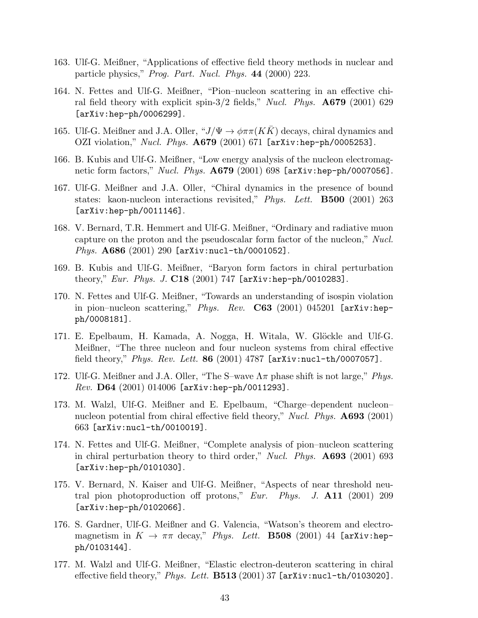- 163. Ulf-G. Meißner, "Applications of effective field theory methods in nuclear and particle physics," Prog. Part. Nucl. Phys. 44 (2000) 223.
- 164. N. Fettes and Ulf-G. Meißner, "Pion–nucleon scattering in an effective chiral field theory with explicit spin- $3/2$  fields," Nucl. Phys.  $\mathbf{A679}$  (2001) 629 [arXiv:hep-ph/0006299].
- 165. Ulf-G. Meißner and J.A. Oller, " $J/\Psi \rightarrow \phi \pi \pi (K\overline{K})$  decays, chiral dynamics and OZI violation," Nucl. Phys. **A679** (2001) 671 [arXiv:hep-ph/0005253].
- 166. B. Kubis and Ulf-G. Meißner, "Low energy analysis of the nucleon electromagnetic form factors," Nucl. Phys. **A679** (2001) 698 [arXiv:hep-ph/0007056].
- 167. Ulf-G. Meißner and J.A. Oller, "Chiral dynamics in the presence of bound states: kaon-nucleon interactions revisited," Phys. Lett. **B500** (2001) 263 [arXiv:hep-ph/0011146].
- 168. V. Bernard, T.R. Hemmert and Ulf-G. Meißner, "Ordinary and radiative muon capture on the proton and the pseudoscalar form factor of the nucleon," Nucl. Phys. A686 (2001) 290 [arXiv:nucl-th/0001052].
- 169. B. Kubis and Ulf-G. Meißner, "Baryon form factors in chiral perturbation theory," Eur. Phys. J.  $C18$  (2001) 747 [arXiv:hep-ph/0010283].
- 170. N. Fettes and Ulf-G. Meißner, "Towards an understanding of isospin violation in pion–nucleon scattering," Phys. Rev.  $C63$  (2001) 045201 [arXiv:hepph/0008181].
- 171. E. Epelbaum, H. Kamada, A. Nogga, H. Witala, W. Glöckle and Ulf-G. Meißner, "The three nucleon and four nucleon systems from chiral effective field theory," *Phys. Rev. Lett.* 86 (2001) 4787 [ $arXiv:nucl-th/0007057$ ].
- 172. Ulf-G. Meißner and J.A. Oller, "The S–wave  $\Lambda \pi$  phase shift is not large," *Phys.*  $Rev.$   $D64$   $(2001)$   $014006$   $[arXiv:hep-ph/0011293]$ .
- 173. M. Walzl, Ulf-G. Meißner and E. Epelbaum, "Charge–dependent nucleon– nucleon potential from chiral effective field theory," Nucl. Phys. **A693** (2001) 663 [arXiv:nucl-th/0010019].
- 174. N. Fettes and Ulf-G. Meißner, "Complete analysis of pion–nucleon scattering in chiral perturbation theory to third order," Nucl. Phys.  $\mathbf{A693}$  (2001) 693 [arXiv:hep-ph/0101030].
- 175. V. Bernard, N. Kaiser and Ulf-G. Meißner, "Aspects of near threshold neutral pion photoproduction off protons," Eur. Phys. J.  $\mathbf{A11}$  (2001) 209 [arXiv:hep-ph/0102066].
- 176. S. Gardner, Ulf-G. Meißner and G. Valencia, "Watson's theorem and electromagnetism in  $K \to \pi\pi$  decay," Phys. Lett. **B508** (2001) 44 [arXiv:hepph/0103144].
- 177. M. Walzl and Ulf-G. Meißner, "Elastic electron-deuteron scattering in chiral effective field theory," Phys. Lett.  $B513$  (2001) 37 [arXiv:nucl-th/0103020].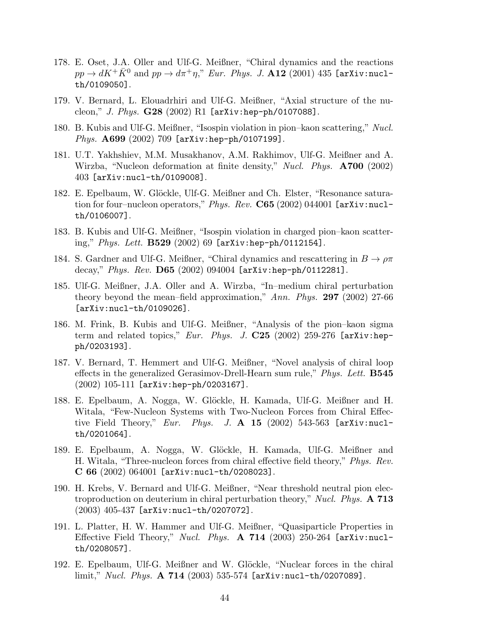- 178. E. Oset, J.A. Oller and Ulf-G. Meißner, "Chiral dynamics and the reactions  $pp \to dK^+\bar{K}^0$  and  $pp \to d\pi^+\eta$ ," Eur. Phys. J. A12 (2001) 435 [arXiv:nuclth/0109050].
- 179. V. Bernard, L. Elouadrhiri and Ulf-G. Meißner, "Axial structure of the nucleon," J. Phys.  $G28$  (2002) R1 [arXiv:hep-ph/0107088].
- 180. B. Kubis and Ulf-G. Meißner, "Isospin violation in pion–kaon scattering," Nucl. Phys. A699 (2002) 709 [arXiv:hep-ph/0107199].
- 181. U.T. Yakhshiev, M.M. Musakhanov, A.M. Rakhimov, Ulf-G. Meißner and A. Wirzba, "Nucleon deformation at finite density," Nucl. Phys. **A700** (2002) 403 [arXiv:nucl-th/0109008].
- 182. E. Epelbaum, W. Glöckle, Ulf-G. Meißner and Ch. Elster, "Resonance saturation for four–nucleon operators," Phys. Rev.  $C65$  (2002) 044001 [arXiv:nuclth/0106007].
- 183. B. Kubis and Ulf-G. Meißner, "Isospin violation in charged pion–kaon scattering,"  $Phys. Lett. B529 (2002) 69 [arXiv:hep-ph/0112154].$
- 184. S. Gardner and Ulf-G. Meißner, "Chiral dynamics and rescattering in  $B \to \rho \pi$ decay," Phys. Rev.  $D65$  (2002) 094004 [arXiv:hep-ph/0112281].
- 185. Ulf-G. Meißner, J.A. Oller and A. Wirzba, "In–medium chiral perturbation theory beyond the mean–field approximation," Ann. Phys. 297 (2002) 27-66 [arXiv:nucl-th/0109026].
- 186. M. Frink, B. Kubis and Ulf-G. Meißner, "Analysis of the pion–kaon sigma term and related topics," Eur. Phys. J. C25 (2002) 259-276 [arXiv:hepph/0203193].
- 187. V. Bernard, T. Hemmert and Ulf-G. Meißner, "Novel analysis of chiral loop effects in the generalized Gerasimov-Drell-Hearn sum rule," *Phys. Lett.* **B545** (2002) 105-111 [arXiv:hep-ph/0203167].
- 188. E. Epelbaum, A. Nogga, W. Glöckle, H. Kamada, Ulf-G. Meißner and H. Witala, "Few-Nucleon Systems with Two-Nucleon Forces from Chiral Effective Field Theory," Eur. Phys. J.  $\mathbf{A}$  15 (2002) 543-563 [arXiv:nuclth/0201064].
- 189. E. Epelbaum, A. Nogga, W. Glöckle, H. Kamada, Ulf-G. Meißner and H. Witala, "Three-nucleon forces from chiral effective field theory," Phys. Rev.  $C 66 (2002) 064001$  [arXiv:nucl-th/0208023].
- 190. H. Krebs, V. Bernard and Ulf-G. Meißner, "Near threshold neutral pion electroproduction on deuterium in chiral perturbation theory," Nucl. Phys. A 713 (2003) 405-437 [arXiv:nucl-th/0207072].
- 191. L. Platter, H. W. Hammer and Ulf-G. Meißner, "Quasiparticle Properties in Effective Field Theory," Nucl. Phys.  $\bf{A}$  714 (2003) 250-264 [arXiv:nuclth/0208057].
- 192. E. Epelbaum, Ulf-G. Meißner and W. Glöckle, "Nuclear forces in the chiral limit," Nucl. Phys. A 714 (2003) 535-574 [arXiv:nucl-th/0207089].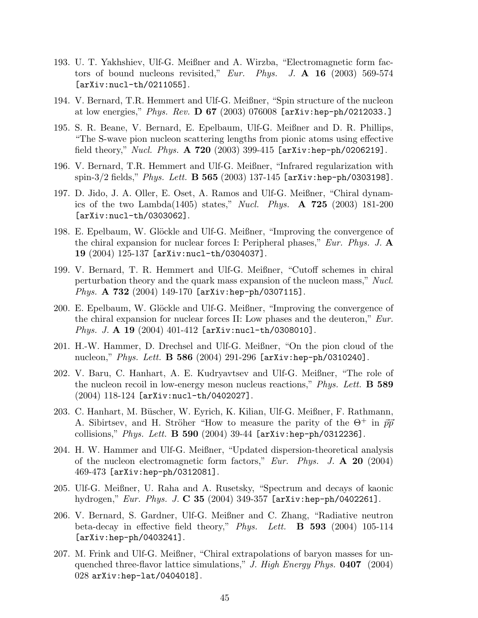- 193. U. T. Yakhshiev, Ulf-G. Meißner and A. Wirzba, "Electromagnetic form factors of bound nucleons revisited," Eur. Phys. J.  $\mathbf{A}$  16 (2003) 569-574 [arXiv:nucl-th/0211055].
- 194. V. Bernard, T.R. Hemmert and Ulf-G. Meißner, "Spin structure of the nucleon at low energies," Phys. Rev.  $D 67 (2003) 076008$  [arXiv:hep-ph/0212033.]
- 195. S. R. Beane, V. Bernard, E. Epelbaum, Ulf-G. Meißner and D. R. Phillips, "The S-wave pion nucleon scattering lengths from pionic atoms using effective field theory," Nucl. Phys. A 720 (2003) 399-415 [arXiv:hep-ph/0206219].
- 196. V. Bernard, T.R. Hemmert and Ulf-G. Meißner, "Infrared regularization with spin-3/2 fields," *Phys. Lett.*  $\bf{B} 565 (2003) 137$ -145 [arXiv:hep-ph/0303198].
- 197. D. Jido, J. A. Oller, E. Oset, A. Ramos and Ulf-G. Meißner, "Chiral dynamics of the two Lambda(1405) states," Nucl. Phys.  $\bf{A}$  725 (2003) 181-200 [arXiv:nucl-th/0303062].
- 198. E. Epelbaum, W. Glöckle and Ulf-G. Meißner, "Improving the convergence of the chiral expansion for nuclear forces I: Peripheral phases," Eur. Phys. J.  $\mathbf{A}$ 19 (2004) 125-137 [arXiv:nucl-th/0304037].
- 199. V. Bernard, T. R. Hemmert and Ulf-G. Meißner, "Cutoff schemes in chiral perturbation theory and the quark mass expansion of the nucleon mass," Nucl. Phys. A 732 (2004) 149-170 [arXiv:hep-ph/0307115].
- 200. E. Epelbaum, W. Glöckle and Ulf-G. Meißner, "Improving the convergence of the chiral expansion for nuclear forces II: Low phases and the deuteron," Eur. Phys. J. A 19 (2004) 401-412 [arXiv:nucl-th/0308010].
- 201. H.-W. Hammer, D. Drechsel and Ulf-G. Meißner, "On the pion cloud of the nucleon," Phys. Lett. **B 586** (2004) 291-296  $[ary:hep-ph/0310240]$ .
- 202. V. Baru, C. Hanhart, A. E. Kudryavtsev and Ulf-G. Meißner, "The role of the nucleon recoil in low-energy meson nucleus reactions," *Phys. Lett.* **B** 589 (2004) 118-124 [arXiv:nucl-th/0402027].
- 203. C. Hanhart, M. Büscher, W. Eyrich, K. Kilian, Ulf-G. Meißner, F. Rathmann, A. Sibirtsev, and H. Ströher "How to measure the parity of the  $\Theta^+$  in  $\vec{p}\vec{p}$ " collisions," Phys. Lett.  $\bf{B}$  590 (2004) 39-44  $[$ arXiv:hep-ph/0312236].
- 204. H. W. Hammer and Ulf-G. Meißner, "Updated dispersion-theoretical analysis of the nucleon electromagnetic form factors," Eur. Phys. J.  $\mathbf{A}$  20 (2004) 469-473 [arXiv:hep-ph/0312081].
- 205. Ulf-G. Meißner, U. Raha and A. Rusetsky, "Spectrum and decays of kaonic hydrogen," Eur. Phys. J.  $C$  35 (2004) 349-357 [arXiv:hep-ph/0402261].
- 206. V. Bernard, S. Gardner, Ulf-G. Meißner and C. Zhang, "Radiative neutron beta-decay in effective field theory," Phys. Lett.  $\bf{B}$  593 (2004) 105-114 [arXiv:hep-ph/0403241].
- 207. M. Frink and Ulf-G. Meißner, "Chiral extrapolations of baryon masses for unquenched three-flavor lattice simulations," J. High Energy Phys.  $0407$  (2004) 028 arXiv:hep-lat/0404018].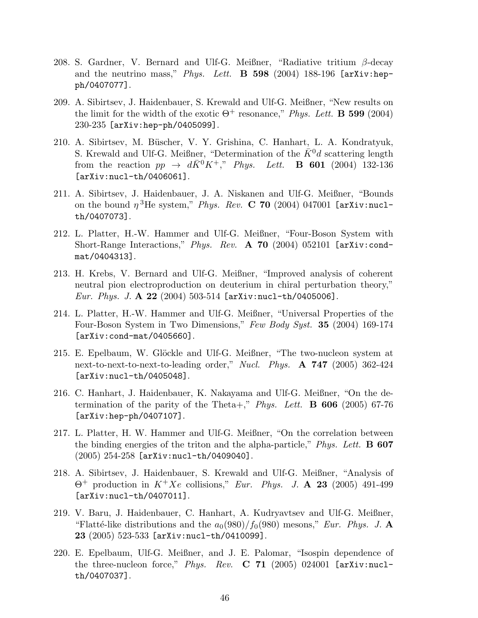- 208. S. Gardner, V. Bernard and Ulf-G. Meißner, "Radiative tritium  $\beta$ -decay and the neutrino mass," Phys. Lett. **B** 598 (2004) 188-196 [arXiv:hepph/0407077].
- 209. A. Sibirtsev, J. Haidenbauer, S. Krewald and Ulf-G. Meißner, "New results on the limit for the width of the exotic  $\Theta^+$  resonance," Phys. Lett. **B** 599 (2004) 230-235 [arXiv:hep-ph/0405099].
- 210. A. Sibirtsev, M. B¨uscher, V. Y. Grishina, C. Hanhart, L. A. Kondratyuk, S. Krewald and Ulf-G. Meißner, "Determination of the  $K^0d$  scattering length from the reaction  $pp \rightarrow d\bar{K}^0 K^+$ ," Phys. Lett. **B** 601 (2004) 132-136 [arXiv:nucl-th/0406061].
- 211. A. Sibirtsev, J. Haidenbauer, J. A. Niskanen and Ulf-G. Meißner, "Bounds on the bound  $\eta$ <sup>3</sup>He system," Phys. Rev. C 70 (2004) 047001 [arXiv:nuclth/0407073].
- 212. L. Platter, H.-W. Hammer and Ulf-G. Meißner, "Four-Boson System with Short-Range Interactions," Phys. Rev. A 70 (2004) 052101 [arXiv:condmat/0404313].
- 213. H. Krebs, V. Bernard and Ulf-G. Meißner, "Improved analysis of coherent neutral pion electroproduction on deuterium in chiral perturbation theory," *Eur. Phys. J. A* 22 (2004) 503-514 [arXiv:nucl-th/0405006].
- 214. L. Platter, H.-W. Hammer and Ulf-G. Meißner, "Universal Properties of the Four-Boson System in Two Dimensions," Few Body Syst. 35 (2004) 169-174 [arXiv:cond-mat/0405660].
- 215. E. Epelbaum, W. Glöckle and Ulf-G. Meißner, "The two-nucleon system at next-to-next-to-next-to-leading order," Nucl. Phys.  $\mathbf{A}$  747 (2005) 362-424 [arXiv:nucl-th/0405048].
- 216. C. Hanhart, J. Haidenbauer, K. Nakayama and Ulf-G. Meißner, "On the determination of the parity of the Theta+," Phys. Lett. **B** 606 (2005) 67-76 [arXiv:hep-ph/0407107].
- 217. L. Platter, H. W. Hammer and Ulf-G. Meißner, "On the correlation between the binding energies of the triton and the alpha-particle," *Phys. Lett.* **B** 607 (2005) 254-258 [arXiv:nucl-th/0409040].
- 218. A. Sibirtsev, J. Haidenbauer, S. Krewald and Ulf-G. Meißner, "Analysis of  $\Theta^+$  production in  $K^+Xe$  collisions," Eur. Phys. J. A 23 (2005) 491-499 [arXiv:nucl-th/0407011].
- 219. V. Baru, J. Haidenbauer, C. Hanhart, A. Kudryavtsev and Ulf-G. Meißner, "Flatté-like distributions and the  $a_0(980)/f_0(980)$  mesons," Eur. Phys. J. A. 23 (2005) 523-533 [arXiv:nucl-th/0410099].
- 220. E. Epelbaum, Ulf-G. Meißner, and J. E. Palomar, "Isospin dependence of the three-nucleon force," Phys. Rev. C 71 (2005) 024001 [arXiv:nuclth/0407037].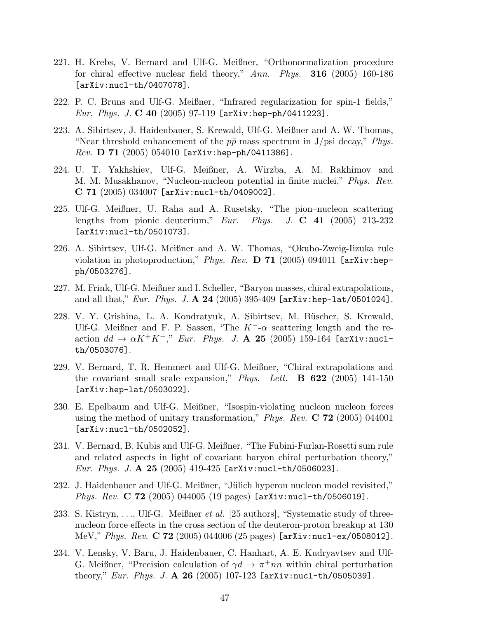- 221. H. Krebs, V. Bernard and Ulf-G. Meißner, "Orthonormalization procedure for chiral effective nuclear field theory,"  $Ann. Phys.$  **316** (2005) 160-186 [arXiv:nucl-th/0407078].
- 222. P. C. Bruns and Ulf-G. Meißner, "Infrared regularization for spin-1 fields," *Eur. Phys. J.*  $C$  40 (2005) 97-119 [arXiv:hep-ph/0411223].
- 223. A. Sibirtsev, J. Haidenbauer, S. Krewald, Ulf-G. Meißner and A. W. Thomas, "Near threshold enhancement of the  $p\bar{p}$  mass spectrum in J/psi decay," Phys.  $Rev.$   $D 71 (2005) 054010$  [arXiv:hep-ph/0411386].
- 224. U. T. Yakhshiev, Ulf-G. Meißner, A. Wirzba, A. M. Rakhimov and M. M. Musakhanov, "Nucleon-nucleon potential in finite nuclei," Phys. Rev.  $C 71 (2005) 034007$  [arXiv:nucl-th/0409002].
- 225. Ulf-G. Meißner, U. Raha and A. Rusetsky, "The pion–nucleon scattering lengths from pionic deuterium,"  $Eur.$  Phys. J.  $\bf{C}$  41 (2005) 213-232 [arXiv:nucl-th/0501073].
- 226. A. Sibirtsev, Ulf-G. Meißner and A. W. Thomas, "Okubo-Zweig-Iizuka rule violation in photoproduction," Phys. Rev. D 71 (2005) 094011 [arXiv:hepph/0503276].
- 227. M. Frink, Ulf-G. Meißner and I. Scheller, "Baryon masses, chiral extrapolations, and all that," Eur. Phys. J.  $\mathbf{A}$  24 (2005) 395-409 [arXiv:hep-lat/0501024].
- 228. V. Y. Grishina, L. A. Kondratyuk, A. Sibirtsev, M. Büscher, S. Krewald, Ulf-G. Meißner and F. P. Sassen, 'The  $K^-$ - $\alpha$  scattering length and the reaction  $dd \rightarrow \alpha K^+ K^-$ ," Eur. Phys. J. A 25 (2005) 159-164 [arXiv:nuclth/0503076].
- 229. V. Bernard, T. R. Hemmert and Ulf-G. Meißner, "Chiral extrapolations and the covariant small scale expansion," Phys. Lett.  $\bf{B}$  622 (2005) 141-150 [arXiv:hep-lat/0503022].
- 230. E. Epelbaum and Ulf-G. Meißner, "Isospin-violating nucleon nucleon forces using the method of unitary transformation," *Phys. Rev.*  $C$  72 (2005) 044001 [arXiv:nucl-th/0502052].
- 231. V. Bernard, B. Kubis and Ulf-G. Meißner, "The Fubini-Furlan-Rosetti sum rule and related aspects in light of covariant baryon chiral perturbation theory," *Eur. Phys. J. A* 25 (2005) 419-425 [arXiv:nucl-th/0506023].
- 232. J. Haidenbauer and Ulf-G. Meißner, "Jülich hyperon nucleon model revisited," *Phys. Rev.* **C 72** (2005) 044005 (19 pages)  $[\text{arXiv:nucl-th}/0506019]$ .
- 233. S. Kistryn, ..., Ulf-G. Meißner et al. [25 authors], "Systematic study of threenucleon force effects in the cross section of the deuteron-proton breakup at 130 MeV," Phys. Rev.  $C 72 (2005) 044006 (25 pages)$  [arXiv:nucl-ex/0508012].
- 234. V. Lensky, V. Baru, J. Haidenbauer, C. Hanhart, A. E. Kudryavtsev and Ulf-G. Meißner, "Precision calculation of  $\gamma d \to \pi^+ nn$  within chiral perturbation theory," Eur. Phys. J. A 26 (2005) 107-123 [arXiv:nucl-th/0505039].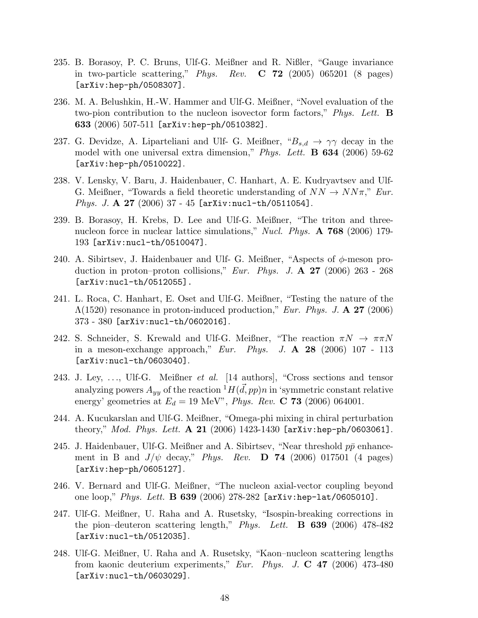- 235. B. Borasoy, P. C. Bruns, Ulf-G. Meißner and R. Nißler, "Gauge invariance in two-particle scattering," Phys. Rev.  $C$  72 (2005) 065201 (8 pages) [arXiv:hep-ph/0508307].
- 236. M. A. Belushkin, H.-W. Hammer and Ulf-G. Meißner, "Novel evaluation of the two-pion contribution to the nucleon isovector form factors," Phys. Lett. **B** 633  $(2006)$  507-511 [arXiv:hep-ph/0510382].
- 237. G. Devidze, A. Liparteliani and Ulf- G. Meißner,  ${}^{\alpha}B_{s,d} \rightarrow \gamma\gamma$  decay in the model with one universal extra dimension," Phys. Lett. **B 634** (2006) 59-62 [arXiv:hep-ph/0510022].
- 238. V. Lensky, V. Baru, J. Haidenbauer, C. Hanhart, A. E. Kudryavtsev and Ulf-G. Meißner, "Towards a field theoretic understanding of  $NN \rightarrow NN\pi$ ," Eur. Phys. J. A 27 (2006) 37 - 45 [arXiv:nucl-th/0511054].
- 239. B. Borasoy, H. Krebs, D. Lee and Ulf-G. Meißner, "The triton and threenucleon force in nuclear lattice simulations," Nucl. Phys. **A 768** (2006) 179-193 [arXiv:nucl-th/0510047].
- 240. A. Sibirtsev, J. Haidenbauer and Ulf- G. Meißner, "Aspects of  $\phi$ -meson production in proton–proton collisions," Eur. Phys. J.  $\mathbf{A}$  **27** (2006) 263 - 268 [arXiv:nucl-th/0512055].
- 241. L. Roca, C. Hanhart, E. Oset and Ulf-G. Meißner, "Testing the nature of the  $\Lambda(1520)$  resonance in proton-induced production," Eur. Phys. J. A 27 (2006) 373 - 380 [arXiv:nucl-th/0602016].
- 242. S. Schneider, S. Krewald and Ulf-G. Meißner, "The reaction  $\pi N \to \pi \pi N$ in a meson-exchange approach," Eur. Phys. J. A 28 (2006) 107 - 113 [arXiv:nucl-th/0603040].
- 243. J. Ley, ..., Ulf-G. Meißner et al. [14 authors], "Cross sections and tensor analyzing powers  $A_{yy}$  of the reaction  ${}^{1}H(\vec{d},pp)n$  in 'symmetric constant relative energy' geometries at  $E_d = 19$  MeV", *Phys. Rev.* **C 73** (2006) 064001.
- 244. A. Kucukarslan and Ulf-G. Meißner, "Omega-phi mixing in chiral perturbation theory," *Mod. Phys. Lett.*  $\bf{A}$  21 (2006) 1423-1430 [arXiv:hep-ph/0603061].
- 245. J. Haidenbauer, Ulf-G. Meißner and A. Sibirtsev, "Near threshold  $p\bar{p}$  enhancement in B and  $J/\psi$  decay," Phys. Rev. **D** 74 (2006) 017501 (4 pages) [arXiv:hep-ph/0605127].
- 246. V. Bernard and Ulf-G. Meißner, "The nucleon axial-vector coupling beyond one  $loop$ ," *Phys. Lett.* **B 639** (2006) 278-282 [arXiv:hep-lat/0605010].
- 247. Ulf-G. Meißner, U. Raha and A. Rusetsky, "Isospin-breaking corrections in the pion–deuteron scattering length," Phys. Lett. **B** 639 (2006) 478-482 [arXiv:nucl-th/0512035].
- 248. Ulf-G. Meißner, U. Raha and A. Rusetsky, "Kaon–nucleon scattering lengths from kaonic deuterium experiments," Eur. Phys. J.  $C$  47 (2006) 473-480 [arXiv:nucl-th/0603029].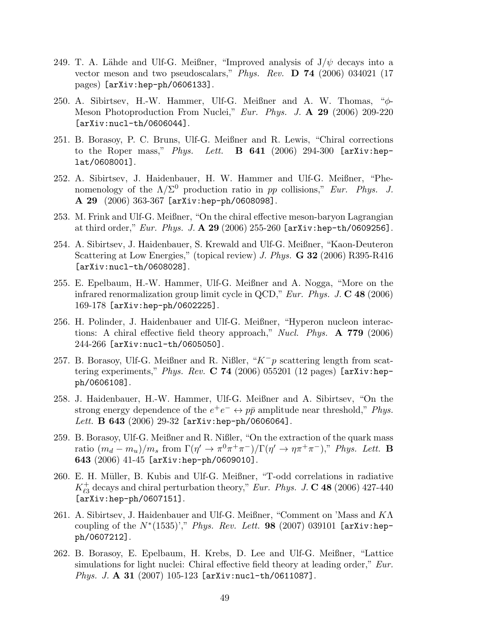- 249. T. A. Lähde and Ulf-G. Meißner, "Improved analysis of  $J/\psi$  decays into a vector meson and two pseudoscalars," Phys. Rev.  $D$  74 (2006) 034021 (17 pages) [arXiv:hep-ph/0606133].
- 250. A. Sibirtsev, H.-W. Hammer, Ulf-G. Meißner and A. W. Thomas, " $\phi$ -Meson Photoproduction From Nuclei," Eur. Phys. J. A 29 (2006) 209-220 [arXiv:nucl-th/0606044].
- 251. B. Borasoy, P. C. Bruns, Ulf-G. Meißner and R. Lewis, "Chiral corrections to the Roper mass," Phys. Lett. **B** 641 (2006) 294-300 [arXiv:heplat/0608001].
- 252. A. Sibirtsev, J. Haidenbauer, H. W. Hammer and Ulf-G. Meißner, "Phenomenology of the  $\Lambda/\Sigma^0$  production ratio in pp collisions," Eur. Phys. J. A 29 (2006) 363-367 [arXiv:hep-ph/0608098].
- 253. M. Frink and Ulf-G. Meißner, "On the chiral effective meson-baryon Lagrangian at third order," Eur. Phys. J.  $\bf{A}$  29 (2006) 255-260 [arXiv:hep-th/0609256].
- 254. A. Sibirtsev, J. Haidenbauer, S. Krewald and Ulf-G. Meißner, "Kaon-Deuteron Scattering at Low Energies," (topical review) J. Phys.  $G$  32 (2006) R395-R416 [arXiv:nucl-th/0608028].
- 255. E. Epelbaum, H.-W. Hammer, Ulf-G. Meißner and A. Nogga, "More on the infrared renormalization group limit cycle in QCD," Eur. Phys. J.  $\bf{C}$  48 (2006) 169-178 [arXiv:hep-ph/0602225].
- 256. H. Polinder, J. Haidenbauer and Ulf-G. Meißner, "Hyperon nucleon interactions: A chiral effective field theory approach," Nucl. Phys.  $\bf{A}$  779 (2006) 244-266 [arXiv:nucl-th/0605050].
- 257. B. Borasoy, Ulf-G. Meißner and R. Nißler, "K<sup>−</sup>p scattering length from scattering experiments," Phys. Rev. C 74 (2006) 055201 (12 pages) [arXiv:hepph/0606108].
- 258. J. Haidenbauer, H.-W. Hammer, Ulf-G. Meißner and A. Sibirtsev, "On the strong energy dependence of the  $e^+e^- \leftrightarrow p\bar{p}$  amplitude near threshold," *Phys.* Lett. B 643 (2006) 29-32 [arXiv:hep-ph/0606064].
- 259. B. Borasoy, Ulf-G. Meißner and R. Nißler, "On the extraction of the quark mass ratio  $(m_d - m_u)/m_s$  from  $\Gamma(\eta' \to \pi^0 \pi^+ \pi^-)/\Gamma(\eta' \to \eta \pi^+ \pi^-)$ ," Phys. Lett. **B** 643 (2006) 41-45 [arXiv:hep-ph/0609010].
- 260. E. H. Müller, B. Kubis and Ulf-G. Meißner, "T-odd correlations in radiative  $K^+_{\ell 3}$  $_{\ell_3}^{+}$  decays and chiral perturbation theory," Eur. Phys. J. **C** 48 (2006) 427-440 [arXiv:hep-ph/0607151].
- 261. A. Sibirtsev, J. Haidenbauer and Ulf-G. Meißner, "Comment on 'Mass and  $K\Lambda$ coupling of the  $N^*(1535)$ '," Phys. Rev. Lett. 98 (2007) 039101 [arXiv:hepph/0607212].
- 262. B. Borasoy, E. Epelbaum, H. Krebs, D. Lee and Ulf-G. Meißner, "Lattice simulations for light nuclei: Chiral effective field theory at leading order," Eur. Phys. J. A 31 (2007) 105-123 [arXiv:nucl-th/0611087].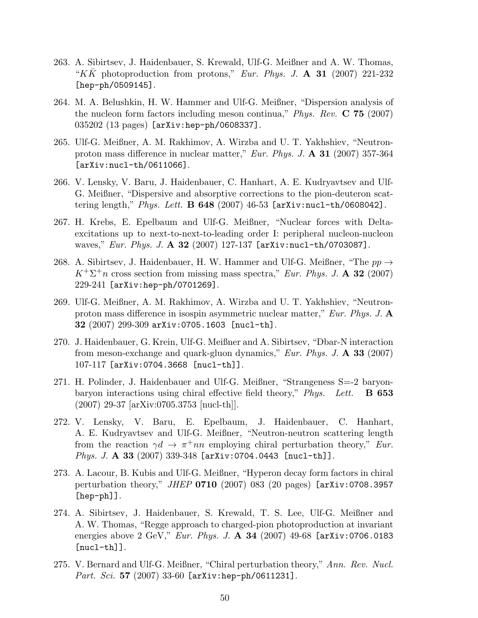- 263. A. Sibirtsev, J. Haidenbauer, S. Krewald, Ulf-G. Meißner and A. W. Thomas, "KK photoproduction from protons," Eur. Phys. J.  $\mathbf{A}$  31 (2007) 221-232 [hep-ph/0509145].
- 264. M. A. Belushkin, H. W. Hammer and Ulf-G. Meißner, "Dispersion analysis of the nucleon form factors including meson continua," *Phys. Rev.* **C** 75 (2007) 035202 (13 pages) [arXiv:hep-ph/0608337].
- 265. Ulf-G. Meißner, A. M. Rakhimov, A. Wirzba and U. T. Yakhshiev, "Neutronproton mass difference in nuclear matter," Eur. Phys. J.  $\mathbf{A}$  31 (2007) 357-364 [arXiv:nucl-th/0611066].
- 266. V. Lensky, V. Baru, J. Haidenbauer, C. Hanhart, A. E. Kudryavtsev and Ulf-G. Meißner, "Dispersive and absorptive corrections to the pion-deuteron scattering length," Phys. Lett. **B 648** (2007) 46-53  $[$ arXiv:nucl-th/0608042].
- 267. H. Krebs, E. Epelbaum and Ulf-G. Meißner, "Nuclear forces with Deltaexcitations up to next-to-next-to-leading order I: peripheral nucleon-nucleon waves," Eur. Phys. J. A 32 (2007) 127-137  $[arXiv:nuc1-th/0703087]$ .
- 268. A. Sibirtsev, J. Haidenbauer, H. W. Hammer and Ulf-G. Meißner, "The  $pp \rightarrow$  $K^+\Sigma^+n$  cross section from missing mass spectra," Eur. Phys. J. A 32 (2007) 229-241 [arXiv:hep-ph/0701269].
- 269. Ulf-G. Meißner, A. M. Rakhimov, A. Wirzba and U. T. Yakhshiev, "Neutronproton mass difference in isospin asymmetric nuclear matter," Eur. Phys. J.  $\mathbf{A}$  $32$  (2007) 299-309 arXiv:0705.1603 [nucl-th].
- 270. J. Haidenbauer, G. Krein, Ulf-G. Meißner and A. Sibirtsev, "Dbar-N interaction from meson-exchange and quark-gluon dynamics," *Eur. Phys. J.*  $\bf{A}$  **33** (2007) 107-117 [arXiv:0704.3668 [nucl-th]].
- 271. H. Polinder, J. Haidenbauer and Ulf-G. Meißner, "Strangeness S=-2 baryonbaryon interactions using chiral effective field theory,"  $Phys. Let.$  **B** 653 (2007) 29-37 [arXiv:0705.3753 [nucl-th]].
- 272. V. Lensky, V. Baru, E. Epelbaum, J. Haidenbauer, C. Hanhart, A. E. Kudryavtsev and Ulf-G. Meißner, "Neutron-neutron scattering length from the reaction  $\gamma d \to \pi^+ nn$  employing chiral perturbation theory," Eur. Phys. J. A 33 (2007) 339-348 [arXiv: 0704.0443 [nucl-th]].
- 273. A. Lacour, B. Kubis and Ulf-G. Meißner, "Hyperon decay form factors in chiral perturbation theory," *JHEP* **0710** (2007) 083 (20 pages) [arXiv:0708.3957 [hep-ph]].
- 274. A. Sibirtsev, J. Haidenbauer, S. Krewald, T. S. Lee, Ulf-G. Meißner and A. W. Thomas, "Regge approach to charged-pion photoproduction at invariant energies above 2 GeV," Eur. Phys. J. A 34 (2007) 49-68 [arXiv: 0706.0183  $[nuc1-th]$ ].
- 275. V. Bernard and Ulf-G. Meißner, "Chiral perturbation theory," Ann. Rev. Nucl. Part. Sci. 57 (2007) 33-60 [arXiv:hep-ph/0611231].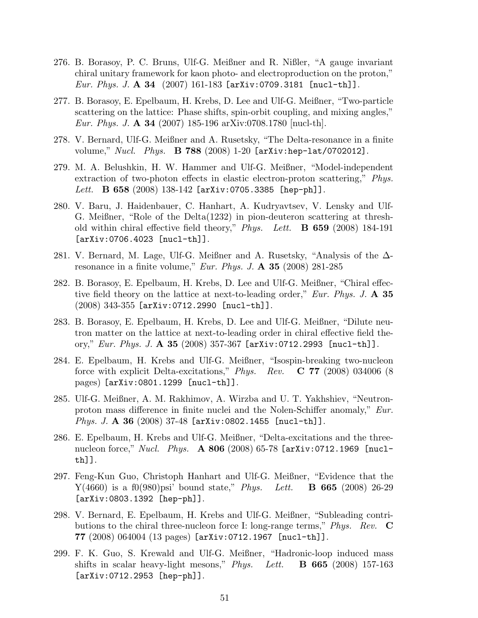- 276. B. Borasoy, P. C. Bruns, Ulf-G. Meißner and R. Nißler, "A gauge invariant chiral unitary framework for kaon photo- and electroproduction on the proton," *Eur. Phys. J. A* 34  $(2007)$  161-183 [arXiv:0709.3181 [nucl-th]].
- 277. B. Borasoy, E. Epelbaum, H. Krebs, D. Lee and Ulf-G. Meißner, "Two-particle scattering on the lattice: Phase shifts, spin-orbit coupling, and mixing angles," Eur. Phys. J. **A 34** (2007) 185-196 arXiv:0708.1780 [nucl-th].
- 278. V. Bernard, Ulf-G. Meißner and A. Rusetsky, "The Delta-resonance in a finite volume,"  $Nucl.$   $Phys.$  **B 788** (2008) 1-20  $\text{[arXiv:hep-lat/0702012]}$ .
- 279. M. A. Belushkin, H. W. Hammer and Ulf-G. Meißner, "Model-independent extraction of two-photon effects in elastic electron-proton scattering," Phys. Lett. B 658  $(2008)$  138-142 [arXiv:0705.3385 [hep-ph]].
- 280. V. Baru, J. Haidenbauer, C. Hanhart, A. Kudryavtsev, V. Lensky and Ulf-G. Meißner, "Role of the Delta(1232) in pion-deuteron scattering at threshold within chiral effective field theory," Phys. Lett. **B** 659 (2008) 184-191 [arXiv:0706.4023 [nucl-th]].
- 281. V. Bernard, M. Lage, Ulf-G. Meißner and A. Rusetsky, "Analysis of the ∆ resonance in a finite volume," Eur. Phys. J.  $\mathbf{A}$  35 (2008) 281-285
- 282. B. Borasoy, E. Epelbaum, H. Krebs, D. Lee and Ulf-G. Meißner, "Chiral effective field theory on the lattice at next-to-leading order," Eur. Phys. J. A 35  $(2008)$  343-355 [arXiv:0712.2990 [nucl-th]].
- 283. B. Borasoy, E. Epelbaum, H. Krebs, D. Lee and Ulf-G. Meißner, "Dilute neutron matter on the lattice at next-to-leading order in chiral effective field theory," Eur. Phys. J.  $\bf{A}$  35 (2008) 357-367 [arXiv:0712.2993 [nucl-th]].
- 284. E. Epelbaum, H. Krebs and Ulf-G. Meißner, "Isospin-breaking two-nucleon force with explicit Delta-excitations," Phys. Rev.  $C$  77 (2008) 034006 (8) pages) [arXiv:0801.1299 [nucl-th]].
- 285. Ulf-G. Meißner, A. M. Rakhimov, A. Wirzba and U. T. Yakhshiev, "Neutronproton mass difference in finite nuclei and the Nolen-Schiffer anomaly," Eur. Phys. J. A 36 (2008) 37-48 [arXiv:0802.1455 [nucl-th]].
- 286. E. Epelbaum, H. Krebs and Ulf-G. Meißner, "Delta-excitations and the threenucleon force," Nucl. Phys.  $\bf{A} 806$  (2008) 65-78 [arXiv:0712.1969 [nuclth]].
- 297. Feng-Kun Guo, Christoph Hanhart and Ulf-G. Meißner, "Evidence that the  $Y(4660)$  is a f0(980)psi' bound state," *Phys.* Lett. **B 665** (2008) 26-29 [arXiv:0803.1392 [hep-ph]].
- 298. V. Bernard, E. Epelbaum, H. Krebs and Ulf-G. Meißner, "Subleading contributions to the chiral three-nucleon force I: long-range terms," Phys. Rev.  $\bf{C}$ 77 (2008) 064004 (13 pages) [arXiv:0712.1967 [nucl-th]].
- 299. F. K. Guo, S. Krewald and Ulf-G. Meißner, "Hadronic-loop induced mass shifts in scalar heavy-light mesons," *Phys.* Lett.  $\bf{B}$  665 (2008) 157-163 [arXiv:0712.2953 [hep-ph]].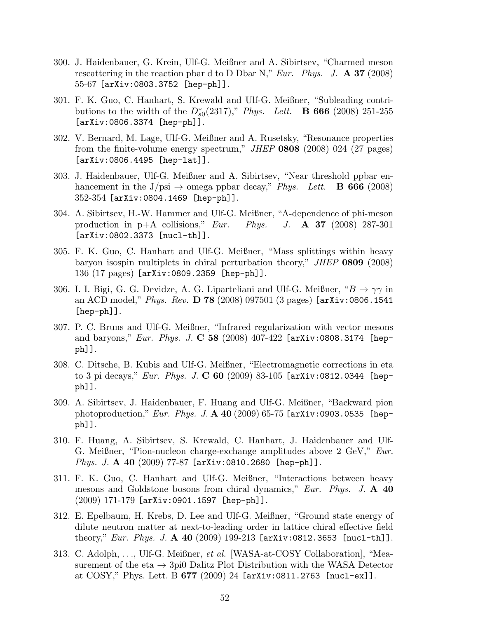- 300. J. Haidenbauer, G. Krein, Ulf-G. Meißner and A. Sibirtsev, "Charmed meson rescattering in the reaction pbar d to D Dbar N," Eur. Phys. J.  $\bf{A}$  37 (2008) 55-67 [arXiv:0803.3752 [hep-ph]].
- 301. F. K. Guo, C. Hanhart, S. Krewald and Ulf-G. Meißner, "Subleading contributions to the width of the  $D_{s0}^{*}(2317)$ ," Phys. Lett. **B 666** (2008) 251-255 [arXiv:0806.3374 [hep-ph]].
- 302. V. Bernard, M. Lage, Ulf-G. Meißner and A. Rusetsky, "Resonance properties from the finite-volume energy spectrum," JHEP 0808 (2008) 024 (27 pages) [arXiv:0806.4495 [hep-lat]].
- 303. J. Haidenbauer, Ulf-G. Meißner and A. Sibirtsev, "Near threshold ppbar enhancement in the J/psi  $\rightarrow$  omega ppbar decay," Phys. Lett. **B 666** (2008) 352-354 [arXiv:0804.1469 [hep-ph]].
- 304. A. Sibirtsev, H.-W. Hammer and Ulf-G. Meißner, "A-dependence of phi-meson production in  $p+A$  collisions," Eur. Phys. J.  $\bf{A}$  37 (2008) 287-301 [arXiv:0802.3373 [nucl-th]].
- 305. F. K. Guo, C. Hanhart and Ulf-G. Meißner, "Mass splittings within heavy baryon isospin multiplets in chiral perturbation theory," JHEP 0809 (2008) 136 (17 pages) [arXiv:0809.2359 [hep-ph]].
- 306. I. I. Bigi, G. G. Devidze, A. G. Liparteliani and Ulf-G. Meißner, " $B \to \gamma\gamma$  in an ACD model," Phys. Rev. D 78 (2008) 097501 (3 pages)  $[arXiv:0806.1541]$ [hep-ph]].
- 307. P. C. Bruns and Ulf-G. Meißner, "Infrared regularization with vector mesons and baryons," *Eur. Phys. J.*  $C$  58 (2008) 407-422 [arXiv:0808.3174 [hepph]].
- 308. C. Ditsche, B. Kubis and Ulf-G. Meißner, "Electromagnetic corrections in eta to 3 pi decays," Eur. Phys. J.  $C$  60 (2009) 83-105 [arXiv:0812.0344 [hepph]].
- 309. A. Sibirtsev, J. Haidenbauer, F. Huang and Ulf-G. Meißner, "Backward pion photoproduction," Eur. Phys. J. A 40 (2009) 65-75 [arXiv:0903.0535 [hepph]].
- 310. F. Huang, A. Sibirtsev, S. Krewald, C. Hanhart, J. Haidenbauer and Ulf-G. Meißner, "Pion-nucleon charge-exchange amplitudes above 2 GeV," Eur. Phys. J. A 40 (2009) 77-87 [arXiv:0810.2680 [hep-ph]].
- 311. F. K. Guo, C. Hanhart and Ulf-G. Meißner, "Interactions between heavy mesons and Goldstone bosons from chiral dynamics," Eur. Phys. J. A 40 (2009) 171-179 [arXiv:0901.1597 [hep-ph]].
- 312. E. Epelbaum, H. Krebs, D. Lee and Ulf-G. Meißner, "Ground state energy of dilute neutron matter at next-to-leading order in lattice chiral effective field theory," *Eur. Phys. J.* A 40  $(2009)$  199-213 [arXiv:0812.3653 [nucl-th]].
- 313. C. Adolph, ..., Ulf-G. Meißner, et al. [WASA-at-COSY Collaboration], "Measurement of the eta  $\rightarrow$  3pi0 Dalitz Plot Distribution with the WASA Detector at COSY," Phys. Lett. B 677 (2009) 24 [arXiv:0811.2763 [nucl-ex]].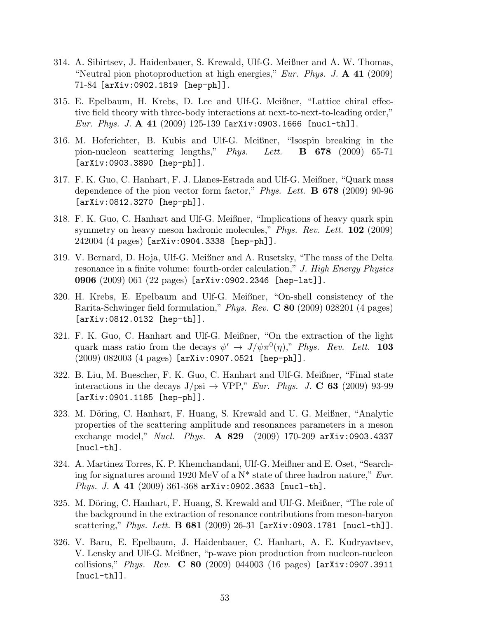- 314. A. Sibirtsev, J. Haidenbauer, S. Krewald, Ulf-G. Meißner and A. W. Thomas, "Neutral pion photoproduction at high energies," Eur. Phys. J.  $\mathbf{A}$  41 (2009) 71-84 [arXiv:0902.1819 [hep-ph]].
- 315. E. Epelbaum, H. Krebs, D. Lee and Ulf-G. Meißner, "Lattice chiral effective field theory with three-body interactions at next-to-next-to-leading order," Eur. Phys. J. A 41  $(2009)$  125-139 [arXiv:0903.1666 [nucl-th]].
- 316. M. Hoferichter, B. Kubis and Ulf-G. Meißner, "Isospin breaking in the pion-nucleon scattering lengths,"  $Phys.$  Lett. **B** 678 (2009) 65-71 [arXiv:0903.3890 [hep-ph]].
- 317. F. K. Guo, C. Hanhart, F. J. Llanes-Estrada and Ulf-G. Meißner, "Quark mass dependence of the pion vector form factor," *Phys. Lett.* **B** 678 (2009) 90-96 [arXiv:0812.3270 [hep-ph]].
- 318. F. K. Guo, C. Hanhart and Ulf-G. Meißner, "Implications of heavy quark spin symmetry on heavy meson hadronic molecules," Phys. Rev. Lett.  $102$  (2009) 242004 (4 pages) [arXiv:0904.3338 [hep-ph]].
- 319. V. Bernard, D. Hoja, Ulf-G. Meißner and A. Rusetsky, "The mass of the Delta resonance in a finite volume: fourth-order calculation," J. High Energy Physics 0906 (2009) 061 (22 pages) [arXiv:0902.2346 [hep-lat]].
- 320. H. Krebs, E. Epelbaum and Ulf-G. Meißner, "On-shell consistency of the Rarita-Schwinger field formulation," *Phys. Rev.* **C 80** (2009) 028201 (4 pages) [arXiv:0812.0132 [hep-th]].
- 321. F. K. Guo, C. Hanhart and Ulf-G. Meißner, "On the extraction of the light quark mass ratio from the decays  $\psi' \to J/\psi \pi^0(\eta)$ ," Phys. Rev. Lett. 103  $(2009)$  082003  $(4 \text{ pages})$  [arXiv:0907.0521 [hep-ph]].
- 322. B. Liu, M. Buescher, F. K. Guo, C. Hanhart and Ulf-G. Meißner, "Final state interactions in the decays  $J/psi \rightarrow VPP$ ," Eur. Phys. J. C 63 (2009) 93-99 [arXiv:0901.1185 [hep-ph]].
- 323. M. Döring, C. Hanhart, F. Huang, S. Krewald and U. G. Meißner, "Analytic properties of the scattering amplitude and resonances parameters in a meson exchange model," *Nucl. Phys.* **A 829** (2009) 170-209 arXiv:0903.4337 [nucl-th].
- 324. A. Martinez Torres, K. P. Khemchandani, Ulf-G. Meißner and E. Oset, "Searching for signatures around 1920 MeV of a  $N^*$  state of three hadron nature," Eur. Phys. J. A 41 (2009) 361-368 arXiv:0902.3633 [nucl-th].
- 325. M. Döring, C. Hanhart, F. Huang, S. Krewald and Ulf-G. Meißner, "The role of the background in the extraction of resonance contributions from meson-baryon scattering," Phys. Lett. **B** 681 (2009) 26-31 [arXiv:0903.1781 [nucl-th]].
- 326. V. Baru, E. Epelbaum, J. Haidenbauer, C. Hanhart, A. E. Kudryavtsev, V. Lensky and Ulf-G. Meißner, "p-wave pion production from nucleon-nucleon collisions," *Phys. Rev.* **C** 80 (2009) 044003 (16 pages)  $[\text{arXiv:}0907.3911]$  $[nuc1-th]$ ].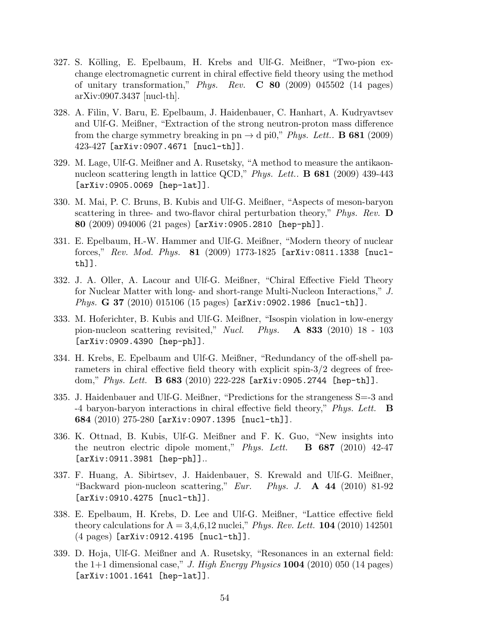- 327. S. Kölling, E. Epelbaum, H. Krebs and Ulf-G. Meißner, "Two-pion exchange electromagnetic current in chiral effective field theory using the method of unitary transformation," Phys. Rev.  $C$  80 (2009) 045502 (14 pages) arXiv:0907.3437 [nucl-th].
- 328. A. Filin, V. Baru, E. Epelbaum, J. Haidenbauer, C. Hanhart, A. Kudryavtsev and Ulf-G. Meißner, "Extraction of the strong neutron-proton mass difference from the charge symmetry breaking in pn  $\rightarrow$  d pi0," Phys. Lett.. **B** 681 (2009) 423-427 [arXiv:0907.4671 [nucl-th]].
- 329. M. Lage, Ulf-G. Meißner and A. Rusetsky, "A method to measure the antikaonnucleon scattering length in lattice QCD," *Phys. Lett.*. **B** 681 (2009) 439-443 [arXiv:0905.0069 [hep-lat]].
- 330. M. Mai, P. C. Bruns, B. Kubis and Ulf-G. Meißner, "Aspects of meson-baryon scattering in three- and two-flavor chiral perturbation theory,"  $Phys. Rev.$  D 80 (2009) 094006 (21 pages) [arXiv:0905.2810 [hep-ph]].
- 331. E. Epelbaum, H.-W. Hammer and Ulf-G. Meißner, "Modern theory of nuclear forces,"  $Rev.$  Mod. Phys.  $81$  (2009) 1773-1825 [arXiv:0811.1338 [nuclth]].
- 332. J. A. Oller, A. Lacour and Ulf-G. Meißner, "Chiral Effective Field Theory for Nuclear Matter with long- and short-range Multi-Nucleon Interactions," J. Phys. G 37 (2010) 015106 (15 pages) [arXiv:0902.1986 [nucl-th]].
- 333. M. Hoferichter, B. Kubis and Ulf-G. Meißner, "Isospin violation in low-energy pion-nucleon scattering revisited," Nucl. Phys.  $\bf{A}$  833 (2010) 18 - 103 [arXiv:0909.4390 [hep-ph]].
- 334. H. Krebs, E. Epelbaum and Ulf-G. Meißner, "Redundancy of the off-shell parameters in chiral effective field theory with explicit spin-3/2 degrees of freedom," Phys. Lett. **B 683** (2010) 222-228  $[array:103]$ . 2744  $[hep-th]$ .
- 335. J. Haidenbauer and Ulf-G. Meißner, "Predictions for the strangeness S=-3 and -4 baryon-baryon interactions in chiral effective field theory," Phys. Lett. B 684 (2010) 275-280 [arXiv:0907.1395 [nucl-th]].
- 336. K. Ottnad, B. Kubis, Ulf-G. Meißner and F. K. Guo, "New insights into the neutron electric dipole moment," Phys. Lett.  $\bf{B}$  687 (2010) 42-47 [arXiv:0911.3981 [hep-ph]]..
- 337. F. Huang, A. Sibirtsev, J. Haidenbauer, S. Krewald and Ulf-G. Meißner, "Backward pion-nucleon scattering," Eur. Phys. J.  $\bf{A}$  44 (2010) 81-92 [arXiv:0910.4275 [nucl-th]].
- 338. E. Epelbaum, H. Krebs, D. Lee and Ulf-G. Meißner, "Lattice effective field theory calculations for  $A = 3,4,6,12$  nuclei," *Phys. Rev. Lett.* **104** (2010) 142501 (4 pages) [arXiv:0912.4195 [nucl-th]].
- 339. D. Hoja, Ulf-G. Meißner and A. Rusetsky, "Resonances in an external field: the  $1+1$  dimensional case," J. High Energy Physics **1004** (2010) 050 (14 pages) [arXiv:1001.1641 [hep-lat]].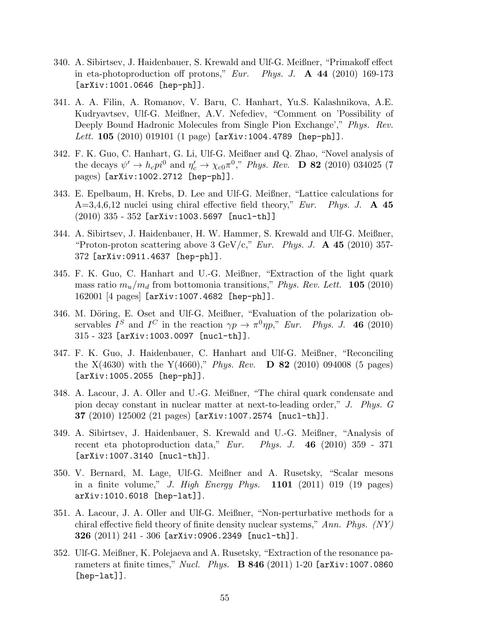- 340. A. Sibirtsev, J. Haidenbauer, S. Krewald and Ulf-G. Meißner, "Primakoff effect in eta-photoproduction off protons," Eur. Phys. J.  $\mathbf{A}$  44 (2010) 169-173 [arXiv:1001.0646 [hep-ph]].
- 341. A. A. Filin, A. Romanov, V. Baru, C. Hanhart, Yu.S. Kalashnikova, A.E. Kudryavtsev, Ulf-G. Meißner, A.V. Nefediev, "Comment on 'Possibility of Deeply Bound Hadronic Molecules from Single Pion Exchange'," Phys. Rev. Lett. 105  $(2010)$  019101  $(1$  page) [arXiv:1004.4789 [hep-ph]].
- 342. F. K. Guo, C. Hanhart, G. Li, Ulf-G. Meißner and Q. Zhao, "Novel analysis of the decays  $\psi' \to h_c p i^0$  and  $\eta'_c \to \chi_{c0} \pi^0$ ," Phys. Rev. **D 82** (2010) 034025 (7 pages) [arXiv:1002.2712 [hep-ph]].
- 343. E. Epelbaum, H. Krebs, D. Lee and Ulf-G. Meißner, "Lattice calculations for  $A=3,4,6,12$  nuclei using chiral effective field theory," Eur. Phys. J. A 45  $(2010)$  335 - 352 [arXiv:1003.5697 [nucl-th]]
- 344. A. Sibirtsev, J. Haidenbauer, H. W. Hammer, S. Krewald and Ulf-G. Meißner, "Proton-proton scattering above 3 GeV/c," Eur. Phys. J.  $\bf{A}$  45 (2010) 357-372 [arXiv:0911.4637 [hep-ph]].
- 345. F. K. Guo, C. Hanhart and U.-G. Meißner, "Extraction of the light quark mass ratio  $m_u/m_d$  from bottomonia transitions," Phys. Rev. Lett. **105** (2010) 162001 [4 pages] [arXiv:1007.4682 [hep-ph]].
- 346. M. Döring, E. Oset and Ulf-G. Meißner, "Evaluation of the polarization observables  $I^S$  and  $I^C$  in the reaction  $\gamma p \to \pi^0 \eta p$ ," Eur. Phys. J. 46 (2010) 315 - 323 [arXiv:1003.0097 [nucl-th]].
- 347. F. K. Guo, J. Haidenbauer, C. Hanhart and Ulf-G. Meißner, "Reconciling the  $X(4630)$  with the  $Y(4660)$ ," *Phys. Rev.* **D** 82 (2010) 094008 (5 pages) [arXiv:1005.2055 [hep-ph]].
- 348. A. Lacour, J. A. Oller and U.-G. Meißner, "The chiral quark condensate and pion decay constant in nuclear matter at next-to-leading order," J. Phys. G  $37$  (2010) 125002 (21 pages) [arXiv:1007.2574 [nucl-th]].
- 349. A. Sibirtsev, J. Haidenbauer, S. Krewald and U.-G. Meißner, "Analysis of recent eta photoproduction data," Eur. Phys. J. 46  $(2010)$  359 - 371 [arXiv:1007.3140 [nucl-th]].
- 350. V. Bernard, M. Lage, Ulf-G. Meißner and A. Rusetsky, "Scalar mesons in a finite volume," J. High Energy Phys.  $1101$  (2011) 019 (19 pages) arXiv:1010.6018 [hep-lat]].
- 351. A. Lacour, J. A. Oller and Ulf-G. Meißner, "Non-perturbative methods for a chiral effective field theory of finite density nuclear systems," Ann. Phys.  $(NY)$ 326 (2011) 241 - 306 [arXiv:0906.2349 [nucl-th]].
- 352. Ulf-G. Meißner, K. Polejaeva and A. Rusetsky, "Extraction of the resonance parameters at finite times," *Nucl. Phys.* **B 846** (2011) 1-20  $[\text{arXiv:1007.0860}]$ [hep-lat]].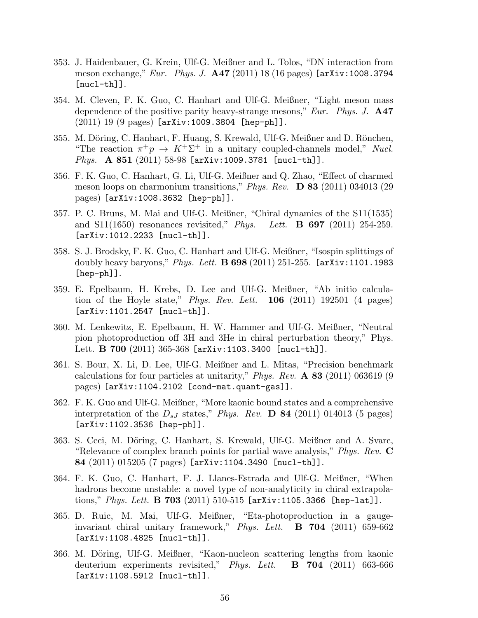- 353. J. Haidenbauer, G. Krein, Ulf-G. Meißner and L. Tolos, "DN interaction from meson exchange," Eur. Phys. J. A47 (2011) 18 (16 pages) [arXiv:1008.3794  $[nuc1-th]$ ].
- 354. M. Cleven, F. K. Guo, C. Hanhart and Ulf-G. Meißner, "Light meson mass dependence of the positive parity heavy-strange mesons," Eur. Phys. J.  $\mathbf{A47}$ (2011) 19 (9 pages) [arXiv:1009.3804 [hep-ph]].
- 355. M. Döring, C. Hanhart, F. Huang, S. Krewald, Ulf-G. Meißner and D. Rönchen, "The reaction  $\pi^+p \to K^+\Sigma^+$  in a unitary coupled-channels model," Nucl. Phys. A 851 (2011) 58-98 [arXiv:1009.3781 [nucl-th]].
- 356. F. K. Guo, C. Hanhart, G. Li, Ulf-G. Meißner and Q. Zhao, "Effect of charmed meson loops on charmonium transitions," Phys. Rev. **D 83** (2011) 034013 (29 pages) [arXiv:1008.3632 [hep-ph]].
- 357. P. C. Bruns, M. Mai and Ulf-G. Meißner, "Chiral dynamics of the S11(1535) and  $S11(1650)$  resonances revisited," *Phys.* Lett. **B 697** (2011) 254-259. [arXiv:1012.2233 [nucl-th]].
- 358. S. J. Brodsky, F. K. Guo, C. Hanhart and Ulf-G. Meißner, "Isospin splittings of doubly heavy baryons," *Phys. Lett.* **B** 698 (2011) 251-255. [arXiv:1101.1983 [hep-ph]].
- 359. E. Epelbaum, H. Krebs, D. Lee and Ulf-G. Meißner, "Ab initio calculation of the Hoyle state," *Phys. Rev. Lett.*  $106$  (2011) 192501 (4 pages) [arXiv:1101.2547 [nucl-th]].
- 360. M. Lenkewitz, E. Epelbaum, H. W. Hammer and Ulf-G. Meißner, "Neutral pion photoproduction off 3H and 3He in chiral perturbation theory," Phys. Lett. **B 700** (2011) 365-368 [arXiv:1103.3400 [nucl-th]].
- 361. S. Bour, X. Li, D. Lee, Ulf-G. Meißner and L. Mitas, "Precision benchmark calculations for four particles at unitarity," Phys. Rev.  $\bf{A}$  83 (2011) 063619 (9 pages) [arXiv:1104.2102 [cond-mat.quant-gas]].
- 362. F. K. Guo and Ulf-G. Meißner, "More kaonic bound states and a comprehensive interpretation of the  $D_{sJ}$  states," Phys. Rev. **D** 84 (2011) 014013 (5 pages) [arXiv:1102.3536 [hep-ph]].
- 363. S. Ceci, M. Döring, C. Hanhart, S. Krewald, Ulf-G. Meißner and A. Svarc, "Relevance of complex branch points for partial wave analysis," *Phys. Rev.*  $\bf{C}$ 84 (2011) 015205 (7 pages) [arXiv:1104.3490 [nucl-th]].
- 364. F. K. Guo, C. Hanhart, F. J. Llanes-Estrada and Ulf-G. Meißner, "When hadrons become unstable: a novel type of non-analyticity in chiral extrapolations," *Phys. Lett.* **B 703** (2011) 510-515 [arXiv:1105.3366 [hep-lat]].
- 365. D. Ruic, M. Mai, Ulf-G. Meißner, "Eta-photoproduction in a gaugeinvariant chiral unitary framework," Phys. Lett.  $\bf{B}$  704 (2011) 659-662 [arXiv:1108.4825 [nucl-th]].
- 366. M. Döring, Ulf-G. Meißner, "Kaon-nucleon scattering lengths from kaonic deuterium experiments revisited," Phys. Lett.  $\bf{B}$  704 (2011) 663-666 [arXiv:1108.5912 [nucl-th]].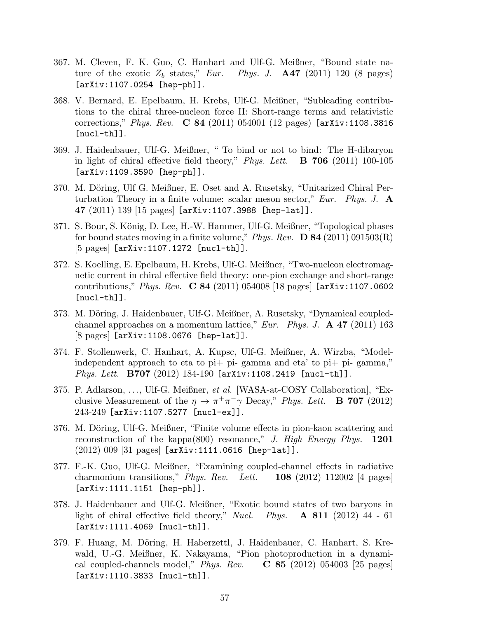- 367. M. Cleven, F. K. Guo, C. Hanhart and Ulf-G. Meißner, "Bound state nature of the exotic  $Z_b$  states," Eur. Phys. J.  $\mathbf{A47}$  (2011) 120 (8 pages) [arXiv:1107.0254 [hep-ph]].
- 368. V. Bernard, E. Epelbaum, H. Krebs, Ulf-G. Meißner, "Subleading contributions to the chiral three-nucleon force II: Short-range terms and relativistic corrections," Phys. Rev. C 84 (2011) 054001 (12 pages) [arXiv:1108.3816  $[nuc1-th]$ ].
- 369. J. Haidenbauer, Ulf-G. Meißner, " To bind or not to bind: The H-dibaryon in light of chiral effective field theory," Phys. Lett.  $\bf{B}$  706 (2011) 100-105 [arXiv:1109.3590 [hep-ph]].
- 370. M. Döring, Ulf G. Meißner, E. Oset and A. Rusetsky, "Unitarized Chiral Perturbation Theory in a finite volume: scalar meson sector," Eur. Phys. J.  $\mathbf{A}$ 47 (2011) 139 [15 pages] [arXiv:1107.3988 [hep-lat]].
- 371. S. Bour, S. König, D. Lee, H.-W. Hammer, Ulf-G. Meißner, "Topological phases for bound states moving in a finite volume," Phys. Rev.  $\bf{D} 84$  (2011) 091503(R) [5 pages] [arXiv:1107.1272 [nucl-th]].
- 372. S. Koelling, E. Epelbaum, H. Krebs, Ulf-G. Meißner, "Two-nucleon electromagnetic current in chiral effective field theory: one-pion exchange and short-range contributions," Phys. Rev.  $C 84 (2011) 054008 [18 pages]$  [arXiv:1107.0602  $[nuc1-th]$ ].
- 373. M. Döring, J. Haidenbauer, Ulf-G. Meißner, A. Rusetsky, "Dynamical coupledchannel approaches on a momentum lattice," Eur. Phys. J.  $\bf{A}$  47 (2011) 163 [8 pages] [arXiv:1108.0676 [hep-lat]].
- 374. F. Stollenwerk, C. Hanhart, A. Kupsc, Ulf-G. Meißner, A. Wirzba, "Modelindependent approach to eta to pi+ pi- gamma and eta' to pi+ pi- gamma," Phys. Lett. B707 (2012) 184-190 [arXiv:1108.2419 [nucl-th]].
- 375. P. Adlarson, . . ., Ulf-G. Meißner, et al. [WASA-at-COSY Collaboration], "Exclusive Measurement of the  $\eta \to \pi^+ \pi^- \gamma$  Decay," Phys. Lett. **B** 707 (2012) 243-249 [arXiv:1107.5277 [nucl-ex]].
- 376. M. Döring, Ulf-G. Meißner, "Finite volume effects in pion-kaon scattering and reconstruction of the kappa(800) resonance," J. High Energy Phys.  $1201$ (2012) 009 [31 pages] [arXiv:1111.0616 [hep-lat]].
- 377. F.-K. Guo, Ulf-G. Meißner, "Examining coupled-channel effects in radiative charmonium transitions," *Phys. Rev.* Lett. **108** (2012) 112002 [4 pages] [arXiv:1111.1151 [hep-ph]].
- 378. J. Haidenbauer and Ulf-G. Meißner, "Exotic bound states of two baryons in light of chiral effective field theory," Nucl. Phys.  $\bf{A} 811$  (2012) 44 - 61 [arXiv:1111.4069 [nucl-th]].
- 379. F. Huang, M. Döring, H. Haberzettl, J. Haidenbauer, C. Hanhart, S. Krewald, U.-G. Meißner, K. Nakayama, "Pion photoproduction in a dynamical coupled-channels model," *Phys. Rev.*  $\bf{C}$  85 (2012) 054003 [25 pages] [arXiv:1110.3833 [nucl-th]].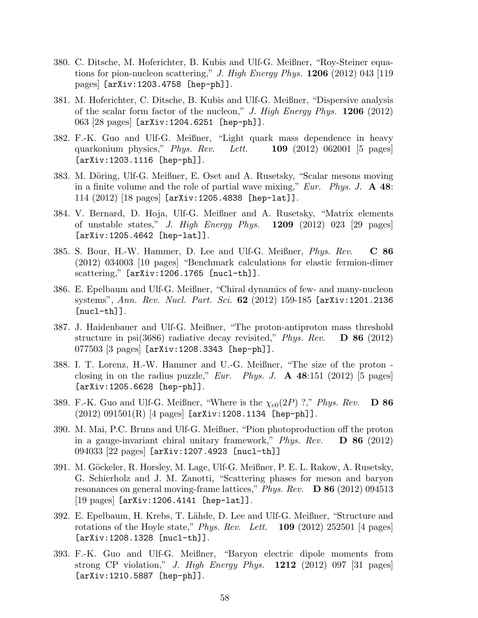- 380. C. Ditsche, M. Hoferichter, B. Kubis and Ulf-G. Meißner, "Roy-Steiner equations for pion-nucleon scattering," J. High Energy Phys.  $1206$  (2012) 043 [119] pages] [arXiv:1203.4758 [hep-ph]].
- 381. M. Hoferichter, C. Ditsche, B. Kubis and Ulf-G. Meißner, "Dispersive analysis of the scalar form factor of the nucleon," J. High Energy Phys.  $1206$  (2012) 063 [28 pages] [arXiv:1204.6251 [hep-ph]].
- 382. F.-K. Guo and Ulf-G. Meißner, "Light quark mass dependence in heavy quarkonium physics," *Phys. Rev.* Lett.  $\blacksquare$  109 (2012) 062001 [5 pages] [arXiv:1203.1116 [hep-ph]].
- 383. M. Döring, Ulf-G. Meißner, E. Oset and A. Rusetsky, "Scalar mesons moving in a finite volume and the role of partial wave mixing," Eur. Phys. J.  $\bf{A}$  48: 114 (2012) [18 pages] [arXiv:1205.4838 [hep-lat]].
- 384. V. Bernard, D. Hoja, Ulf-G. Meißner and A. Rusetsky, "Matrix elements of unstable states," J. High Energy Phys.  $1209$  (2012) 023 [29 pages] [arXiv:1205.4642 [hep-lat]].
- 385. S. Bour, H.-W. Hammer, D. Lee and Ulf-G. Meißner,  $Phys. Rev.$   $C 86$ (2012) 034003 [10 pages] "Benchmark calculations for elastic fermion-dimer scattering," [arXiv:1206.1765 [nucl-th]].
- 386. E. Epelbaum and Ulf-G. Meißner, "Chiral dynamics of few- and many-nucleon systems", Ann. Rev. Nucl. Part. Sci. 62 (2012) 159-185 [arXiv:1201.2136  $[nuc1-th]$ ].
- 387. J. Haidenbauer and Ulf-G. Meißner, "The proton-antiproton mass threshold structure in psi(3686) radiative decay revisited," Phys. Rev.  $\bullet$  **D** 86 (2012) 077503 [3 pages] [arXiv:1208.3343 [hep-ph]].
- 388. I. T. Lorenz, H.-W. Hammer and U.-G. Meißner, "The size of the proton closing in on the radius puzzle," Eur. Phys. J.  $\bf{A}$  48:151 (2012) [5 pages] [arXiv:1205.6628 [hep-ph]].
- 389. F.-K. Guo and Ulf-G. Meißner, "Where is the  $\chi_{c0}(2P)$  ?," Phys. Rev.  $\Box$  86  $(2012)$   $091501(R)$  [4 pages] [arXiv:1208.1134 [hep-ph]].
- 390. M. Mai, P.C. Bruns and Ulf-G. Meißner, "Pion photoproduction off the proton in a gauge-invariant chiral unitary framework," Phys. Rev.  $\bullet$  D 86 (2012) 094033 [22 pages] [arXiv:1207.4923 [nucl-th]]
- 391. M. G¨ockeler, R. Horsley, M. Lage, Ulf-G. Meißner, P. E. L. Rakow, A. Rusetsky, G. Schierholz and J. M. Zanotti, "Scattering phases for meson and baryon resonances on general moving-frame lattices," Phys. Rev.  $\bf{D} 86$  (2012) 094513 [19 pages] [arXiv:1206.4141 [hep-lat]].
- 392. E. Epelbaum, H. Krebs, T. L¨ahde, D. Lee and Ulf-G. Meißner, "Structure and rotations of the Hoyle state," *Phys. Rev.* Lett.  $109$  (2012) 252501 [4 pages] [arXiv:1208.1328 [nucl-th]].
- 393. F.-K. Guo and Ulf-G. Meißner, "Baryon electric dipole moments from strong CP violation," *J. High Energy Phys.*  $1212$  (2012) 097 [31 pages] [arXiv:1210.5887 [hep-ph]].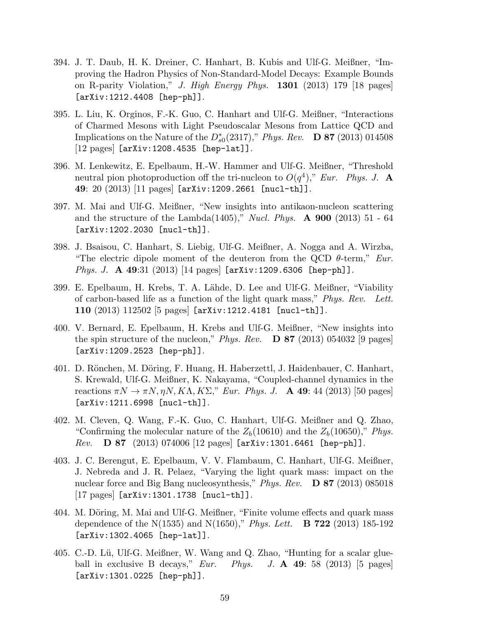- 394. J. T. Daub, H. K. Dreiner, C. Hanhart, B. Kubis and Ulf-G. Meißner, "Improving the Hadron Physics of Non-Standard-Model Decays: Example Bounds on R-parity Violation," J. High Energy Phys. 1301 (2013) 179 [18 pages] [arXiv:1212.4408 [hep-ph]].
- 395. L. Liu, K. Orginos, F.-K. Guo, C. Hanhart and Ulf-G. Meißner, "Interactions of Charmed Mesons with Light Pseudoscalar Mesons from Lattice QCD and Implications on the Nature of the  $D_{s0}^*(2317)$ ," Phys. Rev. **D 87** (2013) 014508 [12 pages] [arXiv:1208.4535 [hep-lat]].
- 396. M. Lenkewitz, E. Epelbaum, H.-W. Hammer and Ulf-G. Meißner, "Threshold neutral pion photoproduction off the tri-nucleon to  $O(q^4)$ ," Eur. Phys. J. A. 49: 20 (2013) [11 pages] [arXiv:1209.2661 [nucl-th]].
- 397. M. Mai and Ulf-G. Meißner, "New insights into antikaon-nucleon scattering and the structure of the Lambda(1405)," Nucl. Phys.  $\bf{A}$  **900** (2013) 51 - 64 [arXiv:1202.2030 [nucl-th]].
- 398. J. Bsaisou, C. Hanhart, S. Liebig, Ulf-G. Meißner, A. Nogga and A. Wirzba, "The electric dipole moment of the deuteron from the QCD  $\theta$ -term," Eur. *Phys. J.* A 49:31 (2013) [14 pages]  $[\texttt{arXiv:1209.6306} \texttt{[hep-ph]}.$
- 399. E. Epelbaum, H. Krebs, T. A. L¨ahde, D. Lee and Ulf-G. Meißner, "Viability of carbon-based life as a function of the light quark mass," Phys. Rev. Lett. 110 (2013) 112502 [5 pages] [arXiv:1212.4181 [nucl-th]].
- 400. V. Bernard, E. Epelbaum, H. Krebs and Ulf-G. Meißner, "New insights into the spin structure of the nucleon," Phys. Rev.  $\bf{D} 87$  (2013) 054032 [9 pages] [arXiv:1209.2523 [hep-ph]].
- 401. D. Rönchen, M. Döring, F. Huang, H. Haberzettl, J. Haidenbauer, C. Hanhart, S. Krewald, Ulf-G. Meißner, K. Nakayama, "Coupled-channel dynamics in the reactions  $\pi N \to \pi N, \eta N, K\Lambda, K\Sigma$ ," Eur. Phys. J. **A 49**: 44 (2013) [50 pages] [arXiv:1211.6998 [nucl-th]].
- 402. M. Cleven, Q. Wang, F.-K. Guo, C. Hanhart, Ulf-G. Meißner and Q. Zhao, "Confirming the molecular nature of the  $Z_b(10610)$  and the  $Z_b(10650)$ ," Phys.  $Rev.$  D 87 (2013) 074006 [12 pages] [arXiv:1301.6461 [hep-ph]].
- 403. J. C. Berengut, E. Epelbaum, V. V. Flambaum, C. Hanhart, Ulf-G. Meißner, J. Nebreda and J. R. Pelaez, "Varying the light quark mass: impact on the nuclear force and Big Bang nucleosynthesis," Phys. Rev.  $\bullet$  **D** 87 (2013) 085018 [17 pages] [arXiv:1301.1738 [nucl-th]].
- 404. M. Döring, M. Mai and Ulf-G. Meißner, "Finite volume effects and quark mass dependence of the N(1535) and N(1650)," *Phys. Lett.*  $\bf{B}$  **722** (2013) 185-192 [arXiv:1302.4065 [hep-lat]].
- 405. C.-D. Lü, Ulf-G. Meißner, W. Wang and Q. Zhao, "Hunting for a scalar glueball in exclusive B decays,"  $Eur$ . Phys. J. A 49: 58 (2013) [5 pages] [arXiv:1301.0225 [hep-ph]].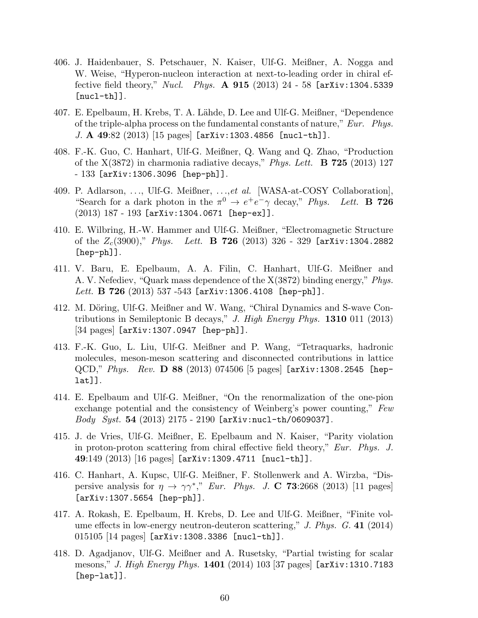- 406. J. Haidenbauer, S. Petschauer, N. Kaiser, Ulf-G. Meißner, A. Nogga and W. Weise, "Hyperon-nucleon interaction at next-to-leading order in chiral effective field theory," Nucl. Phys. A  $915$  (2013) 24 - 58 [arXiv:1304.5339  $[nuc1-th]$ ].
- 407. E. Epelbaum, H. Krebs, T. A. L¨ahde, D. Lee and Ulf-G. Meißner, "Dependence of the triple-alpha process on the fundamental constants of nature," Eur. Phys. J. A 49:82 (2013) [15 pages] [arXiv:1303.4856 [nucl-th]].
- 408. F.-K. Guo, C. Hanhart, Ulf-G. Meißner, Q. Wang and Q. Zhao, "Production of the  $X(3872)$  in charmonia radiative decays," Phys. Lett. **B** 725 (2013) 127 - 133 [arXiv:1306.3096 [hep-ph]].
- 409. P. Adlarson, . . ., Ulf-G. Meißner, . . .,et al. [WASA-at-COSY Collaboration], "Search for a dark photon in the  $\pi^0 \to e^+e^- \gamma$  decay," Phys. Lett. **B** 726 (2013) 187 - 193 [arXiv:1304.0671 [hep-ex]].
- 410. E. Wilbring, H.-W. Hammer and Ulf-G. Meißner, "Electromagnetic Structure of the  $Z_c(3900)$ ," Phys. Lett. **B** 726 (2013) 326 - 329 [arXiv:1304.2882 [hep-ph]].
- 411. V. Baru, E. Epelbaum, A. A. Filin, C. Hanhart, Ulf-G. Meißner and A. V. Nefediev, "Quark mass dependence of the X(3872) binding energy," Phys. Lett. B 726 (2013) 537 -543 [arXiv:1306.4108 [hep-ph]].
- 412. M. Döring, Ulf-G. Meißner and W. Wang, "Chiral Dynamics and S-wave Contributions in Semileptonic B decays," J. High Energy Phys. **1310** 011 (2013) [34 pages] [arXiv:1307.0947 [hep-ph]].
- 413. F.-K. Guo, L. Liu, Ulf-G. Meißner and P. Wang, "Tetraquarks, hadronic molecules, meson-meson scattering and disconnected contributions in lattice  $QCD$ ," Phys. Rev. **D 88** (2013) 074506 [5 pages]  $[array:1308.2545$   $[hep$ lat]].
- 414. E. Epelbaum and Ulf-G. Meißner, "On the renormalization of the one-pion exchange potential and the consistency of Weinberg's power counting," Few *Body Syst.*  $54$  (2013) 2175 - 2190 [arXiv:nucl-th/0609037].
- 415. J. de Vries, Ulf-G. Meißner, E. Epelbaum and N. Kaiser, "Parity violation in proton-proton scattering from chiral effective field theory," Eur. Phys. J.  $49:149$   $(2013)$   $[16$  pages  $[arXiv:1309.4711$   $[nuc1-th]]$ .
- 416. C. Hanhart, A. Kupsc, Ulf-G. Meißner, F. Stollenwerk and A. Wirzba, "Dispersive analysis for  $\eta \to \gamma \gamma^*$ ," Eur. Phys. J. C 73:2668 (2013) [11 pages] [arXiv:1307.5654 [hep-ph]].
- 417. A. Rokash, E. Epelbaum, H. Krebs, D. Lee and Ulf-G. Meißner, "Finite volume effects in low-energy neutron-deuteron scattering," J. Phys.  $G. 41$  (2014) 015105 [14 pages] [arXiv:1308.3386 [nucl-th]].
- 418. D. Agadjanov, Ulf-G. Meißner and A. Rusetsky, "Partial twisting for scalar mesons," *J. High Energy Phys.*  $1401$  (2014) 103 [37 pages] [arXiv:1310.7183 [hep-lat]].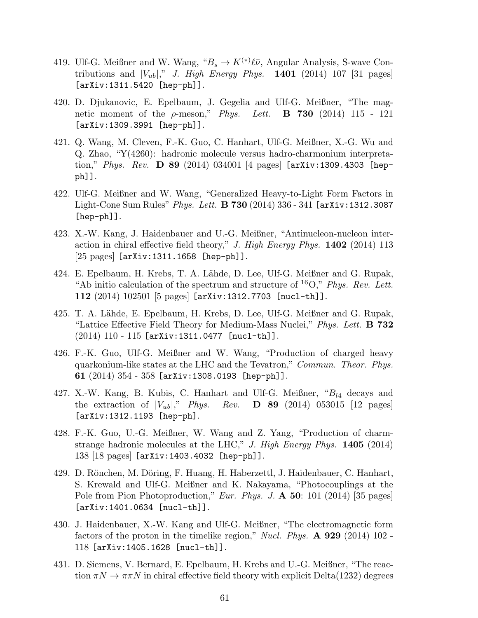- 419. Ulf-G. Meißner and W. Wang,  ${}^{\alpha}B_s \to K^{(*)}\ell\bar{\nu}$ , Angular Analysis, S-wave Contributions and  $|V_{ub}|$ ," J. High Energy Phys. 1401 (2014) 107 [31 pages] [arXiv:1311.5420 [hep-ph]].
- 420. D. Djukanovic, E. Epelbaum, J. Gegelia and Ulf-G. Meißner, "The magnetic moment of the  $\rho$ -meson," *Phys.* Lett. **B** 730 (2014) 115 - 121 [arXiv:1309.3991 [hep-ph]].
- 421. Q. Wang, M. Cleven, F.-K. Guo, C. Hanhart, Ulf-G. Meißner, X.-G. Wu and Q. Zhao, "Y(4260): hadronic molecule versus hadro-charmonium interpretation," Phys. Rev. **D 89** (2014) 034001 [4 pages]  $[\text{arXiv:1309}.4303$  [hepph]].
- 422. Ulf-G. Meißner and W. Wang, "Generalized Heavy-to-Light Form Factors in Light-Cone Sum Rules" *Phys. Lett.* **B 730** (2014) 336 - 341 [arXiv:1312.3087 [hep-ph]].
- 423. X.-W. Kang, J. Haidenbauer and U.-G. Meißner, "Antinucleon-nucleon interaction in chiral effective field theory," J. High Energy Phys.  $1402$  (2014) 113 [25 pages] [arXiv:1311.1658 [hep-ph]].
- 424. E. Epelbaum, H. Krebs, T. A. Lähde, D. Lee, Ulf-G. Meißner and G. Rupak, "Ab initio calculation of the spectrum and structure of  ${}^{16}O$ ," Phys. Rev. Lett. 112 (2014) 102501 [5 pages] [arXiv:1312.7703 [nucl-th]].
- 425. T. A. Lähde, E. Epelbaum, H. Krebs, D. Lee, Ulf-G. Meißner and G. Rupak, "Lattice Effective Field Theory for Medium-Mass Nuclei," Phys. Lett. **B** 732  $(2014)$  110 - 115 [arXiv:1311.0477 [nucl-th]].
- 426. F.-K. Guo, Ulf-G. Meißner and W. Wang, "Production of charged heavy quarkonium-like states at the LHC and the Tevatron," Commun. Theor. Phys. 61 (2014) 354 - 358 [arXiv:1308.0193 [hep-ph]].
- 427. X.-W. Kang, B. Kubis, C. Hanhart and Ulf-G. Meißner, " $B_{l4}$  decays and the extraction of  $|V_{ub}|$ ," Phys. Rev. **D** 89 (2014) 053015 [12 pages] [arXiv:1312.1193 [hep-ph].
- 428. F.-K. Guo, U.-G. Meißner, W. Wang and Z. Yang, "Production of charmstrange hadronic molecules at the LHC,"  $J.$  High Energy Phys. 1405 (2014) 138 [18 pages] [arXiv:1403.4032 [hep-ph]].
- 429. D. Rönchen, M. Döring, F. Huang, H. Haberzettl, J. Haidenbauer, C. Hanhart, S. Krewald and Ulf-G. Meißner and K. Nakayama, "Photocouplings at the Pole from Pion Photoproduction," Eur. Phys. J. A 50: 101 (2014) [35 pages] [arXiv:1401.0634 [nucl-th]].
- 430. J. Haidenbauer, X.-W. Kang and Ulf-G. Meißner, "The electromagnetic form factors of the proton in the timelike region," *Nucl. Phys.*  $\bf{A}$  929 (2014) 102 -118 [arXiv:1405.1628 [nucl-th]].
- 431. D. Siemens, V. Bernard, E. Epelbaum, H. Krebs and U.-G. Meißner, "The reaction  $\pi N \to \pi \pi N$  in chiral effective field theory with explicit Delta(1232) degrees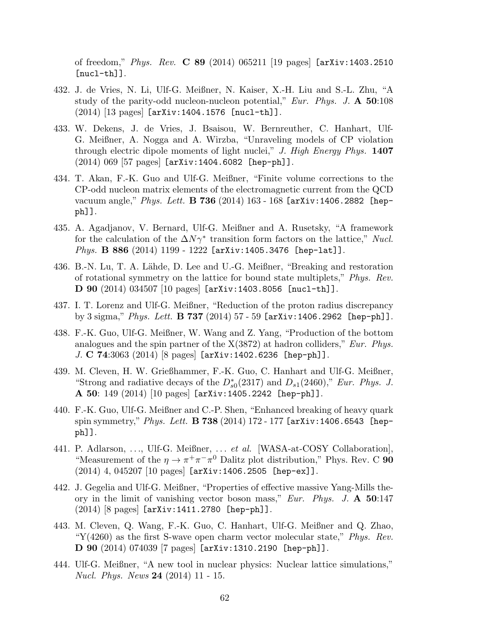of freedom," *Phys. Rev.* **C 89** (2014) 065211 [19 pages] [arXiv:1403.2510  $[nuc1-th]$ ].

- 432. J. de Vries, N. Li, Ulf-G. Meißner, N. Kaiser, X.-H. Liu and S.-L. Zhu, "A study of the parity-odd nucleon-nucleon potential," Eur. Phys. J.  $\mathbf{A}$  50:108  $(2014)$  [13 pages] [arXiv:1404.1576 [nucl-th]].
- 433. W. Dekens, J. de Vries, J. Bsaisou, W. Bernreuther, C. Hanhart, Ulf-G. Meißner, A. Nogga and A. Wirzba, "Unraveling models of CP violation through electric dipole moments of light nuclei," J. High Energy Phys.  $1407$  $(2014)$  069 [57 pages]  $[arXiv:1404.6082$   $[hep-ph]$ ].
- 434. T. Akan, F.-K. Guo and Ulf-G. Meißner, "Finite volume corrections to the CP-odd nucleon matrix elements of the electromagnetic current from the QCD vacuum angle," Phys. Lett. **B 736** (2014) 163 - 168 [arXiv:1406.2882 [hepph]].
- 435. A. Agadjanov, V. Bernard, Ulf-G. Meißner and A. Rusetsky, "A framework for the calculation of the  $\Delta N \gamma^*$  transition form factors on the lattice," Nucl. Phys. **B 886** (2014) 1199 - 1222 [arXiv:1405.3476 [hep-lat]].
- 436. B.-N. Lu, T. A. Lähde, D. Lee and U.-G. Meißner, "Breaking and restoration" of rotational symmetry on the lattice for bound state multiplets," Phys. Rev. D 90 (2014) 034507 [10 pages] [arXiv:1403.8056 [nucl-th]].
- 437. I. T. Lorenz and Ulf-G. Meißner, "Reduction of the proton radius discrepancy by 3 sigma," Phys. Lett.  $\bf{B}$  737 (2014) 57 - 59 [arXiv:1406.2962 [hep-ph]].
- 438. F.-K. Guo, Ulf-G. Meißner, W. Wang and Z. Yang, "Production of the bottom analogues and the spin partner of the  $X(3872)$  at hadron colliders," Eur. Phys. J. C 74:3063 (2014) [8 pages] [arXiv:1402.6236 [hep-ph]].
- 439. M. Cleven, H. W. Grießhammer, F.-K. Guo, C. Hanhart and Ulf-G. Meißner, "Strong and radiative decays of the  $D_{s0}^*(2317)$  and  $D_{s1}(2460)$ ," Eur. Phys. J. **A 50**: 149  $(2014)$  [10 pages] [arXiv:1405.2242 [hep-ph]].
- 440. F.-K. Guo, Ulf-G. Meißner and C.-P. Shen, "Enhanced breaking of heavy quark spin symmetry," Phys. Lett. **B 738** (2014) 172 - 177 [arXiv:1406.6543 [hepph]].
- 441. P. Adlarson, ..., Ulf-G. Meißner, ... et al. [WASA-at-COSY Collaboration], "Measurement of the  $\eta \to \pi^+ \pi^- \pi^0$  Dalitz plot distribution," Phys. Rev. C 90 (2014) 4, 045207 [10 pages] [arXiv:1406.2505 [hep-ex]].
- 442. J. Gegelia and Ulf-G. Meißner, "Properties of effective massive Yang-Mills theory in the limit of vanishing vector boson mass," Eur. Phys. J. A 50:147 (2014) [8 pages] [arXiv:1411.2780 [hep-ph]].
- 443. M. Cleven, Q. Wang, F.-K. Guo, C. Hanhart, Ulf-G. Meißner and Q. Zhao, "Y(4260) as the first S-wave open charm vector molecular state," *Phys. Rev.* D 90 (2014) 074039 [7 pages] [arXiv:1310.2190 [hep-ph]].
- 444. Ulf-G. Meißner, "A new tool in nuclear physics: Nuclear lattice simulations," Nucl. Phys. News 24 (2014) 11 - 15.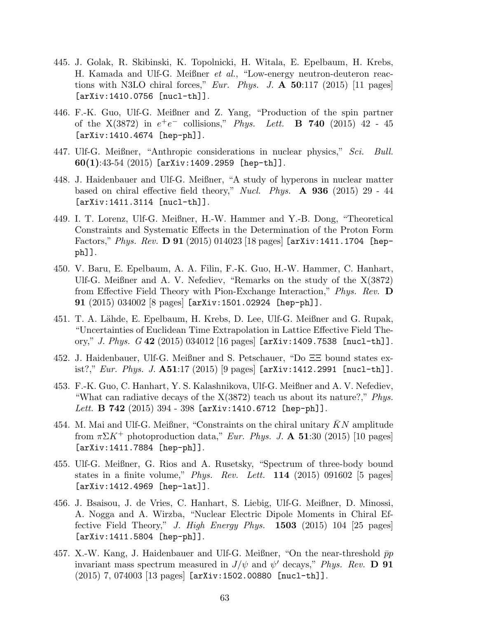- 445. J. Golak, R. Skibinski, K. Topolnicki, H. Witala, E. Epelbaum, H. Krebs, H. Kamada and Ulf-G. Meißner et al., "Low-energy neutron-deuteron reactions with N3LO chiral forces," Eur. Phys. J.  $\mathbf{A}$  50:117 (2015) [11 pages] [arXiv:1410.0756 [nucl-th]].
- 446. F.-K. Guo, Ulf-G. Meißner and Z. Yang, "Production of the spin partner of the  $X(3872)$  in  $e^+e^-$  collisions," *Phys. Lett.* **B 740** (2015) 42 - 45 [arXiv:1410.4674 [hep-ph]].
- 447. Ulf-G. Meißner, "Anthropic considerations in nuclear physics," Sci. Bull.  $60(1):43-54(2015)$  [arXiv:1409.2959 [hep-th]].
- 448. J. Haidenbauer and Ulf-G. Meißner, "A study of hyperons in nuclear matter based on chiral effective field theory," Nucl. Phys.  $\bf{A}$  936 (2015) 29 - 44 [arXiv:1411.3114 [nucl-th]].
- 449. I. T. Lorenz, Ulf-G. Meißner, H.-W. Hammer and Y.-B. Dong, "Theoretical Constraints and Systematic Effects in the Determination of the Proton Form Factors," Phys. Rev. D 91 (2015) 014023 [18 pages]  $[\text{arXiv}:1411.1704$  [hepph]].
- 450. V. Baru, E. Epelbaum, A. A. Filin, F.-K. Guo, H.-W. Hammer, C. Hanhart, Ulf-G. Meißner and A. V. Nefediev, "Remarks on the study of the X(3872) from Effective Field Theory with Pion-Exchange Interaction," Phys. Rev. D 91 (2015) 034002 [8 pages] [arXiv:1501.02924 [hep-ph]].
- 451. T. A. L¨ahde, E. Epelbaum, H. Krebs, D. Lee, Ulf-G. Meißner and G. Rupak, "Uncertainties of Euclidean Time Extrapolation in Lattice Effective Field Theory," *J. Phys. G* 42 (2015) 034012 [16 pages] [arXiv:1409.7538 [nucl-th]].
- 452. J. Haidenbauer, Ulf-G. Meißner and S. Petschauer, "Do ΞΞ bound states exist?," Eur. Phys. J.  $\mathbf{A51:}17(2015)$  [9 pages] [arXiv:1412.2991 [nucl-th]].
- 453. F.-K. Guo, C. Hanhart, Y. S. Kalashnikova, Ulf-G. Meißner and A. V. Nefediev, "What can radiative decays of the  $X(3872)$  teach us about its nature?," *Phys.* Lett.  $\bf{B}$  742 (2015) 394 - 398 [arXiv:1410.6712 [hep-ph]].
- 454. M. Mai and Ulf-G. Meißner, "Constraints on the chiral unitary  $\bar{K}N$  amplitude from  $\pi \Sigma K^+$  photoproduction data," Eur. Phys. J. A 51:30 (2015) [10 pages] [arXiv:1411.7884 [hep-ph]].
- 455. Ulf-G. Meißner, G. Rios and A. Rusetsky, "Spectrum of three-body bound states in a finite volume," *Phys. Rev. Lett.* **114** (2015) 091602 [5 pages] [arXiv:1412.4969 [hep-lat]].
- 456. J. Bsaisou, J. de Vries, C. Hanhart, S. Liebig, Ulf-G. Meißner, D. Minossi, A. Nogga and A. Wirzba, "Nuclear Electric Dipole Moments in Chiral Effective Field Theory," J. High Energy Phys.  $1503$  (2015) 104 [25 pages] [arXiv:1411.5804 [hep-ph]].
- 457. X.-W. Kang, J. Haidenbauer and Ulf-G. Meißner, "On the near-threshold  $\bar{p}p$ invariant mass spectrum measured in  $J/\psi$  and  $\psi'$  decays," Phys. Rev. **D** 91 (2015) 7, 074003 [13 pages] [arXiv:1502.00880 [nucl-th]].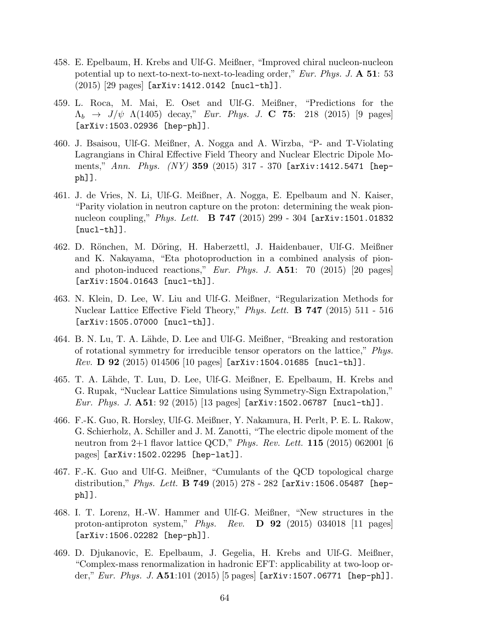- 458. E. Epelbaum, H. Krebs and Ulf-G. Meißner, "Improved chiral nucleon-nucleon potential up to next-to-next-to-next-to-leading order," Eur. Phys. J.  $\mathbf{A}$  51: 53  $(2015)$  [29 pages] [arXiv:1412.0142 [nucl-th]].
- 459. L. Roca, M. Mai, E. Oset and Ulf-G. Meißner, "Predictions for the  $\Lambda_b \to J/\psi \Lambda(1405) \text{ decay}$ ," Eur. Phys. J. C 75: 218 (2015) [9 pages] [arXiv:1503.02936 [hep-ph]].
- 460. J. Bsaisou, Ulf-G. Meißner, A. Nogga and A. Wirzba, "P- and T-Violating Lagrangians in Chiral Effective Field Theory and Nuclear Electric Dipole Moments," Ann. Phys.  $(NY)$  359 (2015) 317 - 370 [arXiv:1412.5471 [hepph]].
- 461. J. de Vries, N. Li, Ulf-G. Meißner, A. Nogga, E. Epelbaum and N. Kaiser, "Parity violation in neutron capture on the proton: determining the weak pionnucleon coupling," Phys. Lett. B 747 (2015) 299 - 304 [arXiv:1501.01832  $[nuc1-th]$ ].
- 462. D. Rönchen, M. Döring, H. Haberzettl, J. Haidenbauer, Ulf-G. Meißner and K. Nakayama, "Eta photoproduction in a combined analysis of pionand photon-induced reactions," Eur. Phys. J.  $\mathbf{A51}$ : 70 (2015) [20 pages] [arXiv:1504.01643 [nucl-th]].
- 463. N. Klein, D. Lee, W. Liu and Ulf-G. Meißner, "Regularization Methods for Nuclear Lattice Effective Field Theory," Phys. Lett. **B 747** (2015) 511 - 516 [arXiv:1505.07000 [nucl-th]].
- 464. B. N. Lu, T. A. L¨ahde, D. Lee and Ulf-G. Meißner, "Breaking and restoration of rotational symmetry for irreducible tensor operators on the lattice," Phys. *Rev.* **D** 92 (2015) 014506 [10 pages] [arXiv:1504.01685 [nucl-th]].
- 465. T. A. Lähde, T. Luu, D. Lee, Ulf-G. Meißner, E. Epelbaum, H. Krebs and G. Rupak, "Nuclear Lattice Simulations using Symmetry-Sign Extrapolation," *Eur. Phys. J.*  $A51: 92 (2015) [13 pages]$  [arXiv:1502.06787 [nucl-th]].
- 466. F.-K. Guo, R. Horsley, Ulf-G. Meißner, Y. Nakamura, H. Perlt, P. E. L. Rakow, G. Schierholz, A. Schiller and J. M. Zanotti, "The electric dipole moment of the neutron from 2+1 flavor lattice QCD," Phys. Rev. Lett. **115** (2015) 062001 [6 pages] [arXiv:1502.02295 [hep-lat]].
- 467. F.-K. Guo and Ulf-G. Meißner, "Cumulants of the QCD topological charge distribution," Phys. Lett. **B 749** (2015) 278 - 282 [arXiv:1506.05487 [hepph]].
- 468. I. T. Lorenz, H.-W. Hammer and Ulf-G. Meißner, "New structures in the proton-antiproton system," Phys. Rev.  $\bf{D}$  92 (2015) 034018 [11 pages] [arXiv:1506.02282 [hep-ph]].
- 469. D. Djukanovic, E. Epelbaum, J. Gegelia, H. Krebs and Ulf-G. Meißner, "Complex-mass renormalization in hadronic EFT: applicability at two-loop order," Eur. Phys. J.  $A51:101$  (2015) [5 pages] [arXiv:1507.06771 [hep-ph]].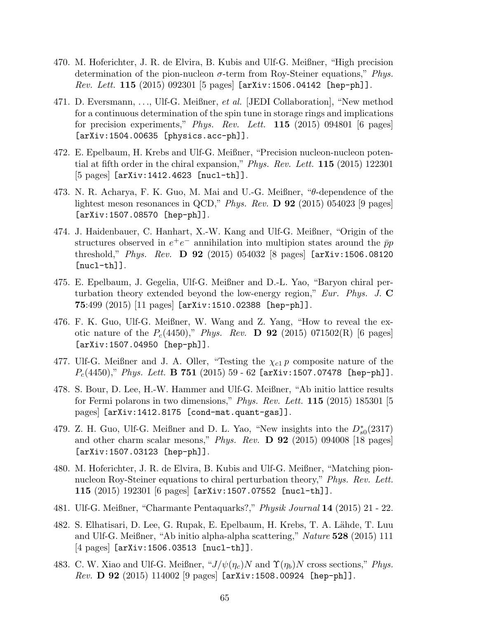- 470. M. Hoferichter, J. R. de Elvira, B. Kubis and Ulf-G. Meißner, "High precision determination of the pion-nucleon  $\sigma$ -term from Roy-Steiner equations," *Phys.* Rev. Lett. 115 (2015) 092301 [5 pages] [arXiv:1506.04142 [hep-ph]].
- 471. D. Eversmann, . . ., Ulf-G. Meißner, et al. [JEDI Collaboration], "New method for a continuous determination of the spin tune in storage rings and implications for precision experiments," Phys. Rev. Lett.  $115$  (2015) 094801 [6 pages] [arXiv:1504.00635 [physics.acc-ph]].
- 472. E. Epelbaum, H. Krebs and Ulf-G. Meißner, "Precision nucleon-nucleon potential at fifth order in the chiral expansion," Phys. Rev. Lett. 115 (2015) 122301 [5 pages] [arXiv:1412.4623 [nucl-th]].
- 473. N. R. Acharya, F. K. Guo, M. Mai and U.-G. Meißner, "θ-dependence of the lightest meson resonances in QCD," Phys. Rev.  $\bf{D}$  92 (2015) 054023 [9 pages] [arXiv:1507.08570 [hep-ph]].
- 474. J. Haidenbauer, C. Hanhart, X.-W. Kang and Ulf-G. Meißner, "Origin of the structures observed in  $e^+e^-$  annihilation into multipion states around the  $\bar{p}p$ threshold," Phys. Rev. **D** 92 (2015) 054032 [8 pages]  $arXiv:1506.08120$ [nucl-th]].
- 475. E. Epelbaum, J. Gegelia, Ulf-G. Meißner and D.-L. Yao, "Baryon chiral perturbation theory extended beyond the low-energy region,"  $Eur$ . Phys. J.  $\bf{C}$ 75:499 (2015) [11 pages] [arXiv:1510.02388 [hep-ph]].
- 476. F. K. Guo, Ulf-G. Meißner, W. Wang and Z. Yang, "How to reveal the exotic nature of the  $P_c(4450)$ ," Phys. Rev. **D** 92 (2015) 071502(R) [6 pages] [arXiv:1507.04950 [hep-ph]].
- 477. Ulf-G. Meißner and J. A. Oller, "Testing the  $\chi_{c1}$  p composite nature of the  $P_c(4450)$ ," Phys. Lett. **B 751** (2015) 59 - 62 [arXiv:1507.07478 [hep-ph]].
- 478. S. Bour, D. Lee, H.-W. Hammer and Ulf-G. Meißner, "Ab initio lattice results for Fermi polarons in two dimensions," *Phys. Rev. Lett.* **115** (2015) 185301 [5] pages] [arXiv:1412.8175 [cond-mat.quant-gas]].
- 479. Z. H. Guo, Ulf-G. Meißner and D. L. Yao, "New insights into the  $D_{s0}^*(2317)$ and other charm scalar mesons," Phys. Rev. D 92 (2015) 094008 [18 pages] [arXiv:1507.03123 [hep-ph]].
- 480. M. Hoferichter, J. R. de Elvira, B. Kubis and Ulf-G. Meißner, "Matching pionnucleon Roy-Steiner equations to chiral perturbation theory," Phys. Rev. Lett. 115 (2015) 192301 [6 pages] [arXiv:1507.07552 [nucl-th]].
- 481. Ulf-G. Meißner, "Charmante Pentaquarks?," Physik Journal 14 (2015) 21 22.
- 482. S. Elhatisari, D. Lee, G. Rupak, E. Epelbaum, H. Krebs, T. A. Lähde, T. Luu and Ulf-G. Meißner, "Ab initio alpha-alpha scattering," Nature 528 (2015) 111 [4 pages] [arXiv:1506.03513 [nucl-th]].
- 483. C. W. Xiao and Ulf-G. Meißner, " $J/\psi(\eta_c)N$  and  $\Upsilon(\eta_b)N$  cross sections," Phys. Rev. D 92 (2015) 114002 [9 pages] [arXiv:1508.00924 [hep-ph]].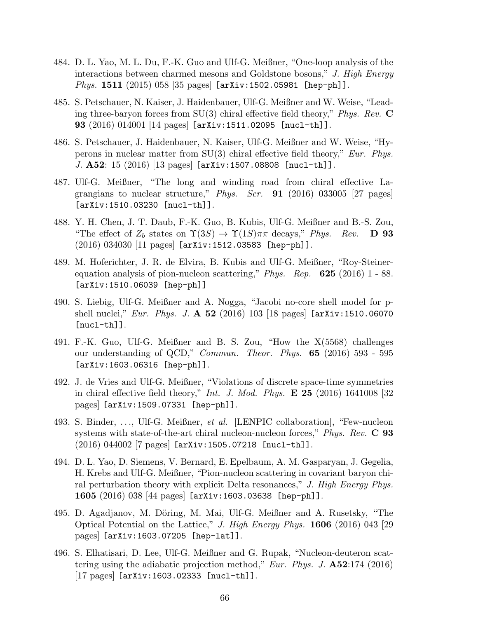- 484. D. L. Yao, M. L. Du, F.-K. Guo and Ulf-G. Meißner, "One-loop analysis of the interactions between charmed mesons and Goldstone bosons," J. High Energy *Phys.* 1511 (2015) 058 [35 pages]  $[\text{arXiv:1502.05981}$   $[\text{hep-ph}]]$ .
- 485. S. Petschauer, N. Kaiser, J. Haidenbauer, Ulf-G. Meißner and W. Weise, "Leading three-baryon forces from  $SU(3)$  chiral effective field theory," *Phys. Rev.*  $\bf{C}$ 93 (2016) 014001 [14 pages] [arXiv:1511.02095 [nucl-th]].
- 486. S. Petschauer, J. Haidenbauer, N. Kaiser, Ulf-G. Meißner and W. Weise, "Hyperons in nuclear matter from  $SU(3)$  chiral effective field theory," Eur. Phys. J.  $\textbf{A52:}$  15 (2016) [13 pages] [arXiv:1507.08808 [nucl-th]].
- 487. Ulf-G. Meißner, "The long and winding road from chiral effective Lagrangians to nuclear structure," Phys. Scr. **91** (2016) 033005 [27 pages] [arXiv:1510.03230 [nucl-th]].
- 488. Y. H. Chen, J. T. Daub, F.-K. Guo, B. Kubis, Ulf-G. Meißner and B.-S. Zou, "The effect of  $Z_b$  states on  $\Upsilon(3S) \to \Upsilon(1S) \pi \pi$  decays," Phys. Rev. **D** 93 (2016) 034030 [11 pages] [arXiv:1512.03583 [hep-ph]].
- 489. M. Hoferichter, J. R. de Elvira, B. Kubis and Ulf-G. Meißner, "Roy-Steinerequation analysis of pion-nucleon scattering," Phys. Rep.  $625$  (2016) 1 - 88. [arXiv:1510.06039 [hep-ph]]
- 490. S. Liebig, Ulf-G. Meißner and A. Nogga, "Jacobi no-core shell model for pshell nuclei," Eur. Phys. J.  $\bf{A}$  52 (2016) 103 [18 pages] [arXiv:1510.06070 [nucl-th]].
- 491. F.-K. Guo, Ulf-G. Meißner and B. S. Zou, "How the X(5568) challenges our understanding of QCD," *Commun. Theor. Phys.* 65 (2016) 593 - 595 [arXiv:1603.06316 [hep-ph]].
- 492. J. de Vries and Ulf-G. Meißner, "Violations of discrete space-time symmetries in chiral effective field theory," *Int. J. Mod. Phys.*  $\mathbf{E}$  25 (2016) 1641008 [32 pages] [arXiv:1509.07331 [hep-ph]].
- 493. S. Binder, . . ., Ulf-G. Meißner, et al. [LENPIC collaboration], "Few-nucleon systems with state-of-the-art chiral nucleon-nucleon forces," Phys. Rev.  $C$  93  $(2016)$  044002 |7 pages [arXiv:1505.07218 [nucl-th]].
- 494. D. L. Yao, D. Siemens, V. Bernard, E. Epelbaum, A. M. Gasparyan, J. Gegelia, H. Krebs and Ulf-G. Meißner, "Pion-nucleon scattering in covariant baryon chiral perturbation theory with explicit Delta resonances," J. High Energy Phys. 1605 (2016) 038 [44 pages] [arXiv:1603.03638 [hep-ph]].
- 495. D. Agadjanov, M. Döring, M. Mai, Ulf-G. Meißner and A. Rusetsky, "The Optical Potential on the Lattice," J. High Energy Phys.  $1606$  (2016) 043 [29] pages] [arXiv:1603.07205 [hep-lat]].
- 496. S. Elhatisari, D. Lee, Ulf-G. Meißner and G. Rupak, "Nucleon-deuteron scattering using the adiabatic projection method," Eur. Phys. J.  $\mathbf{A52:}174$  (2016) [17 pages] [arXiv:1603.02333 [nucl-th]].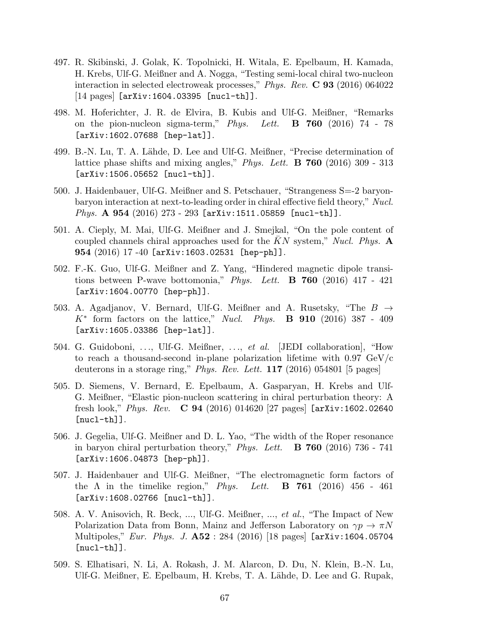- 497. R. Skibinski, J. Golak, K. Topolnicki, H. Witala, E. Epelbaum, H. Kamada, H. Krebs, Ulf-G. Meißner and A. Nogga, "Testing semi-local chiral two-nucleon interaction in selected electroweak processes," Phys. Rev. C 93 (2016) 064022 [14 pages] [arXiv:1604.03395 [nucl-th]].
- 498. M. Hoferichter, J. R. de Elvira, B. Kubis and Ulf-G. Meißner, "Remarks on the pion-nucleon sigma-term," Phys. Lett.  $\bf{B}$  760 (2016) 74 - 78 [arXiv:1602.07688 [hep-lat]].
- 499. B.-N. Lu, T. A. Lähde, D. Lee and Ulf-G. Meißner, "Precise determination of lattice phase shifts and mixing angles," *Phys. Lett.* **B** 760 (2016) 309 - 313 [arXiv:1506.05652 [nucl-th]].
- 500. J. Haidenbauer, Ulf-G. Meißner and S. Petschauer, "Strangeness S=-2 baryonbaryon interaction at next-to-leading order in chiral effective field theory," Nucl. Phys. A 954 (2016) 273 - 293 [arXiv:1511.05859 [nucl-th]].
- 501. A. Cieply, M. Mai, Ulf-G. Meißner and J. Smejkal, "On the pole content of coupled channels chiral approaches used for the KN system," Nucl. Phys.  $\mathbf{A}$ 954 (2016) 17 -40 [arXiv:1603.02531 [hep-ph]].
- 502. F.-K. Guo, Ulf-G. Meißner and Z. Yang, "Hindered magnetic dipole transitions between P-wave bottomonia," Phys. Lett. **B** 760 (2016) 417 - 421 [arXiv:1604.00770 [hep-ph]].
- 503. A. Agadjanov, V. Bernard, Ulf-G. Meißner and A. Rusetsky, "The  $B \to$  $K^*$  form factors on the lattice," Nucl. Phys. **B** 910 (2016) 387 - 409 [arXiv:1605.03386 [hep-lat]].
- 504. G. Guidoboni, ..., Ulf-G. Meißner, ..., et al. [JEDI collaboration], "How to reach a thousand-second in-plane polarization lifetime with  $0.97 \text{ GeV}/c$ deuterons in a storage ring," *Phys. Rev. Lett.*  $117$  (2016) 054801 [5 pages]
- 505. D. Siemens, V. Bernard, E. Epelbaum, A. Gasparyan, H. Krebs and Ulf-G. Meißner, "Elastic pion-nucleon scattering in chiral perturbation theory: A fresh look," Phys. Rev.  $C 94 (2016) 014620 [27 pages]$  [arXiv:1602.02640] [nucl-th]].
- 506. J. Gegelia, Ulf-G. Meißner and D. L. Yao, "The width of the Roper resonance in baryon chiral perturbation theory," Phys. Lett.  $\bf{B}$  **760** (2016) 736 - 741 [arXiv:1606.04873 [hep-ph]].
- 507. J. Haidenbauer and Ulf-G. Meißner, "The electromagnetic form factors of the  $\Lambda$  in the timelike region," Phys. Lett. **B** 761 (2016) 456 - 461 [arXiv:1608.02766 [nucl-th]].
- 508. A. V. Anisovich, R. Beck, ..., Ulf-G. Meißner, ..., et al., "The Impact of New Polarization Data from Bonn, Mainz and Jefferson Laboratory on  $\gamma p \to \pi N$ Multipoles," Eur. Phys. J. **A52** : 284 (2016) [18 pages] [arXiv:1604.05704  $[nuc1-th]$ ].
- 509. S. Elhatisari, N. Li, A. Rokash, J. M. Alarcon, D. Du, N. Klein, B.-N. Lu, Ulf-G. Meißner, E. Epelbaum, H. Krebs, T. A. Lähde, D. Lee and G. Rupak,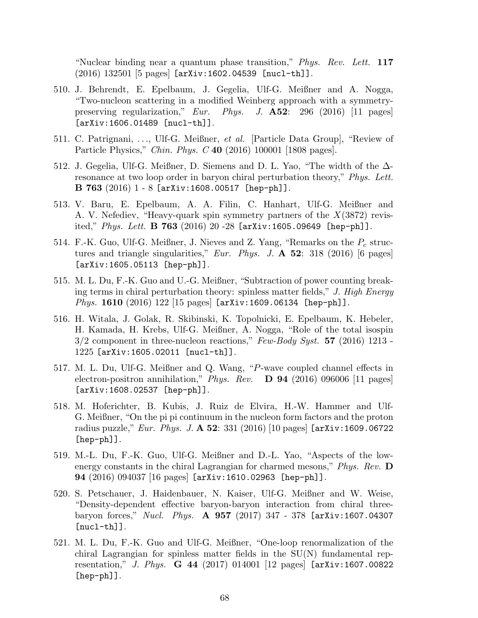"Nuclear binding near a quantum phase transition," Phys. Rev. Lett. 117 (2016) 132501 [5 pages] [arXiv:1602.04539 [nucl-th]].

- 510. J. Behrendt, E. Epelbaum, J. Gegelia, Ulf-G. Meißner and A. Nogga, "Two-nucleon scattering in a modified Weinberg approach with a symmetrypreserving regularization," Eur. Phys. J. A52: 296 (2016) [11 pages] [arXiv:1606.01489 [nucl-th]].
- 511. C. Patrignani, . . ., Ulf-G. Meißner, et al. [Particle Data Group], "Review of Particle Physics," Chin. Phys. C 40 (2016) 100001 [1808 pages].
- 512. J. Gegelia, Ulf-G. Meißner, D. Siemens and D. L. Yao, "The width of the ∆ resonance at two loop order in baryon chiral perturbation theory," *Phys. Lett.* **B 763** (2016)  $1 - 8$  [arXiv:1608.00517 [hep-ph]].
- 513. V. Baru, E. Epelbaum, A. A. Filin, C. Hanhart, Ulf-G. Meißner and A. V. Nefediev, "Heavy-quark spin symmetry partners of the  $X(3872)$  revisited," *Phys. Lett.* **B 763** (2016) 20 -28  $[ary:1605.09649$   $[hep-ph]$ .
- 514. F.-K. Guo, Ulf-G. Meißner, J. Nieves and Z. Yang, "Remarks on the  $P_c$  structures and triangle singularities," Eur. Phys. J.  $\mathbf{A}$  52: 318 (2016) [6 pages] [arXiv:1605.05113 [hep-ph]].
- 515. M. L. Du, F.-K. Guo and U.-G. Meißner, "Subtraction of power counting breaking terms in chiral perturbation theory: spinless matter fields," J. High Energy *Phys.* 1610 (2016) 122 [15 pages]  $[arXiv:1609.06134$   $[hep-ph]$ ].
- 516. H. Witala, J. Golak, R. Skibinski, K. Topolnicki, E. Epelbaum, K. Hebeler, H. Kamada, H. Krebs, Ulf-G. Meißner, A. Nogga, "Role of the total isospin  $3/2$  component in three-nucleon reactions," Few-Body Syst. 57 (2016) 1213 -1225 [arXiv:1605.02011 [nucl-th]].
- 517. M. L. Du, Ulf-G. Meißner and Q. Wang, "P-wave coupled channel effects in electron-positron annihilation," *Phys. Rev.* **D** 94 (2016) 096006 [11 pages] [arXiv:1608.02537 [hep-ph]].
- 518. M. Hoferichter, B. Kubis, J. Ruiz de Elvira, H.-W. Hammer and Ulf-G. Meißner, "On the pi pi continuum in the nucleon form factors and the proton radius puzzle," *Eur. Phys. J.* A 52:  $331 (2016) [10 \text{ pages}]$  [arXiv:1609.06722 [hep-ph]].
- 519. M.-L. Du, F.-K. Guo, Ulf-G. Meißner and D.-L. Yao, "Aspects of the lowenergy constants in the chiral Lagrangian for charmed mesons,"  $Phys. Rev.$  D 94 (2016) 094037 [16 pages] [arXiv:1610.02963 [hep-ph]].
- 520. S. Petschauer, J. Haidenbauer, N. Kaiser, Ulf-G. Meißner and W. Weise, "Density-dependent effective baryon-baryon interaction from chiral threebaryon forces," Nucl. Phys. A 957 (2017) 347 - 378 [arXiv:1607.04307 [nucl-th]].
- 521. M. L. Du, F.-K. Guo and Ulf-G. Meißner, "One-loop renormalization of the chiral Lagrangian for spinless matter fields in the  $SU(N)$  fundamental representation," J. Phys. **G** 44 (2017) 014001 [12 pages]  $arXiv:1607.00822$ [hep-ph]].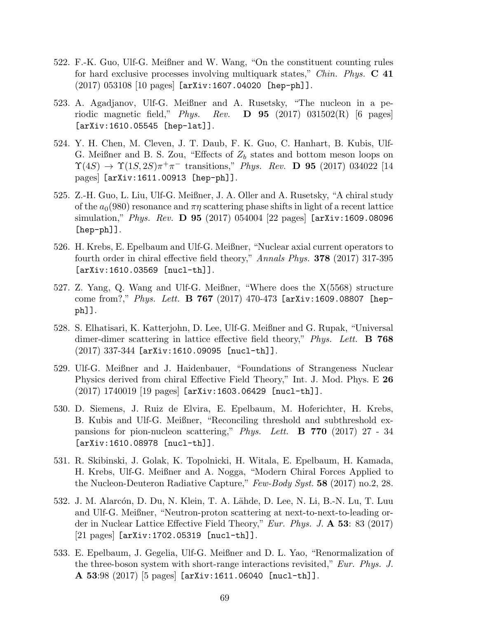- 522. F.-K. Guo, Ulf-G. Meißner and W. Wang, "On the constituent counting rules for hard exclusive processes involving multiquark states," Chin. Phys.  $C$  41  $(2017)$  053108 [10 pages] [arXiv:1607.04020 [hep-ph]].
- 523. A. Agadjanov, Ulf-G. Meißner and A. Rusetsky, "The nucleon in a periodic magnetic field," Phys. Rev.  $\bf{D}$  95 (2017) 031502(R) [6 pages] [arXiv:1610.05545 [hep-lat]].
- 524. Y. H. Chen, M. Cleven, J. T. Daub, F. K. Guo, C. Hanhart, B. Kubis, Ulf-G. Meißner and B. S. Zou, "Effects of  $Z_b$  states and bottom meson loops on  $\Upsilon(4S) \to \Upsilon(1S, 2S) \pi^+ \pi^-$  transitions," Phys. Rev. D 95 (2017) 034022 [14 pages] [arXiv:1611.00913 [hep-ph]].
- 525. Z.-H. Guo, L. Liu, Ulf-G. Meißner, J. A. Oller and A. Rusetsky, "A chiral study of the  $a_0(980)$  resonance and  $\pi\eta$  scattering phase shifts in light of a recent lattice simulation," *Phys. Rev.* **D 95** (2017) 054004 [22 pages]  $[\texttt{arXiv:1609.08096}]$ [hep-ph]].
- 526. H. Krebs, E. Epelbaum and Ulf-G. Meißner, "Nuclear axial current operators to fourth order in chiral effective field theory," Annals Phys. 378 (2017) 317-395 [arXiv:1610.03569 [nucl-th]].
- 527. Z. Yang, Q. Wang and Ulf-G. Meißner, "Where does the X(5568) structure come from?," Phys. Lett. **B** 767 (2017) 470-473 [arXiv:1609.08807 [hepph]].
- 528. S. Elhatisari, K. Katterjohn, D. Lee, Ulf-G. Meißner and G. Rupak, "Universal dimer-dimer scattering in lattice effective field theory," Phys. Lett. **B** 768 (2017) 337-344 [arXiv:1610.09095 [nucl-th]].
- 529. Ulf-G. Meißner and J. Haidenbauer, "Foundations of Strangeness Nuclear Physics derived from chiral Effective Field Theory," Int. J. Mod. Phys. E 26 (2017) 1740019 [19 pages] [arXiv:1603.06429 [nucl-th]].
- 530. D. Siemens, J. Ruiz de Elvira, E. Epelbaum, M. Hoferichter, H. Krebs, B. Kubis and Ulf-G. Meißner, "Reconciling threshold and subthreshold expansions for pion-nucleon scattering," *Phys. Lett.* **B** 770 (2017) 27 - 34 [arXiv:1610.08978 [nucl-th]].
- 531. R. Skibinski, J. Golak, K. Topolnicki, H. Witala, E. Epelbaum, H. Kamada, H. Krebs, Ulf-G. Meißner and A. Nogga, "Modern Chiral Forces Applied to the Nucleon-Deuteron Radiative Capture," Few-Body Syst. 58 (2017) no.2, 28.
- 532. J. M. Alarcón, D. Du, N. Klein, T. A. Lähde, D. Lee, N. Li, B.-N. Lu, T. Luu and Ulf-G. Meißner, "Neutron-proton scattering at next-to-next-to-leading order in Nuclear Lattice Effective Field Theory," Eur. Phys. J.  $\mathbf{A}$  53: 83 (2017) [21 pages] [arXiv:1702.05319 [nucl-th]].
- 533. E. Epelbaum, J. Gegelia, Ulf-G. Meißner and D. L. Yao, "Renormalization of the three-boson system with short-range interactions revisited," Eur. Phys. J. A 53:98 (2017) [5 pages] [arXiv:1611.06040 [nucl-th]].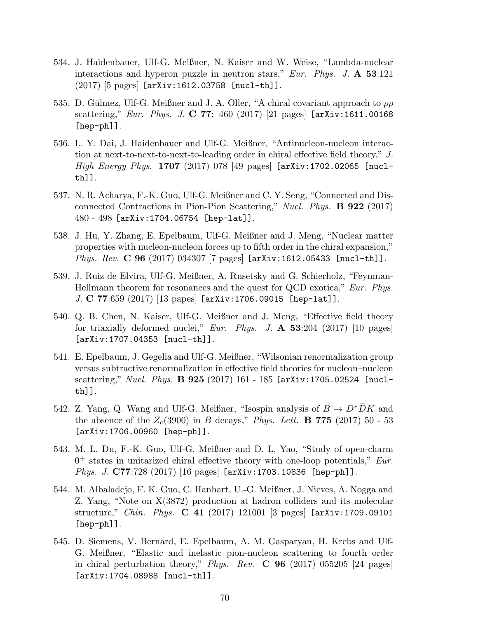- 534. J. Haidenbauer, Ulf-G. Meißner, N. Kaiser and W. Weise, "Lambda-nuclear interactions and hyperon puzzle in neutron stars," Eur. Phys. J.  $\mathbf{A}$  53:121  $(2017)$  [5 pages] [arXiv:1612.03758 [nucl-th]].
- 535. D. Gülmez, Ulf-G. Meißner and J. A. Oller, "A chiral covariant approach to  $\rho \rho$ scattering," Eur. Phys. J. C 77: 460 (2017) [21 pages]  $[\texttt{arXiv:1611.00168}]$ [hep-ph]].
- 536. L. Y. Dai, J. Haidenbauer and Ulf-G. Meißner, "Antinucleon-nucleon interaction at next-to-next-to-next-to-leading order in chiral effective field theory," J. *High Energy Phys.* 1707 (2017) 078 [49 pages]  $[\arXiv:1702.02065$   $[nuc1$ th]].
- 537. N. R. Acharya, F.-K. Guo, Ulf-G. Meißner and C. Y. Seng, "Connected and Disconnected Contractions in Pion-Pion Scattering," Nucl. Phys. B 922 (2017) 480 - 498 [arXiv:1704.06754 [hep-lat]].
- 538. J. Hu, Y. Zhang, E. Epelbaum, Ulf-G. Meißner and J. Meng, "Nuclear matter properties with nucleon-nucleon forces up to fifth order in the chiral expansion," Phys. Rev. C 96 (2017) 034307 [7 pages] [arXiv:1612.05433 [nucl-th]].
- 539. J. Ruiz de Elvira, Ulf-G. Meißner, A. Rusetsky and G. Schierholz, "Feynman-Hellmann theorem for resonances and the quest for QCD exotica," Eur. Phys. J. C 77:659 (2017) [13 papes] [arXiv:1706.09015 [hep-lat]].
- 540. Q. B. Chen, N. Kaiser, Ulf-G. Meißner and J. Meng, "Effective field theory for triaxially deformed nuclei," Eur. Phys. J.  $\bf{A}$  53:204 (2017) [10 pages] [arXiv:1707.04353 [nucl-th]].
- 541. E. Epelbaum, J. Gegelia and Ulf-G. Meißner, "Wilsonian renormalization group versus subtractive renormalization in effective field theories for nucleon–nucleon scattering," Nucl. Phys.  $\bf{B}$  925 (2017) 161 - 185 [arXiv:1705.02524 [nuclth]].
- 542. Z. Yang, Q. Wang and Ulf-G. Meißner, "Isospin analysis of  $B \to D^* D K$  and the absence of the  $Z_c(3900)$  in B decays," Phys. Lett. **B 775** (2017) 50 - 53 [arXiv:1706.00960 [hep-ph]].
- 543. M. L. Du, F.-K. Guo, Ulf-G. Meißner and D. L. Yao, "Study of open-charm  $0<sup>+</sup>$  states in unitarized chiral effective theory with one-loop potentials," *Eur*. Phys. J. C77:728 (2017) [16 pages] [arXiv:1703.10836 [hep-ph]].
- 544. M. Albaladejo, F. K. Guo, C. Hanhart, U.-G. Meißner, J. Nieves, A. Nogga and Z. Yang, "Note on X(3872) production at hadron colliders and its molecular structure," *Chin. Phys.* **C** 41 (2017) 121001 [3 pages]  $[\texttt{arXiv:1709.09101}]$ [hep-ph]].
- 545. D. Siemens, V. Bernard, E. Epelbaum, A. M. Gasparyan, H. Krebs and Ulf-G. Meißner, "Elastic and inelastic pion-nucleon scattering to fourth order in chiral perturbation theory," Phys. Rev.  $C$  96 (2017) 055205 [24 pages] [arXiv:1704.08988 [nucl-th]].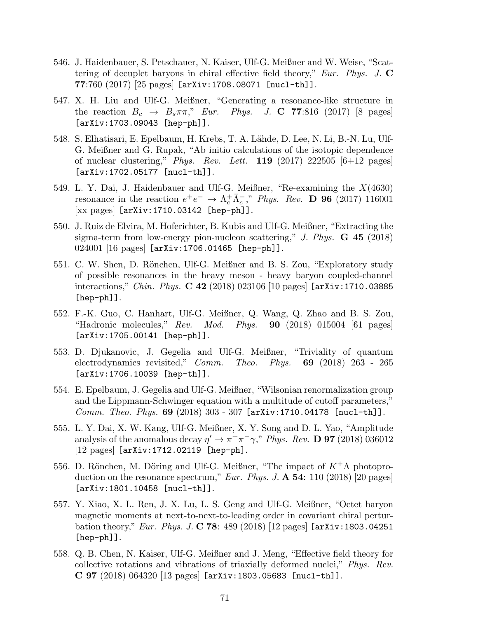- 546. J. Haidenbauer, S. Petschauer, N. Kaiser, Ulf-G. Meißner and W. Weise, "Scattering of decuplet baryons in chiral effective field theory," Eur. Phys. J.  $\bf{C}$  $77:760 (2017)$   $[25 \text{ pages}]$   $[\text{arXiv}:1708.08071$   $[\text{nucl-th}]]$ .
- 547. X. H. Liu and Ulf-G. Meißner, "Generating a resonance-like structure in the reaction  $B_c \rightarrow B_s \pi \pi$ ," Eur. Phys. J. C 77:816 (2017) [8 pages] [arXiv:1703.09043 [hep-ph]].
- 548. S. Elhatisari, E. Epelbaum, H. Krebs, T. A. Lähde, D. Lee, N. Li, B.-N. Lu, Ulf-G. Meißner and G. Rupak, "Ab initio calculations of the isotopic dependence of nuclear clustering," *Phys. Rev. Lett.* **119** (2017) 222505  $[6+12 \text{ pages}]$ [arXiv:1702.05177 [nucl-th]].
- 549. L. Y. Dai, J. Haidenbauer and Ulf-G. Meißner, "Re-examining the  $X(4630)$ resonance in the reaction  $e^+e^- \to \Lambda_c^+\bar{\Lambda}_c^-$ ," Phys. Rev. **D** 96 (2017) 116001 [xx pages] [arXiv:1710.03142 [hep-ph]].
- 550. J. Ruiz de Elvira, M. Hoferichter, B. Kubis and Ulf-G. Meißner, "Extracting the sigma-term from low-energy pion-nucleon scattering," J. Phys. G 45 (2018) 024001 [16 pages] [arXiv:1706.01465 [hep-ph]].
- 551. C. W. Shen, D. Rönchen, Ulf-G. Meißner and B. S. Zou, "Exploratory study of possible resonances in the heavy meson - heavy baryon coupled-channel interactions," *Chin. Phys.*  $C$  42 (2018) 023106 [10 pages] [arXiv:1710.03885 [hep-ph]].
- 552. F.-K. Guo, C. Hanhart, Ulf-G. Meißner, Q. Wang, Q. Zhao and B. S. Zou, "Hadronic molecules,"  $Rev.$  Mod. Phys. **90** (2018) 015004 [61 pages] [arXiv:1705.00141 [hep-ph]].
- 553. D. Djukanovic, J. Gegelia and Ulf-G. Meißner, "Triviality of quantum electrodynamics revisited," Comm. Theo. Phys. 69 (2018) 263 - 265 [arXiv:1706.10039 [hep-th]].
- 554. E. Epelbaum, J. Gegelia and Ulf-G. Meißner, "Wilsonian renormalization group and the Lippmann-Schwinger equation with a multitude of cutoff parameters," Comm. Theo. Phys. 69 (2018) 303 - 307 [arXiv:1710.04178 [nucl-th]].
- 555. L. Y. Dai, X. W. Kang, Ulf-G. Meißner, X. Y. Song and D. L. Yao, "Amplitude analysis of the anomalous decay  $\eta' \to \pi^+\pi^-\gamma$ ," Phys. Rev. **D 97** (2018) 036012 [12 pages] [arXiv:1712.02119 [hep-ph].
- 556. D. Rönchen, M. Döring and Ulf-G. Meißner, "The impact of  $K^+\Lambda$  photoproduction on the resonance spectrum," Eur. Phys. J.  $\mathbf{A}$  54: 110 (2018) [20 pages] [arXiv:1801.10458 [nucl-th]].
- 557. Y. Xiao, X. L. Ren, J. X. Lu, L. S. Geng and Ulf-G. Meißner, "Octet baryon magnetic moments at next-to-next-to-leading order in covariant chiral perturbation theory," Eur. Phys. J. C 78: 489 (2018) [12 pages]  $[$ arXiv:1803.04251 [hep-ph]].
- 558. Q. B. Chen, N. Kaiser, Ulf-G. Meißner and J. Meng, "Effective field theory for collective rotations and vibrations of triaxially deformed nuclei," Phys. Rev.  $C 97 (2018) 064320 [13 pages]$  [arXiv:1803.05683 [nucl-th]].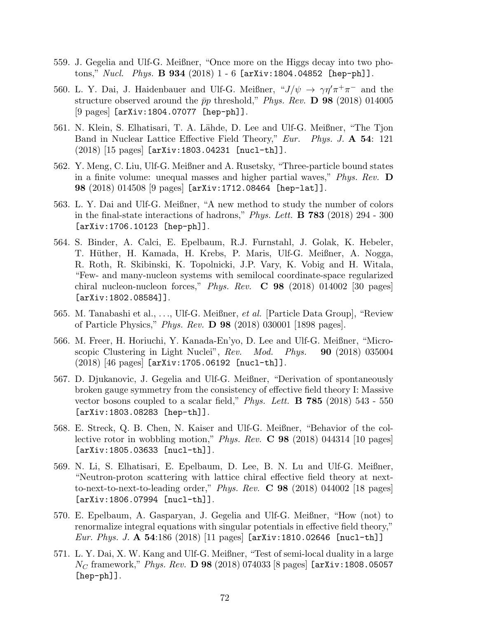- 559. J. Gegelia and Ulf-G. Meißner, "Once more on the Higgs decay into two photons,"  $Nucl.$   $Phys.$   $\bf{B}$   $934$   $(2018)$   $1$  -  $6$  [arXiv:1804.04852 [hep-ph]].
- 560. L. Y. Dai, J. Haidenbauer and Ulf-G. Meißner,  $J/\psi \to \gamma \eta' \pi^+ \pi^-$  and the structure observed around the  $\bar{p}p$  threshold," Phys. Rev. **D** 98 (2018) 014005 [9 pages] [arXiv:1804.07077 [hep-ph]].
- 561. N. Klein, S. Elhatisari, T. A. Lähde, D. Lee and Ulf-G. Meißner, "The Tjon Band in Nuclear Lattice Effective Field Theory," Eur. Phys. J. A 54: 121 (2018) [15 pages] [arXiv:1803.04231 [nucl-th]].
- 562. Y. Meng, C. Liu, Ulf-G. Meißner and A. Rusetsky, "Three-particle bound states in a finite volume: unequal masses and higher partial waves,"  $Phys. Rev.$  **D** 98 (2018) 014508 [9 pages] [arXiv:1712.08464 [hep-lat]].
- 563. L. Y. Dai and Ulf-G. Meißner, "A new method to study the number of colors in the final-state interactions of hadrons," Phys. Lett. B 783 (2018) 294 - 300 [arXiv:1706.10123 [hep-ph]].
- 564. S. Binder, A. Calci, E. Epelbaum, R.J. Furnstahl, J. Golak, K. Hebeler, T. Hüther, H. Kamada, H. Krebs, P. Maris, Ulf-G. Meißner, A. Nogga, R. Roth, R. Skibinski, K. Topolnicki, J.P. Vary, K. Vobig and H. Witala, "Few- and many-nucleon systems with semilocal coordinate-space regularized chiral nucleon-nucleon forces," *Phys. Rev.*  $C$  **98** (2018) 014002 [30 pages] [arXiv:1802.08584]].
- 565. M. Tanabashi et al., . . ., Ulf-G. Meißner, et al. [Particle Data Group], "Review of Particle Physics," Phys. Rev. D 98 (2018) 030001 [1898 pages].
- 566. M. Freer, H. Horiuchi, Y. Kanada-En'yo, D. Lee and Ulf-G. Meißner, "Microscopic Clustering in Light Nuclei",  $Rev.$  Mod. Phys.  $90$  (2018) 035004 (2018) [46 pages] [arXiv:1705.06192 [nucl-th]].
- 567. D. Djukanovic, J. Gegelia and Ulf-G. Meißner, "Derivation of spontaneously broken gauge symmetry from the consistency of effective field theory I: Massive vector bosons coupled to a scalar field," *Phys. Lett.* **B** 785 (2018) 543 - 550 [arXiv:1803.08283 [hep-th]].
- 568. E. Streck, Q. B. Chen, N. Kaiser and Ulf-G. Meißner, "Behavior of the collective rotor in wobbling motion," Phys. Rev.  $C$  98 (2018) 044314 [10 pages] [arXiv:1805.03633 [nucl-th]].
- 569. N. Li, S. Elhatisari, E. Epelbaum, D. Lee, B. N. Lu and Ulf-G. Meißner, "Neutron-proton scattering with lattice chiral effective field theory at nextto-next-to-next-to-leading order," Phys. Rev.  $C$  98 (2018) 044002 [18 pages] [arXiv:1806.07994 [nucl-th]].
- 570. E. Epelbaum, A. Gasparyan, J. Gegelia and Ulf-G. Meißner, "How (not) to renormalize integral equations with singular potentials in effective field theory," *Eur. Phys. J.* A 54:186 (2018) [11 pages] [arXiv:1810.02646 [nucl-th]]
- 571. L. Y. Dai, X. W. Kang and Ulf-G. Meißner, "Test of semi-local duality in a large  $N_C$  framework," Phys. Rev. **D 98** (2018) 074033 [8 pages] [arXiv:1808.05057 [hep-ph]].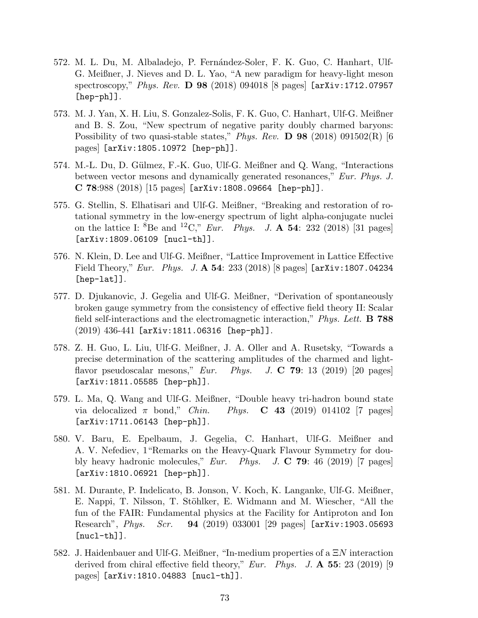- 572. M. L. Du, M. Albaladejo, P. Fernández-Soler, F. K. Guo, C. Hanhart, Ulf-G. Meißner, J. Nieves and D. L. Yao, "A new paradigm for heavy-light meson spectroscopy," Phys. Rev. **D 98** (2018) 094018 [8 pages]  $[\text{arXiv}:1712.07957]$ [hep-ph]].
- 573. M. J. Yan, X. H. Liu, S. Gonzalez-Solis, F. K. Guo, C. Hanhart, Ulf-G. Meißner and B. S. Zou, "New spectrum of negative parity doubly charmed baryons: Possibility of two quasi-stable states," Phys. Rev. **D** 98 (2018) 091502(R) [6 pages] [arXiv:1805.10972 [hep-ph]].
- 574. M.-L. Du, D. G¨ulmez, F.-K. Guo, Ulf-G. Meißner and Q. Wang, "Interactions between vector mesons and dynamically generated resonances," Eur. Phys. J.  $C$  78:988 (2018) [15 pages] [arXiv:1808.09664 [hep-ph]].
- 575. G. Stellin, S. Elhatisari and Ulf-G. Meißner, "Breaking and restoration of rotational symmetry in the low-energy spectrum of light alpha-conjugate nuclei on the lattice I:  ${}^{8}$ Be and  ${}^{12}$ C," *Eur. Phys. J.* **A 54**: 232 (2018) [31 pages] [arXiv:1809.06109 [nucl-th]].
- 576. N. Klein, D. Lee and Ulf-G. Meißner, "Lattice Improvement in Lattice Effective Field Theory," Eur. Phys. J.  $\bf{A}$  54: 233 (2018) [8 pages] [arXiv:1807.04234 [hep-lat]].
- 577. D. Djukanovic, J. Gegelia and Ulf-G. Meißner, "Derivation of spontaneously broken gauge symmetry from the consistency of effective field theory II: Scalar field self-interactions and the electromagnetic interaction," *Phys. Lett.* **B** 788  $(2019)$  436-441 [arXiv:1811.06316 [hep-ph]].
- 578. Z. H. Guo, L. Liu, Ulf-G. Meißner, J. A. Oller and A. Rusetsky, "Towards a precise determination of the scattering amplitudes of the charmed and lightflavor pseudoscalar mesons," Eur. Phys. J. C 79: 13 (2019) [20 pages] [arXiv:1811.05585 [hep-ph]].
- 579. L. Ma, Q. Wang and Ulf-G. Meißner, "Double heavy tri-hadron bound state via delocalized  $\pi$  bond," *Chin.* Phys. **C** 43 (2019) 014102 [7 pages] [arXiv:1711.06143 [hep-ph]].
- 580. V. Baru, E. Epelbaum, J. Gegelia, C. Hanhart, Ulf-G. Meißner and A. V. Nefediev, 1"Remarks on the Heavy-Quark Flavour Symmetry for doubly heavy hadronic molecules," *Eur.* Phys. J. **C 79**: 46 (2019) [7 pages] [arXiv:1810.06921 [hep-ph]].
- 581. M. Durante, P. Indelicato, B. Jonson, V. Koch, K. Langanke, Ulf-G. Meißner, E. Nappi, T. Nilsson, T. Stöhlker, E. Widmann and M. Wiescher, "All the fun of the FAIR: Fundamental physics at the Facility for Antiproton and Ion Research", *Phys. Scr.* 94 (2019) 033001 [29 pages] [arXiv:1903.05693 [nucl-th]].
- 582. J. Haidenbauer and Ulf-G. Meißner, "In-medium properties of a ΞN interaction derived from chiral effective field theory," Eur. Phys. J.  $\mathbf{A}$  55: 23 (2019) [9 pages] [arXiv:1810.04883 [nucl-th]].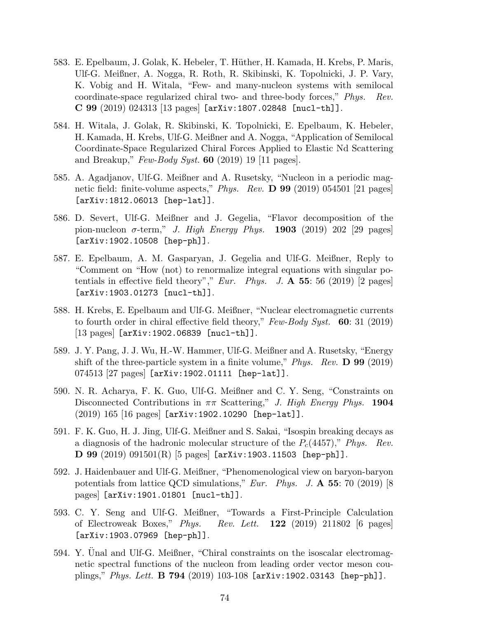- 583. E. Epelbaum, J. Golak, K. Hebeler, T. Hüther, H. Kamada, H. Krebs, P. Maris, Ulf-G. Meißner, A. Nogga, R. Roth, R. Skibinski, K. Topolnicki, J. P. Vary, K. Vobig and H. Witala, "Few- and many-nucleon systems with semilocal coordinate-space regularized chiral two- and three-body forces," Phys. Rev. C 99 (2019) 024313 [13 pages] [arXiv:1807.02848 [nucl-th]].
- 584. H. Witala, J. Golak, R. Skibinski, K. Topolnicki, E. Epelbaum, K. Hebeler, H. Kamada, H. Krebs, Ulf-G. Meißner and A. Nogga, "Application of Semilocal Coordinate-Space Regularized Chiral Forces Applied to Elastic Nd Scattering and Breakup,"  $Few-Body Syst.$  60 (2019) 19 [11 pages].
- 585. A. Agadjanov, Ulf-G. Meißner and A. Rusetsky, "Nucleon in a periodic magnetic field: finite-volume aspects," Phys. Rev. D 99 (2019) 054501 [21 pages] [arXiv:1812.06013 [hep-lat]].
- 586. D. Severt, Ulf-G. Meißner and J. Gegelia, "Flavor decomposition of the pion-nucleon  $\sigma$ -term," J. High Energy Phys. 1903 (2019) 202 [29 pages] [arXiv:1902.10508 [hep-ph]].
- 587. E. Epelbaum, A. M. Gasparyan, J. Gegelia and Ulf-G. Meißner, Reply to "Comment on "How (not) to renormalize integral equations with singular potentials in effective field theory"," Eur. Phys. J.  $\mathbf{A}$  55: 56 (2019) [2 pages] [arXiv:1903.01273 [nucl-th]].
- 588. H. Krebs, E. Epelbaum and Ulf-G. Meißner, "Nuclear electromagnetic currents to fourth order in chiral effective field theory,"  $Few-Body System$  Syst. 60: 31 (2019) [13 pages] [arXiv:1902.06839 [nucl-th]].
- 589. J. Y. Pang, J. J. Wu, H.-W. Hammer, Ulf-G. Meißner and A. Rusetsky, "Energy shift of the three-particle system in a finite volume," Phys. Rev.  $\bf{D}$  99 (2019) 074513 [27 pages] [arXiv:1902.01111 [hep-lat]].
- 590. N. R. Acharya, F. K. Guo, Ulf-G. Meißner and C. Y. Seng, "Constraints on Disconnected Contributions in  $\pi\pi$  Scattering," J. High Energy Phys. 1904 (2019) 165 [16 pages] [arXiv:1902.10290 [hep-lat]].
- 591. F. K. Guo, H. J. Jing, Ulf-G. Meißner and S. Sakai, "Isospin breaking decays as a diagnosis of the hadronic molecular structure of the  $P_c(4457)$ ," Phys. Rev. D 99 (2019) 091501(R) [5 pages] [arXiv:1903.11503 [hep-ph]].
- 592. J. Haidenbauer and Ulf-G. Meißner, "Phenomenological view on baryon-baryon potentials from lattice QCD simulations," Eur. Phys. J.  $\mathbf{A}$  55: 70 (2019) [8 pages] [arXiv:1901.01801 [nucl-th]].
- 593. C. Y. Seng and Ulf-G. Meißner, "Towards a First-Principle Calculation of Electroweak Boxes," *Phys. Rev. Lett.*  $122$  (2019) 211802 [6 pages] [arXiv:1903.07969 [hep-ph]].
- 594. Y. Unal and Ulf-G. Meißner, "Chiral constraints on the isoscalar electromagnetic spectral functions of the nucleon from leading order vector meson couplings," Phys. Lett. **B 794** (2019) 103-108 [arXiv:1902.03143 [hep-ph]].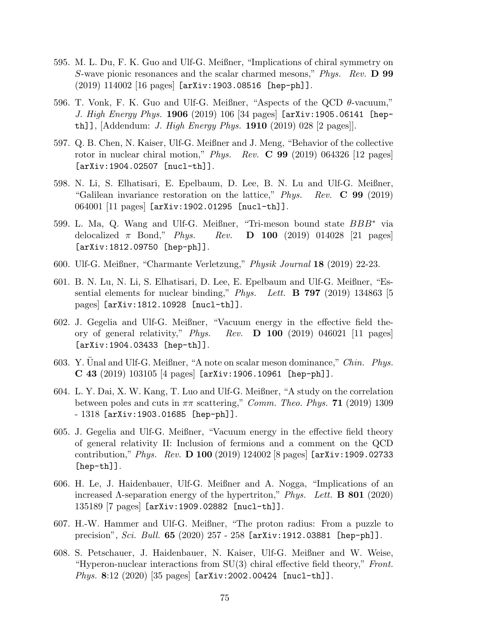- 595. M. L. Du, F. K. Guo and Ulf-G. Meißner, "Implications of chiral symmetry on S-wave pionic resonances and the scalar charmed mesons," Phys. Rev. D 99 (2019) 114002 [16 pages] [arXiv:1903.08516 [hep-ph]].
- 596. T. Vonk, F. K. Guo and Ulf-G. Meißner, "Aspects of the QCD  $\theta$ -vacuum," J. High Energy Phys. 1906 (2019) 106 [34 pages] [arXiv:1905.06141 [hepth]], [Addendum: *J. High Energy Phys.* **1910** (2019) 028 [2 pages]].
- 597. Q. B. Chen, N. Kaiser, Ulf-G. Meißner and J. Meng, "Behavior of the collective rotor in nuclear chiral motion," Phys. Rev.  $\bf{C}$  99 (2019) 064326 [12 pages] [arXiv:1904.02507 [nucl-th]].
- 598. N. Li, S. Elhatisari, E. Epelbaum, D. Lee, B. N. Lu and Ulf-G. Meißner, "Galilean invariance restoration on the lattice," Phys. Rev.  $\bf{C}$  99 (2019) 064001 [11 pages] [arXiv:1902.01295 [nucl-th]].
- 599. L. Ma, Q. Wang and Ulf-G. Meißner, "Tri-meson bound state BBB<sup>∗</sup> via delocalized  $\pi$  Bond," Phys. Rev. **D** 100 (2019) 014028 [21 pages] [arXiv:1812.09750 [hep-ph]].
- 600. Ulf-G. Meißner, "Charmante Verletzung," Physik Journal 18 (2019) 22-23.
- 601. B. N. Lu, N. Li, S. Elhatisari, D. Lee, E. Epelbaum and Ulf-G. Meißner, "Essential elements for nuclear binding," Phys. Lett. **B** 797 (2019) 134863 [5 pages] [arXiv:1812.10928 [nucl-th]].
- 602. J. Gegelia and Ulf-G. Meißner, "Vacuum energy in the effective field theory of general relativity," *Phys.* Rev.  $\bf{D}$  100 (2019) 046021 [11 pages] [arXiv:1904.03433 [hep-th]].
- 603. Y. Unal and Ulf-G. Meißner, "A note on scalar meson dominance," Chin. Phys. C 43 (2019) 103105 [4 pages] [arXiv:1906.10961 [hep-ph]].
- 604. L. Y. Dai, X. W. Kang, T. Luo and Ulf-G. Meißner, "A study on the correlation between poles and cuts in  $\pi\pi$  scattering," *Comm. Theo. Phys.* **71** (2019) 1309 - 1318 [arXiv:1903.01685 [hep-ph]].
- 605. J. Gegelia and Ulf-G. Meißner, "Vacuum energy in the effective field theory of general relativity II: Inclusion of fermions and a comment on the QCD contribution," Phys. Rev. D 100 (2019) 124002 [8 pages] [arXiv:1909.02733 [hep-th]].
- 606. H. Le, J. Haidenbauer, Ulf-G. Meißner and A. Nogga, "Implications of an increased  $\Lambda$ -separation energy of the hypertriton," Phys. Lett. **B** 801 (2020) 135189 [7 pages] [arXiv:1909.02882 [nucl-th]].
- 607. H.-W. Hammer and Ulf-G. Meißner, "The proton radius: From a puzzle to precision", Sci. Bull. 65 (2020) 257 - 258 [arXiv:1912.03881 [hep-ph]].
- 608. S. Petschauer, J. Haidenbauer, N. Kaiser, Ulf-G. Meißner and W. Weise, "Hyperon-nuclear interactions from  $SU(3)$  chiral effective field theory," Front. Phys. 8:12 (2020) [35 pages] [arXiv:2002.00424 [nucl-th]].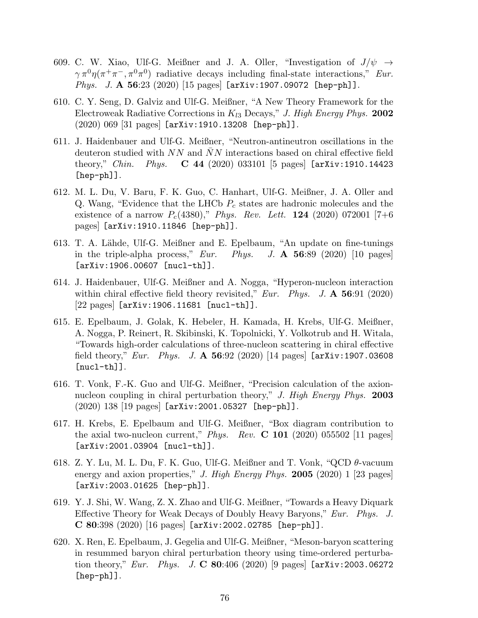- 609. C. W. Xiao, Ulf-G. Meißner and J. A. Oller, "Investigation of  $J/\psi \rightarrow$  $\gamma \pi^0 \eta(\pi^+ \pi^-, \pi^0 \pi^0)$  radiative decays including final-state interactions," Eur. *Phys.* J. A 56:23 (2020) [15 pages]  $[\text{arXiv:1907.09072}$   $[\text{hep-ph}]]$ .
- 610. C. Y. Seng, D. Galviz and Ulf-G. Meißner, "A New Theory Framework for the Electroweak Radiative Corrections in  $K_{13}$  Decays," J. High Energy Phys. 2002 (2020) 069 [31 pages] [arXiv:1910.13208 [hep-ph]].
- 611. J. Haidenbauer and Ulf-G. Meißner, "Neutron-antineutron oscillations in the deuteron studied with  $NN$  and  $NN$  interactions based on chiral effective field theory," *Chin.* Phys. **C** 44 (2020) 033101 [5 pages]  $[\text{arXiv:1910.14423}]$ [hep-ph]].
- 612. M. L. Du, V. Baru, F. K. Guo, C. Hanhart, Ulf-G. Meißner, J. A. Oller and Q. Wang, "Evidence that the LHCb  $P_c$  states are hadronic molecules and the existence of a narrow  $P_c(4380)$ ," Phys. Rev. Lett. 124 (2020) 072001 [7+6 pages] [arXiv:1910.11846 [hep-ph]].
- 613. T. A. Lähde, Ulf-G. Meißner and E. Epelbaum, "An update on fine-tunings in the triple-alpha process,"  $Eur.$  Phys. J. A 56:89 (2020) [10 pages] [arXiv:1906.00607 [nucl-th]].
- 614. J. Haidenbauer, Ulf-G. Meißner and A. Nogga, "Hyperon-nucleon interaction within chiral effective field theory revisited," Eur. Phys. J.  $\mathbf{A}$  56:91 (2020) [22 pages] [arXiv:1906.11681 [nucl-th]].
- 615. E. Epelbaum, J. Golak, K. Hebeler, H. Kamada, H. Krebs, Ulf-G. Meißner, A. Nogga, P. Reinert, R. Skibinski, K. Topolnicki, Y. Volkotrub and H. Witala, "Towards high-order calculations of three-nucleon scattering in chiral effective field theory," Eur. Phys. J. A  $56:92$  (2020) [14 pages] [arXiv:1907.03608 [nucl-th]].
- 616. T. Vonk, F.-K. Guo and Ulf-G. Meißner, "Precision calculation of the axionnucleon coupling in chiral perturbation theory," J. High Energy Phys. 2003 (2020) 138 [19 pages] [arXiv:2001.05327 [hep-ph]].
- 617. H. Krebs, E. Epelbaum and Ulf-G. Meißner, "Box diagram contribution to the axial two-nucleon current," *Phys. Rev.* **C** 101 (2020) 055502 [11 pages] [arXiv:2001.03904 [nucl-th]].
- 618. Z. Y. Lu, M. L. Du, F. K. Guo, Ulf-G. Meißner and T. Vonk, "QCD θ-vacuum energy and axion properties," J. High Energy Phys. 2005 (2020)  $1$  [23 pages] [arXiv:2003.01625 [hep-ph]].
- 619. Y. J. Shi, W. Wang, Z. X. Zhao and Ulf-G. Meißner, "Towards a Heavy Diquark Effective Theory for Weak Decays of Doubly Heavy Baryons," Eur. Phys. J. C 80:398 (2020) [16 pages] [arXiv:2002.02785 [hep-ph]].
- 620. X. Ren, E. Epelbaum, J. Gegelia and Ulf-G. Meißner, "Meson-baryon scattering in resummed baryon chiral perturbation theory using time-ordered perturbation theory," Eur. Phys. J. C 80:406 (2020) [9 pages]  $arXiv:2003.06272$ [hep-ph]].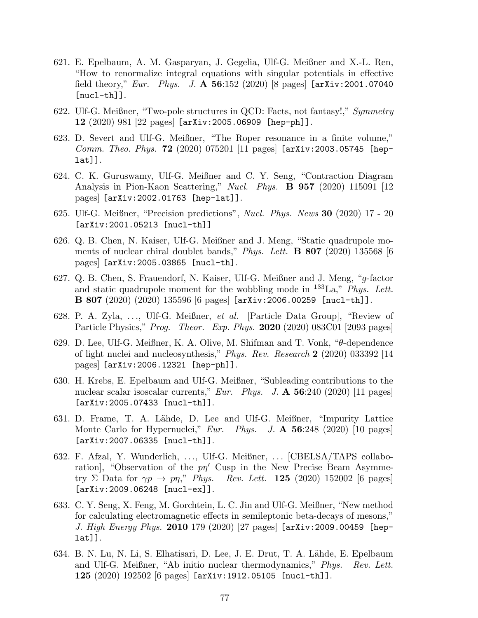- 621. E. Epelbaum, A. M. Gasparyan, J. Gegelia, Ulf-G. Meißner and X.-L. Ren, "How to renormalize integral equations with singular potentials in effective field theory," Eur. Phys. J.  $\Delta$  56:152 (2020) [8 pages] [arXiv:2001.07040  $[nuc1-th]$ ].
- 622. Ulf-G. Meißner, "Two-pole structures in QCD: Facts, not fantasy!," Symmetry 12 (2020) 981 [22 pages] [arXiv:2005.06909 [hep-ph]].
- 623. D. Severt and Ulf-G. Meißner, "The Roper resonance in a finite volume," Comm. Theo. Phys. 72 (2020) 075201 [11 pages] [arXiv:2003.05745 [heplat]].
- 624. C. K. Guruswamy, Ulf-G. Meißner and C. Y. Seng, "Contraction Diagram Analysis in Pion-Kaon Scattering," Nucl. Phys. **B 957** (2020) 115091 [12 pages] [arXiv:2002.01763 [hep-lat]].
- 625. Ulf-G. Meißner, "Precision predictions", Nucl. Phys. News 30 (2020) 17 20 [arXiv:2001.05213 [nucl-th]]
- 626. Q. B. Chen, N. Kaiser, Ulf-G. Meißner and J. Meng, "Static quadrupole moments of nuclear chiral doublet bands," *Phys. Lett.* **B** 807 (2020) 135568 [6 pages] [arXiv:2005.03865 [nucl-th].
- 627. Q. B. Chen, S. Frauendorf, N. Kaiser, Ulf-G. Meißner and J. Meng, "g-factor and static quadrupole moment for the wobbling mode in  $^{133}$ La," *Phys. Lett.* B 807 (2020) (2020) 135596 [6 pages] [arXiv:2006.00259 [nucl-th]].
- 628. P. A. Zyla, . . ., Ulf-G. Meißner, et al. [Particle Data Group], "Review of Particle Physics," *Prog. Theor. Exp. Phys.* **2020** (2020) 083C01 [2093 pages]
- 629. D. Lee, Ulf-G. Meißner, K. A. Olive, M. Shifman and T. Vonk, "θ-dependence of light nuclei and nucleosynthesis," *Phys. Rev. Research* 2 (2020) 033392 [14 pages] [arXiv:2006.12321 [hep-ph]].
- 630. H. Krebs, E. Epelbaum and Ulf-G. Meißner, "Subleading contributions to the nuclear scalar isoscalar currents,"  $Eur$ . Phys. J.  $\mathbf{A}$  56:240 (2020) [11 pages] [arXiv:2005.07433 [nucl-th]].
- 631. D. Frame, T. A. L¨ahde, D. Lee and Ulf-G. Meißner, "Impurity Lattice Monte Carlo for Hypernuclei,"  $Eur.$  Phys. J.  $\bf{A}$  56:248 (2020) [10 pages] [arXiv:2007.06335 [nucl-th]].
- 632. F. Afzal, Y. Wunderlich, ..., Ulf-G. Meißner, ... [CBELSA/TAPS collaboration], "Observation of the  $p\eta'$  Cusp in the New Precise Beam Asymmetry Σ Data for  $\gamma p \to p \eta$ ," Phys. Rev. Lett. 125 (2020) 152002 [6 pages] [arXiv:2009.06248 [nucl-ex]].
- 633. C. Y. Seng, X. Feng, M. Gorchtein, L. C. Jin and Ulf-G. Meißner, "New method for calculating electromagnetic effects in semileptonic beta-decays of mesons," J. High Energy Phys. 2010 179 (2020) [27 pages] [arXiv:2009.00459 [heplat]].
- 634. B. N. Lu, N. Li, S. Elhatisari, D. Lee, J. E. Drut, T. A. Lähde, E. Epelbaum and Ulf-G. Meißner, "Ab initio nuclear thermodynamics," Phys. Rev. Lett. 125 (2020) 192502 [6 pages] [arXiv:1912.05105 [nucl-th]].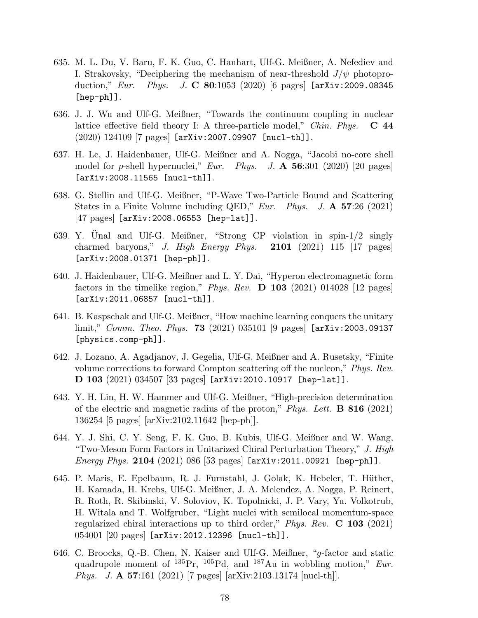- 635. M. L. Du, V. Baru, F. K. Guo, C. Hanhart, Ulf-G. Meißner, A. Nefediev and I. Strakovsky, "Deciphering the mechanism of near-threshold  $J/\psi$  photoproduction," Eur. Phys. J. C 80:1053 (2020) [6 pages]  $[arXiv:2009.08345]$ [hep-ph]].
- 636. J. J. Wu and Ulf-G. Meißner, "Towards the continuum coupling in nuclear lattice effective field theory I: A three-particle model," *Chin. Phys.*  $\bf{C}$  44 (2020) 124109 [7 pages] [arXiv:2007.09907 [nucl-th]].
- 637. H. Le, J. Haidenbauer, Ulf-G. Meißner and A. Nogga, "Jacobi no-core shell model for p-shell hypernuclei," Eur. Phys. J.  $\mathbf{A}$  56:301 (2020) [20 pages] [arXiv:2008.11565 [nucl-th]].
- 638. G. Stellin and Ulf-G. Meißner, "P-Wave Two-Particle Bound and Scattering States in a Finite Volume including QED," Eur. Phys. J.  $\mathbf{A}$  57:26 (2021) [47 pages] [arXiv:2008.06553 [hep-lat]].
- 639. Y. Unal and Ulf-G. Meißner, "Strong CP violation in spin- $1/2$  singly charmed baryons," J. High Energy Phys.  $2101$  (2021) 115 [17 pages] [arXiv:2008.01371 [hep-ph]].
- 640. J. Haidenbauer, Ulf-G. Meißner and L. Y. Dai, "Hyperon electromagnetic form factors in the timelike region," Phys. Rev.  $\bf{D}$  103 (2021) 014028 [12 pages] [arXiv:2011.06857 [nucl-th]].
- 641. B. Kaspschak and Ulf-G. Meißner, "How machine learning conquers the unitary  $\limit''$ , *Comm. Theo. Phys.* **73** (2021) 035101 [9 pages]  $\text{[arXiv:2003.09137]}$ [physics.comp-ph]].
- 642. J. Lozano, A. Agadjanov, J. Gegelia, Ulf-G. Meißner and A. Rusetsky, "Finite volume corrections to forward Compton scattering off the nucleon," Phys. Rev. D 103 (2021) 034507 [33 pages] [arXiv:2010.10917 [hep-lat]].
- 643. Y. H. Lin, H. W. Hammer and Ulf-G. Meißner, "High-precision determination of the electric and magnetic radius of the proton," Phys. Lett.  $\bf{B} 816$  (2021) 136254 [5 pages] [arXiv:2102.11642 [hep-ph]].
- 644. Y. J. Shi, C. Y. Seng, F. K. Guo, B. Kubis, Ulf-G. Meißner and W. Wang, "Two-Meson Form Factors in Unitarized Chiral Perturbation Theory," J. High *Energy Phys.* 2104 (2021) 086 [53 pages]  $[\text{arXiv:}2011.00921$   $[\text{hep-ph}]]$ .
- 645. P. Maris, E. Epelbaum, R. J. Furnstahl, J. Golak, K. Hebeler, T. Hüther, H. Kamada, H. Krebs, Ulf-G. Meißner, J. A. Melendez, A. Nogga, P. Reinert, R. Roth, R. Skibinski, V. Soloviov, K. Topolnicki, J. P. Vary, Yu. Volkotrub, H. Witala and T. Wolfgruber, "Light nuclei with semilocal momentum-space regularized chiral interactions up to third order," Phys. Rev.  $C$  103 (2021) 054001 [20 pages] [arXiv:2012.12396 [nucl-th]].
- 646. C. Broocks, Q.-B. Chen, N. Kaiser and Ulf-G. Meißner, "g-factor and static quadrupole moment of  $^{135}Pr$ ,  $^{105}Pd$ , and  $^{187}Au$  in wobbling motion," *Eur*. Phys. J. A 57:161 (2021) [7 pages] [arXiv:2103.13174 [nucl-th]].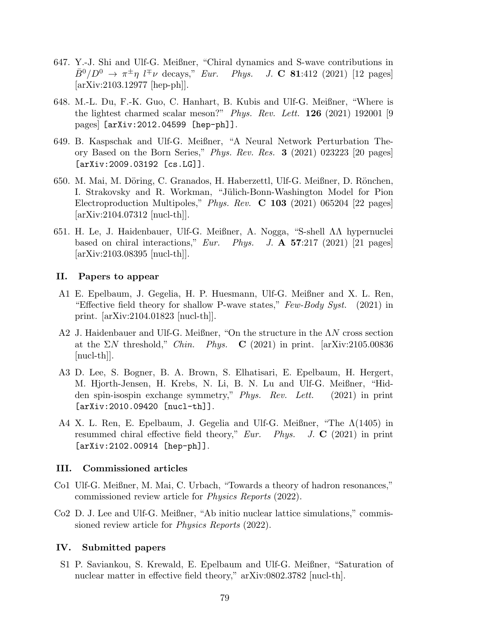- 647. Y.-J. Shi and Ulf-G. Meißner, "Chiral dynamics and S-wave contributions in  $\bar{B}^0/D^0 \rightarrow \pi^{\pm} \eta$  l<sup>∓</sup> $\nu$  decays," Eur. Phys. J. C 81:412 (2021) [12 pages] [arXiv:2103.12977 [hep-ph]].
- 648. M.-L. Du, F.-K. Guo, C. Hanhart, B. Kubis and Ulf-G. Meißner, "Where is the lightest charmed scalar meson?" Phys. Rev. Lett. 126 (2021) 192001 [9 pages] [arXiv:2012.04599 [hep-ph]].
- 649. B. Kaspschak and Ulf-G. Meißner, "A Neural Network Perturbation Theory Based on the Born Series," Phys. Rev. Res. 3 (2021) 023223 [20 pages] [arXiv:2009.03192 [cs.LG]].
- 650. M. Mai, M. Döring, C. Granados, H. Haberzettl, Ulf-G. Meißner, D. Rönchen, I. Strakovsky and R. Workman, "Jülich-Bonn-Washington Model for Pion Electroproduction Multipoles," *Phys. Rev.* **C** 103 (2021) 065204 [22 pages] [arXiv:2104.07312 [nucl-th]].
- 651. H. Le, J. Haidenbauer, Ulf-G. Meißner, A. Nogga, "S-shell ΛΛ hypernuclei based on chiral interactions," Eur. Phys. J.  $\mathbf{A}$  57:217 (2021) [21 pages] [arXiv:2103.08395 [nucl-th]].

## II. Papers to appear

- A1 E. Epelbaum, J. Gegelia, H. P. Huesmann, Ulf-G. Meißner and X. L. Ren, "Effective field theory for shallow P-wave states,"  $Few-Body Syst.$  (2021) in print. [arXiv:2104.01823 [nucl-th]].
- A2 J. Haidenbauer and Ulf-G. Meißner, "On the structure in the ΛN cross section at the  $\Sigma N$  threshold," *Chin.* Phys. **C** (2021) in print. [arXiv:2105.00836 [nucl-th]].
- A3 D. Lee, S. Bogner, B. A. Brown, S. Elhatisari, E. Epelbaum, H. Hergert, M. Hjorth-Jensen, H. Krebs, N. Li, B. N. Lu and Ulf-G. Meißner, "Hidden spin-isospin exchange symmetry," Phys. Rev. Lett. (2021) in print [arXiv:2010.09420 [nucl-th]].
- A4 X. L. Ren, E. Epelbaum, J. Gegelia and Ulf-G. Meißner, "The Λ(1405) in resummed chiral effective field theory," Eur. Phys. J.  $C$  (2021) in print [arXiv:2102.00914 [hep-ph]].

### III. Commissioned articles

- Co1 Ulf-G. Meißner, M. Mai, C. Urbach, "Towards a theory of hadron resonances," commissioned review article for Physics Reports (2022).
- Co2 D. J. Lee and Ulf-G. Meißner, "Ab initio nuclear lattice simulations," commissioned review article for *Physics Reports* (2022).

### IV. Submitted papers

S1 P. Saviankou, S. Krewald, E. Epelbaum and Ulf-G. Meißner, "Saturation of nuclear matter in effective field theory," arXiv:0802.3782 [nucl-th].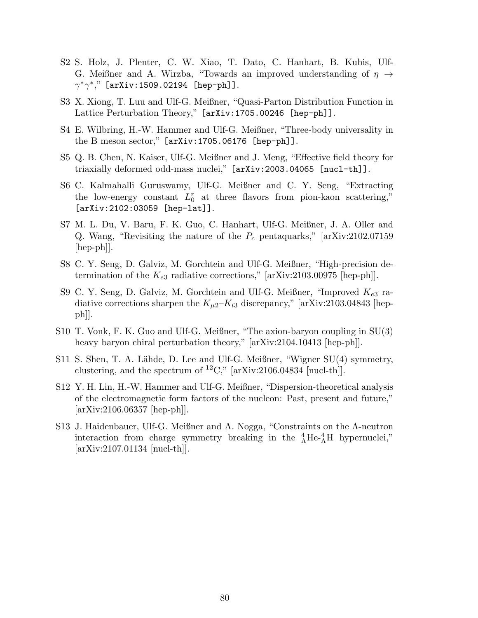- S2 S. Holz, J. Plenter, C. W. Xiao, T. Dato, C. Hanhart, B. Kubis, Ulf-G. Meißner and A. Wirzba, "Towards an improved understanding of  $\eta \rightarrow$  $\gamma^* \gamma^*,$ " [arXiv:1509.02194 [hep-ph]].
- S3 X. Xiong, T. Luu and Ulf-G. Meißner, "Quasi-Parton Distribution Function in Lattice Perturbation Theory," [arXiv:1705.00246 [hep-ph]].
- S4 E. Wilbring, H.-W. Hammer and Ulf-G. Meißner, "Three-body universality in the B meson sector," [arXiv:1705.06176 [hep-ph]].
- S5 Q. B. Chen, N. Kaiser, Ulf-G. Meißner and J. Meng, "Effective field theory for triaxially deformed odd-mass nuclei," [arXiv:2003.04065 [nucl-th]].
- S6 C. Kalmahalli Guruswamy, Ulf-G. Meißner and C. Y. Seng, "Extracting the low-energy constant  $L_0^r$  at three flavors from pion-kaon scattering," [arXiv:2102:03059 [hep-lat]].
- S7 M. L. Du, V. Baru, F. K. Guo, C. Hanhart, Ulf-G. Meißner, J. A. Oller and Q. Wang, "Revisiting the nature of the  $P_c$  pentaquarks," [arXiv:2102.07159] [hep-ph]].
- S8 C. Y. Seng, D. Galviz, M. Gorchtein and Ulf-G. Meißner, "High-precision determination of the  $K_{e3}$  radiative corrections," [arXiv:2103.00975 [hep-ph]].
- S9 C. Y. Seng, D. Galviz, M. Gorchtein and Ulf-G. Meißner, "Improved  $K_{e3}$  radiative corrections sharpen the  $K_{\mu2}$ – $K_{l3}$  discrepancy," [arXiv:2103.04843 [hepph]].
- S10 T. Vonk, F. K. Guo and Ulf-G. Meißner, "The axion-baryon coupling in SU(3) heavy baryon chiral perturbation theory," [arXiv:2104.10413 [hep-ph]].
- S11 S. Shen, T. A. Lähde, D. Lee and Ulf-G. Meißner, "Wigner SU(4) symmetry, clustering, and the spectrum of  ${}^{12}C$ ," [arXiv:2106.04834 [nucl-th]].
- S12 Y. H. Lin, H.-W. Hammer and Ulf-G. Meißner, "Dispersion-theoretical analysis of the electromagnetic form factors of the nucleon: Past, present and future," [arXiv:2106.06357 [hep-ph]].
- S13 J. Haidenbauer, Ulf-G. Meißner and A. Nogga, "Constraints on the Λ-neutron interaction from charge symmetry breaking in the  $^{4}_{\Lambda}$ He- $^{4}_{\Lambda}$ H hypernuclei,"  $\arXiv:2107.01134$   $\vert \text{nucl-th} \vert$ .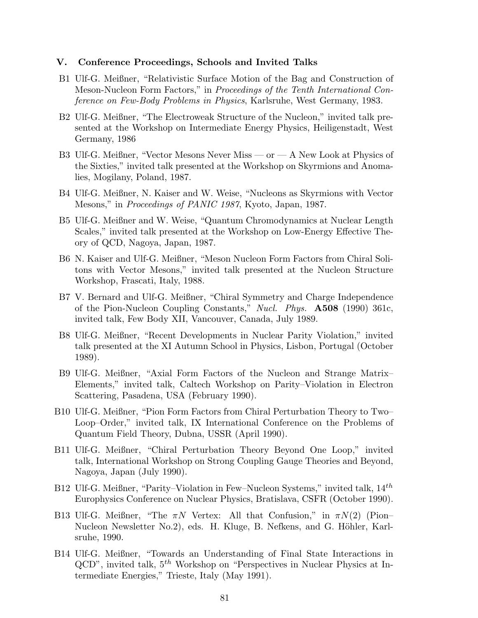#### V. Conference Proceedings, Schools and Invited Talks

- B1 Ulf-G. Meißner, "Relativistic Surface Motion of the Bag and Construction of Meson-Nucleon Form Factors," in Proceedings of the Tenth International Conference on Few-Body Problems in Physics, Karlsruhe, West Germany, 1983.
- B2 Ulf-G. Meißner, "The Electroweak Structure of the Nucleon," invited talk presented at the Workshop on Intermediate Energy Physics, Heiligenstadt, West Germany, 1986
- B3 Ulf-G. Meißner, "Vector Mesons Never Miss or A New Look at Physics of the Sixties," invited talk presented at the Workshop on Skyrmions and Anomalies, Mogilany, Poland, 1987.
- B4 Ulf-G. Meißner, N. Kaiser and W. Weise, "Nucleons as Skyrmions with Vector Mesons," in *Proceedings of PANIC 1987*, Kyoto, Japan, 1987.
- B5 Ulf-G. Meißner and W. Weise, "Quantum Chromodynamics at Nuclear Length Scales," invited talk presented at the Workshop on Low-Energy Effective Theory of QCD, Nagoya, Japan, 1987.
- B6 N. Kaiser and Ulf-G. Meißner, "Meson Nucleon Form Factors from Chiral Solitons with Vector Mesons," invited talk presented at the Nucleon Structure Workshop, Frascati, Italy, 1988.
- B7 V. Bernard and Ulf-G. Meißner, "Chiral Symmetry and Charge Independence of the Pion-Nucleon Coupling Constants," Nucl. Phys. **A508** (1990) 361c, invited talk, Few Body XII, Vancouver, Canada, July 1989.
- B8 Ulf-G. Meißner, "Recent Developments in Nuclear Parity Violation," invited talk presented at the XI Autumn School in Physics, Lisbon, Portugal (October 1989).
- B9 Ulf-G. Meißner, "Axial Form Factors of the Nucleon and Strange Matrix– Elements," invited talk, Caltech Workshop on Parity–Violation in Electron Scattering, Pasadena, USA (February 1990).
- B10 Ulf-G. Meißner, "Pion Form Factors from Chiral Perturbation Theory to Two– Loop–Order," invited talk, IX International Conference on the Problems of Quantum Field Theory, Dubna, USSR (April 1990).
- B11 Ulf-G. Meißner, "Chiral Perturbation Theory Beyond One Loop," invited talk, International Workshop on Strong Coupling Gauge Theories and Beyond, Nagoya, Japan (July 1990).
- B12 Ulf-G. Meißner, "Parity–Violation in Few–Nucleon Systems," invited talk,  $14^{th}$ Europhysics Conference on Nuclear Physics, Bratislava, CSFR (October 1990).
- B13 Ulf-G. Meißner, "The  $\pi N$  Vertex: All that Confusion," in  $\pi N(2)$  (Pion– Nucleon Newsletter No.2), eds. H. Kluge, B. Nefkens, and G. Höhler, Karlsruhe, 1990.
- B14 Ulf-G. Meißner, "Towards an Understanding of Final State Interactions in  $QCD$ ", invited talk,  $5<sup>th</sup>$  Workshop on "Perspectives in Nuclear Physics at Intermediate Energies," Trieste, Italy (May 1991).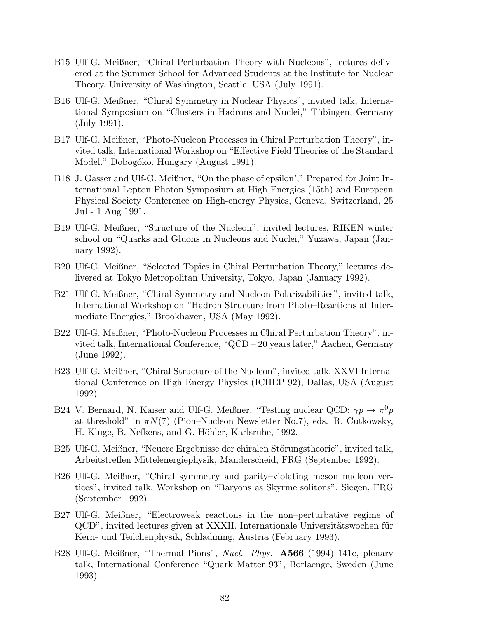- B15 Ulf-G. Meißner, "Chiral Perturbation Theory with Nucleons", lectures delivered at the Summer School for Advanced Students at the Institute for Nuclear Theory, University of Washington, Seattle, USA (July 1991).
- B16 Ulf-G. Meißner, "Chiral Symmetry in Nuclear Physics", invited talk, International Symposium on "Clusters in Hadrons and Nuclei," Tübingen, Germany (July 1991).
- B17 Ulf-G. Meißner, "Photo-Nucleon Processes in Chiral Perturbation Theory", invited talk, International Workshop on "Effective Field Theories of the Standard Model," Dobogókö, Hungary (August 1991).
- B18 J. Gasser and Ulf-G. Meißner, "On the phase of epsilon'," Prepared for Joint International Lepton Photon Symposium at High Energies (15th) and European Physical Society Conference on High-energy Physics, Geneva, Switzerland, 25 Jul - 1 Aug 1991.
- B19 Ulf-G. Meißner, "Structure of the Nucleon", invited lectures, RIKEN winter school on "Quarks and Gluons in Nucleons and Nuclei," Yuzawa, Japan (January 1992).
- B20 Ulf-G. Meißner, "Selected Topics in Chiral Perturbation Theory," lectures delivered at Tokyo Metropolitan University, Tokyo, Japan (January 1992).
- B21 Ulf-G. Meißner, "Chiral Symmetry and Nucleon Polarizabilities", invited talk, International Workshop on "Hadron Structure from Photo–Reactions at Intermediate Energies," Brookhaven, USA (May 1992).
- B22 Ulf-G. Meißner, "Photo-Nucleon Processes in Chiral Perturbation Theory", invited talk, International Conference, "QCD – 20 years later," Aachen, Germany (June 1992).
- B23 Ulf-G. Meißner, "Chiral Structure of the Nucleon", invited talk, XXVI International Conference on High Energy Physics (ICHEP 92), Dallas, USA (August 1992).
- B24 V. Bernard, N. Kaiser and Ulf-G. Meißner, "Testing nuclear QCD:  $\gamma p \to \pi^0 p$ at threshold" in  $\pi N(7)$  (Pion–Nucleon Newsletter No.7), eds. R. Cutkowsky, H. Kluge, B. Nefkens, and G. Höhler, Karlsruhe, 1992.
- B25 Ulf-G. Meißner, "Neuere Ergebnisse der chiralen Störungstheorie", invited talk, Arbeitstreffen Mittelenergiephysik, Manderscheid, FRG (September 1992).
- B26 Ulf-G. Meißner, "Chiral symmetry and parity–violating meson nucleon vertices", invited talk, Workshop on "Baryons as Skyrme solitons", Siegen, FRG (September 1992).
- B27 Ulf-G. Meißner, "Electroweak reactions in the non–perturbative regime of QCD", invited lectures given at XXXII. Internationale Universitätswochen für Kern- und Teilchenphysik, Schladming, Austria (February 1993).
- B28 Ulf-G. Meißner, "Thermal Pions", Nucl. Phys. A566 (1994) 141c, plenary talk, International Conference "Quark Matter 93", Borlaenge, Sweden (June 1993).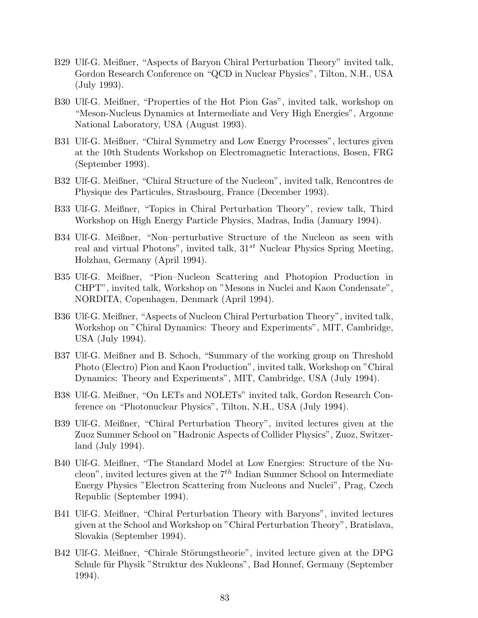- B29 Ulf-G. Meißner, "Aspects of Baryon Chiral Perturbation Theory" invited talk, Gordon Research Conference on "QCD in Nuclear Physics", Tilton, N.H., USA (July 1993).
- B30 Ulf-G. Meißner, "Properties of the Hot Pion Gas", invited talk, workshop on "Meson-Nucleus Dynamics at Intermediate and Very High Energies", Argonne National Laboratory, USA (August 1993).
- B31 Ulf-G. Meißner, "Chiral Symmetry and Low Energy Processes", lectures given at the 10th Students Workshop on Electromagnetic Interactions, Bosen, FRG (September 1993).
- B32 Ulf-G. Meißner, "Chiral Structure of the Nucleon", invited talk, Rencontres de Physique des Particules, Strasbourg, France (December 1993).
- B33 Ulf-G. Meißner, "Topics in Chiral Perturbation Theory", review talk, Third Workshop on High Energy Particle Physics, Madras, India (January 1994).
- B34 Ulf-G. Meißner, "Non–perturbative Structure of the Nucleon as seen with real and virtual Photons", invited talk,  $31^{st}$  Nuclear Physics Spring Meeting, Holzhau, Germany (April 1994).
- B35 Ulf-G. Meißner, "Pion–Nucleon Scattering and Photopion Production in CHPT", invited talk, Workshop on "Mesons in Nuclei and Kaon Condensate", NORDITA, Copenhagen, Denmark (April 1994).
- B36 Ulf-G. Meißner, "Aspects of Nucleon Chiral Perturbation Theory", invited talk, Workshop on "Chiral Dynamics: Theory and Experiments", MIT, Cambridge, USA (July 1994).
- B37 Ulf-G. Meißner and B. Schoch, "Summary of the working group on Threshold Photo (Electro) Pion and Kaon Production", invited talk, Workshop on "Chiral Dynamics: Theory and Experiments", MIT, Cambridge, USA (July 1994).
- B38 Ulf-G. Meißner, "On LETs and NOLETs" invited talk, Gordon Research Conference on "Photonuclear Physics", Tilton, N.H., USA (July 1994).
- B39 Ulf-G. Meißner, "Chiral Perturbation Theory", invited lectures given at the Zuoz Summer School on "Hadronic Aspects of Collider Physics", Zuoz, Switzerland (July 1994).
- B40 Ulf-G. Meißner, "The Standard Model at Low Energies: Structure of the Nucleon", invited lectures given at the  $7<sup>th</sup>$  Indian Summer School on Intermediate Energy Physics "Electron Scattering from Nucleons and Nuclei", Prag, Czech Republic (September 1994).
- B41 Ulf-G. Meißner, "Chiral Perturbation Theory with Baryons", invited lectures given at the School and Workshop on "Chiral Perturbation Theory", Bratislava, Slovakia (September 1994).
- B42 Ulf-G. Meißner, "Chirale Störungstheorie", invited lecture given at the DPG Schule für Physik "Struktur des Nukleons", Bad Honnef, Germany (September 1994).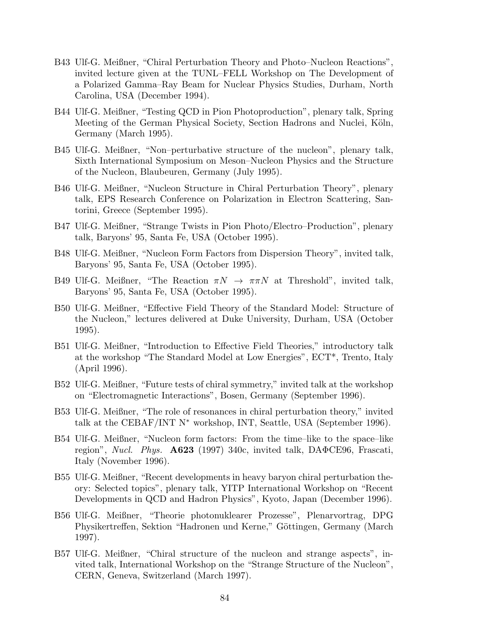- B43 Ulf-G. Meißner, "Chiral Perturbation Theory and Photo–Nucleon Reactions", invited lecture given at the TUNL–FELL Workshop on The Development of a Polarized Gamma–Ray Beam for Nuclear Physics Studies, Durham, North Carolina, USA (December 1994).
- B44 Ulf-G. Meißner, "Testing QCD in Pion Photoproduction", plenary talk, Spring Meeting of the German Physical Society, Section Hadrons and Nuclei, Köln, Germany (March 1995).
- B45 Ulf-G. Meißner, "Non–perturbative structure of the nucleon", plenary talk, Sixth International Symposium on Meson–Nucleon Physics and the Structure of the Nucleon, Blaubeuren, Germany (July 1995).
- B46 Ulf-G. Meißner, "Nucleon Structure in Chiral Perturbation Theory", plenary talk, EPS Research Conference on Polarization in Electron Scattering, Santorini, Greece (September 1995).
- B47 Ulf-G. Meißner, "Strange Twists in Pion Photo/Electro–Production", plenary talk, Baryons' 95, Santa Fe, USA (October 1995).
- B48 Ulf-G. Meißner, "Nucleon Form Factors from Dispersion Theory", invited talk, Baryons' 95, Santa Fe, USA (October 1995).
- B49 Ulf-G. Meißner, "The Reaction  $\pi N \to \pi \pi N$  at Threshold", invited talk, Baryons' 95, Santa Fe, USA (October 1995).
- B50 Ulf-G. Meißner, "Effective Field Theory of the Standard Model: Structure of the Nucleon," lectures delivered at Duke University, Durham, USA (October 1995).
- B51 Ulf-G. Meißner, "Introduction to Effective Field Theories," introductory talk at the workshop "The Standard Model at Low Energies", ECT\*, Trento, Italy (April 1996).
- B52 Ulf-G. Meißner, "Future tests of chiral symmetry," invited talk at the workshop on "Electromagnetic Interactions", Bosen, Germany (September 1996).
- B53 Ulf-G. Meißner, "The role of resonances in chiral perturbation theory," invited talk at the CEBAF/INT  $N^*$  workshop, INT, Seattle, USA (September 1996).
- B54 Ulf-G. Meißner, "Nucleon form factors: From the time–like to the space–like region", Nucl. Phys.  $\mathbf{A623}$  (1997) 340c, invited talk,  $\mathbf{DA\Phi}$ CE96, Frascati, Italy (November 1996).
- B55 Ulf-G. Meißner, "Recent developments in heavy baryon chiral perturbation theory: Selected topics", plenary talk, YITP International Workshop on "Recent Developments in QCD and Hadron Physics", Kyoto, Japan (December 1996).
- B56 Ulf-G. Meißner, "Theorie photonuklearer Prozesse", Plenarvortrag, DPG Physikertreffen, Sektion "Hadronen und Kerne," Göttingen, Germany (March 1997).
- B57 Ulf-G. Meißner, "Chiral structure of the nucleon and strange aspects", invited talk, International Workshop on the "Strange Structure of the Nucleon", CERN, Geneva, Switzerland (March 1997).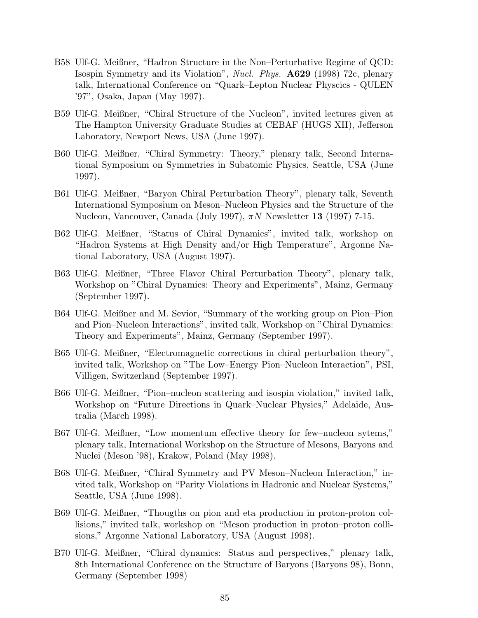- B58 Ulf-G. Meißner, "Hadron Structure in the Non–Perturbative Regime of QCD: Isospin Symmetry and its Violation", Nucl. Phys. A629 (1998) 72c, plenary talk, International Conference on "Quark–Lepton Nuclear Physcics - QULEN '97", Osaka, Japan (May 1997).
- B59 Ulf-G. Meißner, "Chiral Structure of the Nucleon", invited lectures given at The Hampton University Graduate Studies at CEBAF (HUGS XII), Jefferson Laboratory, Newport News, USA (June 1997).
- B60 Ulf-G. Meißner, "Chiral Symmetry: Theory," plenary talk, Second International Symposium on Symmetries in Subatomic Physics, Seattle, USA (June 1997).
- B61 Ulf-G. Meißner, "Baryon Chiral Perturbation Theory", plenary talk, Seventh International Symposium on Meson–Nucleon Physics and the Structure of the Nucleon, Vancouver, Canada (July 1997),  $\pi N$  Newsletter 13 (1997) 7-15.
- B62 Ulf-G. Meißner, "Status of Chiral Dynamics", invited talk, workshop on "Hadron Systems at High Density and/or High Temperature", Argonne National Laboratory, USA (August 1997).
- B63 Ulf-G. Meißner, "Three Flavor Chiral Perturbation Theory", plenary talk, Workshop on "Chiral Dynamics: Theory and Experiments", Mainz, Germany (September 1997).
- B64 Ulf-G. Meißner and M. Sevior, "Summary of the working group on Pion–Pion and Pion–Nucleon Interactions", invited talk, Workshop on "Chiral Dynamics: Theory and Experiments", Mainz, Germany (September 1997).
- B65 Ulf-G. Meißner, "Electromagnetic corrections in chiral perturbation theory", invited talk, Workshop on "The Low–Energy Pion–Nucleon Interaction", PSI, Villigen, Switzerland (September 1997).
- B66 Ulf-G. Meißner, "Pion–nucleon scattering and isospin violation," invited talk, Workshop on "Future Directions in Quark–Nuclear Physics," Adelaide, Australia (March 1998).
- B67 Ulf-G. Meißner, "Low momentum effective theory for few–nucleon sytems," plenary talk, International Workshop on the Structure of Mesons, Baryons and Nuclei (Meson '98), Krakow, Poland (May 1998).
- B68 Ulf-G. Meißner, "Chiral Symmetry and PV Meson–Nucleon Interaction," invited talk, Workshop on "Parity Violations in Hadronic and Nuclear Systems," Seattle, USA (June 1998).
- B69 Ulf-G. Meißner, "Thougths on pion and eta production in proton-proton collisions," invited talk, workshop on "Meson production in proton–proton collisions," Argonne National Laboratory, USA (August 1998).
- B70 Ulf-G. Meißner, "Chiral dynamics: Status and perspectives," plenary talk, 8th International Conference on the Structure of Baryons (Baryons 98), Bonn, Germany (September 1998)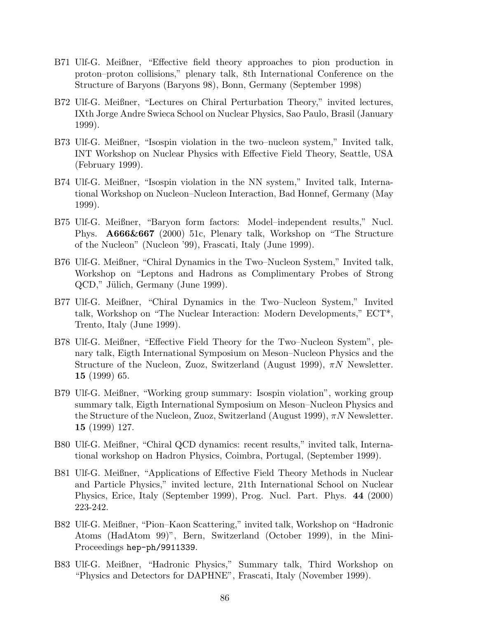- B71 Ulf-G. Meißner, "Effective field theory approaches to pion production in proton–proton collisions," plenary talk, 8th International Conference on the Structure of Baryons (Baryons 98), Bonn, Germany (September 1998)
- B72 Ulf-G. Meißner, "Lectures on Chiral Perturbation Theory," invited lectures, IXth Jorge Andre Swieca School on Nuclear Physics, Sao Paulo, Brasil (January 1999).
- B73 Ulf-G. Meißner, "Isospin violation in the two–nucleon system," Invited talk, INT Workshop on Nuclear Physics with Effective Field Theory, Seattle, USA (February 1999).
- B74 Ulf-G. Meißner, "Isospin violation in the NN system," Invited talk, International Workshop on Nucleon–Nucleon Interaction, Bad Honnef, Germany (May 1999).
- B75 Ulf-G. Meißner, "Baryon form factors: Model–independent results," Nucl. Phys. A666&667 (2000) 51c, Plenary talk, Workshop on "The Structure of the Nucleon" (Nucleon '99), Frascati, Italy (June 1999).
- B76 Ulf-G. Meißner, "Chiral Dynamics in the Two–Nucleon System," Invited talk, Workshop on "Leptons and Hadrons as Complimentary Probes of Strong QCD," Jülich, Germany (June 1999).
- B77 Ulf-G. Meißner, "Chiral Dynamics in the Two–Nucleon System," Invited talk, Workshop on "The Nuclear Interaction: Modern Developments," ECT\*, Trento, Italy (June 1999).
- B78 Ulf-G. Meißner, "Effective Field Theory for the Two–Nucleon System", plenary talk, Eigth International Symposium on Meson–Nucleon Physics and the Structure of the Nucleon, Zuoz, Switzerland (August 1999),  $\pi N$  Newsletter. 15 (1999) 65.
- B79 Ulf-G. Meißner, "Working group summary: Isospin violation", working group summary talk, Eigth International Symposium on Meson–Nucleon Physics and the Structure of the Nucleon, Zuoz, Switzerland (August 1999),  $\pi N$  Newsletter. 15 (1999) 127.
- B80 Ulf-G. Meißner, "Chiral QCD dynamics: recent results," invited talk, International workshop on Hadron Physics, Coimbra, Portugal, (September 1999).
- B81 Ulf-G. Meißner, "Applications of Effective Field Theory Methods in Nuclear and Particle Physics," invited lecture, 21th International School on Nuclear Physics, Erice, Italy (September 1999), Prog. Nucl. Part. Phys. 44 (2000) 223-242.
- B82 Ulf-G. Meißner, "Pion–Kaon Scattering," invited talk, Workshop on "Hadronic Atoms (HadAtom 99)", Bern, Switzerland (October 1999), in the Mini-Proceedings hep-ph/9911339.
- B83 Ulf-G. Meißner, "Hadronic Physics," Summary talk, Third Workshop on "Physics and Detectors for DAPHNE", Frascati, Italy (November 1999).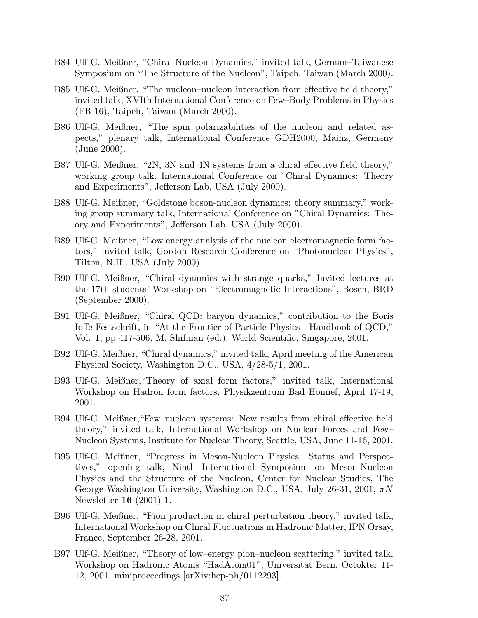- B84 Ulf-G. Meißner, "Chiral Nucleon Dynamics," invited talk, German–Taiwanese Symposium on "The Structure of the Nucleon", Taipeh, Taiwan (March 2000).
- B85 Ulf-G. Meißner, "The nucleon–nucleon interaction from effective field theory," invited talk, XVIth International Conference on Few–Body Problems in Physics (FB 16), Taipeh, Taiwan (March 2000).
- B86 Ulf-G. Meißner, "The spin polarizabilities of the nucleon and related aspects," plenary talk, International Conference GDH2000, Mainz, Germany (June 2000).
- B87 Ulf-G. Meißner, "2N, 3N and 4N systems from a chiral effective field theory," working group talk, International Conference on "Chiral Dynamics: Theory and Experiments", Jefferson Lab, USA (July 2000).
- B88 Ulf-G. Meißner, "Goldstone boson-nucleon dynamics: theory summary," working group summary talk, International Conference on "Chiral Dynamics: Theory and Experiments", Jefferson Lab, USA (July 2000).
- B89 Ulf-G. Meißner, "Low energy analysis of the nucleon electromagnetic form factors," invited talk, Gordon Research Conference on "Photonuclear Physics", Tilton, N.H., USA (July 2000).
- B90 Ulf-G. Meißner, "Chiral dynamics with strange quarks," Invited lectures at the 17th students' Workshop on "Electromagnetic Interactions", Bosen, BRD (September 2000).
- B91 Ulf-G. Meißner, "Chiral QCD: baryon dynamics," contribution to the Boris Ioffe Festschrift, in "At the Frontier of Particle Physics - Handbook of QCD," Vol. 1, pp 417-506, M. Shifman (ed.), World Scientific, Singapore, 2001.
- B92 Ulf-G. Meißner, "Chiral dynamics," invited talk, April meeting of the American Physical Society, Washington D.C., USA, 4/28-5/1, 2001.
- B93 Ulf-G. Meißner,"Theory of axial form factors," invited talk, International Workshop on Hadron form factors, Physikzentrum Bad Honnef, April 17-19, 2001.
- B94 Ulf-G. Meißner,"Few–nucleon systems: New results from chiral effective field theory," invited talk, International Workshop on Nuclear Forces and Few– Nucleon Systems, Institute for Nuclear Theory, Seattle, USA, June 11-16, 2001.
- B95 Ulf-G. Meißner, "Progress in Meson-Nucleon Physics: Status and Perspectives," opening talk, Ninth International Symposium on Meson-Nucleon Physics and the Structure of the Nucleon, Center for Nuclear Studies, The George Washington University, Washington D.C., USA, July 26-31, 2001,  $\pi N$ Newsletter 16 (2001) 1.
- B96 Ulf-G. Meißner, "Pion production in chiral perturbation theory," invited talk, International Workshop on Chiral Fluctuations in Hadronic Matter, IPN Orsay, France, September 26-28, 2001.
- B97 Ulf-G. Meißner, "Theory of low–energy pion–nucleon scattering," invited talk, Workshop on Hadronic Atoms "HadAtom01", Universität Bern, Octokter 11-12, 2001, miniproceedings [arXiv:hep-ph/0112293].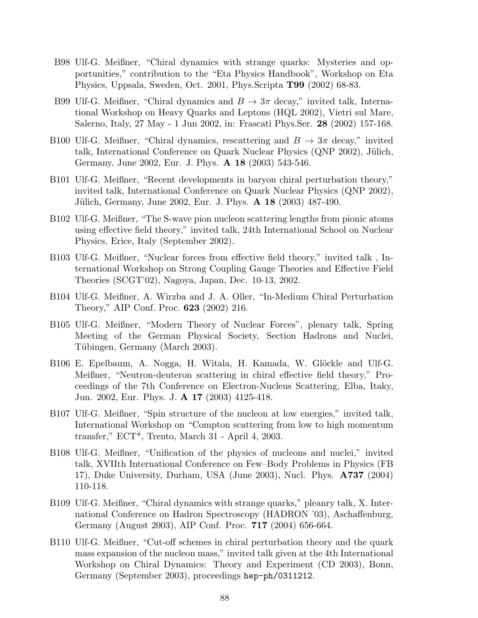- B98 Ulf-G. Meißner, "Chiral dynamics with strange quarks: Mysteries and opportunities," contribution to the "Eta Physics Handbook", Workshop on Eta Physics, Uppsala, Sweden, Oct. 2001, Phys.Scripta T99 (2002) 68-83.
- B99 Ulf-G. Meißner, "Chiral dynamics and  $B \to 3\pi$  decay," invited talk, International Workshop on Heavy Quarks and Leptons (HQL 2002), Vietri sul Mare, Salerno, Italy, 27 May - 1 Jun 2002, in: Frascati Phys.Ser. 28 (2002) 157-168.
- B100 Ulf-G. Meißner, "Chiral dynamics, rescattering and  $B \to 3\pi$  decay," invited talk, International Conference on Quark Nuclear Physics (QNP 2002), Jülich, Germany, June 2002, Eur. J. Phys. A 18 (2003) 543-546.
- B101 Ulf-G. Meißner, "Recent developments in baryon chiral perturbation theory," invited talk, International Conference on Quark Nuclear Physics (QNP 2002), Jülich, Germany, June 2002, Eur. J. Phys. **A 18** (2003) 487-490.
- B102 Ulf-G. Meißner, "The S-wave pion nucleon scattering lengths from pionic atoms using effective field theory," invited talk, 24th International School on Nuclear Physics, Erice, Italy (September 2002).
- B103 Ulf-G. Meißner, "Nuclear forces from effective field theory," invited talk , International Workshop on Strong Coupling Gauge Theories and Effective Field Theories (SCGT'02), Nagoya, Japan, Dec. 10-13, 2002.
- B104 Ulf-G. Meißner, A. Wirzba and J. A. Oller, "In-Medium Chiral Perturbation Theory," AIP Conf. Proc. 623 (2002) 216.
- B105 Ulf-G. Meißner, "Modern Theory of Nuclear Forces", plenary talk, Spring Meeting of the German Physical Society, Section Hadrons and Nuclei, Tübingen, Germany (March 2003).
- B106 E. Epelbaum, A. Nogga, H. Witala, H. Kamada, W. Glöckle and Ulf-G. Meißner, "Neutron-deuteron scattering in chiral effective field theory," Proceedings of the 7th Conference on Electron-Nucleus Scattering, Elba, Itaky, Jun. 2002, Eur. Phys. J. A 17 (2003) 4125-418.
- B107 Ulf-G. Meißner, "Spin structure of the nucleon at low energies," invited talk, International Workshop on "Compton scattering from low to high momentum transfer," ECT\*, Trento, March 31 - April 4, 2003.
- B108 Ulf-G. Meißner, "Unification of the physics of nucleons and nuclei," invited talk, XVIIth International Conference on Few–Body Problems in Physics (FB 17), Duke University, Durham, USA (June 2003), Nucl. Phys. A737 (2004) 110-118.
- B109 Ulf-G. Meißner, "Chiral dynamics with strange quarks," pleanry talk, X. International Conference on Hadron Spectroscopy (HADRON '03), Aschaffenburg, Germany (August 2003), AIP Conf. Proc. 717 (2004) 656-664.
- B110 Ulf-G. Meißner, "Cut-off schemes in chiral perturbation theory and the quark mass expansion of the nucleon mass," invited talk given at the 4th International Workshop on Chiral Dynamics: Theory and Experiment (CD 2003), Bonn, Germany (September 2003), proceedings hep-ph/0311212.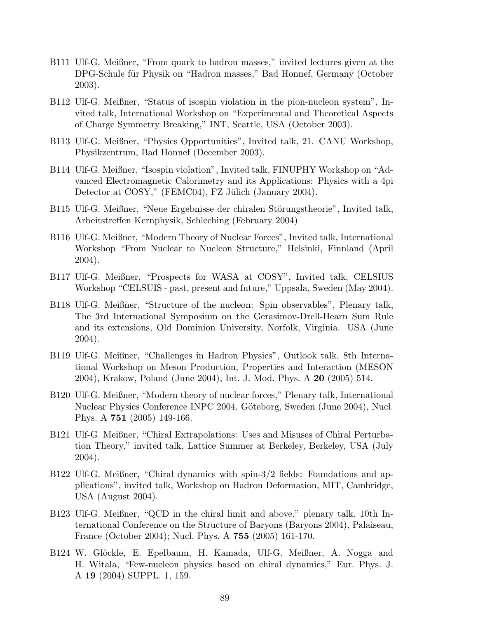- B111 Ulf-G. Meißner, "From quark to hadron masses," invited lectures given at the DPG-Schule für Physik on "Hadron masses," Bad Honnef, Germany (October 2003).
- B112 Ulf-G. Meißner, "Status of isospin violation in the pion-nucleon system", Invited talk, International Workshop on "Experimental and Theoretical Aspects of Charge Symmetry Breaking," INT, Seattle, USA (October 2003).
- B113 Ulf-G. Meißner, "Physics Opportunities", Invited talk, 21. CANU Workshop, Physikzentrum, Bad Honnef (December 2003).
- B114 Ulf-G. Meißner, "Isospin violation", Invited talk, FINUPHY Workshop on "Advanced Electromagnetic Calorimetry and its Applications: Physics with a 4pi Detector at COSY," (FEMC04), FZ Jülich (January 2004).
- B115 Ulf-G. Meißner, "Neue Ergebnisse der chiralen Störungstheorie", Invited talk, Arbeitstreffen Kernphysik, Schleching (February 2004)
- B116 Ulf-G. Meißner, "Modern Theory of Nuclear Forces", Invited talk, International Workshop "From Nuclear to Nucleon Structure," Helsinki, Finnland (April 2004).
- B117 Ulf-G. Meißner, "Prospects for WASA at COSY", Invited talk, CELSIUS Workshop "CELSUIS - past, present and future," Uppsala, Sweden (May 2004).
- B118 Ulf-G. Meißner, "Structure of the nucleon: Spin observables", Plenary talk, The 3rd International Symposium on the Gerasimov-Drell-Hearn Sum Rule and its extensions, Old Dominion University, Norfolk, Virginia. USA (June 2004).
- B119 Ulf-G. Meißner, "Challenges in Hadron Physics", Outlook talk, 8th International Workshop on Meson Production, Properties and Interaction (MESON 2004), Krakow, Poland (June 2004), Int. J. Mod. Phys. A 20 (2005) 514.
- B120 Ulf-G. Meißner, "Modern theory of nuclear forces," Plenary talk, International Nuclear Physics Conference INPC 2004, Göteborg, Sweden (June 2004), Nucl. Phys. A 751 (2005) 149-166.
- B121 Ulf-G. Meißner, "Chiral Extrapolations: Uses and Misuses of Chiral Perturbation Theory," invited talk, Lattice Summer at Berkeley, Berkeley, USA (July 2004).
- B122 Ulf-G. Meißner, "Chiral dynamics with spin-3/2 fields: Foundations and applications", invited talk, Workshop on Hadron Deformation, MIT, Cambridge, USA (August 2004).
- B123 Ulf-G. Meißner, "QCD in the chiral limit and above," plenary talk, 10th International Conference on the Structure of Baryons (Baryons 2004), Palaiseau, France (October 2004); Nucl. Phys. A 755 (2005) 161-170.
- B124 W. Glöckle, E. Epelbaum, H. Kamada, Ulf-G. Meißner, A. Nogga and H. Witala, "Few-nucleon physics based on chiral dynamics," Eur. Phys. J. A 19 (2004) SUPPL. 1, 159.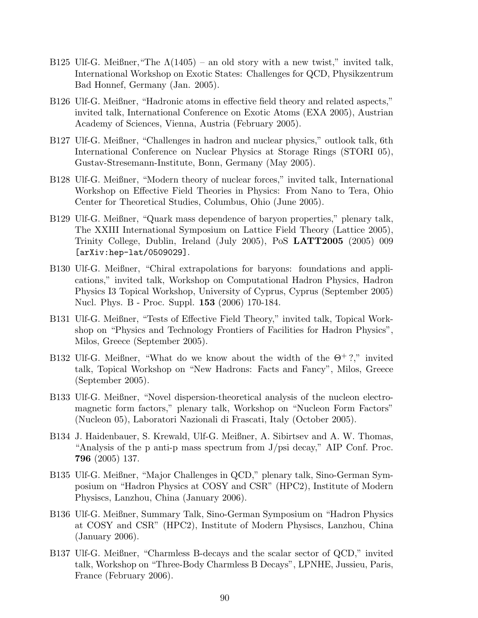- B125 Ulf-G. Meißner, "The  $\Lambda(1405)$  an old story with a new twist," invited talk, International Workshop on Exotic States: Challenges for QCD, Physikzentrum Bad Honnef, Germany (Jan. 2005).
- B126 Ulf-G. Meißner, "Hadronic atoms in effective field theory and related aspects," invited talk, International Conference on Exotic Atoms (EXA 2005), Austrian Academy of Sciences, Vienna, Austria (February 2005).
- B127 Ulf-G. Meißner, "Challenges in hadron and nuclear physics," outlook talk, 6th International Conference on Nuclear Physics at Storage Rings (STORI 05), Gustav-Stresemann-Institute, Bonn, Germany (May 2005).
- B128 Ulf-G. Meißner, "Modern theory of nuclear forces," invited talk, International Workshop on Effective Field Theories in Physics: From Nano to Tera, Ohio Center for Theoretical Studies, Columbus, Ohio (June 2005).
- B129 Ulf-G. Meißner, "Quark mass dependence of baryon properties," plenary talk, The XXIII International Symposium on Lattice Field Theory (Lattice 2005), Trinity College, Dublin, Ireland (July 2005), PoS LATT2005 (2005) 009 [arXiv:hep-lat/0509029].
- B130 Ulf-G. Meißner, "Chiral extrapolations for baryons: foundations and applications," invited talk, Workshop on Computational Hadron Physics, Hadron Physics I3 Topical Workshop, University of Cyprus, Cyprus (September 2005) Nucl. Phys. B - Proc. Suppl. 153 (2006) 170-184.
- B131 Ulf-G. Meißner, "Tests of Effective Field Theory," invited talk, Topical Workshop on "Physics and Technology Frontiers of Facilities for Hadron Physics", Milos, Greece (September 2005).
- B132 Ulf-G. Meißner, "What do we know about the width of the  $\Theta^+$ ?," invited talk, Topical Workshop on "New Hadrons: Facts and Fancy", Milos, Greece (September 2005).
- B133 Ulf-G. Meißner, "Novel dispersion-theoretical analysis of the nucleon electromagnetic form factors," plenary talk, Workshop on "Nucleon Form Factors" (Nucleon 05), Laboratori Nazionali di Frascati, Italy (October 2005).
- B134 J. Haidenbauer, S. Krewald, Ulf-G. Meißner, A. Sibirtsev and A. W. Thomas, "Analysis of the p anti-p mass spectrum from J/psi decay," AIP Conf. Proc. 796 (2005) 137.
- B135 Ulf-G. Meißner, "Major Challenges in QCD," plenary talk, Sino-German Symposium on "Hadron Physics at COSY and CSR" (HPC2), Institute of Modern Physiscs, Lanzhou, China (January 2006).
- B136 Ulf-G. Meißner, Summary Talk, Sino-German Symposium on "Hadron Physics at COSY and CSR" (HPC2), Institute of Modern Physiscs, Lanzhou, China (January 2006).
- B137 Ulf-G. Meißner, "Charmless B-decays and the scalar sector of QCD," invited talk, Workshop on "Three-Body Charmless B Decays", LPNHE, Jussieu, Paris, France (February 2006).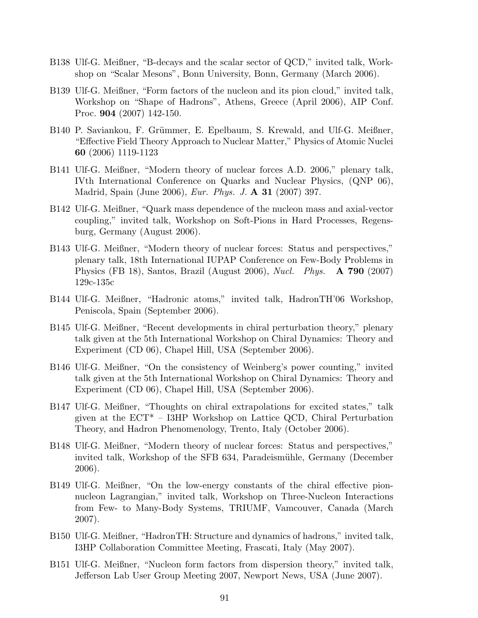- B138 Ulf-G. Meißner, "B-decays and the scalar sector of QCD," invited talk, Workshop on "Scalar Mesons", Bonn University, Bonn, Germany (March 2006).
- B139 Ulf-G. Meißner, "Form factors of the nucleon and its pion cloud," invited talk, Workshop on "Shape of Hadrons", Athens, Greece (April 2006), AIP Conf. Proc. 904 (2007) 142-150.
- B140 P. Saviankou, F. Grümmer, E. Epelbaum, S. Krewald, and Ulf-G. Meißner, "Effective Field Theory Approach to Nuclear Matter," Physics of Atomic Nuclei 60 (2006) 1119-1123
- B141 Ulf-G. Meißner, "Modern theory of nuclear forces A.D. 2006," plenary talk, IVth International Conference on Quarks and Nuclear Physics, (QNP 06), Madrid, Spain (June 2006), *Eur. Phys. J.* **A 31** (2007) 397.
- B142 Ulf-G. Meißner, "Quark mass dependence of the nucleon mass and axial-vector coupling," invited talk, Workshop on Soft-Pions in Hard Processes, Regensburg, Germany (August 2006).
- B143 Ulf-G. Meißner, "Modern theory of nuclear forces: Status and perspectives," plenary talk, 18th International IUPAP Conference on Few-Body Problems in Physics (FB 18), Santos, Brazil (August 2006), Nucl. Phys.  $\bf{A}$  790 (2007) 129c-135c
- B144 Ulf-G. Meißner, "Hadronic atoms," invited talk, HadronTH'06 Workshop, Peniscola, Spain (September 2006).
- B145 Ulf-G. Meißner, "Recent developments in chiral perturbation theory," plenary talk given at the 5th International Workshop on Chiral Dynamics: Theory and Experiment (CD 06), Chapel Hill, USA (September 2006).
- B146 Ulf-G. Meißner, "On the consistency of Weinberg's power counting," invited talk given at the 5th International Workshop on Chiral Dynamics: Theory and Experiment (CD 06), Chapel Hill, USA (September 2006).
- B147 Ulf-G. Meißner, "Thoughts on chiral extrapolations for excited states," talk given at the ECT\* – I3HP Workshop on Lattice QCD, Chiral Perturbation Theory, and Hadron Phenomenology, Trento, Italy (October 2006).
- B148 Ulf-G. Meißner, "Modern theory of nuclear forces: Status and perspectives," invited talk, Workshop of the SFB 634, Paradeismühle, Germany (December 2006).
- B149 Ulf-G. Meißner, "On the low-energy constants of the chiral effective pionnucleon Lagrangian," invited talk, Workshop on Three-Nucleon Interactions from Few- to Many-Body Systems, TRIUMF, Vamcouver, Canada (March 2007).
- B150 Ulf-G. Meißner, "HadronTH: Structure and dynamics of hadrons," invited talk, I3HP Collaboration Committee Meeting, Frascati, Italy (May 2007).
- B151 Ulf-G. Meißner, "Nucleon form factors from dispersion theory," invited talk, Jefferson Lab User Group Meeting 2007, Newport News, USA (June 2007).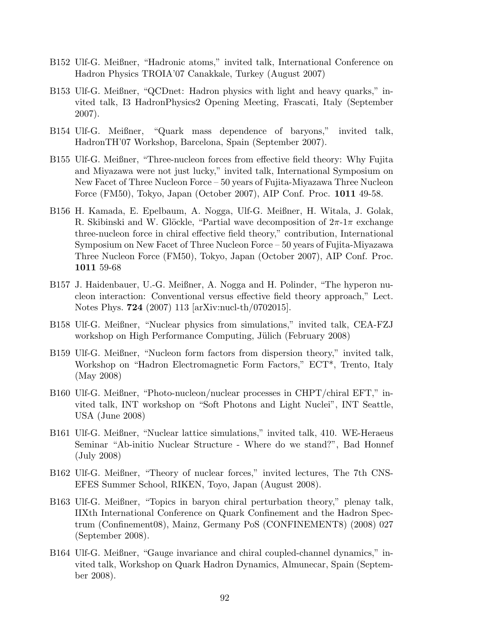- B152 Ulf-G. Meißner, "Hadronic atoms," invited talk, International Conference on Hadron Physics TROIA'07 Canakkale, Turkey (August 2007)
- B153 Ulf-G. Meißner, "QCDnet: Hadron physics with light and heavy quarks," invited talk, I3 HadronPhysics2 Opening Meeting, Frascati, Italy (September 2007).
- B154 Ulf-G. Meißner, "Quark mass dependence of baryons," invited talk, HadronTH'07 Workshop, Barcelona, Spain (September 2007).
- B155 Ulf-G. Meißner, "Three-nucleon forces from effective field theory: Why Fujita and Miyazawa were not just lucky," invited talk, International Symposium on New Facet of Three Nucleon Force – 50 years of Fujita-Miyazawa Three Nucleon Force (FM50), Tokyo, Japan (October 2007), AIP Conf. Proc. 1011 49-58.
- B156 H. Kamada, E. Epelbaum, A. Nogga, Ulf-G. Meißner, H. Witala, J. Golak, R. Skibinski and W. Glöckle, "Partial wave decomposition of  $2\pi$ -1π exchange three-nucleon force in chiral effective field theory," contribution, International Symposium on New Facet of Three Nucleon Force – 50 years of Fujita-Miyazawa Three Nucleon Force (FM50), Tokyo, Japan (October 2007), AIP Conf. Proc. 1011 59-68
- B157 J. Haidenbauer, U.-G. Meißner, A. Nogga and H. Polinder, "The hyperon nucleon interaction: Conventional versus effective field theory approach," Lect. Notes Phys. 724 (2007) 113 [arXiv:nucl-th/0702015].
- B158 Ulf-G. Meißner, "Nuclear physics from simulations," invited talk, CEA-FZJ workshop on High Performance Computing, Jülich (February 2008)
- B159 Ulf-G. Meißner, "Nucleon form factors from dispersion theory," invited talk, Workshop on "Hadron Electromagnetic Form Factors," ECT\*, Trento, Italy (May 2008)
- B160 Ulf-G. Meißner, "Photo-nucleon/nuclear processes in CHPT/chiral EFT," invited talk, INT workshop on "Soft Photons and Light Nuclei", INT Seattle, USA (June 2008)
- B161 Ulf-G. Meißner, "Nuclear lattice simulations," invited talk, 410. WE-Heraeus Seminar "Ab-initio Nuclear Structure - Where do we stand?", Bad Honnef (July 2008)
- B162 Ulf-G. Meißner, "Theory of nuclear forces," invited lectures, The 7th CNS-EFES Summer School, RIKEN, Toyo, Japan (August 2008).
- B163 Ulf-G. Meißner, "Topics in baryon chiral perturbation theory," plenay talk, IIXth International Conference on Quark Confinement and the Hadron Spectrum (Confinement08), Mainz, Germany PoS (CONFINEMENT8) (2008) 027 (September 2008).
- B164 Ulf-G. Meißner, "Gauge invariance and chiral coupled-channel dynamics," invited talk, Workshop on Quark Hadron Dynamics, Almunecar, Spain (September 2008).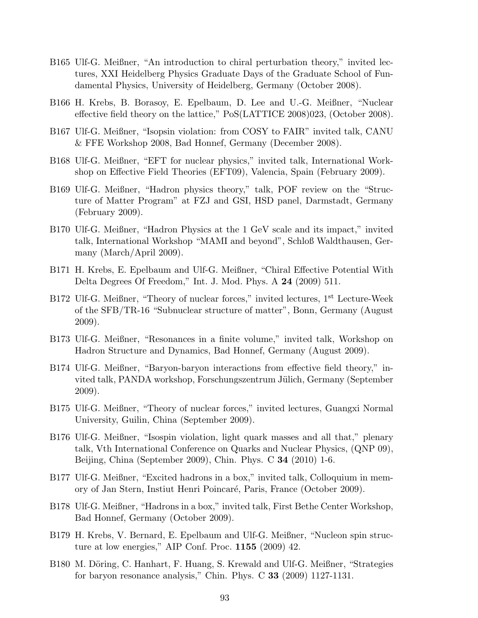- B165 Ulf-G. Meißner, "An introduction to chiral perturbation theory," invited lectures, XXI Heidelberg Physics Graduate Days of the Graduate School of Fundamental Physics, University of Heidelberg, Germany (October 2008).
- B166 H. Krebs, B. Borasoy, E. Epelbaum, D. Lee and U.-G. Meißner, "Nuclear effective field theory on the lattice," PoS(LATTICE 2008)023, (October 2008).
- B167 Ulf-G. Meißner, "Isopsin violation: from COSY to FAIR" invited talk, CANU & FFE Workshop 2008, Bad Honnef, Germany (December 2008).
- B168 Ulf-G. Meißner, "EFT for nuclear physics," invited talk, International Workshop on Effective Field Theories (EFT09), Valencia, Spain (February 2009).
- B169 Ulf-G. Meißner, "Hadron physics theory," talk, POF review on the "Structure of Matter Program" at FZJ and GSI, HSD panel, Darmstadt, Germany (February 2009).
- B170 Ulf-G. Meißner, "Hadron Physics at the 1 GeV scale and its impact," invited talk, International Workshop "MAMI and beyond", Schloß Waldthausen, Germany (March/April 2009).
- B171 H. Krebs, E. Epelbaum and Ulf-G. Meißner, "Chiral Effective Potential With Delta Degrees Of Freedom," Int. J. Mod. Phys. A 24 (2009) 511.
- B172 Ulf-G. Meißner, "Theory of nuclear forces," invited lectures, 1<sup>st</sup> Lecture-Week of the SFB/TR-16 "Subnuclear structure of matter", Bonn, Germany (August 2009).
- B173 Ulf-G. Meißner, "Resonances in a finite volume," invited talk, Workshop on Hadron Structure and Dynamics, Bad Honnef, Germany (August 2009).
- B174 Ulf-G. Meißner, "Baryon-baryon interactions from effective field theory," invited talk, PANDA workshop, Forschungszentrum Jülich, Germany (September 2009).
- B175 Ulf-G. Meißner, "Theory of nuclear forces," invited lectures, Guangxi Normal University, Guilin, China (September 2009).
- B176 Ulf-G. Meißner, "Isospin violation, light quark masses and all that," plenary talk, Vth International Conference on Quarks and Nuclear Physics, (QNP 09), Beijing, China (September 2009), Chin. Phys. C 34 (2010) 1-6.
- B177 Ulf-G. Meißner, "Excited hadrons in a box," invited talk, Colloquium in memory of Jan Stern, Instiut Henri Poincar´e, Paris, France (October 2009).
- B178 Ulf-G. Meißner, "Hadrons in a box," invited talk, First Bethe Center Workshop, Bad Honnef, Germany (October 2009).
- B179 H. Krebs, V. Bernard, E. Epelbaum and Ulf-G. Meißner, "Nucleon spin structure at low energies," AIP Conf. Proc.  $1155$  (2009) 42.
- B180 M. Döring, C. Hanhart, F. Huang, S. Krewald and Ulf-G. Meißner, "Strategies for baryon resonance analysis," Chin. Phys. C 33 (2009) 1127-1131.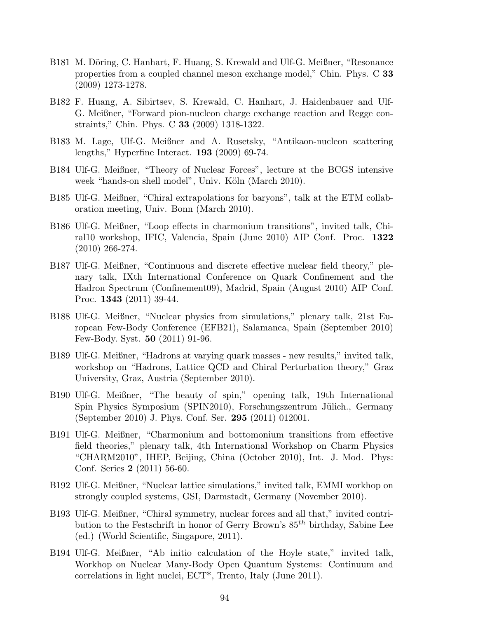- B181 M. Döring, C. Hanhart, F. Huang, S. Krewald and Ulf-G. Meißner, "Resonance properties from a coupled channel meson exchange model," Chin. Phys. C 33 (2009) 1273-1278.
- B182 F. Huang, A. Sibirtsev, S. Krewald, C. Hanhart, J. Haidenbauer and Ulf-G. Meißner, "Forward pion-nucleon charge exchange reaction and Regge constraints," Chin. Phys. C 33 (2009) 1318-1322.
- B183 M. Lage, Ulf-G. Meißner and A. Rusetsky, "Antikaon-nucleon scattering lengths," Hyperfine Interact. 193 (2009) 69-74.
- B184 Ulf-G. Meißner, "Theory of Nuclear Forces", lecture at the BCGS intensive week "hands-on shell model", Univ. Köln (March 2010).
- B185 Ulf-G. Meißner, "Chiral extrapolations for baryons", talk at the ETM collaboration meeting, Univ. Bonn (March 2010).
- B186 Ulf-G. Meißner, "Loop effects in charmonium transitions", invited talk, Chiral10 workshop, IFIC, Valencia, Spain (June 2010) AIP Conf. Proc. 1322 (2010) 266-274.
- B187 Ulf-G. Meißner, "Continuous and discrete effective nuclear field theory," plenary talk, IXth International Conference on Quark Confinement and the Hadron Spectrum (Confinement09), Madrid, Spain (August 2010) AIP Conf. Proc. 1343 (2011) 39-44.
- B188 Ulf-G. Meißner, "Nuclear physics from simulations," plenary talk, 21st European Few-Body Conference (EFB21), Salamanca, Spain (September 2010) Few-Body. Syst. 50 (2011) 91-96.
- B189 Ulf-G. Meißner, "Hadrons at varying quark masses new results," invited talk, workshop on "Hadrons, Lattice QCD and Chiral Perturbation theory," Graz University, Graz, Austria (September 2010).
- B190 Ulf-G. Meißner, "The beauty of spin," opening talk, 19th International Spin Physics Symposium (SPIN2010), Forschungszentrum Jülich., Germany (September 2010) J. Phys. Conf. Ser. 295 (2011) 012001.
- B191 Ulf-G. Meißner, "Charmonium and bottomonium transitions from effective field theories," plenary talk, 4th International Workshop on Charm Physics "CHARM2010", IHEP, Beijing, China (October 2010), Int. J. Mod. Phys: Conf. Series 2 (2011) 56-60.
- B192 Ulf-G. Meißner, "Nuclear lattice simulations," invited talk, EMMI workhop on strongly coupled systems, GSI, Darmstadt, Germany (November 2010).
- B193 Ulf-G. Meißner, "Chiral symmetry, nuclear forces and all that," invited contribution to the Festschrift in honor of Gerry Brown's  $85^{th}$  birthday, Sabine Lee (ed.) (World Scientific, Singapore, 2011).
- B194 Ulf-G. Meißner, "Ab initio calculation of the Hoyle state," invited talk, Workhop on Nuclear Many-Body Open Quantum Systems: Continuum and correlations in light nuclei, ECT\*, Trento, Italy (June 2011).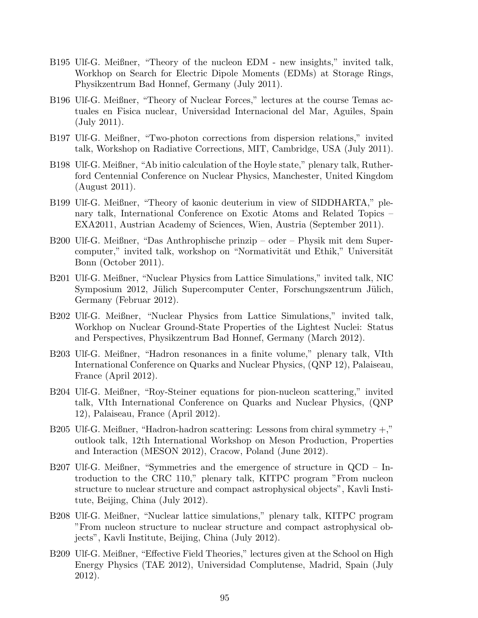- B195 Ulf-G. Meißner, "Theory of the nucleon EDM new insights," invited talk, Workhop on Search for Electric Dipole Moments (EDMs) at Storage Rings, Physikzentrum Bad Honnef, Germany (July 2011).
- B196 Ulf-G. Meißner, "Theory of Nuclear Forces," lectures at the course Temas actuales en Fisica nuclear, Universidad Internacional del Mar, Aguiles, Spain (July 2011).
- B197 Ulf-G. Meißner, "Two-photon corrections from dispersion relations," invited talk, Workshop on Radiative Corrections, MIT, Cambridge, USA (July 2011).
- B198 Ulf-G. Meißner, "Ab initio calculation of the Hoyle state," plenary talk, Rutherford Centennial Conference on Nuclear Physics, Manchester, United Kingdom (August 2011).
- B199 Ulf-G. Meißner, "Theory of kaonic deuterium in view of SIDDHARTA," plenary talk, International Conference on Exotic Atoms and Related Topics – EXA2011, Austrian Academy of Sciences, Wien, Austria (September 2011).
- B200 Ulf-G. Meißner, "Das Anthrophische prinzip oder Physik mit dem Supercomputer," invited talk, workshop on "Normativität und Ethik," Universität Bonn (October 2011).
- B201 Ulf-G. Meißner, "Nuclear Physics from Lattice Simulations," invited talk, NIC Symposium 2012, Jülich Supercomputer Center, Forschungszentrum Jülich, Germany (Februar 2012).
- B202 Ulf-G. Meißner, "Nuclear Physics from Lattice Simulations," invited talk, Workhop on Nuclear Ground-State Properties of the Lightest Nuclei: Status and Perspectives, Physikzentrum Bad Honnef, Germany (March 2012).
- B203 Ulf-G. Meißner, "Hadron resonances in a finite volume," plenary talk, VIth International Conference on Quarks and Nuclear Physics, (QNP 12), Palaiseau, France (April 2012).
- B204 Ulf-G. Meißner, "Roy-Steiner equations for pion-nucleon scattering," invited talk, VIth International Conference on Quarks and Nuclear Physics, (QNP 12), Palaiseau, France (April 2012).
- B205 Ulf-G. Meißner, "Hadron-hadron scattering: Lessons from chiral symmetry  $+,$ " outlook talk, 12th International Workshop on Meson Production, Properties and Interaction (MESON 2012), Cracow, Poland (June 2012).
- B207 Ulf-G. Meißner, "Symmetries and the emergence of structure in QCD Introduction to the CRC 110," plenary talk, KITPC program "From nucleon structure to nuclear structure and compact astrophysical objects", Kavli Institute, Beijing, China (July 2012).
- B208 Ulf-G. Meißner, "Nuclear lattice simulations," plenary talk, KITPC program "From nucleon structure to nuclear structure and compact astrophysical objects", Kavli Institute, Beijing, China (July 2012).
- B209 Ulf-G. Meißner, "Effective Field Theories," lectures given at the School on High Energy Physics (TAE 2012), Universidad Complutense, Madrid, Spain (July 2012).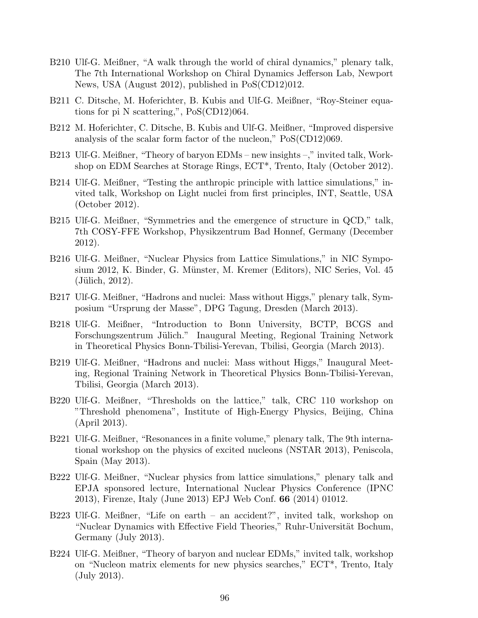- B210 Ulf-G. Meißner, "A walk through the world of chiral dynamics," plenary talk, The 7th International Workshop on Chiral Dynamics Jefferson Lab, Newport News, USA (August 2012), published in PoS(CD12)012.
- B211 C. Ditsche, M. Hoferichter, B. Kubis and Ulf-G. Meißner, "Roy-Steiner equations for pi N scattering,", PoS(CD12)064.
- B212 M. Hoferichter, C. Ditsche, B. Kubis and Ulf-G. Meißner, "Improved dispersive analysis of the scalar form factor of the nucleon," PoS(CD12)069.
- B213 Ulf-G. Meißner, "Theory of baryon EDMs new insights –," invited talk, Workshop on EDM Searches at Storage Rings, ECT\*, Trento, Italy (October 2012).
- B214 Ulf-G. Meißner, "Testing the anthropic principle with lattice simulations," invited talk, Workshop on Light nuclei from first principles, INT, Seattle, USA (October 2012).
- B215 Ulf-G. Meißner, "Symmetries and the emergence of structure in QCD," talk, 7th COSY-FFE Workshop, Physikzentrum Bad Honnef, Germany (December 2012).
- B216 Ulf-G. Meißner, "Nuclear Physics from Lattice Simulations," in NIC Symposium 2012, K. Binder, G. Münster, M. Kremer (Editors), NIC Series, Vol. 45  $(Jülich, 2012).$
- B217 Ulf-G. Meißner, "Hadrons and nuclei: Mass without Higgs," plenary talk, Symposium "Ursprung der Masse", DPG Tagung, Dresden (March 2013).
- B218 Ulf-G. Meißner, "Introduction to Bonn University, BCTP, BCGS and Forschungszentrum Jülich." Inaugural Meeting, Regional Training Network in Theoretical Physics Bonn-Tbilisi-Yerevan, Tbilisi, Georgia (March 2013).
- B219 Ulf-G. Meißner, "Hadrons and nuclei: Mass without Higgs," Inaugural Meeting, Regional Training Network in Theoretical Physics Bonn-Tbilisi-Yerevan, Tbilisi, Georgia (March 2013).
- B220 Ulf-G. Meißner, "Thresholds on the lattice," talk, CRC 110 workshop on "Threshold phenomena", Institute of High-Energy Physics, Beijing, China (April 2013).
- B221 Ulf-G. Meißner, "Resonances in a finite volume," plenary talk, The 9th international workshop on the physics of excited nucleons (NSTAR 2013), Peniscola, Spain (May 2013).
- B222 Ulf-G. Meißner, "Nuclear physics from lattice simulations," plenary talk and EPJA sponsored lecture, International Nuclear Physics Conference (IPNC 2013), Firenze, Italy (June 2013) EPJ Web Conf. 66 (2014) 01012.
- B223 Ulf-G. Meißner, "Life on earth an accident?", invited talk, workshop on "Nuclear Dynamics with Effective Field Theories," Ruhr-Universität Bochum, Germany (July 2013).
- B224 Ulf-G. Meißner, "Theory of baryon and nuclear EDMs," invited talk, workshop on "Nucleon matrix elements for new physics searches," ECT\*, Trento, Italy (July 2013).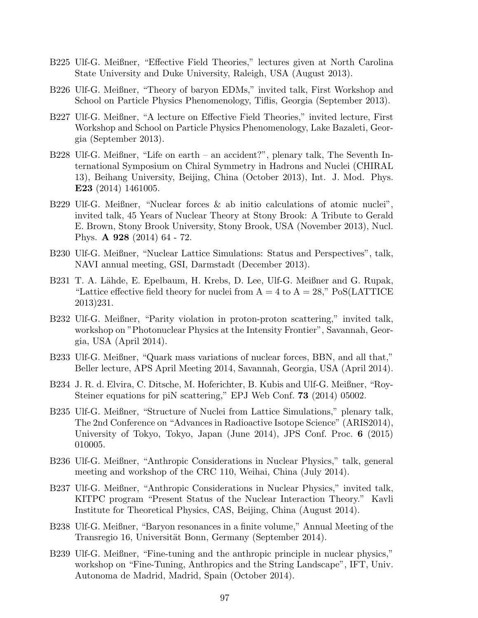- B225 Ulf-G. Meißner, "Effective Field Theories," lectures given at North Carolina State University and Duke University, Raleigh, USA (August 2013).
- B226 Ulf-G. Meißner, "Theory of baryon EDMs," invited talk, First Workshop and School on Particle Physics Phenomenology, Tiflis, Georgia (September 2013).
- B227 Ulf-G. Meißner, "A lecture on Effective Field Theories," invited lecture, First Workshop and School on Particle Physics Phenomenology, Lake Bazaleti, Georgia (September 2013).
- B228 Ulf-G. Meißner, "Life on earth an accident?", plenary talk, The Seventh International Symposium on Chiral Symmetry in Hadrons and Nuclei (CHIRAL 13), Beihang University, Beijing, China (October 2013), Int. J. Mod. Phys. E23 (2014) 1461005.
- B229 Ulf-G. Meißner, "Nuclear forces & ab initio calculations of atomic nuclei", invited talk, 45 Years of Nuclear Theory at Stony Brook: A Tribute to Gerald E. Brown, Stony Brook University, Stony Brook, USA (November 2013), Nucl. Phys. A 928 (2014) 64 - 72.
- B230 Ulf-G. Meißner, "Nuclear Lattice Simulations: Status and Perspectives", talk, NAVI annual meeting, GSI, Darmstadt (December 2013).
- B231 T. A. Lähde, E. Epelbaum, H. Krebs, D. Lee, Ulf-G. Meißner and G. Rupak, "Lattice effective field theory for nuclei from  $A = 4$  to  $A = 28$ ," PoS(LATTICE 2013)231.
- B232 Ulf-G. Meißner, "Parity violation in proton-proton scattering," invited talk, workshop on "Photonuclear Physics at the Intensity Frontier", Savannah, Georgia, USA (April 2014).
- B233 Ulf-G. Meißner, "Quark mass variations of nuclear forces, BBN, and all that," Beller lecture, APS April Meeting 2014, Savannah, Georgia, USA (April 2014).
- B234 J. R. d. Elvira, C. Ditsche, M. Hoferichter, B. Kubis and Ulf-G. Meißner, "Roy-Steiner equations for piN scattering," EPJ Web Conf. **73** (2014) 05002.
- B235 Ulf-G. Meißner, "Structure of Nuclei from Lattice Simulations," plenary talk, The 2nd Conference on "Advances in Radioactive Isotope Science" (ARIS2014), University of Tokyo, Tokyo, Japan (June 2014), JPS Conf. Proc. 6 (2015) 010005.
- B236 Ulf-G. Meißner, "Anthropic Considerations in Nuclear Physics," talk, general meeting and workshop of the CRC 110, Weihai, China (July 2014).
- B237 Ulf-G. Meißner, "Anthropic Considerations in Nuclear Physics," invited talk, KITPC program "Present Status of the Nuclear Interaction Theory." Kavli Institute for Theoretical Physics, CAS, Beijing, China (August 2014).
- B238 Ulf-G. Meißner, "Baryon resonances in a finite volume," Annual Meeting of the Transregio 16, Universität Bonn, Germany (September 2014).
- B239 Ulf-G. Meißner, "Fine-tuning and the anthropic principle in nuclear physics," workshop on "Fine-Tuning, Anthropics and the String Landscape", IFT, Univ. Autonoma de Madrid, Madrid, Spain (October 2014).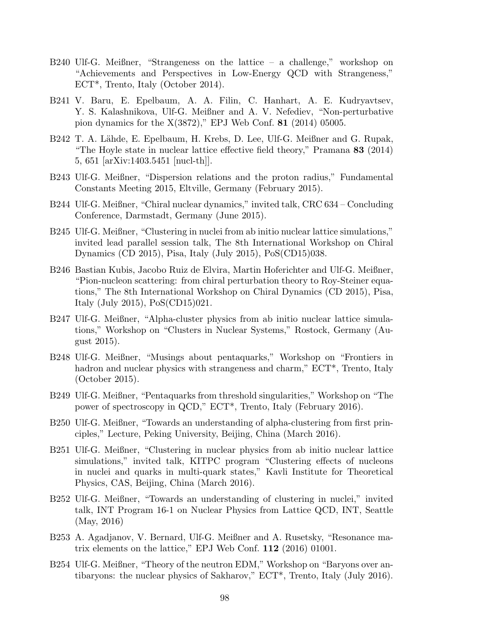- B240 Ulf-G. Meißner, "Strangeness on the lattice a challenge," workshop on "Achievements and Perspectives in Low-Energy QCD with Strangeness," ECT\*, Trento, Italy (October 2014).
- B241 V. Baru, E. Epelbaum, A. A. Filin, C. Hanhart, A. E. Kudryavtsev, Y. S. Kalashnikova, Ulf-G. Meißner and A. V. Nefediev, "Non-perturbative pion dynamics for the  $X(3872)$ ," EPJ Web Conf. **81** (2014) 05005.
- B242 T. A. Lähde, E. Epelbaum, H. Krebs, D. Lee, Ulf-G. Meißner and G. Rupak, "The Hoyle state in nuclear lattice effective field theory," Pramana 83 (2014) 5, 651 [arXiv:1403.5451 [nucl-th]].
- B243 Ulf-G. Meißner, "Dispersion relations and the proton radius," Fundamental Constants Meeting 2015, Eltville, Germany (February 2015).
- B244 Ulf-G. Meißner, "Chiral nuclear dynamics," invited talk, CRC 634 Concluding Conference, Darmstadt, Germany (June 2015).
- B245 Ulf-G. Meißner, "Clustering in nuclei from ab initio nuclear lattice simulations," invited lead parallel session talk, The 8th International Workshop on Chiral Dynamics (CD 2015), Pisa, Italy (July 2015), PoS(CD15)038.
- B246 Bastian Kubis, Jacobo Ruiz de Elvira, Martin Hoferichter and Ulf-G. Meißner, "Pion-nucleon scattering: from chiral perturbation theory to Roy-Steiner equations," The 8th International Workshop on Chiral Dynamics (CD 2015), Pisa, Italy (July 2015), PoS(CD15)021.
- B247 Ulf-G. Meißner, "Alpha-cluster physics from ab initio nuclear lattice simulations," Workshop on "Clusters in Nuclear Systems," Rostock, Germany (August 2015).
- B248 Ulf-G. Meißner, "Musings about pentaquarks," Workshop on "Frontiers in hadron and nuclear physics with strangeness and charm,"  $\text{ECT}^*$ , Trento, Italy (October 2015).
- B249 Ulf-G. Meißner, "Pentaquarks from threshold singularities," Workshop on "The power of spectroscopy in QCD," ECT\*, Trento, Italy (February 2016).
- B250 Ulf-G. Meißner, "Towards an understanding of alpha-clustering from first principles," Lecture, Peking University, Beijing, China (March 2016).
- B251 Ulf-G. Meißner, "Clustering in nuclear physics from ab initio nuclear lattice simulations," invited talk, KITPC program "Clustering effects of nucleons in nuclei and quarks in multi-quark states," Kavli Institute for Theoretical Physics, CAS, Beijing, China (March 2016).
- B252 Ulf-G. Meißner, "Towards an understanding of clustering in nuclei," invited talk, INT Program 16-1 on Nuclear Physics from Lattice QCD, INT, Seattle (May, 2016)
- B253 A. Agadjanov, V. Bernard, Ulf-G. Meißner and A. Rusetsky, "Resonance matrix elements on the lattice," EPJ Web Conf. 112 (2016) 01001.
- B254 Ulf-G. Meißner, "Theory of the neutron EDM," Workshop on "Baryons over antibaryons: the nuclear physics of Sakharov," ECT\*, Trento, Italy (July 2016).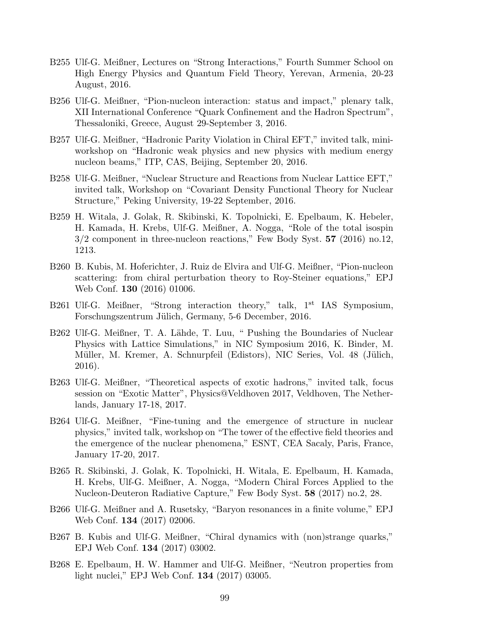- B255 Ulf-G. Meißner, Lectures on "Strong Interactions," Fourth Summer School on High Energy Physics and Quantum Field Theory, Yerevan, Armenia, 20-23 August, 2016.
- B256 Ulf-G. Meißner, "Pion-nucleon interaction: status and impact," plenary talk, XII International Conference "Quark Confinement and the Hadron Spectrum", Thessaloniki, Greece, August 29-September 3, 2016.
- B257 Ulf-G. Meißner, "Hadronic Parity Violation in Chiral EFT," invited talk, miniworkshop on "Hadronic weak physics and new physics with medium energy nucleon beams," ITP, CAS, Beijing, September 20, 2016.
- B258 Ulf-G. Meißner, "Nuclear Structure and Reactions from Nuclear Lattice EFT," invited talk, Workshop on "Covariant Density Functional Theory for Nuclear Structure," Peking University, 19-22 September, 2016.
- B259 H. Witala, J. Golak, R. Skibinski, K. Topolnicki, E. Epelbaum, K. Hebeler, H. Kamada, H. Krebs, Ulf-G. Meißner, A. Nogga, "Role of the total isospin  $3/2$  component in three-nucleon reactions," Few Body Syst. 57 (2016) no.12, 1213.
- B260 B. Kubis, M. Hoferichter, J. Ruiz de Elvira and Ulf-G. Meißner, "Pion-nucleon scattering: from chiral perturbation theory to Roy-Steiner equations," EPJ Web Conf. 130 (2016) 01006.
- B261 Ulf-G. Meißner, "Strong interaction theory," talk, 1<sup>st</sup> IAS Symposium, Forschungszentrum Jülich, Germany, 5-6 December, 2016.
- B262 Ulf-G. Meißner, T. A. Lähde, T. Luu, " Pushing the Boundaries of Nuclear Physics with Lattice Simulations," in NIC Symposium 2016, K. Binder, M. Müller, M. Kremer, A. Schnurpfeil (Edistors), NIC Series, Vol. 48 (Jülich, 2016).
- B263 Ulf-G. Meißner, "Theoretical aspects of exotic hadrons," invited talk, focus session on "Exotic Matter", Physics@Veldhoven 2017, Veldhoven, The Netherlands, January 17-18, 2017.
- B264 Ulf-G. Meißner, "Fine-tuning and the emergence of structure in nuclear physics," invited talk, workshop on "The tower of the effective field theories and the emergence of the nuclear phenomena," ESNT, CEA Sacaly, Paris, France, January 17-20, 2017.
- B265 R. Skibinski, J. Golak, K. Topolnicki, H. Witala, E. Epelbaum, H. Kamada, H. Krebs, Ulf-G. Meißner, A. Nogga, "Modern Chiral Forces Applied to the Nucleon-Deuteron Radiative Capture," Few Body Syst. 58 (2017) no.2, 28.
- B266 Ulf-G. Meißner and A. Rusetsky, "Baryon resonances in a finite volume," EPJ Web Conf. 134 (2017) 02006.
- B267 B. Kubis and Ulf-G. Meißner, "Chiral dynamics with (non)strange quarks," EPJ Web Conf. 134 (2017) 03002.
- B268 E. Epelbaum, H. W. Hammer and Ulf-G. Meißner, "Neutron properties from light nuclei," EPJ Web Conf. 134 (2017) 03005.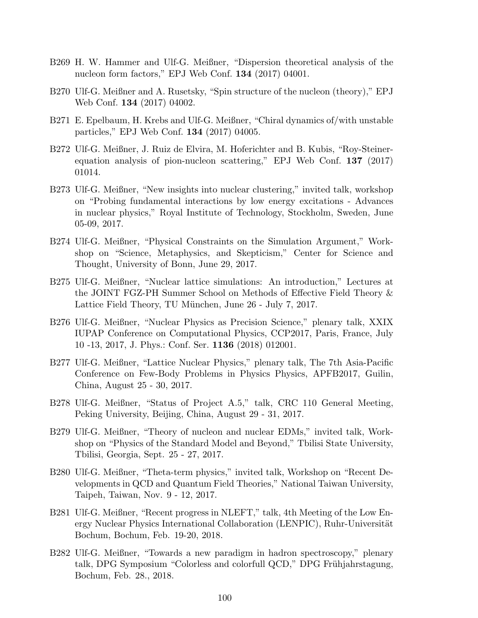- B269 H. W. Hammer and Ulf-G. Meißner, "Dispersion theoretical analysis of the nucleon form factors," EPJ Web Conf. 134 (2017) 04001.
- B270 Ulf-G. Meißner and A. Rusetsky, "Spin structure of the nucleon (theory)," EPJ Web Conf. 134 (2017) 04002.
- B271 E. Epelbaum, H. Krebs and Ulf-G. Meißner, "Chiral dynamics of/with unstable particles," EPJ Web Conf. 134 (2017) 04005.
- B272 Ulf-G. Meißner, J. Ruiz de Elvira, M. Hoferichter and B. Kubis, "Roy-Steinerequation analysis of pion-nucleon scattering," EPJ Web Conf. 137 (2017) 01014.
- B273 Ulf-G. Meißner, "New insights into nuclear clustering," invited talk, workshop on "Probing fundamental interactions by low energy excitations - Advances in nuclear physics," Royal Institute of Technology, Stockholm, Sweden, June 05-09, 2017.
- B274 Ulf-G. Meißner, "Physical Constraints on the Simulation Argument," Workshop on "Science, Metaphysics, and Skepticism," Center for Science and Thought, University of Bonn, June 29, 2017.
- B275 Ulf-G. Meißner, "Nuclear lattice simulations: An introduction," Lectures at the JOINT FGZ-PH Summer School on Methods of Effective Field Theory & Lattice Field Theory, TU München, June 26 - July 7, 2017.
- B276 Ulf-G. Meißner, "Nuclear Physics as Precision Science," plenary talk, XXIX IUPAP Conference on Computational Physics, CCP2017, Paris, France, July 10 -13, 2017, J. Phys.: Conf. Ser. 1136 (2018) 012001.
- B277 Ulf-G. Meißner, "Lattice Nuclear Physics," plenary talk, The 7th Asia-Pacific Conference on Few-Body Problems in Physics Physics, APFB2017, Guilin, China, August 25 - 30, 2017.
- B278 Ulf-G. Meißner, "Status of Project A.5," talk, CRC 110 General Meeting, Peking University, Beijing, China, August 29 - 31, 2017.
- B279 Ulf-G. Meißner, "Theory of nucleon and nuclear EDMs," invited talk, Workshop on "Physics of the Standard Model and Beyond," Tbilisi State University, Tbilisi, Georgia, Sept. 25 - 27, 2017.
- B280 Ulf-G. Meißner, "Theta-term physics," invited talk, Workshop on "Recent Developments in QCD and Quantum Field Theories," National Taiwan University, Taipeh, Taiwan, Nov. 9 - 12, 2017.
- B281 Ulf-G. Meißner, "Recent progress in NLEFT," talk, 4th Meeting of the Low Energy Nuclear Physics International Collaboration (LENPIC), Ruhr-Universität Bochum, Bochum, Feb. 19-20, 2018.
- B282 Ulf-G. Meißner, "Towards a new paradigm in hadron spectroscopy," plenary talk, DPG Symposium "Colorless and colorfull QCD," DPG Frühjahrstagung, Bochum, Feb. 28., 2018.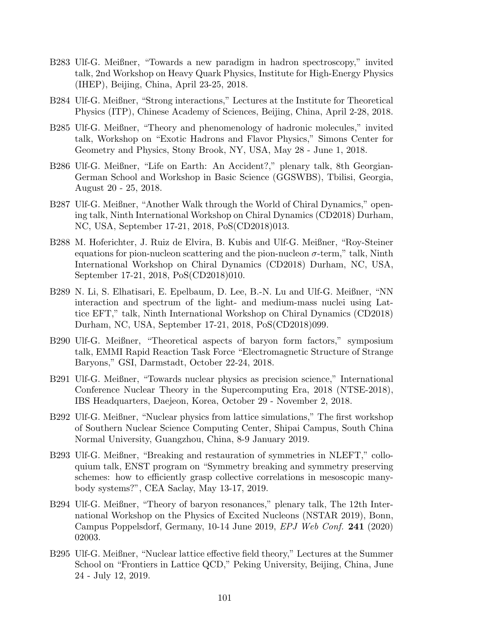- B283 Ulf-G. Meißner, "Towards a new paradigm in hadron spectroscopy," invited talk, 2nd Workshop on Heavy Quark Physics, Institute for High-Energy Physics (IHEP), Beijing, China, April 23-25, 2018.
- B284 Ulf-G. Meißner, "Strong interactions," Lectures at the Institute for Theoretical Physics (ITP), Chinese Academy of Sciences, Beijing, China, April 2-28, 2018.
- B285 Ulf-G. Meißner, "Theory and phenomenology of hadronic molecules," invited talk, Workshop on "Exotic Hadrons and Flavor Physics," Simons Center for Geometry and Physics, Stony Brook, NY, USA, May 28 - June 1, 2018.
- B286 Ulf-G. Meißner, "Life on Earth: An Accident?," plenary talk, 8th Georgian-German School and Workshop in Basic Science (GGSWBS), Tbilisi, Georgia, August 20 - 25, 2018.
- B287 Ulf-G. Meißner, "Another Walk through the World of Chiral Dynamics," opening talk, Ninth International Workshop on Chiral Dynamics (CD2018) Durham, NC, USA, September 17-21, 2018, PoS(CD2018)013.
- B288 M. Hoferichter, J. Ruiz de Elvira, B. Kubis and Ulf-G. Meißner, "Roy-Steiner equations for pion-nucleon scattering and the pion-nucleon  $\sigma$ -term," talk, Ninth International Workshop on Chiral Dynamics (CD2018) Durham, NC, USA, September 17-21, 2018, PoS(CD2018)010.
- B289 N. Li, S. Elhatisari, E. Epelbaum, D. Lee, B.-N. Lu and Ulf-G. Meißner, "NN interaction and spectrum of the light- and medium-mass nuclei using Lattice EFT," talk, Ninth International Workshop on Chiral Dynamics (CD2018) Durham, NC, USA, September 17-21, 2018, PoS(CD2018)099.
- B290 Ulf-G. Meißner, "Theoretical aspects of baryon form factors," symposium talk, EMMI Rapid Reaction Task Force "Electromagnetic Structure of Strange Baryons," GSI, Darmstadt, October 22-24, 2018.
- B291 Ulf-G. Meißner, "Towards nuclear physics as precision science," International Conference Nuclear Theory in the Supercomputing Era, 2018 (NTSE-2018), IBS Headquarters, Daejeon, Korea, October 29 - November 2, 2018.
- B292 Ulf-G. Meißner, "Nuclear physics from lattice simulations," The first workshop of Southern Nuclear Science Computing Center, Shipai Campus, South China Normal University, Guangzhou, China, 8-9 January 2019.
- B293 Ulf-G. Meißner, "Breaking and restauration of symmetries in NLEFT," colloquium talk, ENST program on "Symmetry breaking and symmetry preserving schemes: how to efficiently grasp collective correlations in mesoscopic manybody systems?", CEA Saclay, May 13-17, 2019.
- B294 Ulf-G. Meißner, "Theory of baryon resonances," plenary talk, The 12th International Workshop on the Physics of Excited Nucleons (NSTAR 2019), Bonn, Campus Poppelsdorf, Germany, 10-14 June 2019, EPJ Web Conf. 241 (2020) 02003.
- B295 Ulf-G. Meißner, "Nuclear lattice effective field theory," Lectures at the Summer School on "Frontiers in Lattice QCD," Peking University, Beijing, China, June 24 - July 12, 2019.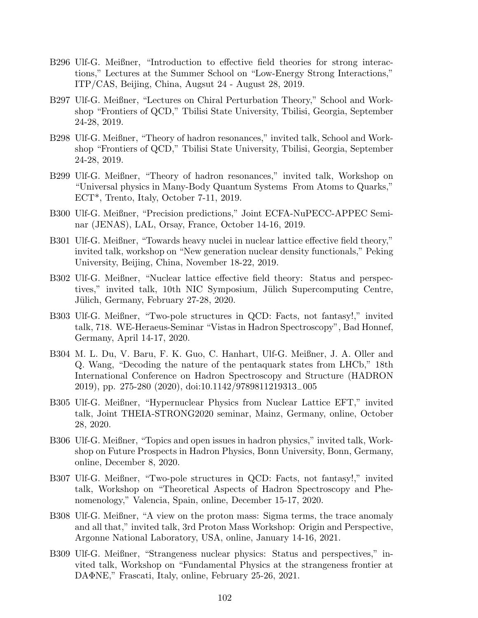- B296 Ulf-G. Meißner, "Introduction to effective field theories for strong interactions," Lectures at the Summer School on "Low-Energy Strong Interactions," ITP/CAS, Beijing, China, Augsut 24 - August 28, 2019.
- B297 Ulf-G. Meißner, "Lectures on Chiral Perturbation Theory," School and Workshop "Frontiers of QCD," Tbilisi State University, Tbilisi, Georgia, September 24-28, 2019.
- B298 Ulf-G. Meißner, "Theory of hadron resonances," invited talk, School and Workshop "Frontiers of QCD," Tbilisi State University, Tbilisi, Georgia, September 24-28, 2019.
- B299 Ulf-G. Meißner, "Theory of hadron resonances," invited talk, Workshop on "Universal physics in Many-Body Quantum Systems From Atoms to Quarks," ECT\*, Trento, Italy, October 7-11, 2019.
- B300 Ulf-G. Meißner, "Precision predictions," Joint ECFA-NuPECC-APPEC Seminar (JENAS), LAL, Orsay, France, October 14-16, 2019.
- B301 Ulf-G. Meißner, "Towards heavy nuclei in nuclear lattice effective field theory," invited talk, workshop on "New generation nuclear density functionals," Peking University, Beijing, China, November 18-22, 2019.
- B302 Ulf-G. Meißner, "Nuclear lattice effective field theory: Status and perspectives," invited talk, 10th NIC Symposium, Jülich Supercomputing Centre, Jülich, Germany, February 27-28, 2020.
- B303 Ulf-G. Meißner, "Two-pole structures in QCD: Facts, not fantasy!," invited talk, 718. WE-Heraeus-Seminar "Vistas in Hadron Spectroscopy", Bad Honnef, Germany, April 14-17, 2020.
- B304 M. L. Du, V. Baru, F. K. Guo, C. Hanhart, Ulf-G. Meißner, J. A. Oller and Q. Wang, "Decoding the nature of the pentaquark states from LHCb," 18th International Conference on Hadron Spectroscopy and Structure (HADRON 2019), pp. 275-280 (2020), doi:10.1142/9789811219313−005
- B305 Ulf-G. Meißner, "Hypernuclear Physics from Nuclear Lattice EFT," invited talk, Joint THEIA-STRONG2020 seminar, Mainz, Germany, online, October 28, 2020.
- B306 Ulf-G. Meißner, "Topics and open issues in hadron physics," invited talk, Workshop on Future Prospects in Hadron Physics, Bonn University, Bonn, Germany, online, December 8, 2020.
- B307 Ulf-G. Meißner, "Two-pole structures in QCD: Facts, not fantasy!," invited talk, Workshop on "Theoretical Aspects of Hadron Spectroscopy and Phenomenology," Valencia, Spain, online, December 15-17, 2020.
- B308 Ulf-G. Meißner, "A view on the proton mass: Sigma terms, the trace anomaly and all that," invited talk, 3rd Proton Mass Workshop: Origin and Perspective, Argonne National Laboratory, USA, online, January 14-16, 2021.
- B309 Ulf-G. Meißner, "Strangeness nuclear physics: Status and perspectives," invited talk, Workshop on "Fundamental Physics at the strangeness frontier at DAΦNE," Frascati, Italy, online, February 25-26, 2021.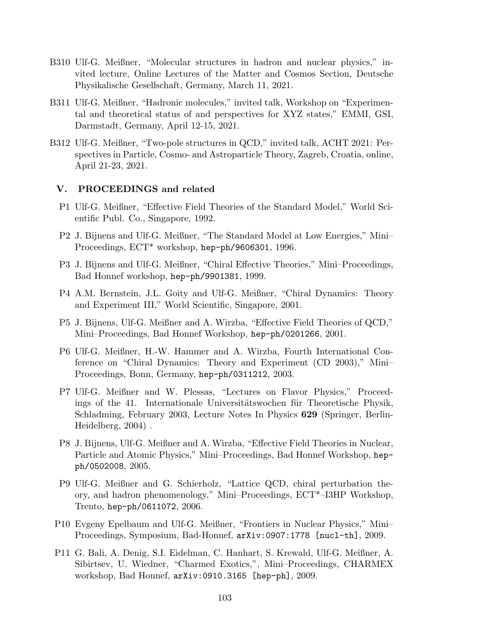- B310 Ulf-G. Meißner, "Molecular structures in hadron and nuclear physics," invited lecture, Online Lectures of the Matter and Cosmos Section, Deutsche Physikalische Gesellschaft, Germany, March 11, 2021.
- B311 Ulf-G. Meißner, "Hadronic molecules," invited talk, Workshop on "Experimental and theoretical status of and perspectives for XYZ states," EMMI, GSI, Darmstadt, Germany, April 12-15, 2021.
- B312 Ulf-G. Meißner, "Two-pole structures in QCD," invited talk, ACHT 2021: Perspectives in Particle, Cosmo- and Astroparticle Theory, Zagreb, Croatia, online, April 21-23, 2021.

### V. PROCEEDINGS and related

- P1 Ulf-G. Meißner, "Effective Field Theories of the Standard Model," World Scientific Publ. Co., Singapore, 1992.
- P2 J. Bijnens and Ulf-G. Meißner, "The Standard Model at Low Energies," Mini– Proceedings, ECT\* workshop, hep-ph/9606301, 1996.
- P3 J. Bijnens and Ulf-G. Meißner, "Chiral Effective Theories," Mini–Proceedings, Bad Honnef workshop, hep-ph/9901381, 1999.
- P4 A.M. Bernstein, J.L. Goity and Ulf-G. Meißner, "Chiral Dynamics: Theory and Experiment III," World Scientific, Singapore, 2001.
- P5 J. Bijnens, Ulf-G. Meißner and A. Wirzba, "Effective Field Theories of QCD," Mini–Proceedings, Bad Honnef Workshop, hep-ph/0201266, 2001.
- P6 Ulf-G. Meißner, H.-W. Hammer and A. Wirzba, Fourth International Conference on "Chiral Dynamics: Theory and Experiment (CD 2003)," Mini– Proceedings, Bonn, Germany, hep-ph/0311212, 2003.
- P7 Ulf-G. Meißner and W. Plessas, "Lectures on Flavor Physics," Proceedings of the 41. Internationale Universitätswochen für Theoretische Physik, Schladming, February 2003, Lecture Notes In Physics 629 (Springer, Berlin-Heidelberg, 2004) .
- P8 J. Bijnens, Ulf-G. Meißner and A. Wirzba, "Effective Field Theories in Nuclear, Particle and Atomic Physics," Mini–Proceedings, Bad Honnef Workshop, hepph/0502008, 2005.
- P9 Ulf-G. Meißner and G. Schierholz, "Lattice QCD, chiral perturbation theory, and hadron phenomenology," Mini–Proceedings, ECT\*–I3HP Workshop, Trento, hep-ph/0611072, 2006.
- P10 Evgeny Epelbaum and Ulf-G. Meißner, "Frontiers in Nuclear Physics," Mini– Proceedings, Symposium, Bad-Honnef, arXiv:0907:1778 [nucl-th], 2009.
- P11 G. Bali, A. Denig, S.I. Eidelman, C. Hanhart, S. Krewald, Ulf-G. Meißner, A. Sibirtsev, U. Wiedner, "Charmed Exotics,", Mini–Proceedings, CHARMEX workshop, Bad Honnef, arXiv:0910.3165 [hep-ph], 2009.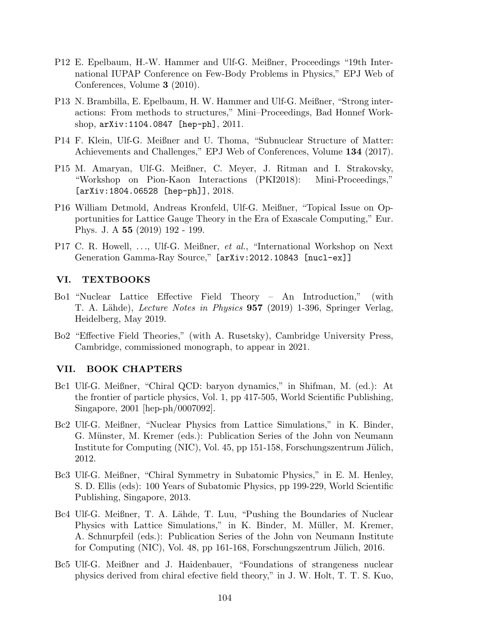- P12 E. Epelbaum, H.-W. Hammer and Ulf-G. Meißner, Proceedings "19th International IUPAP Conference on Few-Body Problems in Physics," EPJ Web of Conferences, Volume 3 (2010).
- P13 N. Brambilla, E. Epelbaum, H. W. Hammer and Ulf-G. Meißner, "Strong interactions: From methods to structures," Mini–Proceedings, Bad Honnef Workshop, arXiv:1104.0847 [hep-ph], 2011.
- P14 F. Klein, Ulf-G. Meißner and U. Thoma, "Subnuclear Structure of Matter: Achievements and Challenges," EPJ Web of Conferences, Volume 134 (2017).
- P15 M. Amaryan, Ulf-G. Meißner, C. Meyer, J. Ritman and I. Strakovsky, "Workshop on Pion-Kaon Interactions (PKI2018): Mini-Proceedings,"  $[arXiv:1804.06528 [hep-ph]], 2018.$
- P16 William Detmold, Andreas Kronfeld, Ulf-G. Meißner, "Topical Issue on Opportunities for Lattice Gauge Theory in the Era of Exascale Computing," Eur. Phys. J. A 55 (2019) 192 - 199.
- P17 C. R. Howell, ..., Ulf-G. Meißner, et al., "International Workshop on Next Generation Gamma-Ray Source," [arXiv:2012.10843 [nucl-ex]]

### VI. TEXTBOOKS

- Bo1 "Nuclear Lattice Effective Field Theory An Introduction," (with T. A. Lähde), Lecture Notes in Physics 957 (2019) 1-396, Springer Verlag, Heidelberg, May 2019.
- Bo2 "Effective Field Theories," (with A. Rusetsky), Cambridge University Press, Cambridge, commissioned monograph, to appear in 2021.

## VII. BOOK CHAPTERS

- Bc1 Ulf-G. Meißner, "Chiral QCD: baryon dynamics," in Shifman, M. (ed.): At the frontier of particle physics, Vol. 1, pp 417-505, World Scientific Publishing, Singapore, 2001 [hep-ph/0007092].
- Bc2 Ulf-G. Meißner, "Nuclear Physics from Lattice Simulations," in K. Binder, G. Münster, M. Kremer (eds.): Publication Series of the John von Neumann Institute for Computing (NIC), Vol. 45, pp 151-158, Forschungszentrum Jülich, 2012.
- Bc3 Ulf-G. Meißner, "Chiral Symmetry in Subatomic Physics," in E. M. Henley, S. D. Ellis (eds): 100 Years of Subatomic Physics, pp 199-229, World Scientific Publishing, Singapore, 2013.
- Bc4 Ulf-G. Meißner, T. A. Lähde, T. Luu, "Pushing the Boundaries of Nuclear Physics with Lattice Simulations," in K. Binder, M. Müller, M. Kremer, A. Schnurpfeil (eds.): Publication Series of the John von Neumann Institute for Computing (NIC), Vol. 48, pp 161-168, Forschungszentrum Jülich, 2016.
- Bc5 Ulf-G. Meißner and J. Haidenbauer, "Foundations of strangeness nuclear physics derived from chiral efective field theory," in J. W. Holt, T. T. S. Kuo,